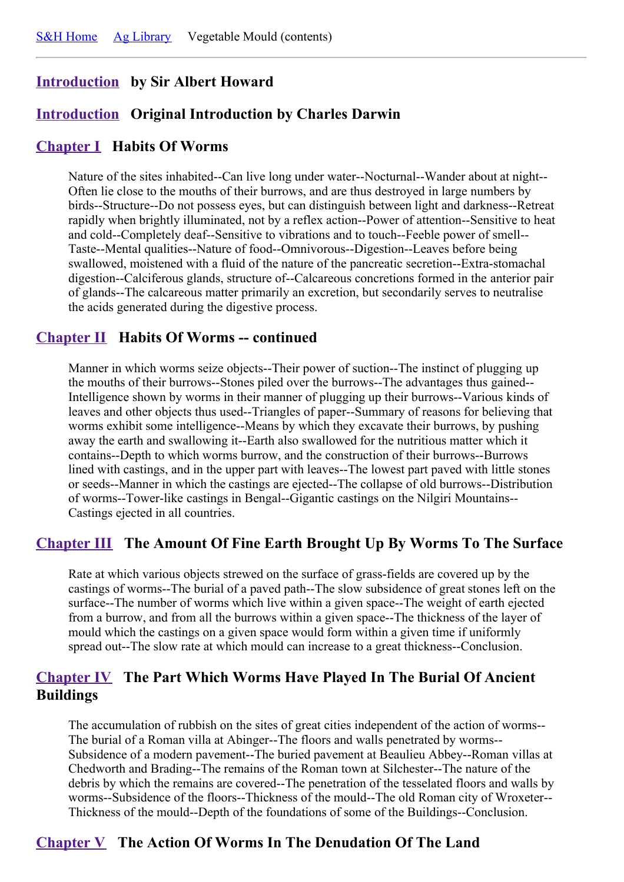## <span id="page-0-0"></span>**[Introduction](#page-4-0) by Sir Albert Howard**

#### **[Introduction](#page-8-0) Original Introduction by Charles Darwin**

#### **[Chapter](#page-14-0) I Habits Of Worms**

Nature of the sites inhabited--Can live long under water--Nocturnal--Wander about at night-- Often lie close to the mouths of their burrows, and are thus destroyed in large numbers by birds--Structure--Do not possess eyes, but can distinguish between light and darkness--Retreat rapidly when brightly illuminated, not by a reflex action--Power of attention--Sensitive to heat and cold--Completely deaf--Sensitive to vibrations and to touch--Feeble power of smell-- Taste--Mental qualities--Nature of food--Omnivorous--Digestion--Leaves before being swallowed, moistened with a fluid of the nature of the pancreatic secretion--Extra-stomachal digestion--Calciferous glands, structure of--Calcareous concretions formed in the anterior pair of glands--The calcareous matter primarily an excretion, but secondarily serves to neutralise the acids generated during the digestive process.

#### **[Chapter](#page-28-0) II Habits Of Worms -- continued**

Manner in which worms seize objects--Their power of suction--The instinct of plugging up the mouths of their burrows--Stones piled over the burrows--The advantages thus gained-- Intelligence shown by worms in their manner of plugging up their burrows--Various kinds of leaves and other objects thus used--Triangles of paper--Summary of reasons for believing that worms exhibit some intelligence--Means by which they excavate their burrows, by pushing away the earth and swallowing it--Earth also swallowed for the nutritious matter which it contains--Depth to which worms burrow, and the construction of their burrows--Burrows lined with castings, and in the upper part with leaves--The lowest part paved with little stones or seeds--Manner in which the castings are ejected--The collapse of old burrows--Distribution of worms--Tower-like castings in Bengal--Gigantic castings on the Nilgiri Mountains-- Castings ejected in all countries.

#### **[Chapter](#page-42-0) III The Amount Of Fine Earth Brought Up By Worms To The Surface**

Rate at which various objects strewed on the surface of grass-fields are covered up by the castings of worms--The burial of a paved path--The slow subsidence of great stones left on the surface--The number of worms which live within a given space--The weight of earth ejected from a burrow, and from all the burrows within a given space--The thickness of the layer of mould which the castings on a given space would form within a given time if uniformly spread out--The slow rate at which mould can increase to a great thickness--Conclusion.

### **[Chapter](#page-54-0) IV The Part Which Worms Have Played In The Burial Of Ancient Buildings**

The accumulation of rubbish on the sites of great cities independent of the action of worms-- The burial of a Roman villa at Abinger--The floors and walls penetrated by worms-- Subsidence of a modern pavement--The buried pavement at Beaulieu Abbey--Roman villas at Chedworth and Brading--The remains of the Roman town at Silchester--The nature of the debris by which the remains are covered--The penetration of the tesselated floors and walls by worms--Subsidence of the floors--Thickness of the mould--The old Roman city of Wroxeter-- Thickness of the mould--Depth of the foundations of some of the Buildings--Conclusion.

### **[Chapter](#page-64-0) V The Action Of Worms In The Denudation Of The Land**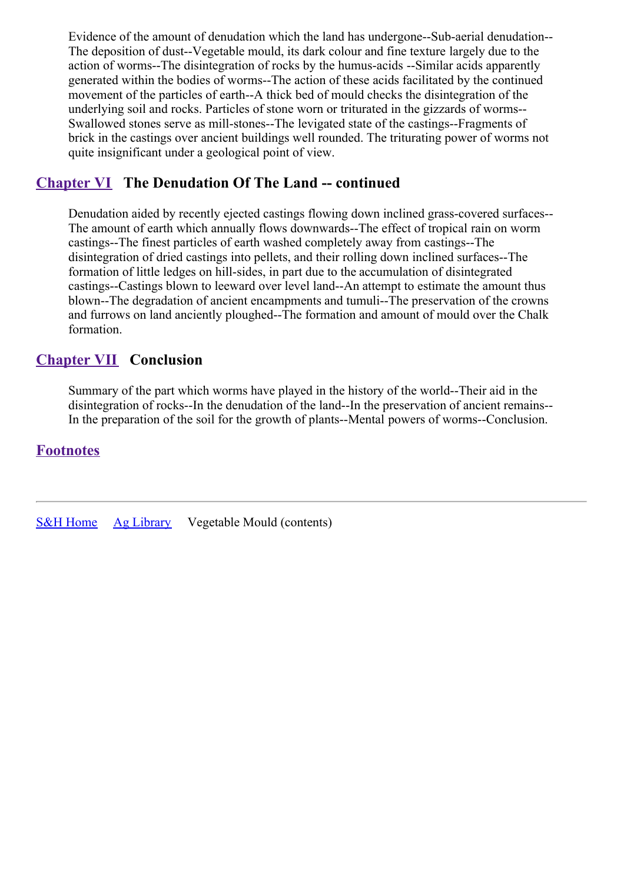Evidence of the amount of denudation which the land has undergone--Sub-aerial denudation-- The deposition of dust--Vegetable mould, its dark colour and fine texture largely due to the action of worms--The disintegration of rocks by the humus-acids --Similar acids apparently generated within the bodies of worms--The action of these acids facilitated by the continued movement of the particles of earth--A thick bed of mould checks the disintegration of the underlying soil and rocks. Particles of stone worn or triturated in the gizzards of worms-- Swallowed stones serve as mill-stones--The levigated state of the castings--Fragments of brick in the castings over ancient buildings well rounded. The triturating power of worms not quite insignificant under a geological point of view.

## **[Chapter](#page-72-0) VI The Denudation Of The Land -- continued**

Denudation aided by recently ejected castings flowing down inclined grass-covered surfaces-- The amount of earth which annually flows downwards--The effect of tropical rain on worm castings--The finest particles of earth washed completely away from castings--The disintegration of dried castings into pellets, and their rolling down inclined surfaces--The formation of little ledges on hill-sides, in part due to the accumulation of disintegrated castings--Castings blown to leeward over level land--An attempt to estimate the amount thus blown--The degradation of ancient encampments and tumuli--The preservation of the crowns and furrows on land anciently ploughed--The formation and amount of mould over the Chalk formation.

## **[Chapter](#page-78-0) VII Conclusion**

Summary of the part which worms have played in the history of the world--Their aid in the disintegration of rocks--In the denudation of the land--In the preservation of ancient remains-- In the preparation of the soil for the growth of plants--Mental powers of worms--Conclusion.

### **[Footnotes](#page-83-0)**

S&H [Home](http://www.soilandhealth.org/) Ag [Library](http://www.soilandhealth.org/01aglibrary/01aglibwelcome.html) Vegetable Mould (contents)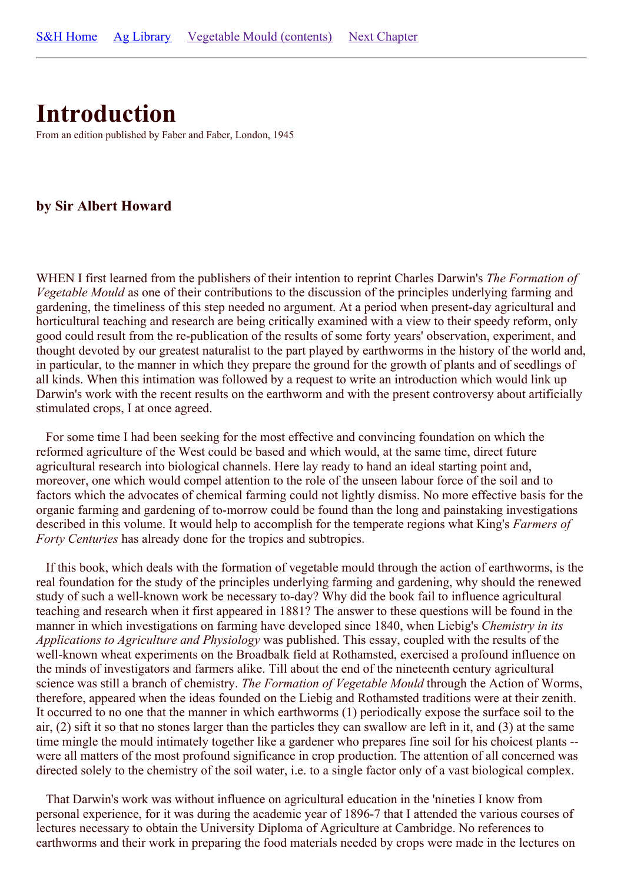# **Introduction**

From an edition published by Faber and Faber, London, 1945

#### **by Sir Albert Howard**

WHEN I first learned from the publishers of their intention to reprint Charles Darwin's *The Formation of Vegetable Mould* as one of their contributions to the discussion of the principles underlying farming and gardening, the timeliness of this step needed no argument. At a period when present-day agricultural and horticultural teaching and research are being critically examined with a view to their speedy reform, only good could result from the re-publication of the results of some forty years' observation, experiment, and thought devoted by our greatest naturalist to the part played by earthworms in the history of the world and, in particular, to the manner in which they prepare the ground for the growth of plants and of seedlings of all kinds. When this intimation was followed by a request to write an introduction which would link up Darwin's work with the recent results on the earthworm and with the present controversy about artificially stimulated crops, I at once agreed.

For some time I had been seeking for the most effective and convincing foundation on which the reformed agriculture of the West could be based and which would, at the same time, direct future agricultural research into biological channels. Here lay ready to hand an ideal starting point and, moreover, one which would compel attention to the role of the unseen labour force of the soil and to factors which the advocates of chemical farming could not lightly dismiss. No more effective basis for the organic farming and gardening of to-morrow could be found than the long and painstaking investigations described in this volume. It would help to accomplish for the temperate regions what King's *Farmers of Forty Centuries* has already done for the tropics and subtropics.

If this book, which deals with the formation of vegetable mould through the action of earthworms, is the real foundation for the study of the principles underlying farming and gardening, why should the renewed study of such a well-known work be necessary to-day? Why did the book fail to influence agricultural teaching and research when it first appeared in 1881? The answer to these questions will be found in the manner in which investigations on farming have developed since 1840, when Liebig's *Chemistry in its Applications to Agriculture and Physiology* was published. This essay, coupled with the results of the well-known wheat experiments on the Broadbalk field at Rothamsted, exercised a profound influence on the minds of investigators and farmers alike. Till about the end of the nineteenth century agricultural science was still a branch of chemistry. *The Formation of Vegetable Mould* through the Action of Worms, therefore, appeared when the ideas founded on the Liebig and Rothamsted traditions were at their zenith. It occurred to no one that the manner in which earthworms (1) periodically expose the surface soil to the air, (2) sift it so that no stones larger than the particles they can swallow are left in it, and (3) at the same time mingle the mould intimately together like a gardener who prepares fine soil for his choicest plants - were all matters of the most profound significance in crop production. The attention of all concerned was directed solely to the chemistry of the soil water, i.e. to a single factor only of a vast biological complex.

That Darwin's work was without influence on agricultural education in the 'nineties I know from personal experience, for it was during the academic year of 1896-7 that I attended the various courses of lectures necessary to obtain the University Diploma of Agriculture at Cambridge. No references to earthworms and their work in preparing the food materials needed by crops were made in the lectures on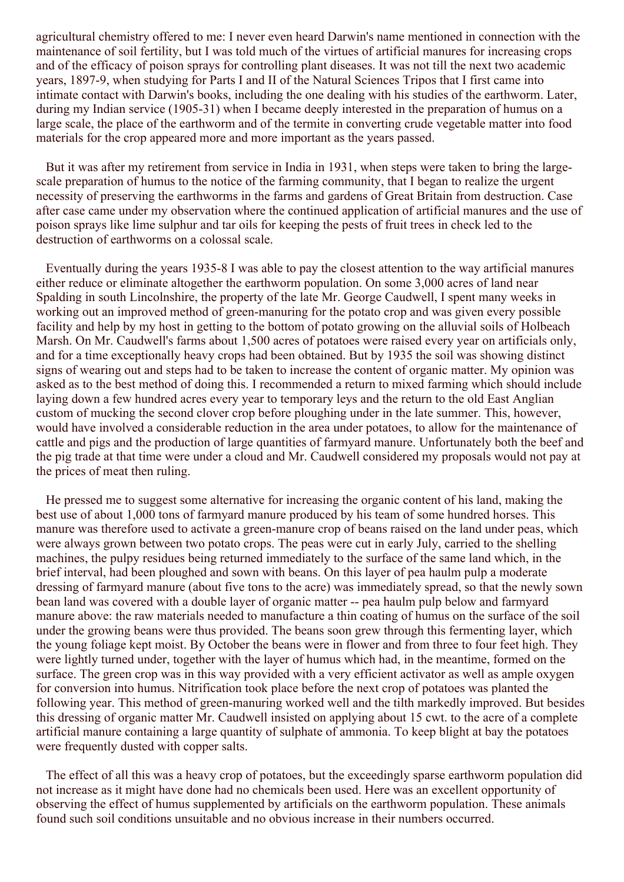agricultural chemistry offered to me: I never even heard Darwin's name mentioned in connection with the maintenance of soil fertility, but I was told much of the virtues of artificial manures for increasing crops and of the efficacy of poison sprays for controlling plant diseases. It was not till the next two academic years, 1897-9, when studying for Parts I and II of the Natural Sciences Tripos that I first came into intimate contact with Darwin's books, including the one dealing with his studies of the earthworm. Later, during my Indian service (1905-31) when I became deeply interested in the preparation of humus on a large scale, the place of the earthworm and of the termite in converting crude vegetable matter into food materials for the crop appeared more and more important as the years passed.

But it was after my retirement from service in India in 1931, when steps were taken to bring the largescale preparation of humus to the notice of the farming community, that I began to realize the urgent necessity of preserving the earthworms in the farms and gardens of Great Britain from destruction. Case after case came under my observation where the continued application of artificial manures and the use of poison sprays like lime sulphur and tar oils for keeping the pests of fruit trees in check led to the destruction of earthworms on a colossal scale.

Eventually during the years 1935-8 I was able to pay the closest attention to the way artificial manures either reduce or eliminate altogether the earthworm population. On some 3,000 acres of land near Spalding in south Lincolnshire, the property of the late Mr. George Caudwell, I spent many weeks in working out an improved method of green-manuring for the potato crop and was given every possible facility and help by my host in getting to the bottom of potato growing on the alluvial soils of Holbeach Marsh. On Mr. Caudwell's farms about 1,500 acres of potatoes were raised every year on artificials only, and for a time exceptionally heavy crops had been obtained. But by 1935 the soil was showing distinct signs of wearing out and steps had to be taken to increase the content of organic matter. My opinion was asked as to the best method of doing this. I recommended a return to mixed farming which should include laying down a few hundred acres every year to temporary leys and the return to the old East Anglian custom of mucking the second clover crop before ploughing under in the late summer. This, however, would have involved a considerable reduction in the area under potatoes, to allow for the maintenance of cattle and pigs and the production of large quantities of farmyard manure. Unfortunately both the beef and the pig trade at that time were under a cloud and Mr. Caudwell considered my proposals would not pay at the prices of meat then ruling.

He pressed me to suggest some alternative for increasing the organic content of his land, making the best use of about 1,000 tons of farmyard manure produced by his team of some hundred horses. This manure was therefore used to activate a green-manure crop of beans raised on the land under peas, which were always grown between two potato crops. The peas were cut in early July, carried to the shelling machines, the pulpy residues being returned immediately to the surface of the same land which, in the brief interval, had been ploughed and sown with beans. On this layer of pea haulm pulp a moderate dressing of farmyard manure (about five tons to the acre) was immediately spread, so that the newly sown bean land was covered with a double layer of organic matter -- pea haulm pulp below and farmyard manure above: the raw materials needed to manufacture a thin coating of humus on the surface of the soil under the growing beans were thus provided. The beans soon grew through this fermenting layer, which the young foliage kept moist. By October the beans were in flower and from three to four feet high. They were lightly turned under, together with the layer of humus which had, in the meantime, formed on the surface. The green crop was in this way provided with a very efficient activator as well as ample oxygen for conversion into humus. Nitrification took place before the next crop of potatoes was planted the following year. This method of green-manuring worked well and the tilth markedly improved. But besides this dressing of organic matter Mr. Caudwell insisted on applying about 15 cwt. to the acre of a complete artificial manure containing a large quantity of sulphate of ammonia. To keep blight at bay the potatoes were frequently dusted with copper salts.

The effect of all this was a heavy crop of potatoes, but the exceedingly sparse earthworm population did not increase as it might have done had no chemicals been used. Here was an excellent opportunity of observing the effect of humus supplemented by artificials on the earthworm population. These animals found such soil conditions unsuitable and no obvious increase in their numbers occurred.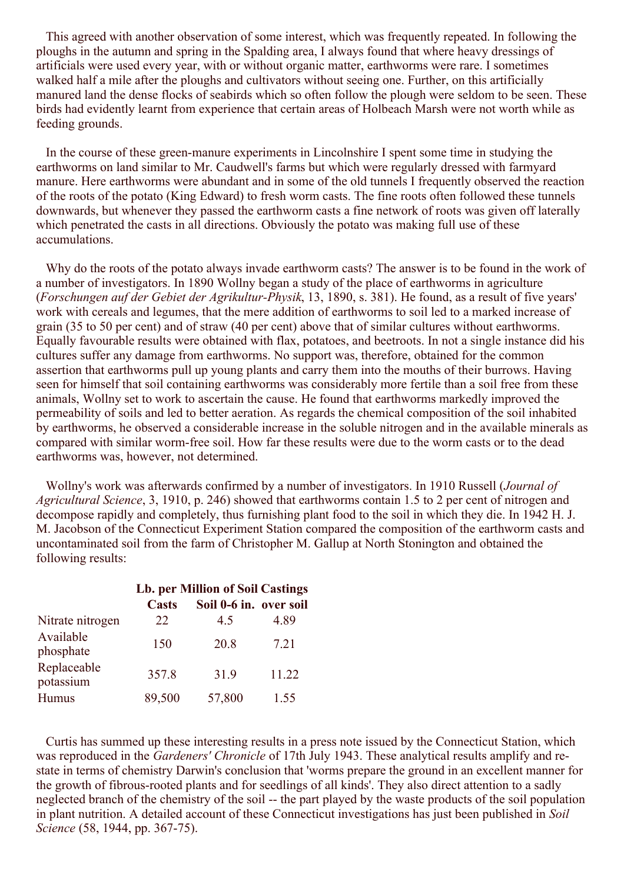<span id="page-4-0"></span>This agreed with another observation of some interest, which was frequently repeated. In following the ploughs in the autumn and spring in the Spalding area, I always found that where heavy dressings of artificials were used every year, with or without organic matter, earthworms were rare. I sometimes walked half a mile after the ploughs and cultivators without seeing one. Further, on this artificially manured land the dense flocks of seabirds which so often follow the plough were seldom to be seen. These birds had evidently learnt from experience that certain areas of Holbeach Marsh were not worth while as feeding grounds.

In the course of these green-manure experiments in Lincolnshire I spent some time in studying the earthworms on land similar to Mr. Caudwell's farms but which were regularly dressed with farmyard manure. Here earthworms were abundant and in some of the old tunnels I frequently observed the reaction of the roots of the potato (King Edward) to fresh worm casts. The fine roots often followed these tunnels downwards, but whenever they passed the earthworm casts a fine network of roots was given off laterally which penetrated the casts in all directions. Obviously the potato was making full use of these accumulations.

Why do the roots of the potato always invade earthworm casts? The answer is to be found in the work of a number of investigators. In 1890 Wollny began a study of the place of earthworms in agriculture (*Forschungen auf der Gebiet der Agrikultur-Physik*, 13, 1890, s. 381). He found, as a result of five years' work with cereals and legumes, that the mere addition of earthworms to soil led to a marked increase of grain (35 to 50 per cent) and of straw (40 per cent) above that of similar cultures without earthworms. Equally favourable results were obtained with flax, potatoes, and beetroots. In not a single instance did his cultures suffer any damage from earthworms. No support was, therefore, obtained for the common assertion that earthworms pull up young plants and carry them into the mouths of their burrows. Having seen for himself that soil containing earthworms was considerably more fertile than a soil free from these animals, Wollny set to work to ascertain the cause. He found that earthworms markedly improved the permeability of soils and led to better aeration. As regards the chemical composition of the soil inhabited by earthworms, he observed a considerable increase in the soluble nitrogen and in the available minerals as compared with similar worm-free soil. How far these results were due to the worm casts or to the dead earthworms was, however, not determined.

Wollny's work was afterwards confirmed by a number of investigators. In 1910 Russell (*Journal of Agricultural Science*, 3, 1910, p. 246) showed that earthworms contain 1.5 to 2 per cent of nitrogen and decompose rapidly and completely, thus furnishing plant food to the soil in which they die. In 1942 H. J. M. Jacobson of the Connecticut Experiment Station compared the composition of the earthworm casts and uncontaminated soil from the farm of Christopher M. Gallup at North Stonington and obtained the following results:

|                          | <b>Lb. per Million of Soil Castings</b> |                        |       |  |
|--------------------------|-----------------------------------------|------------------------|-------|--|
|                          | <b>Casts</b>                            | Soil 0-6 in. over soil |       |  |
| Nitrate nitrogen         | 22                                      | 4.5                    | 4.89  |  |
| Available<br>phosphate   | 150                                     | 20.8                   | 7.21  |  |
| Replaceable<br>potassium | 357.8                                   | 31.9                   | 11.22 |  |
| Humus                    | 89,500                                  | 57,800                 | 1.55  |  |

Curtis has summed up these interesting results in a press note issued by the Connecticut Station, which was reproduced in the *Gardeners' Chronicle* of 17th July 1943. These analytical results amplify and restate in terms of chemistry Darwin's conclusion that 'worms prepare the ground in an excellent manner for the growth of fibrous-rooted plants and for seedlings of all kinds'. They also direct attention to a sadly neglected branch of the chemistry of the soil -- the part played by the waste products of the soil population in plant nutrition. A detailed account of these Connecticut investigations has just been published in *Soil Science* (58, 1944, pp. 367-75).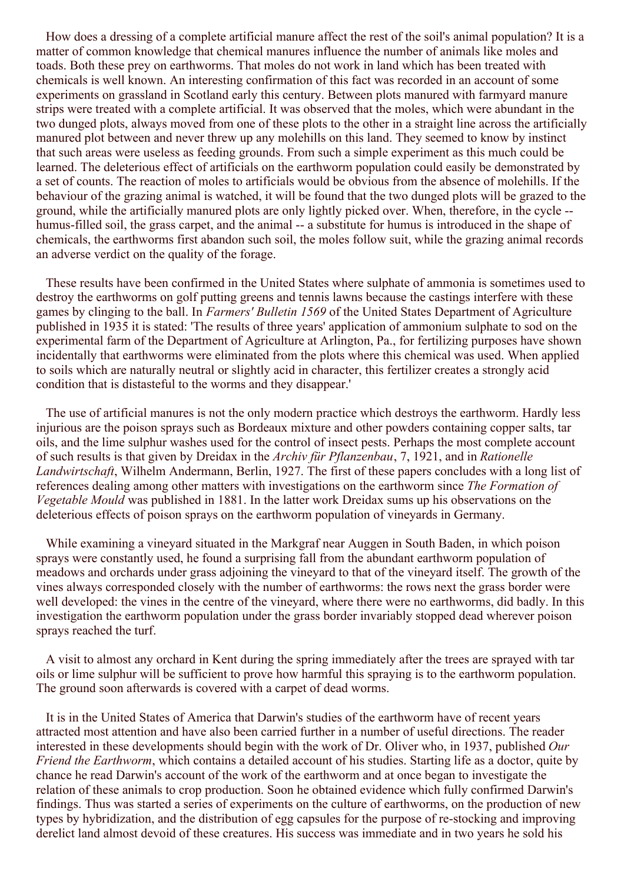How does a dressing of a complete artificial manure affect the rest of the soil's animal population? It is a matter of common knowledge that chemical manures influence the number of animals like moles and toads. Both these prey on earthworms. That moles do not work in land which has been treated with chemicals is well known. An interesting confirmation of this fact was recorded in an account of some experiments on grassland in Scotland early this century. Between plots manured with farmyard manure strips were treated with a complete artificial. It was observed that the moles, which were abundant in the two dunged plots, always moved from one of these plots to the other in a straight line across the artificially manured plot between and never threw up any molehills on this land. They seemed to know by instinct that such areas were useless as feeding grounds. From such a simple experiment as this much could be learned. The deleterious effect of artificials on the earthworm population could easily be demonstrated by a set of counts. The reaction of moles to artificials would be obvious from the absence of molehills. If the behaviour of the grazing animal is watched, it will be found that the two dunged plots will be grazed to the ground, while the artificially manured plots are only lightly picked over. When, therefore, in the cycle - humus-filled soil, the grass carpet, and the animal -- a substitute for humus is introduced in the shape of chemicals, the earthworms first abandon such soil, the moles follow suit, while the grazing animal records an adverse verdict on the quality of the forage.

These results have been confirmed in the United States where sulphate of ammonia is sometimes used to destroy the earthworms on golf putting greens and tennis lawns because the castings interfere with these games by clinging to the ball. In *Farmers' Bulletin 1569* of the United States Department of Agriculture published in 1935 it is stated: 'The results of three years' application of ammonium sulphate to sod on the experimental farm of the Department of Agriculture at Arlington, Pa., for fertilizing purposes have shown incidentally that earthworms were eliminated from the plots where this chemical was used. When applied to soils which are naturally neutral or slightly acid in character, this fertilizer creates a strongly acid condition that is distasteful to the worms and they disappear.'

The use of artificial manures is not the only modern practice which destroys the earthworm. Hardly less injurious are the poison sprays such as Bordeaux mixture and other powders containing copper salts, tar oils, and the lime sulphur washes used for the control of insect pests. Perhaps the most complete account of such results is that given by Dreidax in the *Archiv für Pflanzenbau*, 7, 1921, and in *Rationelle Landwirtschaft*, Wilhelm Andermann, Berlin, 1927. The first of these papers concludes with a long list of references dealing among other matters with investigations on the earthworm since *The Formation of Vegetable Mould* was published in 1881. In the latter work Dreidax sums up his observations on the deleterious effects of poison sprays on the earthworm population of vineyards in Germany.

While examining a vineyard situated in the Markgraf near Auggen in South Baden, in which poison sprays were constantly used, he found a surprising fall from the abundant earthworm population of meadows and orchards under grass adjoining the vineyard to that of the vineyard itself. The growth of the vines always corresponded closely with the number of earthworms: the rows next the grass border were well developed: the vines in the centre of the vineyard, where there were no earthworms, did badly. In this investigation the earthworm population under the grass border invariably stopped dead wherever poison sprays reached the turf.

A visit to almost any orchard in Kent during the spring immediately after the trees are sprayed with tar oils or lime sulphur will be sufficient to prove how harmful this spraying is to the earthworm population. The ground soon afterwards is covered with a carpet of dead worms.

It is in the United States of America that Darwin's studies of the earthworm have of recent years attracted most attention and have also been carried further in a number of useful directions. The reader interested in these developments should begin with the work of Dr. Oliver who, in 1937, published *Our Friend the Earthworm*, which contains a detailed account of his studies. Starting life as a doctor, quite by chance he read Darwin's account of the work of the earthworm and at once began to investigate the relation of these animals to crop production. Soon he obtained evidence which fully confirmed Darwin's findings. Thus was started a series of experiments on the culture of earthworms, on the production of new types by hybridization, and the distribution of egg capsules for the purpose of re-stocking and improving derelict land almost devoid of these creatures. His success was immediate and in two years he sold his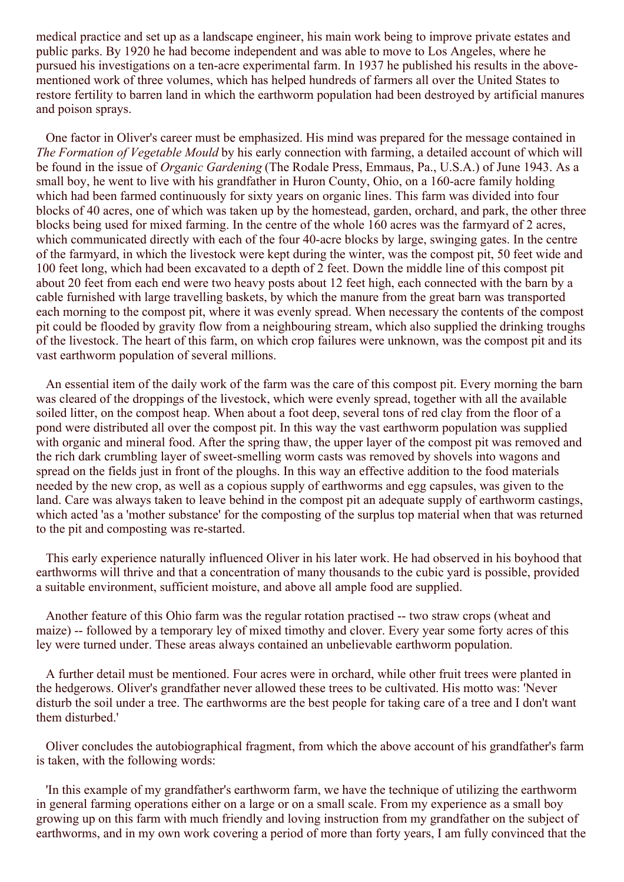medical practice and set up as a landscape engineer, his main work being to improve private estates and public parks. By 1920 he had become independent and was able to move to Los Angeles, where he pursued his investigations on a ten-acre experimental farm. In 1937 he published his results in the abovementioned work of three volumes, which has helped hundreds of farmers all over the United States to restore fertility to barren land in which the earthworm population had been destroyed by artificial manures and poison sprays.

One factor in Oliver's career must be emphasized. His mind was prepared for the message contained in *The Formation of Vegetable Mould* by his early connection with farming, a detailed account of which will be found in the issue of *Organic Gardening* (The Rodale Press, Emmaus, Pa., U.S.A.) of June 1943. As a small boy, he went to live with his grandfather in Huron County, Ohio, on a 160-acre family holding which had been farmed continuously for sixty years on organic lines. This farm was divided into four blocks of 40 acres, one of which was taken up by the homestead, garden, orchard, and park, the other three blocks being used for mixed farming. In the centre of the whole 160 acres was the farmyard of 2 acres, which communicated directly with each of the four 40-acre blocks by large, swinging gates. In the centre of the farmyard, in which the livestock were kept during the winter, was the compost pit, 50 feet wide and 100 feet long, which had been excavated to a depth of 2 feet. Down the middle line of this compost pit about 20 feet from each end were two heavy posts about 12 feet high, each connected with the barn by a cable furnished with large travelling baskets, by which the manure from the great barn was transported each morning to the compost pit, where it was evenly spread. When necessary the contents of the compost pit could be flooded by gravity flow from a neighbouring stream, which also supplied the drinking troughs of the livestock. The heart of this farm, on which crop failures were unknown, was the compost pit and its vast earthworm population of several millions.

An essential item of the daily work of the farm was the care of this compost pit. Every morning the barn was cleared of the droppings of the livestock, which were evenly spread, together with all the available soiled litter, on the compost heap. When about a foot deep, several tons of red clay from the floor of a pond were distributed all over the compost pit. In this way the vast earthworm population was supplied with organic and mineral food. After the spring thaw, the upper layer of the compost pit was removed and the rich dark crumbling layer of sweet-smelling worm casts was removed by shovels into wagons and spread on the fields just in front of the ploughs. In this way an effective addition to the food materials needed by the new crop, as well as a copious supply of earthworms and egg capsules, was given to the land. Care was always taken to leave behind in the compost pit an adequate supply of earthworm castings, which acted 'as a 'mother substance' for the composting of the surplus top material when that was returned to the pit and composting was re-started.

This early experience naturally influenced Oliver in his later work. He had observed in his boyhood that earthworms will thrive and that a concentration of many thousands to the cubic yard is possible, provided a suitable environment, sufficient moisture, and above all ample food are supplied.

Another feature of this Ohio farm was the regular rotation practised -- two straw crops (wheat and maize) -- followed by a temporary ley of mixed timothy and clover. Every year some forty acres of this ley were turned under. These areas always contained an unbelievable earthworm population.

A further detail must be mentioned. Four acres were in orchard, while other fruit trees were planted in the hedgerows. Oliver's grandfather never allowed these trees to be cultivated. His motto was: 'Never disturb the soil under a tree. The earthworms are the best people for taking care of a tree and I don't want them disturbed.'

Oliver concludes the autobiographical fragment, from which the above account of his grandfather's farm is taken, with the following words:

'In this example of my grandfather's earthworm farm, we have the technique of utilizing the earthworm in general farming operations either on a large or on a small scale. From my experience as a small boy growing up on this farm with much friendly and loving instruction from my grandfather on the subject of earthworms, and in my own work covering a period of more than forty years, I am fully convinced that the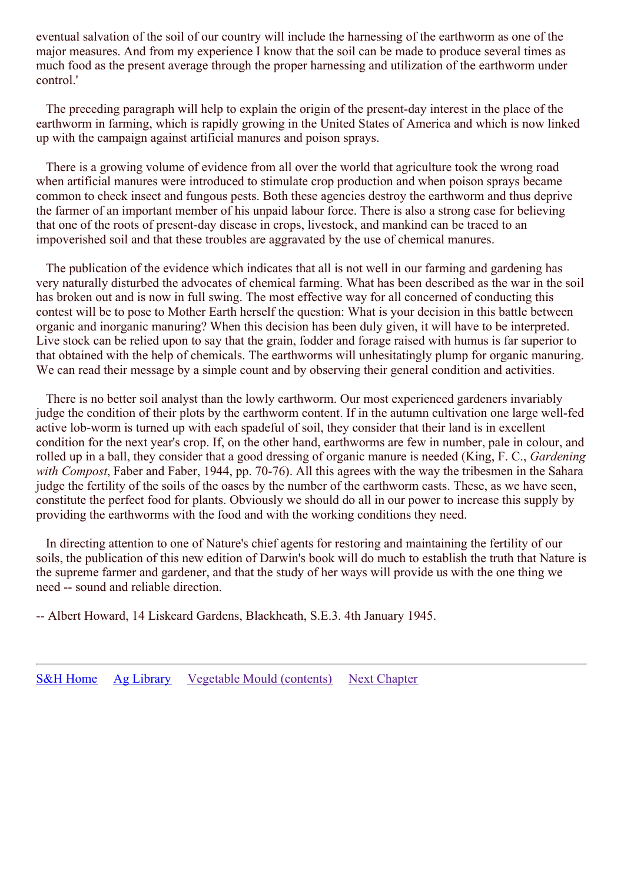eventual salvation of the soil of our country will include the harnessing of the earthworm as one of the major measures. And from my experience I know that the soil can be made to produce several times as much food as the present average through the proper harnessing and utilization of the earthworm under control.'

The preceding paragraph will help to explain the origin of the present-day interest in the place of the earthworm in farming, which is rapidly growing in the United States of America and which is now linked up with the campaign against artificial manures and poison sprays.

There is a growing volume of evidence from all over the world that agriculture took the wrong road when artificial manures were introduced to stimulate crop production and when poison sprays became common to check insect and fungous pests. Both these agencies destroy the earthworm and thus deprive the farmer of an important member of his unpaid labour force. There is also a strong case for believing that one of the roots of present-day disease in crops, livestock, and mankind can be traced to an impoverished soil and that these troubles are aggravated by the use of chemical manures.

The publication of the evidence which indicates that all is not well in our farming and gardening has very naturally disturbed the advocates of chemical farming. What has been described as the war in the soil has broken out and is now in full swing. The most effective way for all concerned of conducting this contest will be to pose to Mother Earth herself the question: What is your decision in this battle between organic and inorganic manuring? When this decision has been duly given, it will have to be interpreted. Live stock can be relied upon to say that the grain, fodder and forage raised with humus is far superior to that obtained with the help of chemicals. The earthworms will unhesitatingly plump for organic manuring. We can read their message by a simple count and by observing their general condition and activities.

There is no better soil analyst than the lowly earthworm. Our most experienced gardeners invariably judge the condition of their plots by the earthworm content. If in the autumn cultivation one large well-fed active lob-worm is turned up with each spadeful of soil, they consider that their land is in excellent condition for the next year's crop. If, on the other hand, earthworms are few in number, pale in colour, and rolled up in a ball, they consider that a good dressing of organic manure is needed (King, F. C., *Gardening with Compost*, Faber and Faber, 1944, pp. 70-76). All this agrees with the way the tribesmen in the Sahara judge the fertility of the soils of the oases by the number of the earthworm casts. These, as we have seen, constitute the perfect food for plants. Obviously we should do all in our power to increase this supply by providing the earthworms with the food and with the working conditions they need.

In directing attention to one of Nature's chief agents for restoring and maintaining the fertility of our soils, the publication of this new edition of Darwin's book will do much to establish the truth that Nature is the supreme farmer and gardener, and that the study of her ways will provide us with the one thing we need -- sound and reliable direction.

-- Albert Howard, 14 Liskeard Gardens, Blackheath, S.E.3. 4th January 1945.

**S&H [Home](http://www.soilandhealth.org/)** Ag [Library](http://www.soilandhealth.org/01aglibrary/01aglibwelcome.html) [Vegetable](#page-0-0) Mould (contents) Next [Chapter](#page-8-0)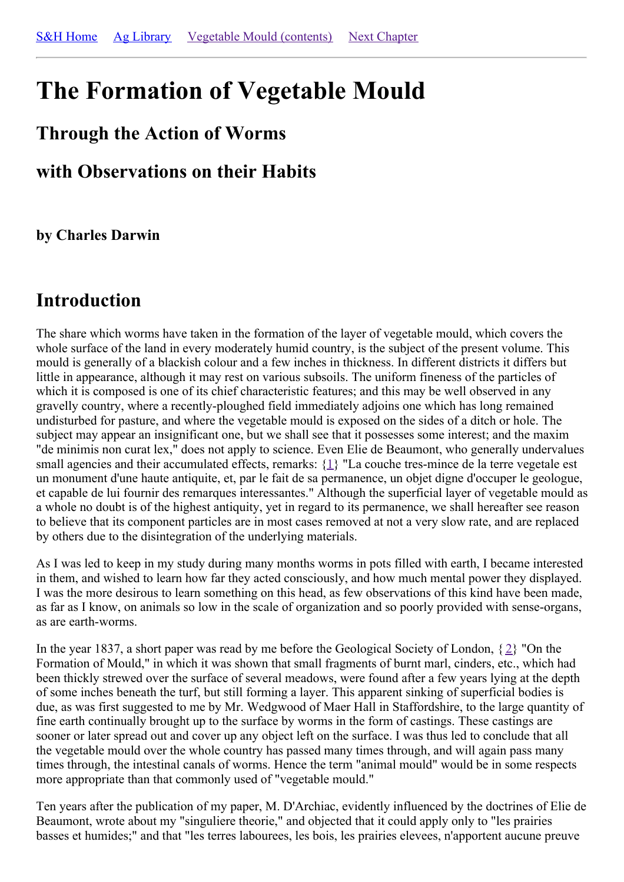# <span id="page-8-0"></span>**The Formation of Vegetable Mould**

## **Through the Action of Worms**

## **with Observations on their Habits**

**by Charles Darwin**

# **Introduction**

The share which worms have taken in the formation of the layer of vegetable mould, which covers the whole surface of the land in every moderately humid country, is the subject of the present volume. This mould is generally of a blackish colour and a few inches in thickness. In different districts it differs but little in appearance, although it may rest on various subsoils. The uniform fineness of the particles of which it is composed is one of its chief characteristic features; and this may be well observed in any gravelly country, where a recently-ploughed field immediately adjoins one which has long remained undisturbed for pasture, and where the vegetable mould is exposed on the sides of a ditch or hole. The subject may appear an insignificant one, but we shall see that it possesses some interest; and the maxim "de minimis non curat lex," does not apply to science. Even Elie de Beaumont, who generally undervalues small agencies and their accumulated effects, remarks: {[1](#page-83-0)} "La couche tres-mince de la terre vegetale est un monument d'une haute antiquite, et, par le fait de sa permanence, un objet digne d'occuper le geologue, et capable de lui fournir des remarques interessantes." Although the superficial layer of vegetable mould as a whole no doubt is of the highest antiquity, yet in regard to its permanence, we shall hereafter see reason to believe that its component particles are in most cases removed at not a very slow rate, and are replaced by others due to the disintegration of the underlying materials.

As I was led to keep in my study during many months worms in pots filled with earth, I became interested in them, and wished to learn how far they acted consciously, and how much mental power they displayed. I was the more desirous to learn something on this head, as few observations of this kind have been made, as far as I know, on animals so low in the scale of organization and so poorly provided with sense-organs, as are earth-worms.

In the year 1837, a short paper was read by me before the Geological Society of London,  $\{2\}$  $\{2\}$  $\{2\}$  "On the Formation of Mould," in which it was shown that small fragments of burnt marl, cinders, etc., which had been thickly strewed over the surface of several meadows, were found after a few years lying at the depth of some inches beneath the turf, but still forming a layer. This apparent sinking of superficial bodies is due, as was first suggested to me by Mr. Wedgwood of Maer Hall in Staffordshire, to the large quantity of fine earth continually brought up to the surface by worms in the form of castings. These castings are sooner or later spread out and cover up any object left on the surface. I was thus led to conclude that all the vegetable mould over the whole country has passed many times through, and will again pass many times through, the intestinal canals of worms. Hence the term "animal mould" would be in some respects more appropriate than that commonly used of "vegetable mould."

Ten years after the publication of my paper, M. D'Archiac, evidently influenced by the doctrines of Elie de Beaumont, wrote about my "singuliere theorie," and objected that it could apply only to "les prairies basses et humides;" and that "les terres labourees, les bois, les prairies elevees, n'apportent aucune preuve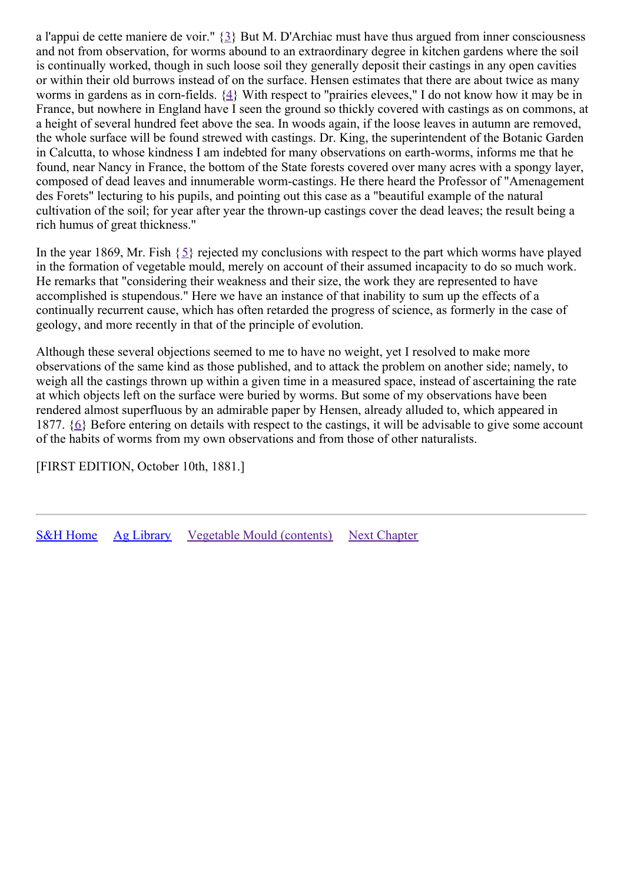a l'appui de cette maniere de voir." {[3](#page-83-0)} But M. D'Archiac must have thus argued from inner consciousness and not from observation, for worms abound to an extraordinary degree in kitchen gardens where the soil is continually worked, though in such loose soil they generally deposit their castings in any open cavities or within their old burrows instead of on the surface. Hensen estimates that there are about twice as many worms in gardens as in corn-fields. {[4](#page-83-0)} With respect to "prairies elevees," I do not know how it may be in France, but nowhere in England have I seen the ground so thickly covered with castings as on commons, at a height of several hundred feet above the sea. In woods again, if the loose leaves in autumn are removed, the whole surface will be found strewed with castings. Dr. King, the superintendent of the Botanic Garden in Calcutta, to whose kindness I am indebted for many observations on earth-worms, informs me that he found, near Nancy in France, the bottom of the State forests covered over many acres with a spongy layer, composed of dead leaves and innumerable worm-castings. He there heard the Professor of "Amenagement des Forets" lecturing to his pupils, and pointing out this case as a "beautiful example of the natural cultivation of the soil; for year after year the thrown-up castings cover the dead leaves; the result being a rich humus of great thickness."

In the year 1869, Mr. Fish {[5](#page-83-0)} rejected my conclusions with respect to the part which worms have played in the formation of vegetable mould, merely on account of their assumed incapacity to do so much work. He remarks that "considering their weakness and their size, the work they are represented to have accomplished is stupendous." Here we have an instance of that inability to sum up the effects of a continually recurrent cause, which has often retarded the progress of science, as formerly in the case of geology, and more recently in that of the principle of evolution.

Although these several objections seemed to me to have no weight, yet I resolved to make more observations of the same kind as those published, and to attack the problem on another side; namely, to weigh all the castings thrown up within a given time in a measured space, instead of ascertaining the rate at which objects left on the surface were buried by worms. But some of my observations have been rendered almost superfluous by an admirable paper by Hensen, already alluded to, which appeared in 1877. [{6](#page-83-0)} Before entering on details with respect to the castings, it will be advisable to give some account of the habits of worms from my own observations and from those of other naturalists.

[FIRST EDITION, October 10th, 1881.]

S&H [Home](http://www.soilandhealth.org/) Ag [Library](http://www.soilandhealth.org/01aglibrary/01aglibwelcome.html) [Vegetable](#page-0-0) Mould (contents) Next [Chapter](#page-14-0)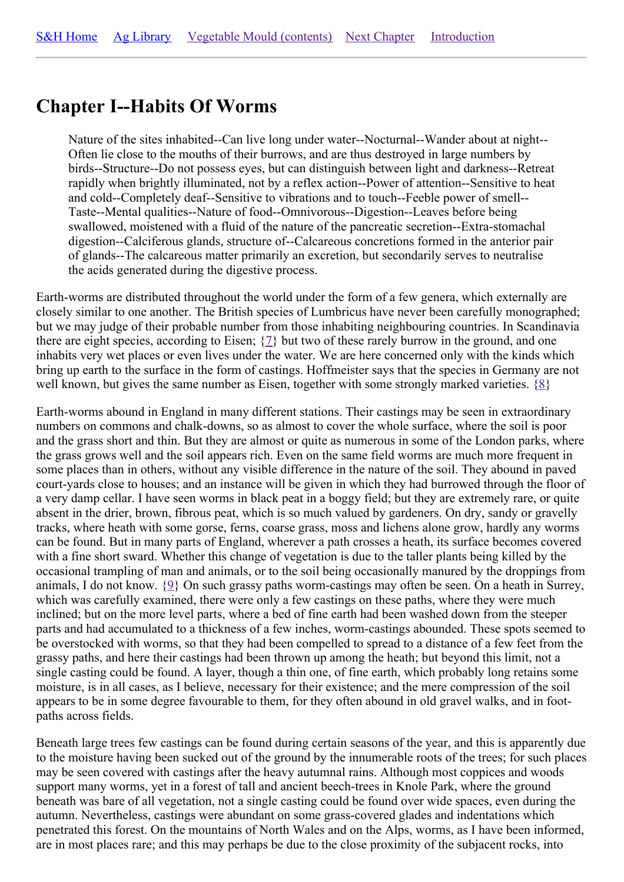# **Chapter I--Habits Of Worms**

Nature of the sites inhabited--Can live long under water--Nocturnal--Wander about at night-- Often lie close to the mouths of their burrows, and are thus destroyed in large numbers by birds--Structure--Do not possess eyes, but can distinguish between light and darkness--Retreat rapidly when brightly illuminated, not by a reflex action--Power of attention--Sensitive to heat and cold--Completely deaf--Sensitive to vibrations and to touch--Feeble power of smell-- Taste--Mental qualities--Nature of food--Omnivorous--Digestion--Leaves before being swallowed, moistened with a fluid of the nature of the pancreatic secretion--Extra-stomachal digestion--Calciferous glands, structure of--Calcareous concretions formed in the anterior pair of glands--The calcareous matter primarily an excretion, but secondarily serves to neutralise the acids generated during the digestive process.

Earth-worms are distributed throughout the world under the form of a few genera, which externally are closely similar to one another. The British species of Lumbricus have never been carefully monographed; but we may judge of their probable number from those inhabiting neighbouring countries. In Scandinavia there are eight species, according to Eisen;  $\{7\}$  $\{7\}$  $\{7\}$  but two of these rarely burrow in the ground, and one inhabits very wet places or even lives under the water. We are here concerned only with the kinds which bring up earth to the surface in the form of castings. Hoffmeister says that the species in Germany are not well known, but gives the same number as Eisen, together with some strongly marked varieties. [{8](#page-83-0)}

Earth-worms abound in England in many different stations. Their castings may be seen in extraordinary numbers on commons and chalk-downs, so as almost to cover the whole surface, where the soil is poor and the grass short and thin. But they are almost or quite as numerous in some of the London parks, where the grass grows well and the soil appears rich. Even on the same field worms are much more frequent in some places than in others, without any visible difference in the nature of the soil. They abound in paved court-yards close to houses; and an instance will be given in which they had burrowed through the floor of a very damp cellar. I have seen worms in black peat in a boggy field; but they are extremely rare, or quite absent in the drier, brown, fibrous peat, which is so much valued by gardeners. On dry, sandy or gravelly tracks, where heath with some gorse, ferns, coarse grass, moss and lichens alone grow, hardly any worms can be found. But in many parts of England, wherever a path crosses a heath, its surface becomes covered with a fine short sward. Whether this change of vegetation is due to the taller plants being killed by the occasional trampling of man and animals, or to the soil being occasionally manured by the droppings from animals, I do not know.  $\{9\}$  $\{9\}$  $\{9\}$  On such grassy paths worm-castings may often be seen. On a heath in Surrey, which was carefully examined, there were only a few castings on these paths, where they were much inclined; but on the more level parts, where a bed of fine earth had been washed down from the steeper parts and had accumulated to a thickness of a few inches, worm-castings abounded. These spots seemed to be overstocked with worms, so that they had been compelled to spread to a distance of a few feet from the grassy paths, and here their castings had been thrown up among the heath; but beyond this limit, not a single casting could be found. A layer, though a thin one, of fine earth, which probably long retains some moisture, is in all cases, as I believe, necessary for their existence; and the mere compression of the soil appears to be in some degree favourable to them, for they often abound in old gravel walks, and in footpaths across fields.

Beneath large trees few castings can be found during certain seasons of the year, and this is apparently due to the moisture having been sucked out of the ground by the innumerable roots of the trees; for such places may be seen covered with castings after the heavy autumnal rains. Although most coppices and woods support many worms, yet in a forest of tall and ancient beech-trees in Knole Park, where the ground beneath was bare of all vegetation, not a single casting could be found over wide spaces, even during the autumn. Nevertheless, castings were abundant on some grass-covered glades and indentations which penetrated this forest. On the mountains of North Wales and on the Alps, worms, as I have been informed, are in most places rare; and this may perhaps be due to the close proximity of the subjacent rocks, into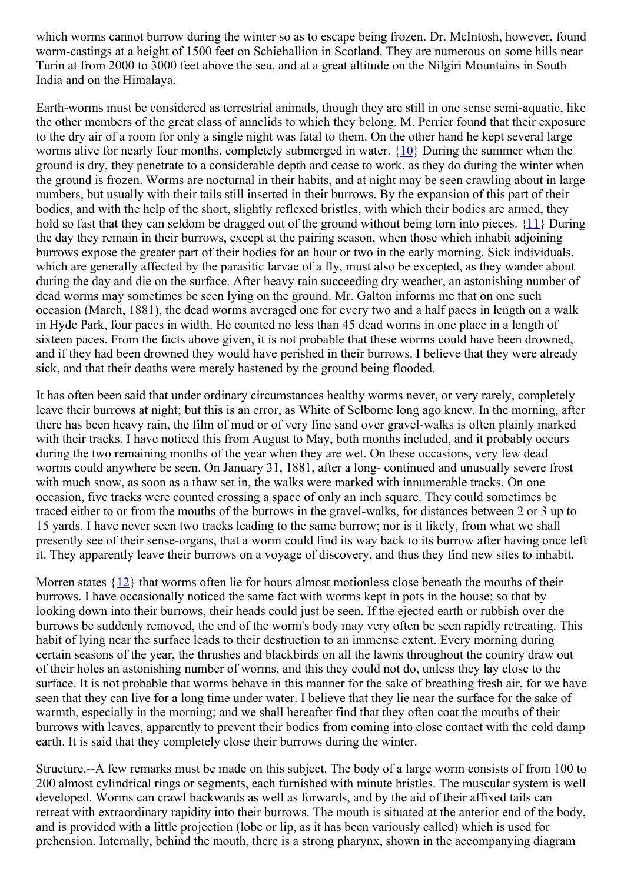which worms cannot burrow during the winter so as to escape being frozen. Dr. McIntosh, however, found worm-castings at a height of 1500 feet on Schiehallion in Scotland. They are numerous on some hills near Turin at from 2000 to 3000 feet above the sea, and at a great altitude on the Nilgiri Mountains in South India and on the Himalaya.

Earth-worms must be considered as terrestrial animals, though they are still in one sense semi-aquatic, like the other members of the great class of annelids to which they belong. M. Perrier found that their exposure to the dry air of a room for only a single night was fatal to them. On the other hand he kept several large worms alive for nearly four months, completely submerged in water. {[10](#page-81-0)} During the summer when the ground is dry, they penetrate to a considerable depth and cease to work, as they do during the winter when the ground is frozen. Worms are nocturnal in their habits, and at night may be seen crawling about in large numbers, but usually with their tails still inserted in their burrows. By the expansion of this part of their bodies, and with the help of the short, slightly reflexed bristles, with which their bodies are armed, they hold so fast that they can seldom be dragged out of the ground without being torn into pieces. [{11](#page-81-0)} During the day they remain in their burrows, except at the pairing season, when those which inhabit adjoining burrows expose the greater part of their bodies for an hour or two in the early morning. Sick individuals, which are generally affected by the parasitic larvae of a fly, must also be excepted, as they wander about during the day and die on the surface. After heavy rain succeeding dry weather, an astonishing number of dead worms may sometimes be seen lying on the ground. Mr. Galton informs me that on one such occasion (March, 1881), the dead worms averaged one for every two and a half paces in length on a walk in Hyde Park, four paces in width. He counted no less than 45 dead worms in one place in a length of sixteen paces. From the facts above given, it is not probable that these worms could have been drowned, and if they had been drowned they would have perished in their burrows. I believe that they were already sick, and that their deaths were merely hastened by the ground being flooded.

It has often been said that under ordinary circumstances healthy worms never, or very rarely, completely leave their burrows at night; but this is an error, as White of Selborne long ago knew. In the morning, after there has been heavy rain, the film of mud or of very fine sand over gravel-walks is often plainly marked with their tracks. I have noticed this from August to May, both months included, and it probably occurs during the two remaining months of the year when they are wet. On these occasions, very few dead worms could anywhere be seen. On January 31, 1881, after a long- continued and unusually severe frost with much snow, as soon as a thaw set in, the walks were marked with innumerable tracks. On one occasion, five tracks were counted crossing a space of only an inch square. They could sometimes be traced either to or from the mouths of the burrows in the gravel-walks, for distances between 2 or 3 up to 15 yards. I have never seen two tracks leading to the same burrow; nor is it likely, from what we shall presently see of their sense-organs, that a worm could find its way back to its burrow after having once left it. They apparently leave their burrows on a voyage of discovery, and thus they find new sites to inhabit.

Morren states  $\{12\}$  $\{12\}$  $\{12\}$  that worms often lie for hours almost motionless close beneath the mouths of their burrows. I have occasionally noticed the same fact with worms kept in pots in the house; so that by looking down into their burrows, their heads could just be seen. If the ejected earth or rubbish over the burrows be suddenly removed, the end of the worm's body may very often be seen rapidly retreating. This habit of lying near the surface leads to their destruction to an immense extent. Every morning during certain seasons of the year, the thrushes and blackbirds on all the lawns throughout the country draw out of their holes an astonishing number of worms, and this they could not do, unless they lay close to the surface. It is not probable that worms behave in this manner for the sake of breathing fresh air, for we have seen that they can live for a long time under water. I believe that they lie near the surface for the sake of warmth, especially in the morning; and we shall hereafter find that they often coat the mouths of their burrows with leaves, apparently to prevent their bodies from coming into close contact with the cold damp earth. It is said that they completely close their burrows during the winter.

Structure.--A few remarks must be made on this subject. The body of a large worm consists of from 100 to 200 almost cylindrical rings or segments, each furnished with minute bristles. The muscular system is well developed. Worms can crawl backwards as well as forwards, and by the aid of their affixed tails can retreat with extraordinary rapidity into their burrows. The mouth is situated at the anterior end of the body, and is provided with a little projection (lobe or lip, as it has been variously called) which is used for prehension. Internally, behind the mouth, there is a strong pharynx, shown in the accompanying diagram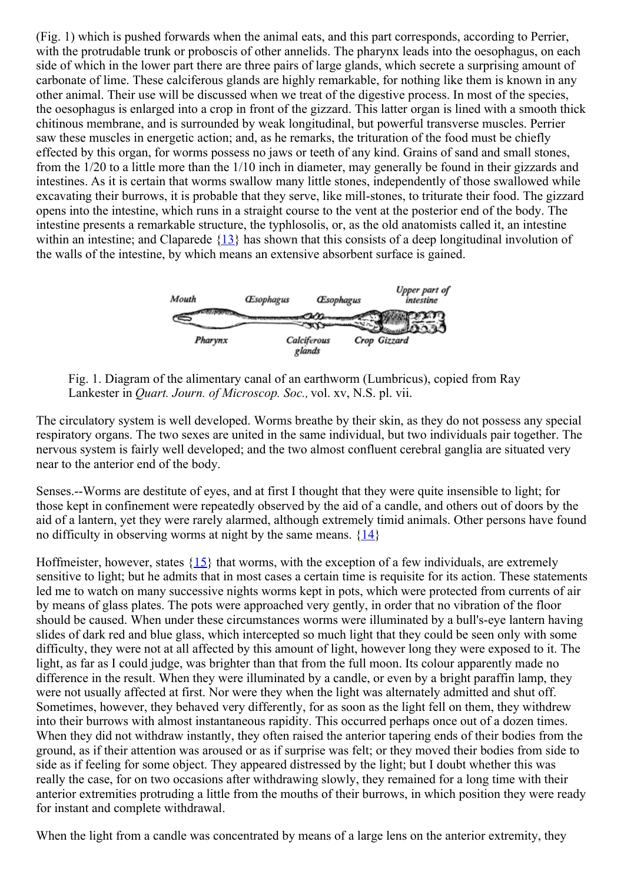(Fig. 1) which is pushed forwards when the animal eats, and this part corresponds, according to Perrier, with the protrudable trunk or proboscis of other annelids. The pharynx leads into the oesophagus, on each side of which in the lower part there are three pairs of large glands, which secrete a surprising amount of carbonate of lime. These calciferous glands are highly remarkable, for nothing like them is known in any other animal. Their use will be discussed when we treat of the digestive process. In most of the species, the oesophagus is enlarged into a crop in front of the gizzard. This latter organ is lined with a smooth thick chitinous membrane, and is surrounded by weak longitudinal, but powerful transverse muscles. Perrier saw these muscles in energetic action; and, as he remarks, the trituration of the food must be chiefly effected by this organ, for worms possess no jaws or teeth of any kind. Grains of sand and small stones, from the 1/20 to a little more than the 1/10 inch in diameter, may generally be found in their gizzards and intestines. As it is certain that worms swallow many little stones, independently of those swallowed while excavating their burrows, it is probable that they serve, like mill-stones, to triturate their food. The gizzard opens into the intestine, which runs in a straight course to the vent at the posterior end of the body. The intestine presents a remarkable structure, the typhlosolis, or, as the old anatomists called it, an intestine within an intestine; and Claparede  $\{13\}$  $\{13\}$  $\{13\}$  has shown that this consists of a deep longitudinal involution of the walls of the intestine, by which means an extensive absorbent surface is gained.



Fig. 1. Diagram of the alimentary canal of an earthworm (Lumbricus), copied from Ray Lankester in *Quart. Journ. of Microscop. Soc.,* vol. xv, N.S. pl. vii.

The circulatory system is well developed. Worms breathe by their skin, as they do not possess any special respiratory organs. The two sexes are united in the same individual, but two individuals pair together. The nervous system is fairly well developed; and the two almost confluent cerebral ganglia are situated very near to the anterior end of the body.

Senses.--Worms are destitute of eyes, and at first I thought that they were quite insensible to light; for those kept in confinement were repeatedly observed by the aid of a candle, and others out of doors by the aid of a lantern, yet they were rarely alarmed, although extremely timid animals. Other persons have found no difficulty in observing worms at night by the same means. [{14](#page-81-0)}

Hoffmeister, however, states  $\{15\}$  $\{15\}$  $\{15\}$  that worms, with the exception of a few individuals, are extremely sensitive to light; but he admits that in most cases a certain time is requisite for its action. These statements led me to watch on many successive nights worms kept in pots, which were protected from currents of air by means of glass plates. The pots were approached very gently, in order that no vibration of the floor should be caused. When under these circumstances worms were illuminated by a bull's-eye lantern having slides of dark red and blue glass, which intercepted so much light that they could be seen only with some difficulty, they were not at all affected by this amount of light, however long they were exposed to it. The light, as far as I could judge, was brighter than that from the full moon. Its colour apparently made no difference in the result. When they were illuminated by a candle, or even by a bright paraffin lamp, they were not usually affected at first. Nor were they when the light was alternately admitted and shut off. Sometimes, however, they behaved very differently, for as soon as the light fell on them, they withdrew into their burrows with almost instantaneous rapidity. This occurred perhaps once out of a dozen times. When they did not withdraw instantly, they often raised the anterior tapering ends of their bodies from the ground, as if their attention was aroused or as if surprise was felt; or they moved their bodies from side to side as if feeling for some object. They appeared distressed by the light; but I doubt whether this was really the case, for on two occasions after withdrawing slowly, they remained for a long time with their anterior extremities protruding a little from the mouths of their burrows, in which position they were ready for instant and complete withdrawal.

When the light from a candle was concentrated by means of a large lens on the anterior extremity, they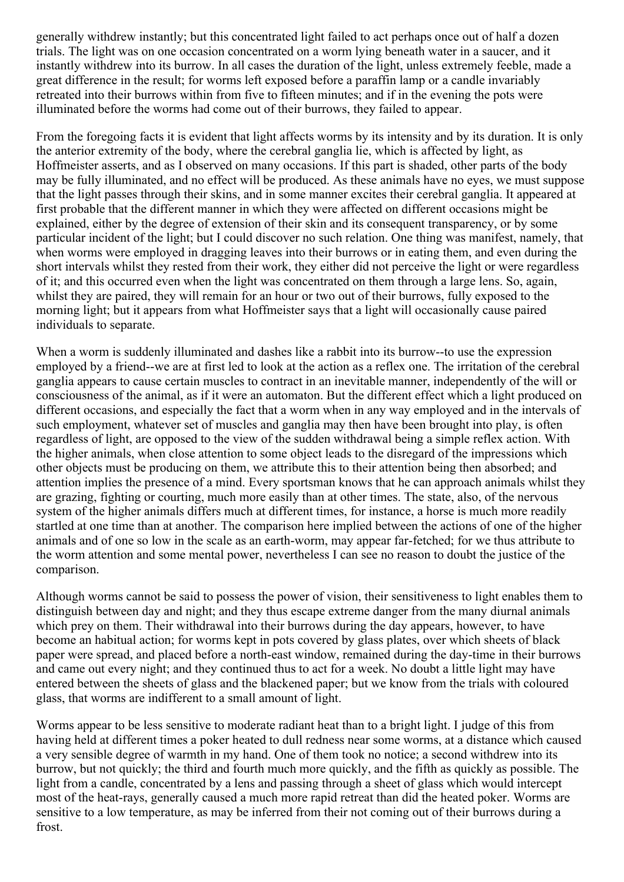generally withdrew instantly; but this concentrated light failed to act perhaps once out of half a dozen trials. The light was on one occasion concentrated on a worm lying beneath water in a saucer, and it instantly withdrew into its burrow. In all cases the duration of the light, unless extremely feeble, made a great difference in the result; for worms left exposed before a paraffin lamp or a candle invariably retreated into their burrows within from five to fifteen minutes; and if in the evening the pots were illuminated before the worms had come out of their burrows, they failed to appear.

From the foregoing facts it is evident that light affects worms by its intensity and by its duration. It is only the anterior extremity of the body, where the cerebral ganglia lie, which is affected by light, as Hoffmeister asserts, and as I observed on many occasions. If this part is shaded, other parts of the body may be fully illuminated, and no effect will be produced. As these animals have no eyes, we must suppose that the light passes through their skins, and in some manner excites their cerebral ganglia. It appeared at first probable that the different manner in which they were affected on different occasions might be explained, either by the degree of extension of their skin and its consequent transparency, or by some particular incident of the light; but I could discover no such relation. One thing was manifest, namely, that when worms were employed in dragging leaves into their burrows or in eating them, and even during the short intervals whilst they rested from their work, they either did not perceive the light or were regardless of it; and this occurred even when the light was concentrated on them through a large lens. So, again, whilst they are paired, they will remain for an hour or two out of their burrows, fully exposed to the morning light; but it appears from what Hoffmeister says that a light will occasionally cause paired individuals to separate.

When a worm is suddenly illuminated and dashes like a rabbit into its burrow--to use the expression employed by a friend--we are at first led to look at the action as a reflex one. The irritation of the cerebral ganglia appears to cause certain muscles to contract in an inevitable manner, independently of the will or consciousness of the animal, as if it were an automaton. But the different effect which a light produced on different occasions, and especially the fact that a worm when in any way employed and in the intervals of such employment, whatever set of muscles and ganglia may then have been brought into play, is often regardless of light, are opposed to the view of the sudden withdrawal being a simple reflex action. With the higher animals, when close attention to some object leads to the disregard of the impressions which other objects must be producing on them, we attribute this to their attention being then absorbed; and attention implies the presence of a mind. Every sportsman knows that he can approach animals whilst they are grazing, fighting or courting, much more easily than at other times. The state, also, of the nervous system of the higher animals differs much at different times, for instance, a horse is much more readily startled at one time than at another. The comparison here implied between the actions of one of the higher animals and of one so low in the scale as an earth-worm, may appear far-fetched; for we thus attribute to the worm attention and some mental power, nevertheless I can see no reason to doubt the justice of the comparison.

Although worms cannot be said to possess the power of vision, their sensitiveness to light enables them to distinguish between day and night; and they thus escape extreme danger from the many diurnal animals which prey on them. Their withdrawal into their burrows during the day appears, however, to have become an habitual action; for worms kept in pots covered by glass plates, over which sheets of black paper were spread, and placed before a north-east window, remained during the day-time in their burrows and came out every night; and they continued thus to act for a week. No doubt a little light may have entered between the sheets of glass and the blackened paper; but we know from the trials with coloured glass, that worms are indifferent to a small amount of light.

Worms appear to be less sensitive to moderate radiant heat than to a bright light. I judge of this from having held at different times a poker heated to dull redness near some worms, at a distance which caused a very sensible degree of warmth in my hand. One of them took no notice; a second withdrew into its burrow, but not quickly; the third and fourth much more quickly, and the fifth as quickly as possible. The light from a candle, concentrated by a lens and passing through a sheet of glass which would intercept most of the heat-rays, generally caused a much more rapid retreat than did the heated poker. Worms are sensitive to a low temperature, as may be inferred from their not coming out of their burrows during a frost.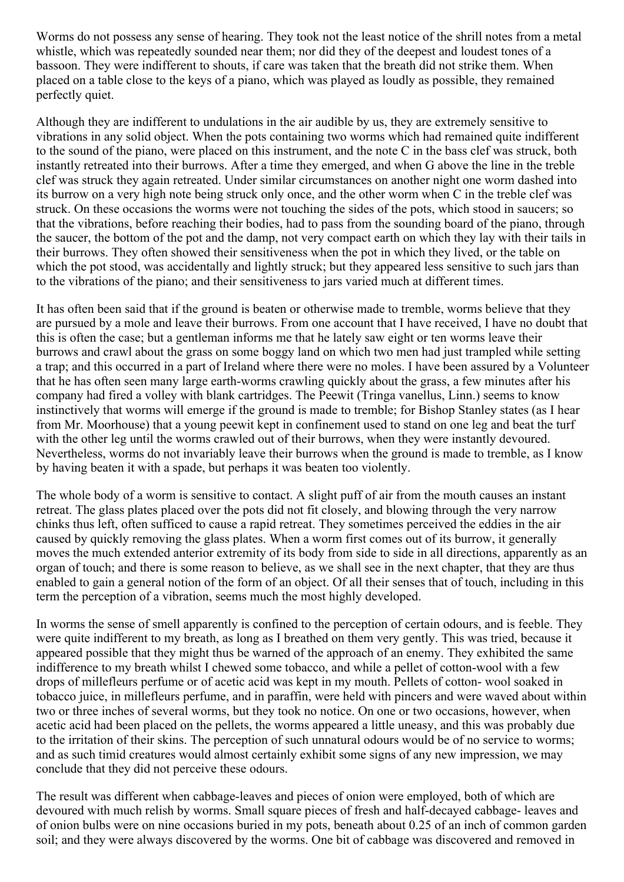<span id="page-14-0"></span>Worms do not possess any sense of hearing. They took not the least notice of the shrill notes from a metal whistle, which was repeatedly sounded near them; nor did they of the deepest and loudest tones of a bassoon. They were indifferent to shouts, if care was taken that the breath did not strike them. When placed on a table close to the keys of a piano, which was played as loudly as possible, they remained perfectly quiet.

Although they are indifferent to undulations in the air audible by us, they are extremely sensitive to vibrations in any solid object. When the pots containing two worms which had remained quite indifferent to the sound of the piano, were placed on this instrument, and the note C in the bass clef was struck, both instantly retreated into their burrows. After a time they emerged, and when G above the line in the treble clef was struck they again retreated. Under similar circumstances on another night one worm dashed into its burrow on a very high note being struck only once, and the other worm when C in the treble clef was struck. On these occasions the worms were not touching the sides of the pots, which stood in saucers; so that the vibrations, before reaching their bodies, had to pass from the sounding board of the piano, through the saucer, the bottom of the pot and the damp, not very compact earth on which they lay with their tails in their burrows. They often showed their sensitiveness when the pot in which they lived, or the table on which the pot stood, was accidentally and lightly struck; but they appeared less sensitive to such jars than to the vibrations of the piano; and their sensitiveness to jars varied much at different times.

It has often been said that if the ground is beaten or otherwise made to tremble, worms believe that they are pursued by a mole and leave their burrows. From one account that I have received, I have no doubt that this is often the case; but a gentleman informs me that he lately saw eight or ten worms leave their burrows and crawl about the grass on some boggy land on which two men had just trampled while setting a trap; and this occurred in a part of Ireland where there were no moles. I have been assured by a Volunteer that he has often seen many large earth-worms crawling quickly about the grass, a few minutes after his company had fired a volley with blank cartridges. The Peewit (Tringa vanellus, Linn.) seems to know instinctively that worms will emerge if the ground is made to tremble; for Bishop Stanley states (as I hear from Mr. Moorhouse) that a young peewit kept in confinement used to stand on one leg and beat the turf with the other leg until the worms crawled out of their burrows, when they were instantly devoured. Nevertheless, worms do not invariably leave their burrows when the ground is made to tremble, as I know by having beaten it with a spade, but perhaps it was beaten too violently.

The whole body of a worm is sensitive to contact. A slight puff of air from the mouth causes an instant retreat. The glass plates placed over the pots did not fit closely, and blowing through the very narrow chinks thus left, often sufficed to cause a rapid retreat. They sometimes perceived the eddies in the air caused by quickly removing the glass plates. When a worm first comes out of its burrow, it generally moves the much extended anterior extremity of its body from side to side in all directions, apparently as an organ of touch; and there is some reason to believe, as we shall see in the next chapter, that they are thus enabled to gain a general notion of the form of an object. Of all their senses that of touch, including in this term the perception of a vibration, seems much the most highly developed.

In worms the sense of smell apparently is confined to the perception of certain odours, and is feeble. They were quite indifferent to my breath, as long as I breathed on them very gently. This was tried, because it appeared possible that they might thus be warned of the approach of an enemy. They exhibited the same indifference to my breath whilst I chewed some tobacco, and while a pellet of cotton-wool with a few drops of millefleurs perfume or of acetic acid was kept in my mouth. Pellets of cotton- wool soaked in tobacco juice, in millefleurs perfume, and in paraffin, were held with pincers and were waved about within two or three inches of several worms, but they took no notice. On one or two occasions, however, when acetic acid had been placed on the pellets, the worms appeared a little uneasy, and this was probably due to the irritation of their skins. The perception of such unnatural odours would be of no service to worms; and as such timid creatures would almost certainly exhibit some signs of any new impression, we may conclude that they did not perceive these odours.

The result was different when cabbage-leaves and pieces of onion were employed, both of which are devoured with much relish by worms. Small square pieces of fresh and half-decayed cabbage- leaves and of onion bulbs were on nine occasions buried in my pots, beneath about 0.25 of an inch of common garden soil; and they were always discovered by the worms. One bit of cabbage was discovered and removed in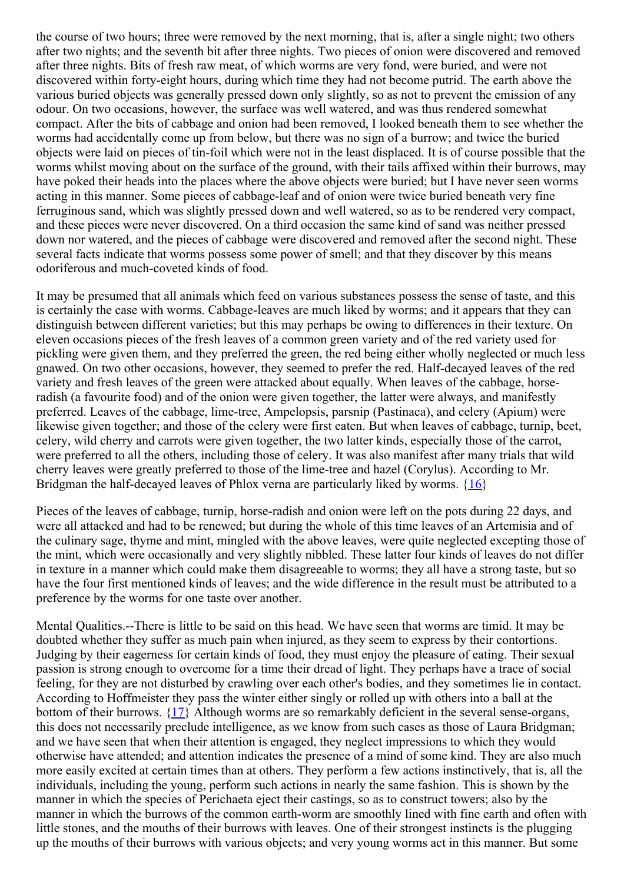the course of two hours; three were removed by the next morning, that is, after a single night; two others after two nights; and the seventh bit after three nights. Two pieces of onion were discovered and removed after three nights. Bits of fresh raw meat, of which worms are very fond, were buried, and were not discovered within forty-eight hours, during which time they had not become putrid. The earth above the various buried objects was generally pressed down only slightly, so as not to prevent the emission of any odour. On two occasions, however, the surface was well watered, and was thus rendered somewhat compact. After the bits of cabbage and onion had been removed, I looked beneath them to see whether the worms had accidentally come up from below, but there was no sign of a burrow; and twice the buried objects were laid on pieces of tin-foil which were not in the least displaced. It is of course possible that the worms whilst moving about on the surface of the ground, with their tails affixed within their burrows, may have poked their heads into the places where the above objects were buried; but I have never seen worms acting in this manner. Some pieces of cabbage-leaf and of onion were twice buried beneath very fine ferruginous sand, which was slightly pressed down and well watered, so as to be rendered very compact, and these pieces were never discovered. On a third occasion the same kind of sand was neither pressed down nor watered, and the pieces of cabbage were discovered and removed after the second night. These several facts indicate that worms possess some power of smell; and that they discover by this means odoriferous and much-coveted kinds of food.

It may be presumed that all animals which feed on various substances possess the sense of taste, and this is certainly the case with worms. Cabbage-leaves are much liked by worms; and it appears that they can distinguish between different varieties; but this may perhaps be owing to differences in their texture. On eleven occasions pieces of the fresh leaves of a common green variety and of the red variety used for pickling were given them, and they preferred the green, the red being either wholly neglected or much less gnawed. On two other occasions, however, they seemed to prefer the red. Half-decayed leaves of the red variety and fresh leaves of the green were attacked about equally. When leaves of the cabbage, horseradish (a favourite food) and of the onion were given together, the latter were always, and manifestly preferred. Leaves of the cabbage, lime-tree, Ampelopsis, parsnip (Pastinaca), and celery (Apium) were likewise given together; and those of the celery were first eaten. But when leaves of cabbage, turnip, beet, celery, wild cherry and carrots were given together, the two latter kinds, especially those of the carrot, were preferred to all the others, including those of celery. It was also manifest after many trials that wild cherry leaves were greatly preferred to those of the lime-tree and hazel (Corylus). According to Mr. Bridgman the half-decayed leaves of Phlox verna are particularly liked by worms.  $\{16\}$  $\{16\}$  $\{16\}$ 

Pieces of the leaves of cabbage, turnip, horse-radish and onion were left on the pots during 22 days, and were all attacked and had to be renewed; but during the whole of this time leaves of an Artemisia and of the culinary sage, thyme and mint, mingled with the above leaves, were quite neglected excepting those of the mint, which were occasionally and very slightly nibbled. These latter four kinds of leaves do not differ in texture in a manner which could make them disagreeable to worms; they all have a strong taste, but so have the four first mentioned kinds of leaves; and the wide difference in the result must be attributed to a preference by the worms for one taste over another.

Mental Qualities.--There is little to be said on this head. We have seen that worms are timid. It may be doubted whether they suffer as much pain when injured, as they seem to express by their contortions. Judging by their eagerness for certain kinds of food, they must enjoy the pleasure of eating. Their sexual passion is strong enough to overcome for a time their dread of light. They perhaps have a trace of social feeling, for they are not disturbed by crawling over each other's bodies, and they sometimes lie in contact. According to Hoffmeister they pass the winter either singly or rolled up with others into a ball at the bottom of their burrows. [{17](#page-81-0)} Although worms are so remarkably deficient in the several sense-organs, this does not necessarily preclude intelligence, as we know from such cases as those of Laura Bridgman; and we have seen that when their attention is engaged, they neglect impressions to which they would otherwise have attended; and attention indicates the presence of a mind of some kind. They are also much more easily excited at certain times than at others. They perform a few actions instinctively, that is, all the individuals, including the young, perform such actions in nearly the same fashion. This is shown by the manner in which the species of Perichaeta eject their castings, so as to construct towers; also by the manner in which the burrows of the common earth-worm are smoothly lined with fine earth and often with little stones, and the mouths of their burrows with leaves. One of their strongest instincts is the plugging up the mouths of their burrows with various objects; and very young worms act in this manner. But some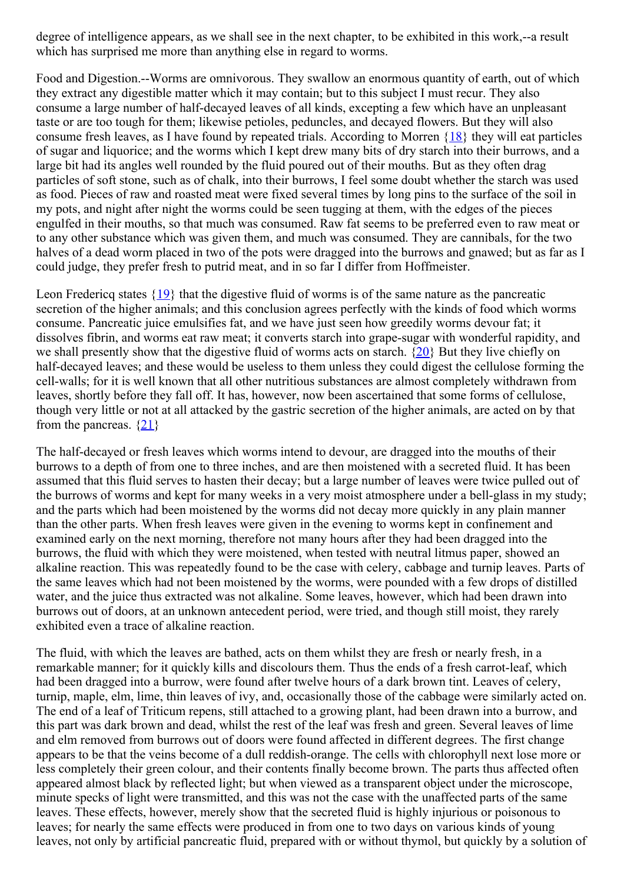degree of intelligence appears, as we shall see in the next chapter, to be exhibited in this work,--a result which has surprised me more than anything else in regard to worms.

Food and Digestion.--Worms are omnivorous. They swallow an enormous quantity of earth, out of which they extract any digestible matter which it may contain; but to this subject I must recur. They also consume a large number of half-decayed leaves of all kinds, excepting a few which have an unpleasant taste or are too tough for them; likewise petioles, peduncles, and decayed flowers. But they will also consume fresh leaves, as I have found by repeated trials. According to Morren [{18](#page-81-0)} they will eat particles of sugar and liquorice; and the worms which I kept drew many bits of dry starch into their burrows, and a large bit had its angles well rounded by the fluid poured out of their mouths. But as they often drag particles of soft stone, such as of chalk, into their burrows, I feel some doubt whether the starch was used as food. Pieces of raw and roasted meat were fixed several times by long pins to the surface of the soil in my pots, and night after night the worms could be seen tugging at them, with the edges of the pieces engulfed in their mouths, so that much was consumed. Raw fat seems to be preferred even to raw meat or to any other substance which was given them, and much was consumed. They are cannibals, for the two halves of a dead worm placed in two of the pots were dragged into the burrows and gnawed; but as far as I could judge, they prefer fresh to putrid meat, and in so far I differ from Hoffmeister.

Leon Fredericq states [{19](#page-81-0)} that the digestive fluid of worms is of the same nature as the pancreatic secretion of the higher animals; and this conclusion agrees perfectly with the kinds of food which worms consume. Pancreatic juice emulsifies fat, and we have just seen how greedily worms devour fat; it dissolves fibrin, and worms eat raw meat; it converts starch into grape-sugar with wonderful rapidity, and we shall presently show that the digestive fluid of worms acts on starch. [{20](#page-81-0)} But they live chiefly on half-decayed leaves; and these would be useless to them unless they could digest the cellulose forming the cell-walls; for it is well known that all other nutritious substances are almost completely withdrawn from leaves, shortly before they fall off. It has, however, now been ascertained that some forms of cellulose, though very little or not at all attacked by the gastric secretion of the higher animals, are acted on by that from the pancreas.  $\{21\}$  $\{21\}$  $\{21\}$ 

The half-decayed or fresh leaves which worms intend to devour, are dragged into the mouths of their burrows to a depth of from one to three inches, and are then moistened with a secreted fluid. It has been assumed that this fluid serves to hasten their decay; but a large number of leaves were twice pulled out of the burrows of worms and kept for many weeks in a very moist atmosphere under a bell-glass in my study; and the parts which had been moistened by the worms did not decay more quickly in any plain manner than the other parts. When fresh leaves were given in the evening to worms kept in confinement and examined early on the next morning, therefore not many hours after they had been dragged into the burrows, the fluid with which they were moistened, when tested with neutral litmus paper, showed an alkaline reaction. This was repeatedly found to be the case with celery, cabbage and turnip leaves. Parts of the same leaves which had not been moistened by the worms, were pounded with a few drops of distilled water, and the juice thus extracted was not alkaline. Some leaves, however, which had been drawn into burrows out of doors, at an unknown antecedent period, were tried, and though still moist, they rarely exhibited even a trace of alkaline reaction.

The fluid, with which the leaves are bathed, acts on them whilst they are fresh or nearly fresh, in a remarkable manner; for it quickly kills and discolours them. Thus the ends of a fresh carrot-leaf, which had been dragged into a burrow, were found after twelve hours of a dark brown tint. Leaves of celery, turnip, maple, elm, lime, thin leaves of ivy, and, occasionally those of the cabbage were similarly acted on. The end of a leaf of Triticum repens, still attached to a growing plant, had been drawn into a burrow, and this part was dark brown and dead, whilst the rest of the leaf was fresh and green. Several leaves of lime and elm removed from burrows out of doors were found affected in different degrees. The first change appears to be that the veins become of a dull reddish-orange. The cells with chlorophyll next lose more or less completely their green colour, and their contents finally become brown. The parts thus affected often appeared almost black by reflected light; but when viewed as a transparent object under the microscope, minute specks of light were transmitted, and this was not the case with the unaffected parts of the same leaves. These effects, however, merely show that the secreted fluid is highly injurious or poisonous to leaves; for nearly the same effects were produced in from one to two days on various kinds of young leaves, not only by artificial pancreatic fluid, prepared with or without thymol, but quickly by a solution of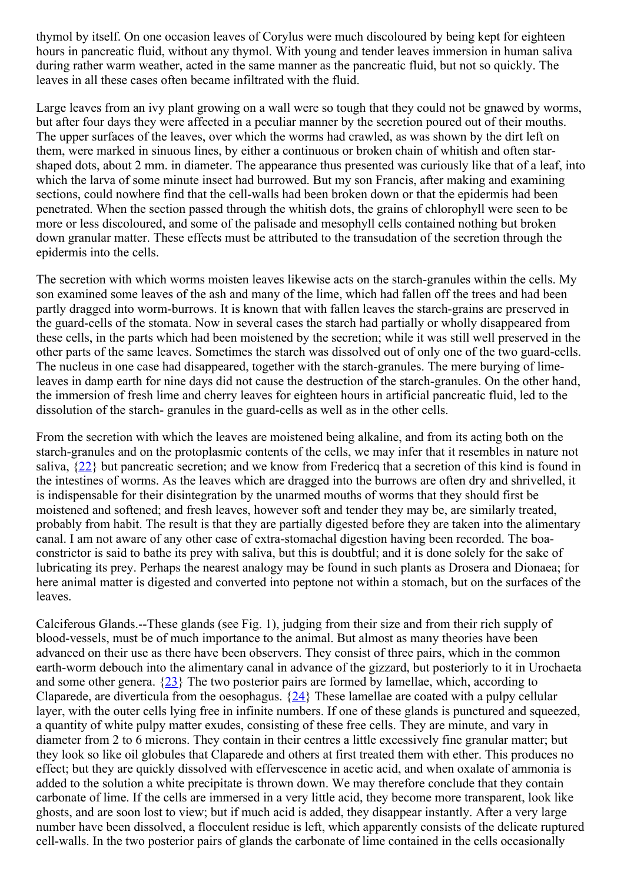thymol by itself. On one occasion leaves of Corylus were much discoloured by being kept for eighteen hours in pancreatic fluid, without any thymol. With young and tender leaves immersion in human saliva during rather warm weather, acted in the same manner as the pancreatic fluid, but not so quickly. The leaves in all these cases often became infiltrated with the fluid.

Large leaves from an ivy plant growing on a wall were so tough that they could not be gnawed by worms, but after four days they were affected in a peculiar manner by the secretion poured out of their mouths. The upper surfaces of the leaves, over which the worms had crawled, as was shown by the dirt left on them, were marked in sinuous lines, by either a continuous or broken chain of whitish and often starshaped dots, about 2 mm. in diameter. The appearance thus presented was curiously like that of a leaf, into which the larva of some minute insect had burrowed. But my son Francis, after making and examining sections, could nowhere find that the cell-walls had been broken down or that the epidermis had been penetrated. When the section passed through the whitish dots, the grains of chlorophyll were seen to be more or less discoloured, and some of the palisade and mesophyll cells contained nothing but broken down granular matter. These effects must be attributed to the transudation of the secretion through the epidermis into the cells.

The secretion with which worms moisten leaves likewise acts on the starch-granules within the cells. My son examined some leaves of the ash and many of the lime, which had fallen off the trees and had been partly dragged into worm-burrows. It is known that with fallen leaves the starch-grains are preserved in the guard-cells of the stomata. Now in several cases the starch had partially or wholly disappeared from these cells, in the parts which had been moistened by the secretion; while it was still well preserved in the other parts of the same leaves. Sometimes the starch was dissolved out of only one of the two guard-cells. The nucleus in one case had disappeared, together with the starch-granules. The mere burying of limeleaves in damp earth for nine days did not cause the destruction of the starch-granules. On the other hand, the immersion of fresh lime and cherry leaves for eighteen hours in artificial pancreatic fluid, led to the dissolution of the starch- granules in the guard-cells as well as in the other cells.

From the secretion with which the leaves are moistened being alkaline, and from its acting both on the starch-granules and on the protoplasmic contents of the cells, we may infer that it resembles in nature not saliva, [{22](#page-81-0)} but pancreatic secretion; and we know from Fredericq that a secretion of this kind is found in the intestines of worms. As the leaves which are dragged into the burrows are often dry and shrivelled, it is indispensable for their disintegration by the unarmed mouths of worms that they should first be moistened and softened; and fresh leaves, however soft and tender they may be, are similarly treated, probably from habit. The result is that they are partially digested before they are taken into the alimentary canal. I am not aware of any other case of extra-stomachal digestion having been recorded. The boaconstrictor is said to bathe its prey with saliva, but this is doubtful; and it is done solely for the sake of lubricating its prey. Perhaps the nearest analogy may be found in such plants as Drosera and Dionaea; for here animal matter is digested and converted into peptone not within a stomach, but on the surfaces of the leaves.

Calciferous Glands.--These glands (see Fig. 1), judging from their size and from their rich supply of blood-vessels, must be of much importance to the animal. But almost as many theories have been advanced on their use as there have been observers. They consist of three pairs, which in the common earth-worm debouch into the alimentary canal in advance of the gizzard, but posteriorly to it in Urochaeta and some other genera.  $\{23\}$  $\{23\}$  $\{23\}$  The two posterior pairs are formed by lamellae, which, according to Claparede, are diverticula from the oesophagus. [{24](#page-81-0)} These lamellae are coated with a pulpy cellular layer, with the outer cells lying free in infinite numbers. If one of these glands is punctured and squeezed, a quantity of white pulpy matter exudes, consisting of these free cells. They are minute, and vary in diameter from 2 to 6 microns. They contain in their centres a little excessively fine granular matter; but they look so like oil globules that Claparede and others at first treated them with ether. This produces no effect; but they are quickly dissolved with effervescence in acetic acid, and when oxalate of ammonia is added to the solution a white precipitate is thrown down. We may therefore conclude that they contain carbonate of lime. If the cells are immersed in a very little acid, they become more transparent, look like ghosts, and are soon lost to view; but if much acid is added, they disappear instantly. After a very large number have been dissolved, a flocculent residue is left, which apparently consists of the delicate ruptured cell-walls. In the two posterior pairs of glands the carbonate of lime contained in the cells occasionally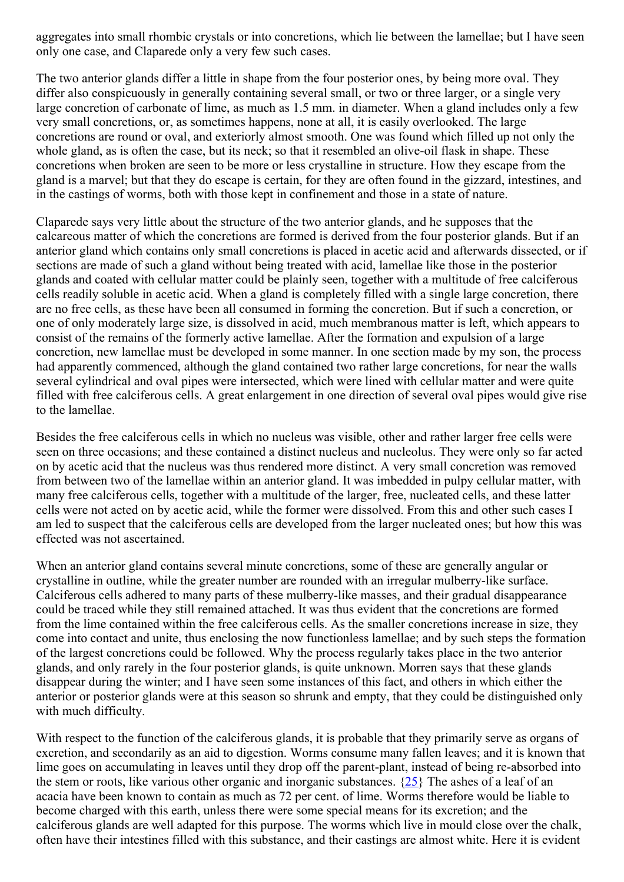aggregates into small rhombic crystals or into concretions, which lie between the lamellae; but I have seen only one case, and Claparede only a very few such cases.

The two anterior glands differ a little in shape from the four posterior ones, by being more oval. They differ also conspicuously in generally containing several small, or two or three larger, or a single very large concretion of carbonate of lime, as much as 1.5 mm. in diameter. When a gland includes only a few very small concretions, or, as sometimes happens, none at all, it is easily overlooked. The large concretions are round or oval, and exteriorly almost smooth. One was found which filled up not only the whole gland, as is often the case, but its neck; so that it resembled an olive-oil flask in shape. These concretions when broken are seen to be more or less crystalline in structure. How they escape from the gland is a marvel; but that they do escape is certain, for they are often found in the gizzard, intestines, and in the castings of worms, both with those kept in confinement and those in a state of nature.

Claparede says very little about the structure of the two anterior glands, and he supposes that the calcareous matter of which the concretions are formed is derived from the four posterior glands. But if an anterior gland which contains only small concretions is placed in acetic acid and afterwards dissected, or if sections are made of such a gland without being treated with acid, lamellae like those in the posterior glands and coated with cellular matter could be plainly seen, together with a multitude of free calciferous cells readily soluble in acetic acid. When a gland is completely filled with a single large concretion, there are no free cells, as these have been all consumed in forming the concretion. But if such a concretion, or one of only moderately large size, is dissolved in acid, much membranous matter is left, which appears to consist of the remains of the formerly active lamellae. After the formation and expulsion of a large concretion, new lamellae must be developed in some manner. In one section made by my son, the process had apparently commenced, although the gland contained two rather large concretions, for near the walls several cylindrical and oval pipes were intersected, which were lined with cellular matter and were quite filled with free calciferous cells. A great enlargement in one direction of several oval pipes would give rise to the lamellae.

Besides the free calciferous cells in which no nucleus was visible, other and rather larger free cells were seen on three occasions; and these contained a distinct nucleus and nucleolus. They were only so far acted on by acetic acid that the nucleus was thus rendered more distinct. A very small concretion was removed from between two of the lamellae within an anterior gland. It was imbedded in pulpy cellular matter, with many free calciferous cells, together with a multitude of the larger, free, nucleated cells, and these latter cells were not acted on by acetic acid, while the former were dissolved. From this and other such cases I am led to suspect that the calciferous cells are developed from the larger nucleated ones; but how this was effected was not ascertained.

When an anterior gland contains several minute concretions, some of these are generally angular or crystalline in outline, while the greater number are rounded with an irregular mulberry-like surface. Calciferous cells adhered to many parts of these mulberry-like masses, and their gradual disappearance could be traced while they still remained attached. It was thus evident that the concretions are formed from the lime contained within the free calciferous cells. As the smaller concretions increase in size, they come into contact and unite, thus enclosing the now functionless lamellae; and by such steps the formation of the largest concretions could be followed. Why the process regularly takes place in the two anterior glands, and only rarely in the four posterior glands, is quite unknown. Morren says that these glands disappear during the winter; and I have seen some instances of this fact, and others in which either the anterior or posterior glands were at this season so shrunk and empty, that they could be distinguished only with much difficulty.

With respect to the function of the calciferous glands, it is probable that they primarily serve as organs of excretion, and secondarily as an aid to digestion. Worms consume many fallen leaves; and it is known that lime goes on accumulating in leaves until they drop off the parent-plant, instead of being re-absorbed into the stem or roots, like various other organic and inorganic substances.  $\{25\}$  $\{25\}$  $\{25\}$  The ashes of a leaf of an acacia have been known to contain as much as 72 per cent. of lime. Worms therefore would be liable to become charged with this earth, unless there were some special means for its excretion; and the calciferous glands are well adapted for this purpose. The worms which live in mould close over the chalk, often have their intestines filled with this substance, and their castings are almost white. Here it is evident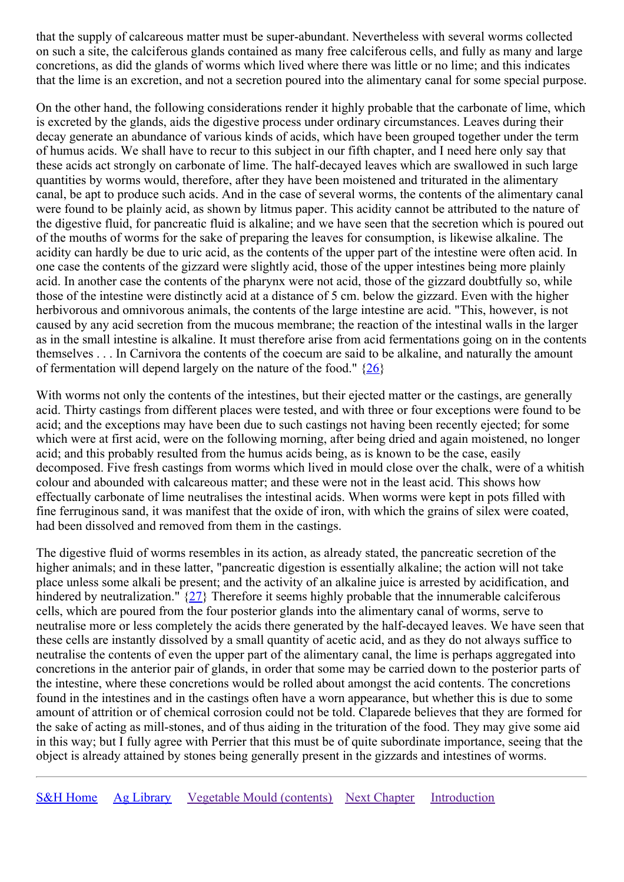that the supply of calcareous matter must be super-abundant. Nevertheless with several worms collected on such a site, the calciferous glands contained as many free calciferous cells, and fully as many and large concretions, as did the glands of worms which lived where there was little or no lime; and this indicates that the lime is an excretion, and not a secretion poured into the alimentary canal for some special purpose.

On the other hand, the following considerations render it highly probable that the carbonate of lime, which is excreted by the glands, aids the digestive process under ordinary circumstances. Leaves during their decay generate an abundance of various kinds of acids, which have been grouped together under the term of humus acids. We shall have to recur to this subject in our fifth chapter, and I need here only say that these acids act strongly on carbonate of lime. The half-decayed leaves which are swallowed in such large quantities by worms would, therefore, after they have been moistened and triturated in the alimentary canal, be apt to produce such acids. And in the case of several worms, the contents of the alimentary canal were found to be plainly acid, as shown by litmus paper. This acidity cannot be attributed to the nature of the digestive fluid, for pancreatic fluid is alkaline; and we have seen that the secretion which is poured out of the mouths of worms for the sake of preparing the leaves for consumption, is likewise alkaline. The acidity can hardly be due to uric acid, as the contents of the upper part of the intestine were often acid. In one case the contents of the gizzard were slightly acid, those of the upper intestines being more plainly acid. In another case the contents of the pharynx were not acid, those of the gizzard doubtfully so, while those of the intestine were distinctly acid at a distance of 5 cm. below the gizzard. Even with the higher herbivorous and omnivorous animals, the contents of the large intestine are acid. "This, however, is not caused by any acid secretion from the mucous membrane; the reaction of the intestinal walls in the larger as in the small intestine is alkaline. It must therefore arise from acid fermentations going on in the contents themselves . . . In Carnivora the contents of the coecum are said to be alkaline, and naturally the amount of fermentation will depend largely on the nature of the food."  $\{26\}$  $\{26\}$  $\{26\}$ 

With worms not only the contents of the intestines, but their ejected matter or the castings, are generally acid. Thirty castings from different places were tested, and with three or four exceptions were found to be acid; and the exceptions may have been due to such castings not having been recently ejected; for some which were at first acid, were on the following morning, after being dried and again moistened, no longer acid; and this probably resulted from the humus acids being, as is known to be the case, easily decomposed. Five fresh castings from worms which lived in mould close over the chalk, were of a whitish colour and abounded with calcareous matter; and these were not in the least acid. This shows how effectually carbonate of lime neutralises the intestinal acids. When worms were kept in pots filled with fine ferruginous sand, it was manifest that the oxide of iron, with which the grains of silex were coated, had been dissolved and removed from them in the castings.

The digestive fluid of worms resembles in its action, as already stated, the pancreatic secretion of the higher animals; and in these latter, "pancreatic digestion is essentially alkaline; the action will not take place unless some alkali be present; and the activity of an alkaline juice is arrested by acidification, and hindered by neutralization."  $\{27\}$  $\{27\}$  $\{27\}$  Therefore it seems highly probable that the innumerable calciferous cells, which are poured from the four posterior glands into the alimentary canal of worms, serve to neutralise more or less completely the acids there generated by the half-decayed leaves. We have seen that these cells are instantly dissolved by a small quantity of acetic acid, and as they do not always suffice to neutralise the contents of even the upper part of the alimentary canal, the lime is perhaps aggregated into concretions in the anterior pair of glands, in order that some may be carried down to the posterior parts of the intestine, where these concretions would be rolled about amongst the acid contents. The concretions found in the intestines and in the castings often have a worn appearance, but whether this is due to some amount of attrition or of chemical corrosion could not be told. Claparede believes that they are formed for the sake of acting as mill-stones, and of thus aiding in the trituration of the food. They may give some aid in this way; but I fully agree with Perrier that this must be of quite subordinate importance, seeing that the object is already attained by stones being generally present in the gizzards and intestines of worms.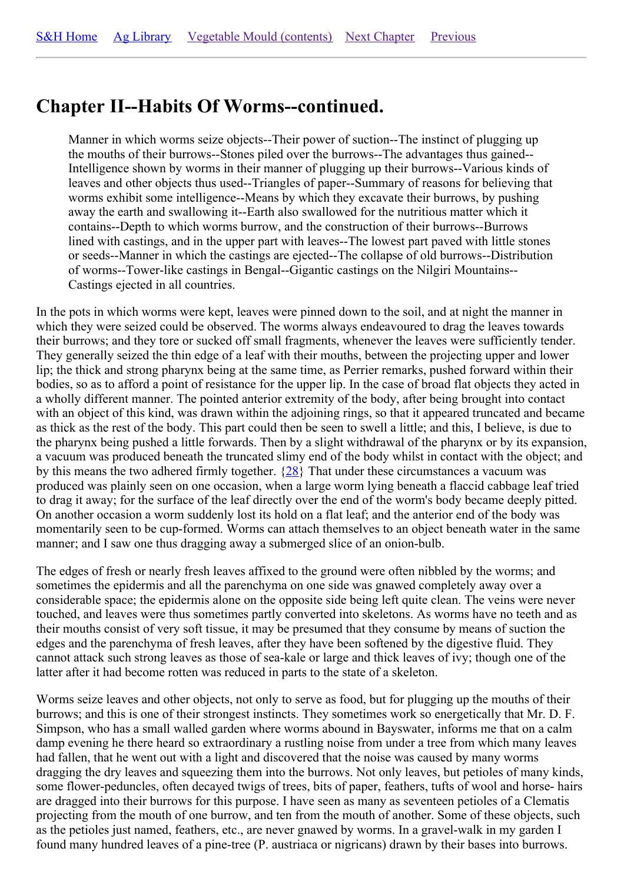# **Chapter II--Habits Of Worms--continued.**

Manner in which worms seize objects--Their power of suction--The instinct of plugging up the mouths of their burrows--Stones piled over the burrows--The advantages thus gained-- Intelligence shown by worms in their manner of plugging up their burrows--Various kinds of leaves and other objects thus used--Triangles of paper--Summary of reasons for believing that worms exhibit some intelligence--Means by which they excavate their burrows, by pushing away the earth and swallowing it--Earth also swallowed for the nutritious matter which it contains--Depth to which worms burrow, and the construction of their burrows--Burrows lined with castings, and in the upper part with leaves--The lowest part paved with little stones or seeds--Manner in which the castings are ejected--The collapse of old burrows--Distribution of worms--Tower-like castings in Bengal--Gigantic castings on the Nilgiri Mountains-- Castings ejected in all countries.

In the pots in which worms were kept, leaves were pinned down to the soil, and at night the manner in which they were seized could be observed. The worms always endeavoured to drag the leaves towards their burrows; and they tore or sucked off small fragments, whenever the leaves were sufficiently tender. They generally seized the thin edge of a leaf with their mouths, between the projecting upper and lower lip; the thick and strong pharynx being at the same time, as Perrier remarks, pushed forward within their bodies, so as to afford a point of resistance for the upper lip. In the case of broad flat objects they acted in a wholly different manner. The pointed anterior extremity of the body, after being brought into contact with an object of this kind, was drawn within the adjoining rings, so that it appeared truncated and became as thick as the rest of the body. This part could then be seen to swell a little; and this, I believe, is due to the pharynx being pushed a little forwards. Then by a slight withdrawal of the pharynx or by its expansion, a vacuum was produced beneath the truncated slimy end of the body whilst in contact with the object; and by this means the two adhered firmly together.  $\{28\}$  $\{28\}$  $\{28\}$  That under these circumstances a vacuum was produced was plainly seen on one occasion, when a large worm lying beneath a flaccid cabbage leaf tried to drag it away; for the surface of the leaf directly over the end of the worm's body became deeply pitted. On another occasion a worm suddenly lost its hold on a flat leaf; and the anterior end of the body was momentarily seen to be cup-formed. Worms can attach themselves to an object beneath water in the same manner; and I saw one thus dragging away a submerged slice of an onion-bulb.

The edges of fresh or nearly fresh leaves affixed to the ground were often nibbled by the worms; and sometimes the epidermis and all the parenchyma on one side was gnawed completely away over a considerable space; the epidermis alone on the opposite side being left quite clean. The veins were never touched, and leaves were thus sometimes partly converted into skeletons. As worms have no teeth and as their mouths consist of very soft tissue, it may be presumed that they consume by means of suction the edges and the parenchyma of fresh leaves, after they have been softened by the digestive fluid. They cannot attack such strong leaves as those of sea-kale or large and thick leaves of ivy; though one of the latter after it had become rotten was reduced in parts to the state of a skeleton.

Worms seize leaves and other objects, not only to serve as food, but for plugging up the mouths of their burrows; and this is one of their strongest instincts. They sometimes work so energetically that Mr. D. F. Simpson, who has a small walled garden where worms abound in Bayswater, informs me that on a calm damp evening he there heard so extraordinary a rustling noise from under a tree from which many leaves had fallen, that he went out with a light and discovered that the noise was caused by many worms dragging the dry leaves and squeezing them into the burrows. Not only leaves, but petioles of many kinds, some flower-peduncles, often decayed twigs of trees, bits of paper, feathers, tufts of wool and horse- hairs are dragged into their burrows for this purpose. I have seen as many as seventeen petioles of a Clematis projecting from the mouth of one burrow, and ten from the mouth of another. Some of these objects, such as the petioles just named, feathers, etc., are never gnawed by worms. In a gravel-walk in my garden I found many hundred leaves of a pine-tree (P. austriaca or nigricans) drawn by their bases into burrows.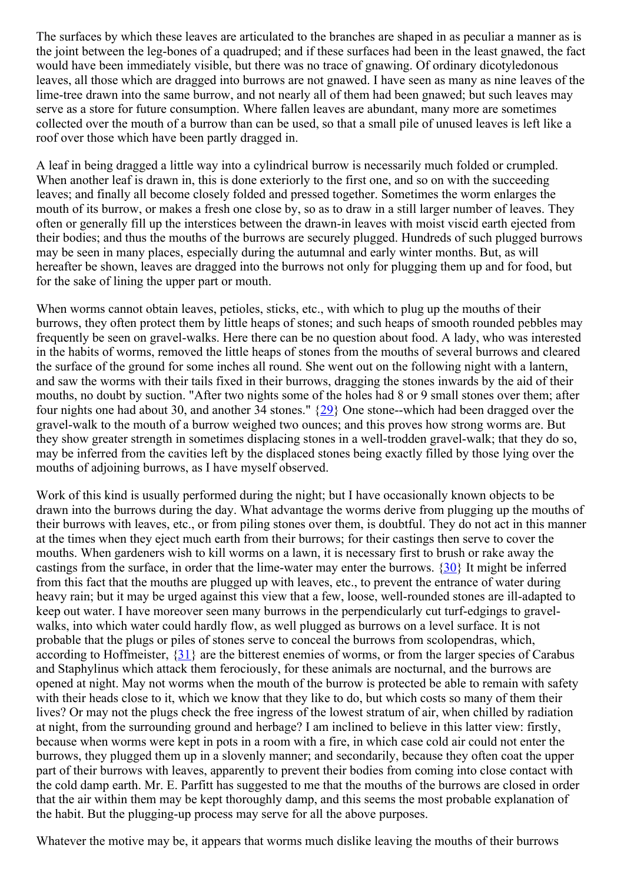The surfaces by which these leaves are articulated to the branches are shaped in as peculiar a manner as is the joint between the leg-bones of a quadruped; and if these surfaces had been in the least gnawed, the fact would have been immediately visible, but there was no trace of gnawing. Of ordinary dicotyledonous leaves, all those which are dragged into burrows are not gnawed. I have seen as many as nine leaves of the lime-tree drawn into the same burrow, and not nearly all of them had been gnawed; but such leaves may serve as a store for future consumption. Where fallen leaves are abundant, many more are sometimes collected over the mouth of a burrow than can be used, so that a small pile of unused leaves is left like a roof over those which have been partly dragged in.

A leaf in being dragged a little way into a cylindrical burrow is necessarily much folded or crumpled. When another leaf is drawn in, this is done exteriorly to the first one, and so on with the succeeding leaves; and finally all become closely folded and pressed together. Sometimes the worm enlarges the mouth of its burrow, or makes a fresh one close by, so as to draw in a still larger number of leaves. They often or generally fill up the interstices between the drawn-in leaves with moist viscid earth ejected from their bodies; and thus the mouths of the burrows are securely plugged. Hundreds of such plugged burrows may be seen in many places, especially during the autumnal and early winter months. But, as will hereafter be shown, leaves are dragged into the burrows not only for plugging them up and for food, but for the sake of lining the upper part or mouth.

When worms cannot obtain leaves, petioles, sticks, etc., with which to plug up the mouths of their burrows, they often protect them by little heaps of stones; and such heaps of smooth rounded pebbles may frequently be seen on gravel-walks. Here there can be no question about food. A lady, who was interested in the habits of worms, removed the little heaps of stones from the mouths of several burrows and cleared the surface of the ground for some inches all round. She went out on the following night with a lantern, and saw the worms with their tails fixed in their burrows, dragging the stones inwards by the aid of their mouths, no doubt by suction. "After two nights some of the holes had 8 or 9 small stones over them; after four nights one had about 30, and another 34 stones." [{29](#page-81-0)} One stone--which had been dragged over the gravel-walk to the mouth of a burrow weighed two ounces; and this proves how strong worms are. But they show greater strength in sometimes displacing stones in a well-trodden gravel-walk; that they do so, may be inferred from the cavities left by the displaced stones being exactly filled by those lying over the mouths of adjoining burrows, as I have myself observed.

Work of this kind is usually performed during the night; but I have occasionally known objects to be drawn into the burrows during the day. What advantage the worms derive from plugging up the mouths of their burrows with leaves, etc., or from piling stones over them, is doubtful. They do not act in this manner at the times when they eject much earth from their burrows; for their castings then serve to cover the mouths. When gardeners wish to kill worms on a lawn, it is necessary first to brush or rake away the castings from the surface, in order that the lime-water may enter the burrows. [{30](#page-81-0)} It might be inferred from this fact that the mouths are plugged up with leaves, etc., to prevent the entrance of water during heavy rain; but it may be urged against this view that a few, loose, well-rounded stones are ill-adapted to keep out water. I have moreover seen many burrows in the perpendicularly cut turf-edgings to gravelwalks, into which water could hardly flow, as well plugged as burrows on a level surface. It is not probable that the plugs or piles of stones serve to conceal the burrows from scolopendras, which, according to Hoffmeister, [{31](#page-81-0)} are the bitterest enemies of worms, or from the larger species of Carabus and Staphylinus which attack them ferociously, for these animals are nocturnal, and the burrows are opened at night. May not worms when the mouth of the burrow is protected be able to remain with safety with their heads close to it, which we know that they like to do, but which costs so many of them their lives? Or may not the plugs check the free ingress of the lowest stratum of air, when chilled by radiation at night, from the surrounding ground and herbage? I am inclined to believe in this latter view: firstly, because when worms were kept in pots in a room with a fire, in which case cold air could not enter the burrows, they plugged them up in a slovenly manner; and secondarily, because they often coat the upper part of their burrows with leaves, apparently to prevent their bodies from coming into close contact with the cold damp earth. Mr. E. Parfitt has suggested to me that the mouths of the burrows are closed in order that the air within them may be kept thoroughly damp, and this seems the most probable explanation of the habit. But the plugging-up process may serve for all the above purposes.

Whatever the motive may be, it appears that worms much dislike leaving the mouths of their burrows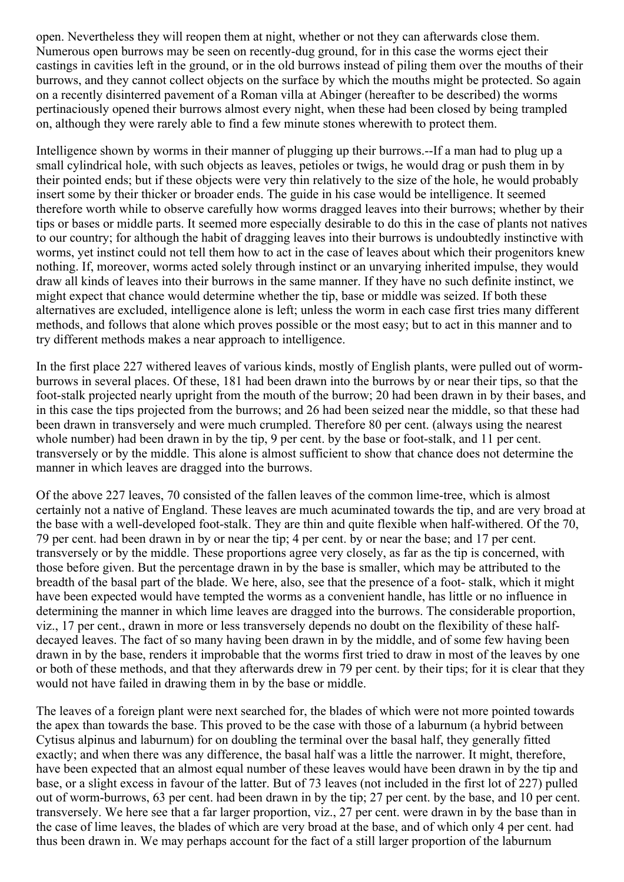open. Nevertheless they will reopen them at night, whether or not they can afterwards close them. Numerous open burrows may be seen on recently-dug ground, for in this case the worms eject their castings in cavities left in the ground, or in the old burrows instead of piling them over the mouths of their burrows, and they cannot collect objects on the surface by which the mouths might be protected. So again on a recently disinterred pavement of a Roman villa at Abinger (hereafter to be described) the worms pertinaciously opened their burrows almost every night, when these had been closed by being trampled on, although they were rarely able to find a few minute stones wherewith to protect them.

Intelligence shown by worms in their manner of plugging up their burrows.--If a man had to plug up a small cylindrical hole, with such objects as leaves, petioles or twigs, he would drag or push them in by their pointed ends; but if these objects were very thin relatively to the size of the hole, he would probably insert some by their thicker or broader ends. The guide in his case would be intelligence. It seemed therefore worth while to observe carefully how worms dragged leaves into their burrows; whether by their tips or bases or middle parts. It seemed more especially desirable to do this in the case of plants not natives to our country; for although the habit of dragging leaves into their burrows is undoubtedly instinctive with worms, yet instinct could not tell them how to act in the case of leaves about which their progenitors knew nothing. If, moreover, worms acted solely through instinct or an unvarying inherited impulse, they would draw all kinds of leaves into their burrows in the same manner. If they have no such definite instinct, we might expect that chance would determine whether the tip, base or middle was seized. If both these alternatives are excluded, intelligence alone is left; unless the worm in each case first tries many different methods, and follows that alone which proves possible or the most easy; but to act in this manner and to try different methods makes a near approach to intelligence.

In the first place 227 withered leaves of various kinds, mostly of English plants, were pulled out of wormburrows in several places. Of these, 181 had been drawn into the burrows by or near their tips, so that the foot-stalk projected nearly upright from the mouth of the burrow; 20 had been drawn in by their bases, and in this case the tips projected from the burrows; and 26 had been seized near the middle, so that these had been drawn in transversely and were much crumpled. Therefore 80 per cent. (always using the nearest whole number) had been drawn in by the tip, 9 per cent. by the base or foot-stalk, and 11 per cent. transversely or by the middle. This alone is almost sufficient to show that chance does not determine the manner in which leaves are dragged into the burrows.

Of the above 227 leaves, 70 consisted of the fallen leaves of the common lime-tree, which is almost certainly not a native of England. These leaves are much acuminated towards the tip, and are very broad at the base with a well-developed foot-stalk. They are thin and quite flexible when half-withered. Of the 70, 79 per cent. had been drawn in by or near the tip; 4 per cent. by or near the base; and 17 per cent. transversely or by the middle. These proportions agree very closely, as far as the tip is concerned, with those before given. But the percentage drawn in by the base is smaller, which may be attributed to the breadth of the basal part of the blade. We here, also, see that the presence of a foot- stalk, which it might have been expected would have tempted the worms as a convenient handle, has little or no influence in determining the manner in which lime leaves are dragged into the burrows. The considerable proportion, viz., 17 per cent., drawn in more or less transversely depends no doubt on the flexibility of these halfdecayed leaves. The fact of so many having been drawn in by the middle, and of some few having been drawn in by the base, renders it improbable that the worms first tried to draw in most of the leaves by one or both of these methods, and that they afterwards drew in 79 per cent. by their tips; for it is clear that they would not have failed in drawing them in by the base or middle.

The leaves of a foreign plant were next searched for, the blades of which were not more pointed towards the apex than towards the base. This proved to be the case with those of a laburnum (a hybrid between Cytisus alpinus and laburnum) for on doubling the terminal over the basal half, they generally fitted exactly; and when there was any difference, the basal half was a little the narrower. It might, therefore, have been expected that an almost equal number of these leaves would have been drawn in by the tip and base, or a slight excess in favour of the latter. But of 73 leaves (not included in the first lot of 227) pulled out of worm-burrows, 63 per cent. had been drawn in by the tip; 27 per cent. by the base, and 10 per cent. transversely. We here see that a far larger proportion, viz., 27 per cent. were drawn in by the base than in the case of lime leaves, the blades of which are very broad at the base, and of which only 4 per cent. had thus been drawn in. We may perhaps account for the fact of a still larger proportion of the laburnum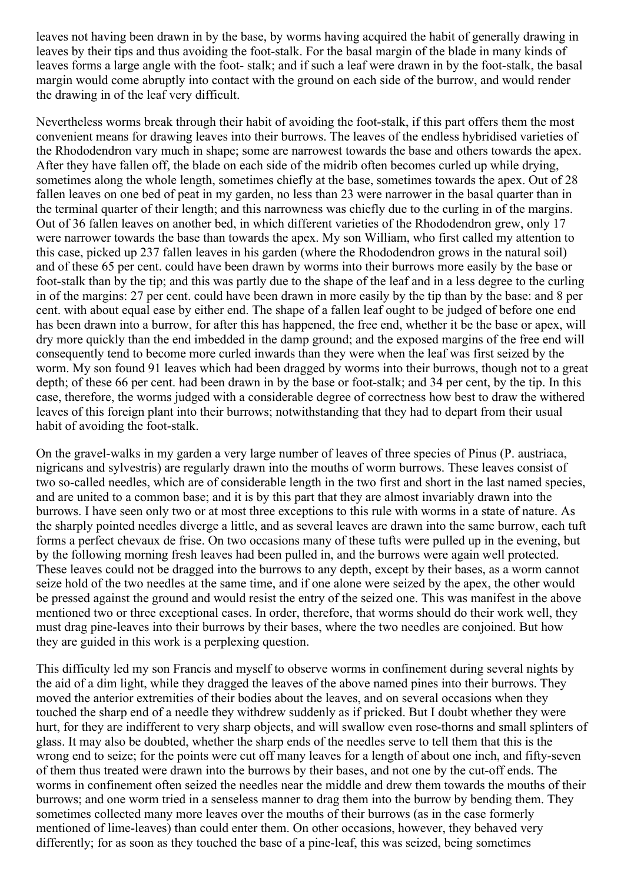leaves not having been drawn in by the base, by worms having acquired the habit of generally drawing in leaves by their tips and thus avoiding the foot-stalk. For the basal margin of the blade in many kinds of leaves forms a large angle with the foot- stalk; and if such a leaf were drawn in by the foot-stalk, the basal margin would come abruptly into contact with the ground on each side of the burrow, and would render the drawing in of the leaf very difficult.

Nevertheless worms break through their habit of avoiding the foot-stalk, if this part offers them the most convenient means for drawing leaves into their burrows. The leaves of the endless hybridised varieties of the Rhododendron vary much in shape; some are narrowest towards the base and others towards the apex. After they have fallen off, the blade on each side of the midrib often becomes curled up while drying, sometimes along the whole length, sometimes chiefly at the base, sometimes towards the apex. Out of 28 fallen leaves on one bed of peat in my garden, no less than 23 were narrower in the basal quarter than in the terminal quarter of their length; and this narrowness was chiefly due to the curling in of the margins. Out of 36 fallen leaves on another bed, in which different varieties of the Rhododendron grew, only 17 were narrower towards the base than towards the apex. My son William, who first called my attention to this case, picked up 237 fallen leaves in his garden (where the Rhododendron grows in the natural soil) and of these 65 per cent. could have been drawn by worms into their burrows more easily by the base or foot-stalk than by the tip; and this was partly due to the shape of the leaf and in a less degree to the curling in of the margins: 27 per cent. could have been drawn in more easily by the tip than by the base: and 8 per cent. with about equal ease by either end. The shape of a fallen leaf ought to be judged of before one end has been drawn into a burrow, for after this has happened, the free end, whether it be the base or apex, will dry more quickly than the end imbedded in the damp ground; and the exposed margins of the free end will consequently tend to become more curled inwards than they were when the leaf was first seized by the worm. My son found 91 leaves which had been dragged by worms into their burrows, though not to a great depth; of these 66 per cent. had been drawn in by the base or foot-stalk; and 34 per cent, by the tip. In this case, therefore, the worms judged with a considerable degree of correctness how best to draw the withered leaves of this foreign plant into their burrows; notwithstanding that they had to depart from their usual habit of avoiding the foot-stalk.

On the gravel-walks in my garden a very large number of leaves of three species of Pinus (P. austriaca, nigricans and sylvestris) are regularly drawn into the mouths of worm burrows. These leaves consist of two so-called needles, which are of considerable length in the two first and short in the last named species, and are united to a common base; and it is by this part that they are almost invariably drawn into the burrows. I have seen only two or at most three exceptions to this rule with worms in a state of nature. As the sharply pointed needles diverge a little, and as several leaves are drawn into the same burrow, each tuft forms a perfect chevaux de frise. On two occasions many of these tufts were pulled up in the evening, but by the following morning fresh leaves had been pulled in, and the burrows were again well protected. These leaves could not be dragged into the burrows to any depth, except by their bases, as a worm cannot seize hold of the two needles at the same time, and if one alone were seized by the apex, the other would be pressed against the ground and would resist the entry of the seized one. This was manifest in the above mentioned two or three exceptional cases. In order, therefore, that worms should do their work well, they must drag pine-leaves into their burrows by their bases, where the two needles are conjoined. But how they are guided in this work is a perplexing question.

This difficulty led my son Francis and myself to observe worms in confinement during several nights by the aid of a dim light, while they dragged the leaves of the above named pines into their burrows. They moved the anterior extremities of their bodies about the leaves, and on several occasions when they touched the sharp end of a needle they withdrew suddenly as if pricked. But I doubt whether they were hurt, for they are indifferent to very sharp objects, and will swallow even rose-thorns and small splinters of glass. It may also be doubted, whether the sharp ends of the needles serve to tell them that this is the wrong end to seize; for the points were cut off many leaves for a length of about one inch, and fifty-seven of them thus treated were drawn into the burrows by their bases, and not one by the cut-off ends. The worms in confinement often seized the needles near the middle and drew them towards the mouths of their burrows; and one worm tried in a senseless manner to drag them into the burrow by bending them. They sometimes collected many more leaves over the mouths of their burrows (as in the case formerly mentioned of lime-leaves) than could enter them. On other occasions, however, they behaved very differently; for as soon as they touched the base of a pine-leaf, this was seized, being sometimes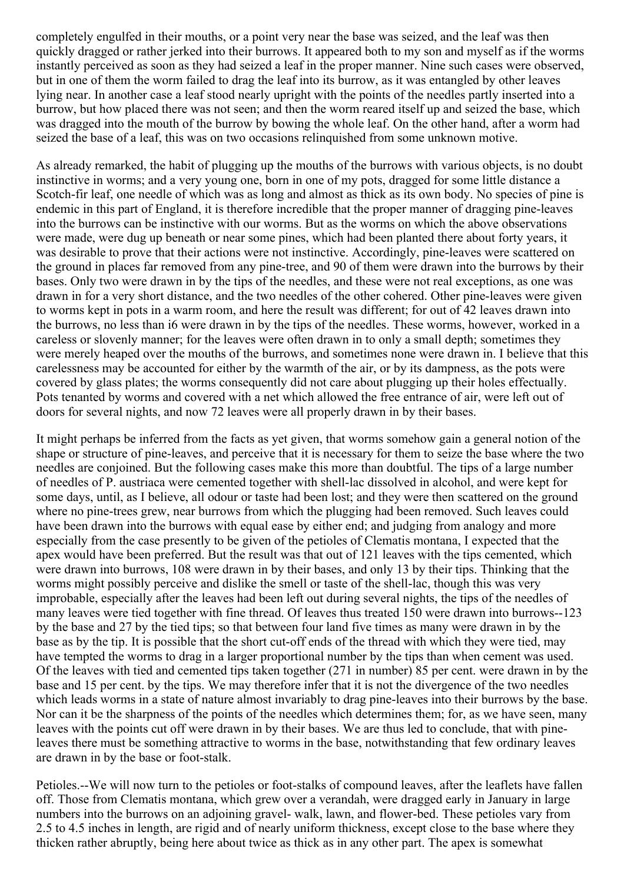completely engulfed in their mouths, or a point very near the base was seized, and the leaf was then quickly dragged or rather jerked into their burrows. It appeared both to my son and myself as if the worms instantly perceived as soon as they had seized a leaf in the proper manner. Nine such cases were observed, but in one of them the worm failed to drag the leaf into its burrow, as it was entangled by other leaves lying near. In another case a leaf stood nearly upright with the points of the needles partly inserted into a burrow, but how placed there was not seen; and then the worm reared itself up and seized the base, which was dragged into the mouth of the burrow by bowing the whole leaf. On the other hand, after a worm had seized the base of a leaf, this was on two occasions relinquished from some unknown motive.

As already remarked, the habit of plugging up the mouths of the burrows with various objects, is no doubt instinctive in worms; and a very young one, born in one of my pots, dragged for some little distance a Scotch-fir leaf, one needle of which was as long and almost as thick as its own body. No species of pine is endemic in this part of England, it is therefore incredible that the proper manner of dragging pine-leaves into the burrows can be instinctive with our worms. But as the worms on which the above observations were made, were dug up beneath or near some pines, which had been planted there about forty years, it was desirable to prove that their actions were not instinctive. Accordingly, pine-leaves were scattered on the ground in places far removed from any pine-tree, and 90 of them were drawn into the burrows by their bases. Only two were drawn in by the tips of the needles, and these were not real exceptions, as one was drawn in for a very short distance, and the two needles of the other cohered. Other pine-leaves were given to worms kept in pots in a warm room, and here the result was different; for out of 42 leaves drawn into the burrows, no less than i6 were drawn in by the tips of the needles. These worms, however, worked in a careless or slovenly manner; for the leaves were often drawn in to only a small depth; sometimes they were merely heaped over the mouths of the burrows, and sometimes none were drawn in. I believe that this carelessness may be accounted for either by the warmth of the air, or by its dampness, as the pots were covered by glass plates; the worms consequently did not care about plugging up their holes effectually. Pots tenanted by worms and covered with a net which allowed the free entrance of air, were left out of doors for several nights, and now 72 leaves were all properly drawn in by their bases.

It might perhaps be inferred from the facts as yet given, that worms somehow gain a general notion of the shape or structure of pine-leaves, and perceive that it is necessary for them to seize the base where the two needles are conjoined. But the following cases make this more than doubtful. The tips of a large number of needles of P. austriaca were cemented together with shell-lac dissolved in alcohol, and were kept for some days, until, as I believe, all odour or taste had been lost; and they were then scattered on the ground where no pine-trees grew, near burrows from which the plugging had been removed. Such leaves could have been drawn into the burrows with equal ease by either end; and judging from analogy and more especially from the case presently to be given of the petioles of Clematis montana, I expected that the apex would have been preferred. But the result was that out of 121 leaves with the tips cemented, which were drawn into burrows, 108 were drawn in by their bases, and only 13 by their tips. Thinking that the worms might possibly perceive and dislike the smell or taste of the shell-lac, though this was very improbable, especially after the leaves had been left out during several nights, the tips of the needles of many leaves were tied together with fine thread. Of leaves thus treated 150 were drawn into burrows--123 by the base and 27 by the tied tips; so that between four land five times as many were drawn in by the base as by the tip. It is possible that the short cut-off ends of the thread with which they were tied, may have tempted the worms to drag in a larger proportional number by the tips than when cement was used. Of the leaves with tied and cemented tips taken together (271 in number) 85 per cent. were drawn in by the base and 15 per cent. by the tips. We may therefore infer that it is not the divergence of the two needles which leads worms in a state of nature almost invariably to drag pine-leaves into their burrows by the base. Nor can it be the sharpness of the points of the needles which determines them; for, as we have seen, many leaves with the points cut off were drawn in by their bases. We are thus led to conclude, that with pineleaves there must be something attractive to worms in the base, notwithstanding that few ordinary leaves are drawn in by the base or foot-stalk.

Petioles.--We will now turn to the petioles or foot-stalks of compound leaves, after the leaflets have fallen off. Those from Clematis montana, which grew over a verandah, were dragged early in January in large numbers into the burrows on an adjoining gravel- walk, lawn, and flower-bed. These petioles vary from 2.5 to 4.5 inches in length, are rigid and of nearly uniform thickness, except close to the base where they thicken rather abruptly, being here about twice as thick as in any other part. The apex is somewhat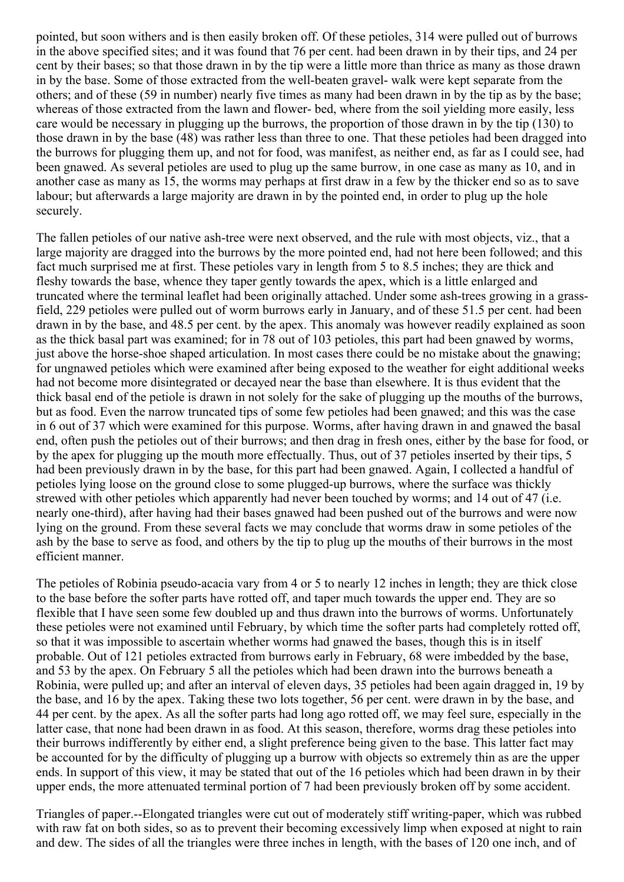pointed, but soon withers and is then easily broken off. Of these petioles, 314 were pulled out of burrows in the above specified sites; and it was found that 76 per cent. had been drawn in by their tips, and 24 per cent by their bases; so that those drawn in by the tip were a little more than thrice as many as those drawn in by the base. Some of those extracted from the well-beaten gravel- walk were kept separate from the others; and of these (59 in number) nearly five times as many had been drawn in by the tip as by the base; whereas of those extracted from the lawn and flower- bed, where from the soil yielding more easily, less care would be necessary in plugging up the burrows, the proportion of those drawn in by the tip (130) to those drawn in by the base (48) was rather less than three to one. That these petioles had been dragged into the burrows for plugging them up, and not for food, was manifest, as neither end, as far as I could see, had been gnawed. As several petioles are used to plug up the same burrow, in one case as many as 10, and in another case as many as 15, the worms may perhaps at first draw in a few by the thicker end so as to save labour; but afterwards a large majority are drawn in by the pointed end, in order to plug up the hole securely.

The fallen petioles of our native ash-tree were next observed, and the rule with most objects, viz., that a large majority are dragged into the burrows by the more pointed end, had not here been followed; and this fact much surprised me at first. These petioles vary in length from 5 to 8.5 inches; they are thick and fleshy towards the base, whence they taper gently towards the apex, which is a little enlarged and truncated where the terminal leaflet had been originally attached. Under some ash-trees growing in a grassfield, 229 petioles were pulled out of worm burrows early in January, and of these 51.5 per cent. had been drawn in by the base, and 48.5 per cent. by the apex. This anomaly was however readily explained as soon as the thick basal part was examined; for in 78 out of 103 petioles, this part had been gnawed by worms, just above the horse-shoe shaped articulation. In most cases there could be no mistake about the gnawing; for ungnawed petioles which were examined after being exposed to the weather for eight additional weeks had not become more disintegrated or decayed near the base than elsewhere. It is thus evident that the thick basal end of the petiole is drawn in not solely for the sake of plugging up the mouths of the burrows, but as food. Even the narrow truncated tips of some few petioles had been gnawed; and this was the case in 6 out of 37 which were examined for this purpose. Worms, after having drawn in and gnawed the basal end, often push the petioles out of their burrows; and then drag in fresh ones, either by the base for food, or by the apex for plugging up the mouth more effectually. Thus, out of 37 petioles inserted by their tips, 5 had been previously drawn in by the base, for this part had been gnawed. Again, I collected a handful of petioles lying loose on the ground close to some plugged-up burrows, where the surface was thickly strewed with other petioles which apparently had never been touched by worms; and 14 out of 47 (i.e. nearly one-third), after having had their bases gnawed had been pushed out of the burrows and were now lying on the ground. From these several facts we may conclude that worms draw in some petioles of the ash by the base to serve as food, and others by the tip to plug up the mouths of their burrows in the most efficient manner.

The petioles of Robinia pseudo-acacia vary from 4 or 5 to nearly 12 inches in length; they are thick close to the base before the softer parts have rotted off, and taper much towards the upper end. They are so flexible that I have seen some few doubled up and thus drawn into the burrows of worms. Unfortunately these petioles were not examined until February, by which time the softer parts had completely rotted off, so that it was impossible to ascertain whether worms had gnawed the bases, though this is in itself probable. Out of 121 petioles extracted from burrows early in February, 68 were imbedded by the base, and 53 by the apex. On February 5 all the petioles which had been drawn into the burrows beneath a Robinia, were pulled up; and after an interval of eleven days, 35 petioles had been again dragged in, 19 by the base, and 16 by the apex. Taking these two lots together, 56 per cent. were drawn in by the base, and 44 per cent. by the apex. As all the softer parts had long ago rotted off, we may feel sure, especially in the latter case, that none had been drawn in as food. At this season, therefore, worms drag these petioles into their burrows indifferently by either end, a slight preference being given to the base. This latter fact may be accounted for by the difficulty of plugging up a burrow with objects so extremely thin as are the upper ends. In support of this view, it may be stated that out of the 16 petioles which had been drawn in by their upper ends, the more attenuated terminal portion of 7 had been previously broken off by some accident.

Triangles of paper.--Elongated triangles were cut out of moderately stiff writing-paper, which was rubbed with raw fat on both sides, so as to prevent their becoming excessively limp when exposed at night to rain and dew. The sides of all the triangles were three inches in length, with the bases of 120 one inch, and of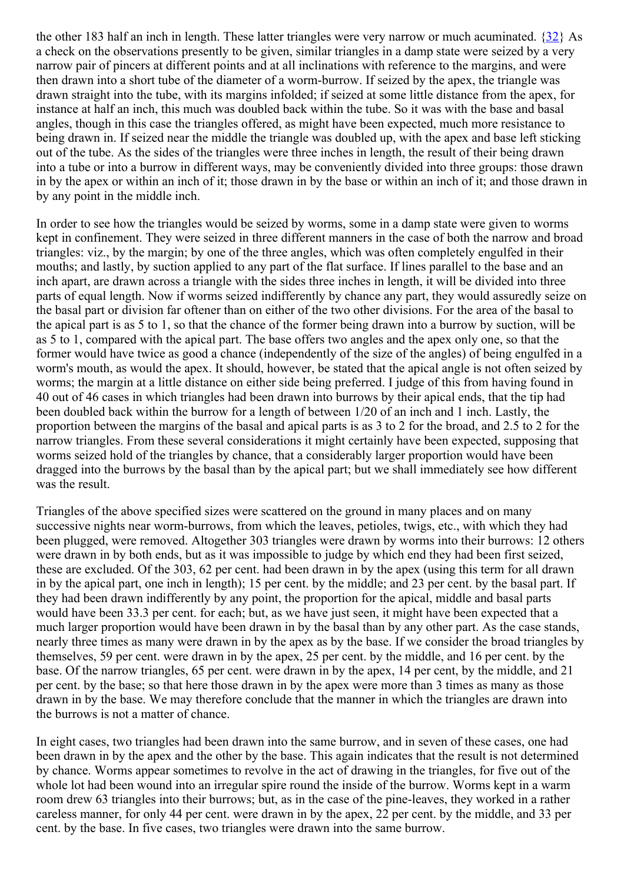the other 183 half an inch in length. These latter triangles were very narrow or much acuminated.  $\{32\}$  $\{32\}$  $\{32\}$  As a check on the observations presently to be given, similar triangles in a damp state were seized by a very narrow pair of pincers at different points and at all inclinations with reference to the margins, and were then drawn into a short tube of the diameter of a worm-burrow. If seized by the apex, the triangle was drawn straight into the tube, with its margins infolded; if seized at some little distance from the apex, for instance at half an inch, this much was doubled back within the tube. So it was with the base and basal angles, though in this case the triangles offered, as might have been expected, much more resistance to being drawn in. If seized near the middle the triangle was doubled up, with the apex and base left sticking out of the tube. As the sides of the triangles were three inches in length, the result of their being drawn into a tube or into a burrow in different ways, may be conveniently divided into three groups: those drawn in by the apex or within an inch of it; those drawn in by the base or within an inch of it; and those drawn in by any point in the middle inch.

In order to see how the triangles would be seized by worms, some in a damp state were given to worms kept in confinement. They were seized in three different manners in the case of both the narrow and broad triangles: viz., by the margin; by one of the three angles, which was often completely engulfed in their mouths; and lastly, by suction applied to any part of the flat surface. If lines parallel to the base and an inch apart, are drawn across a triangle with the sides three inches in length, it will be divided into three parts of equal length. Now if worms seized indifferently by chance any part, they would assuredly seize on the basal part or division far oftener than on either of the two other divisions. For the area of the basal to the apical part is as 5 to 1, so that the chance of the former being drawn into a burrow by suction, will be as 5 to 1, compared with the apical part. The base offers two angles and the apex only one, so that the former would have twice as good a chance (independently of the size of the angles) of being engulfed in a worm's mouth, as would the apex. It should, however, be stated that the apical angle is not often seized by worms; the margin at a little distance on either side being preferred. I judge of this from having found in 40 out of 46 cases in which triangles had been drawn into burrows by their apical ends, that the tip had been doubled back within the burrow for a length of between 1/20 of an inch and 1 inch. Lastly, the proportion between the margins of the basal and apical parts is as 3 to 2 for the broad, and 2.5 to 2 for the narrow triangles. From these several considerations it might certainly have been expected, supposing that worms seized hold of the triangles by chance, that a considerably larger proportion would have been dragged into the burrows by the basal than by the apical part; but we shall immediately see how different was the result.

Triangles of the above specified sizes were scattered on the ground in many places and on many successive nights near worm-burrows, from which the leaves, petioles, twigs, etc., with which they had been plugged, were removed. Altogether 303 triangles were drawn by worms into their burrows: 12 others were drawn in by both ends, but as it was impossible to judge by which end they had been first seized, these are excluded. Of the 303, 62 per cent. had been drawn in by the apex (using this term for all drawn in by the apical part, one inch in length); 15 per cent. by the middle; and 23 per cent. by the basal part. If they had been drawn indifferently by any point, the proportion for the apical, middle and basal parts would have been 33.3 per cent. for each; but, as we have just seen, it might have been expected that a much larger proportion would have been drawn in by the basal than by any other part. As the case stands, nearly three times as many were drawn in by the apex as by the base. If we consider the broad triangles by themselves, 59 per cent. were drawn in by the apex, 25 per cent. by the middle, and 16 per cent. by the base. Of the narrow triangles, 65 per cent. were drawn in by the apex, 14 per cent, by the middle, and 21 per cent. by the base; so that here those drawn in by the apex were more than 3 times as many as those drawn in by the base. We may therefore conclude that the manner in which the triangles are drawn into the burrows is not a matter of chance.

In eight cases, two triangles had been drawn into the same burrow, and in seven of these cases, one had been drawn in by the apex and the other by the base. This again indicates that the result is not determined by chance. Worms appear sometimes to revolve in the act of drawing in the triangles, for five out of the whole lot had been wound into an irregular spire round the inside of the burrow. Worms kept in a warm room drew 63 triangles into their burrows; but, as in the case of the pine-leaves, they worked in a rather careless manner, for only 44 per cent. were drawn in by the apex, 22 per cent. by the middle, and 33 per cent. by the base. In five cases, two triangles were drawn into the same burrow.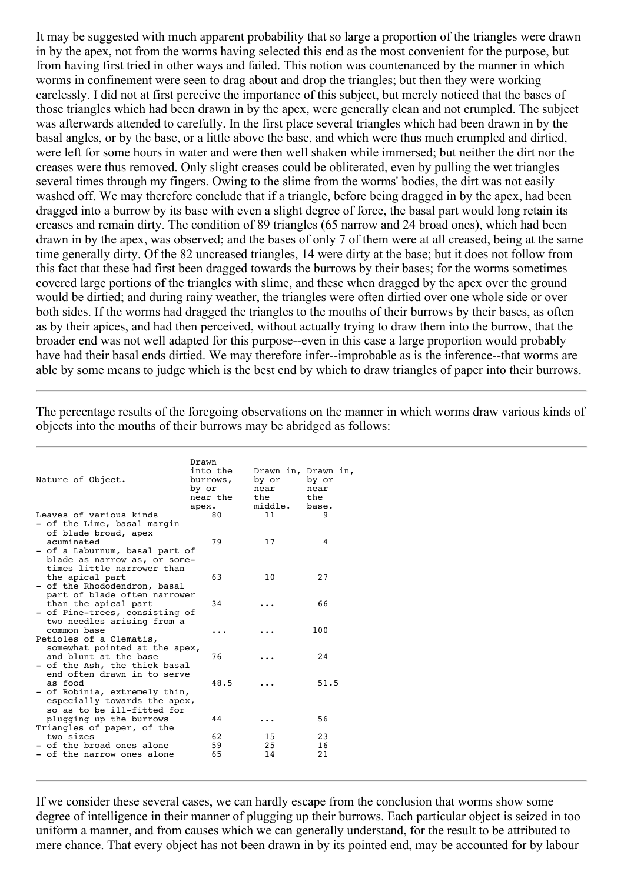It may be suggested with much apparent probability that so large a proportion of the triangles were drawn in by the apex, not from the worms having selected this end as the most convenient for the purpose, but from having first tried in other ways and failed. This notion was countenanced by the manner in which worms in confinement were seen to drag about and drop the triangles; but then they were working carelessly. I did not at first perceive the importance of this subject, but merely noticed that the bases of those triangles which had been drawn in by the apex, were generally clean and not crumpled. The subject was afterwards attended to carefully. In the first place several triangles which had been drawn in by the basal angles, or by the base, or a little above the base, and which were thus much crumpled and dirtied, were left for some hours in water and were then well shaken while immersed; but neither the dirt nor the creases were thus removed. Only slight creases could be obliterated, even by pulling the wet triangles several times through my fingers. Owing to the slime from the worms' bodies, the dirt was not easily washed off. We may therefore conclude that if a triangle, before being dragged in by the apex, had been dragged into a burrow by its base with even a slight degree of force, the basal part would long retain its creases and remain dirty. The condition of 89 triangles (65 narrow and 24 broad ones), which had been drawn in by the apex, was observed; and the bases of only 7 of them were at all creased, being at the same time generally dirty. Of the 82 uncreased triangles, 14 were dirty at the base; but it does not follow from this fact that these had first been dragged towards the burrows by their bases; for the worms sometimes covered large portions of the triangles with slime, and these when dragged by the apex over the ground would be dirtied; and during rainy weather, the triangles were often dirtied over one whole side or over both sides. If the worms had dragged the triangles to the mouths of their burrows by their bases, as often as by their apices, and had then perceived, without actually trying to draw them into the burrow, that the broader end was not well adapted for this purpose--even in this case a large proportion would probably have had their basal ends dirtied. We may therefore infer--improbable as is the inference--that worms are able by some means to judge which is the best end by which to draw triangles of paper into their burrows.

The percentage results of the foregoing observations on the manner in which worms draw various kinds of objects into the mouths of their burrows may be abridged as follows:

| Nature of Object.                                                                            | Drawn<br>into the<br>burrows,<br>by or<br>near the<br>apex. | by or<br>near<br>the<br>middle. | Drawn in, Drawn in,<br>by or<br>near<br>the<br>base. |
|----------------------------------------------------------------------------------------------|-------------------------------------------------------------|---------------------------------|------------------------------------------------------|
| Leaves of various kinds                                                                      | 80                                                          | 11                              | 9                                                    |
| - of the Lime, basal margin<br>of blade broad, apex                                          |                                                             |                                 |                                                      |
| acuminated                                                                                   | 79                                                          | 17                              | 4                                                    |
| - of a Laburnum, basal part of<br>blade as narrow as, or some-<br>times little narrower than |                                                             |                                 |                                                      |
| the apical part                                                                              | 63                                                          | 10                              | 27                                                   |
| - of the Rhododendron, basal<br>part of blade often narrower                                 |                                                             |                                 |                                                      |
| than the apical part                                                                         | 34                                                          |                                 | 66                                                   |
| - of Pine-trees, consisting of<br>two needles arising from a                                 |                                                             |                                 |                                                      |
| common base                                                                                  |                                                             |                                 | 100                                                  |
| Petioles of a Clematis,<br>somewhat pointed at the apex,<br>and blunt at the base            | 76                                                          |                                 | 24                                                   |
| - of the Ash, the thick basal<br>end often drawn in to serve                                 |                                                             |                                 |                                                      |
| as food                                                                                      | 48.5                                                        |                                 | 51.5                                                 |
| - of Robinia, extremely thin,<br>especially towards the apex,<br>so as to be ill-fitted for  |                                                             |                                 |                                                      |
| plugging up the burrows                                                                      | 44                                                          |                                 | 56                                                   |
| Triangles of paper, of the                                                                   |                                                             |                                 |                                                      |
| two sizes                                                                                    | 62                                                          | 15                              | 23                                                   |
| - of the broad ones alone                                                                    | 59                                                          | 25                              | 16                                                   |
| - of the narrow ones alone                                                                   | 65                                                          | 14                              | 21                                                   |
|                                                                                              |                                                             |                                 |                                                      |

If we consider these several cases, we can hardly escape from the conclusion that worms show some degree of intelligence in their manner of plugging up their burrows. Each particular object is seized in too uniform a manner, and from causes which we can generally understand, for the result to be attributed to mere chance. That every object has not been drawn in by its pointed end, may be accounted for by labour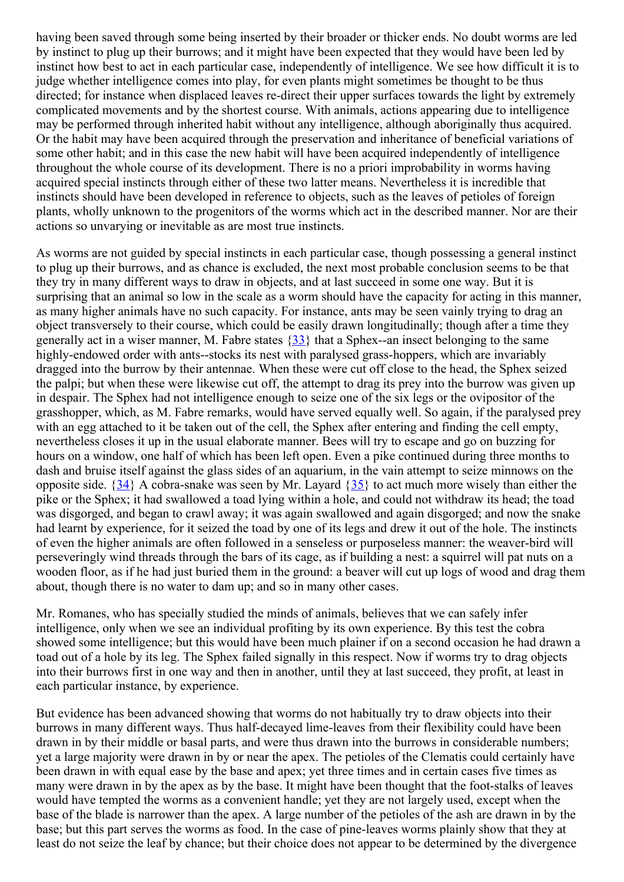<span id="page-28-0"></span>having been saved through some being inserted by their broader or thicker ends. No doubt worms are led by instinct to plug up their burrows; and it might have been expected that they would have been led by instinct how best to act in each particular case, independently of intelligence. We see how difficult it is to judge whether intelligence comes into play, for even plants might sometimes be thought to be thus directed; for instance when displaced leaves re-direct their upper surfaces towards the light by extremely complicated movements and by the shortest course. With animals, actions appearing due to intelligence may be performed through inherited habit without any intelligence, although aboriginally thus acquired. Or the habit may have been acquired through the preservation and inheritance of beneficial variations of some other habit; and in this case the new habit will have been acquired independently of intelligence throughout the whole course of its development. There is no a priori improbability in worms having acquired special instincts through either of these two latter means. Nevertheless it is incredible that instincts should have been developed in reference to objects, such as the leaves of petioles of foreign plants, wholly unknown to the progenitors of the worms which act in the described manner. Nor are their actions so unvarying or inevitable as are most true instincts.

As worms are not guided by special instincts in each particular case, though possessing a general instinct to plug up their burrows, and as chance is excluded, the next most probable conclusion seems to be that they try in many different ways to draw in objects, and at last succeed in some one way. But it is surprising that an animal so low in the scale as a worm should have the capacity for acting in this manner, as many higher animals have no such capacity. For instance, ants may be seen vainly trying to drag an object transversely to their course, which could be easily drawn longitudinally; though after a time they generally act in a wiser manner, M. Fabre states [{33](#page-81-0)} that a Sphex--an insect belonging to the same highly-endowed order with ants--stocks its nest with paralysed grass-hoppers, which are invariably dragged into the burrow by their antennae. When these were cut off close to the head, the Sphex seized the palpi; but when these were likewise cut off, the attempt to drag its prey into the burrow was given up in despair. The Sphex had not intelligence enough to seize one of the six legs or the ovipositor of the grasshopper, which, as M. Fabre remarks, would have served equally well. So again, if the paralysed prey with an egg attached to it be taken out of the cell, the Sphex after entering and finding the cell empty, nevertheless closes it up in the usual elaborate manner. Bees will try to escape and go on buzzing for hours on a window, one half of which has been left open. Even a pike continued during three months to dash and bruise itself against the glass sides of an aquarium, in the vain attempt to seize minnows on the opposite side.  $\{34\}$  $\{34\}$  $\{34\}$  A cobra-snake was seen by Mr. Layard  $\{35\}$  $\{35\}$  $\{35\}$  to act much more wisely than either the pike or the Sphex; it had swallowed a toad lying within a hole, and could not withdraw its head; the toad was disgorged, and began to crawl away; it was again swallowed and again disgorged; and now the snake had learnt by experience, for it seized the toad by one of its legs and drew it out of the hole. The instincts of even the higher animals are often followed in a senseless or purposeless manner: the weaver-bird will perseveringly wind threads through the bars of its cage, as if building a nest: a squirrel will pat nuts on a wooden floor, as if he had just buried them in the ground: a beaver will cut up logs of wood and drag them about, though there is no water to dam up; and so in many other cases.

Mr. Romanes, who has specially studied the minds of animals, believes that we can safely infer intelligence, only when we see an individual profiting by its own experience. By this test the cobra showed some intelligence; but this would have been much plainer if on a second occasion he had drawn a toad out of a hole by its leg. The Sphex failed signally in this respect. Now if worms try to drag objects into their burrows first in one way and then in another, until they at last succeed, they profit, at least in each particular instance, by experience.

But evidence has been advanced showing that worms do not habitually try to draw objects into their burrows in many different ways. Thus half-decayed lime-leaves from their flexibility could have been drawn in by their middle or basal parts, and were thus drawn into the burrows in considerable numbers; yet a large majority were drawn in by or near the apex. The petioles of the Clematis could certainly have been drawn in with equal ease by the base and apex; yet three times and in certain cases five times as many were drawn in by the apex as by the base. It might have been thought that the foot-stalks of leaves would have tempted the worms as a convenient handle; yet they are not largely used, except when the base of the blade is narrower than the apex. A large number of the petioles of the ash are drawn in by the base; but this part serves the worms as food. In the case of pine-leaves worms plainly show that they at least do not seize the leaf by chance; but their choice does not appear to be determined by the divergence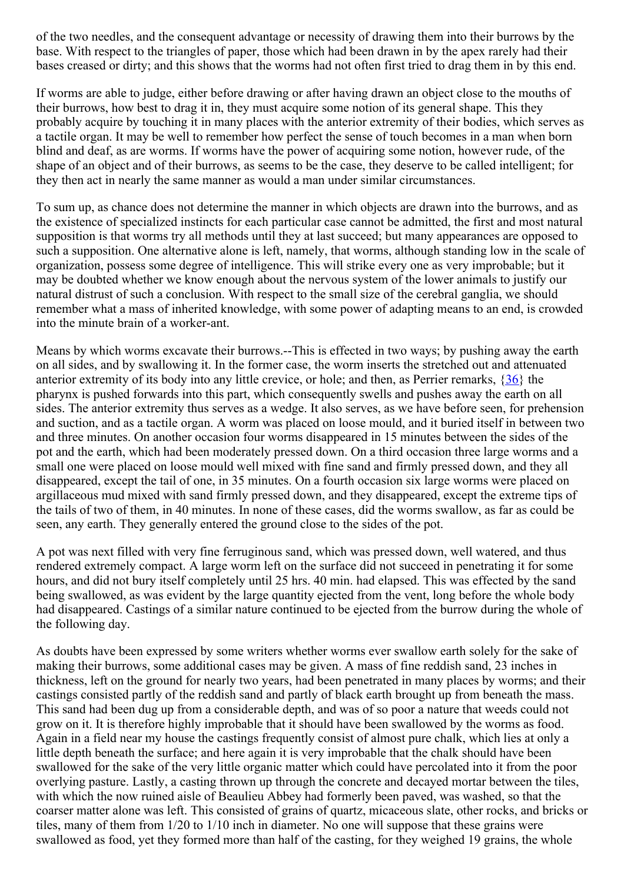of the two needles, and the consequent advantage or necessity of drawing them into their burrows by the base. With respect to the triangles of paper, those which had been drawn in by the apex rarely had their bases creased or dirty; and this shows that the worms had not often first tried to drag them in by this end.

If worms are able to judge, either before drawing or after having drawn an object close to the mouths of their burrows, how best to drag it in, they must acquire some notion of its general shape. This they probably acquire by touching it in many places with the anterior extremity of their bodies, which serves as a tactile organ. It may be well to remember how perfect the sense of touch becomes in a man when born blind and deaf, as are worms. If worms have the power of acquiring some notion, however rude, of the shape of an object and of their burrows, as seems to be the case, they deserve to be called intelligent; for they then act in nearly the same manner as would a man under similar circumstances.

To sum up, as chance does not determine the manner in which objects are drawn into the burrows, and as the existence of specialized instincts for each particular case cannot be admitted, the first and most natural supposition is that worms try all methods until they at last succeed; but many appearances are opposed to such a supposition. One alternative alone is left, namely, that worms, although standing low in the scale of organization, possess some degree of intelligence. This will strike every one as very improbable; but it may be doubted whether we know enough about the nervous system of the lower animals to justify our natural distrust of such a conclusion. With respect to the small size of the cerebral ganglia, we should remember what a mass of inherited knowledge, with some power of adapting means to an end, is crowded into the minute brain of a worker-ant.

Means by which worms excavate their burrows.--This is effected in two ways; by pushing away the earth on all sides, and by swallowing it. In the former case, the worm inserts the stretched out and attenuated anterior extremity of its body into any little crevice, or hole; and then, as Perrier remarks, [{36](#page-81-0)} the pharynx is pushed forwards into this part, which consequently swells and pushes away the earth on all sides. The anterior extremity thus serves as a wedge. It also serves, as we have before seen, for prehension and suction, and as a tactile organ. A worm was placed on loose mould, and it buried itself in between two and three minutes. On another occasion four worms disappeared in 15 minutes between the sides of the pot and the earth, which had been moderately pressed down. On a third occasion three large worms and a small one were placed on loose mould well mixed with fine sand and firmly pressed down, and they all disappeared, except the tail of one, in 35 minutes. On a fourth occasion six large worms were placed on argillaceous mud mixed with sand firmly pressed down, and they disappeared, except the extreme tips of the tails of two of them, in 40 minutes. In none of these cases, did the worms swallow, as far as could be seen, any earth. They generally entered the ground close to the sides of the pot.

A pot was next filled with very fine ferruginous sand, which was pressed down, well watered, and thus rendered extremely compact. A large worm left on the surface did not succeed in penetrating it for some hours, and did not bury itself completely until 25 hrs. 40 min. had elapsed. This was effected by the sand being swallowed, as was evident by the large quantity ejected from the vent, long before the whole body had disappeared. Castings of a similar nature continued to be ejected from the burrow during the whole of the following day.

As doubts have been expressed by some writers whether worms ever swallow earth solely for the sake of making their burrows, some additional cases may be given. A mass of fine reddish sand, 23 inches in thickness, left on the ground for nearly two years, had been penetrated in many places by worms; and their castings consisted partly of the reddish sand and partly of black earth brought up from beneath the mass. This sand had been dug up from a considerable depth, and was of so poor a nature that weeds could not grow on it. It is therefore highly improbable that it should have been swallowed by the worms as food. Again in a field near my house the castings frequently consist of almost pure chalk, which lies at only a little depth beneath the surface; and here again it is very improbable that the chalk should have been swallowed for the sake of the very little organic matter which could have percolated into it from the poor overlying pasture. Lastly, a casting thrown up through the concrete and decayed mortar between the tiles, with which the now ruined aisle of Beaulieu Abbey had formerly been paved, was washed, so that the coarser matter alone was left. This consisted of grains of quartz, micaceous slate, other rocks, and bricks or tiles, many of them from 1/20 to 1/10 inch in diameter. No one will suppose that these grains were swallowed as food, yet they formed more than half of the casting, for they weighed 19 grains, the whole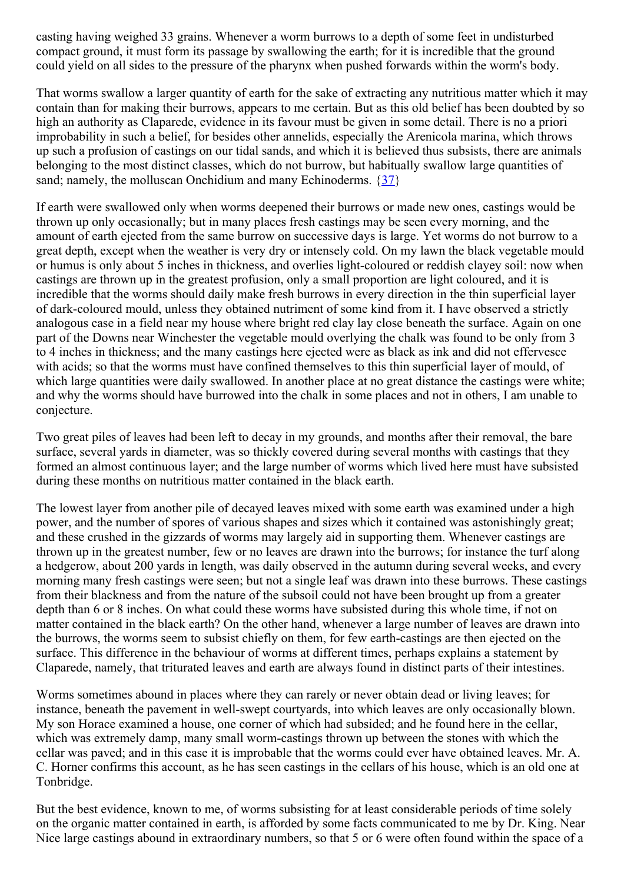casting having weighed 33 grains. Whenever a worm burrows to a depth of some feet in undisturbed compact ground, it must form its passage by swallowing the earth; for it is incredible that the ground could yield on all sides to the pressure of the pharynx when pushed forwards within the worm's body.

That worms swallow a larger quantity of earth for the sake of extracting any nutritious matter which it may contain than for making their burrows, appears to me certain. But as this old belief has been doubted by so high an authority as Claparede, evidence in its favour must be given in some detail. There is no a priori improbability in such a belief, for besides other annelids, especially the Arenicola marina, which throws up such a profusion of castings on our tidal sands, and which it is believed thus subsists, there are animals belonging to the most distinct classes, which do not burrow, but habitually swallow large quantities of sand; namely, the molluscan Onchidium and many Echinoderms.  $\{37\}$  $\{37\}$  $\{37\}$ 

If earth were swallowed only when worms deepened their burrows or made new ones, castings would be thrown up only occasionally; but in many places fresh castings may be seen every morning, and the amount of earth ejected from the same burrow on successive days is large. Yet worms do not burrow to a great depth, except when the weather is very dry or intensely cold. On my lawn the black vegetable mould or humus is only about 5 inches in thickness, and overlies light-coloured or reddish clayey soil: now when castings are thrown up in the greatest profusion, only a small proportion are light coloured, and it is incredible that the worms should daily make fresh burrows in every direction in the thin superficial layer of dark-coloured mould, unless they obtained nutriment of some kind from it. I have observed a strictly analogous case in a field near my house where bright red clay lay close beneath the surface. Again on one part of the Downs near Winchester the vegetable mould overlying the chalk was found to be only from 3 to 4 inches in thickness; and the many castings here ejected were as black as ink and did not effervesce with acids; so that the worms must have confined themselves to this thin superficial layer of mould, of which large quantities were daily swallowed. In another place at no great distance the castings were white; and why the worms should have burrowed into the chalk in some places and not in others, I am unable to conjecture.

Two great piles of leaves had been left to decay in my grounds, and months after their removal, the bare surface, several yards in diameter, was so thickly covered during several months with castings that they formed an almost continuous layer; and the large number of worms which lived here must have subsisted during these months on nutritious matter contained in the black earth.

The lowest layer from another pile of decayed leaves mixed with some earth was examined under a high power, and the number of spores of various shapes and sizes which it contained was astonishingly great; and these crushed in the gizzards of worms may largely aid in supporting them. Whenever castings are thrown up in the greatest number, few or no leaves are drawn into the burrows; for instance the turf along a hedgerow, about 200 yards in length, was daily observed in the autumn during several weeks, and every morning many fresh castings were seen; but not a single leaf was drawn into these burrows. These castings from their blackness and from the nature of the subsoil could not have been brought up from a greater depth than 6 or 8 inches. On what could these worms have subsisted during this whole time, if not on matter contained in the black earth? On the other hand, whenever a large number of leaves are drawn into the burrows, the worms seem to subsist chiefly on them, for few earth-castings are then ejected on the surface. This difference in the behaviour of worms at different times, perhaps explains a statement by Claparede, namely, that triturated leaves and earth are always found in distinct parts of their intestines.

Worms sometimes abound in places where they can rarely or never obtain dead or living leaves; for instance, beneath the pavement in well-swept courtyards, into which leaves are only occasionally blown. My son Horace examined a house, one corner of which had subsided; and he found here in the cellar, which was extremely damp, many small worm-castings thrown up between the stones with which the cellar was paved; and in this case it is improbable that the worms could ever have obtained leaves. Mr. A. C. Horner confirms this account, as he has seen castings in the cellars of his house, which is an old one at Tonbridge.

But the best evidence, known to me, of worms subsisting for at least considerable periods of time solely on the organic matter contained in earth, is afforded by some facts communicated to me by Dr. King. Near Nice large castings abound in extraordinary numbers, so that 5 or 6 were often found within the space of a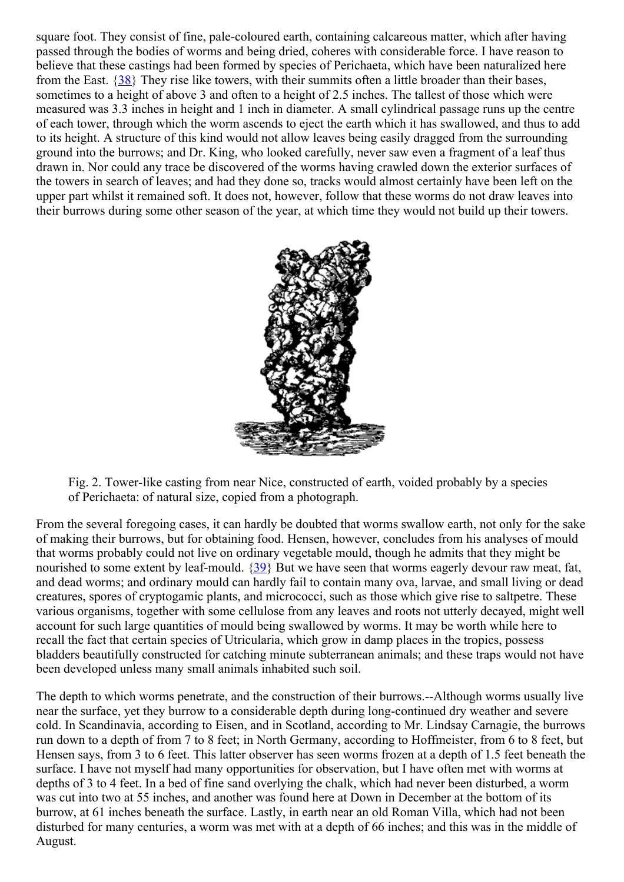square foot. They consist of fine, pale-coloured earth, containing calcareous matter, which after having passed through the bodies of worms and being dried, coheres with considerable force. I have reason to believe that these castings had been formed by species of Perichaeta, which have been naturalized here from the East. {[38](#page-81-0)} They rise like towers, with their summits often a little broader than their bases, sometimes to a height of above 3 and often to a height of 2.5 inches. The tallest of those which were measured was 3.3 inches in height and 1 inch in diameter. A small cylindrical passage runs up the centre of each tower, through which the worm ascends to eject the earth which it has swallowed, and thus to add to its height. A structure of this kind would not allow leaves being easily dragged from the surrounding ground into the burrows; and Dr. King, who looked carefully, never saw even a fragment of a leaf thus drawn in. Nor could any trace be discovered of the worms having crawled down the exterior surfaces of the towers in search of leaves; and had they done so, tracks would almost certainly have been left on the upper part whilst it remained soft. It does not, however, follow that these worms do not draw leaves into their burrows during some other season of the year, at which time they would not build up their towers.



Fig. 2. Tower-like casting from near Nice, constructed of earth, voided probably by a species of Perichaeta: of natural size, copied from a photograph.

From the several foregoing cases, it can hardly be doubted that worms swallow earth, not only for the sake of making their burrows, but for obtaining food. Hensen, however, concludes from his analyses of mould that worms probably could not live on ordinary vegetable mould, though he admits that they might be nourished to some extent by leaf-mould. [{39](#page-81-0)} But we have seen that worms eagerly devour raw meat, fat, and dead worms; and ordinary mould can hardly fail to contain many ova, larvae, and small living or dead creatures, spores of cryptogamic plants, and micrococci, such as those which give rise to saltpetre. These various organisms, together with some cellulose from any leaves and roots not utterly decayed, might well account for such large quantities of mould being swallowed by worms. It may be worth while here to recall the fact that certain species of Utricularia, which grow in damp places in the tropics, possess bladders beautifully constructed for catching minute subterranean animals; and these traps would not have been developed unless many small animals inhabited such soil.

The depth to which worms penetrate, and the construction of their burrows.--Although worms usually live near the surface, yet they burrow to a considerable depth during long-continued dry weather and severe cold. In Scandinavia, according to Eisen, and in Scotland, according to Mr. Lindsay Carnagie, the burrows run down to a depth of from 7 to 8 feet; in North Germany, according to Hoffmeister, from 6 to 8 feet, but Hensen says, from 3 to 6 feet. This latter observer has seen worms frozen at a depth of 1.5 feet beneath the surface. I have not myself had many opportunities for observation, but I have often met with worms at depths of 3 to 4 feet. In a bed of fine sand overlying the chalk, which had never been disturbed, a worm was cut into two at 55 inches, and another was found here at Down in December at the bottom of its burrow, at 61 inches beneath the surface. Lastly, in earth near an old Roman Villa, which had not been disturbed for many centuries, a worm was met with at a depth of 66 inches; and this was in the middle of August.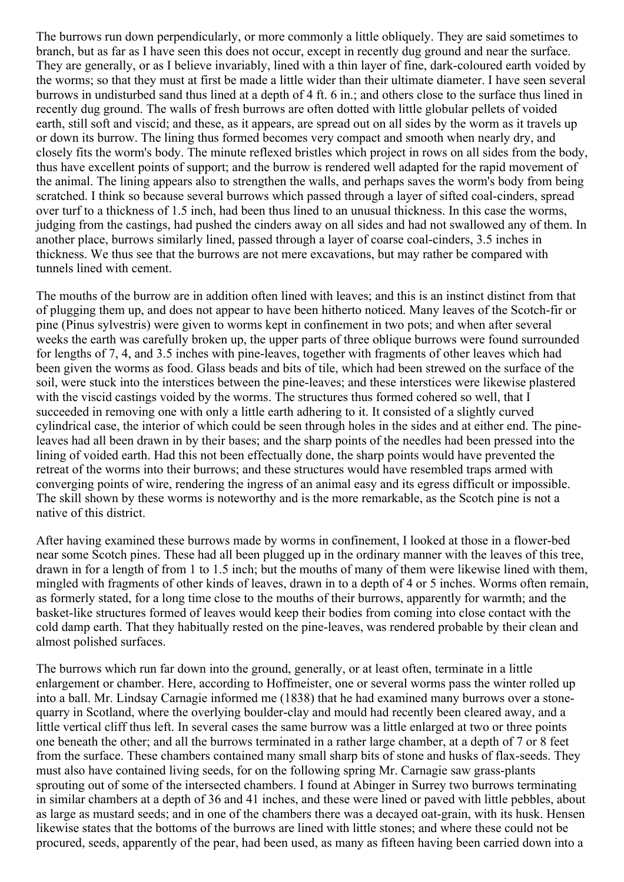The burrows run down perpendicularly, or more commonly a little obliquely. They are said sometimes to branch, but as far as I have seen this does not occur, except in recently dug ground and near the surface. They are generally, or as I believe invariably, lined with a thin layer of fine, dark-coloured earth voided by the worms; so that they must at first be made a little wider than their ultimate diameter. I have seen several burrows in undisturbed sand thus lined at a depth of 4 ft. 6 in.; and others close to the surface thus lined in recently dug ground. The walls of fresh burrows are often dotted with little globular pellets of voided earth, still soft and viscid; and these, as it appears, are spread out on all sides by the worm as it travels up or down its burrow. The lining thus formed becomes very compact and smooth when nearly dry, and closely fits the worm's body. The minute reflexed bristles which project in rows on all sides from the body, thus have excellent points of support; and the burrow is rendered well adapted for the rapid movement of the animal. The lining appears also to strengthen the walls, and perhaps saves the worm's body from being scratched. I think so because several burrows which passed through a layer of sifted coal-cinders, spread over turf to a thickness of 1.5 inch, had been thus lined to an unusual thickness. In this case the worms, judging from the castings, had pushed the cinders away on all sides and had not swallowed any of them. In another place, burrows similarly lined, passed through a layer of coarse coal-cinders, 3.5 inches in thickness. We thus see that the burrows are not mere excavations, but may rather be compared with tunnels lined with cement.

The mouths of the burrow are in addition often lined with leaves; and this is an instinct distinct from that of plugging them up, and does not appear to have been hitherto noticed. Many leaves of the Scotch-fir or pine (Pinus sylvestris) were given to worms kept in confinement in two pots; and when after several weeks the earth was carefully broken up, the upper parts of three oblique burrows were found surrounded for lengths of 7, 4, and 3.5 inches with pine-leaves, together with fragments of other leaves which had been given the worms as food. Glass beads and bits of tile, which had been strewed on the surface of the soil, were stuck into the interstices between the pine-leaves; and these interstices were likewise plastered with the viscid castings voided by the worms. The structures thus formed cohered so well, that I succeeded in removing one with only a little earth adhering to it. It consisted of a slightly curved cylindrical case, the interior of which could be seen through holes in the sides and at either end. The pineleaves had all been drawn in by their bases; and the sharp points of the needles had been pressed into the lining of voided earth. Had this not been effectually done, the sharp points would have prevented the retreat of the worms into their burrows; and these structures would have resembled traps armed with converging points of wire, rendering the ingress of an animal easy and its egress difficult or impossible. The skill shown by these worms is noteworthy and is the more remarkable, as the Scotch pine is not a native of this district.

After having examined these burrows made by worms in confinement, I looked at those in a flower-bed near some Scotch pines. These had all been plugged up in the ordinary manner with the leaves of this tree, drawn in for a length of from 1 to 1.5 inch; but the mouths of many of them were likewise lined with them, mingled with fragments of other kinds of leaves, drawn in to a depth of 4 or 5 inches. Worms often remain, as formerly stated, for a long time close to the mouths of their burrows, apparently for warmth; and the basket-like structures formed of leaves would keep their bodies from coming into close contact with the cold damp earth. That they habitually rested on the pine-leaves, was rendered probable by their clean and almost polished surfaces.

The burrows which run far down into the ground, generally, or at least often, terminate in a little enlargement or chamber. Here, according to Hoffmeister, one or several worms pass the winter rolled up into a ball. Mr. Lindsay Carnagie informed me (1838) that he had examined many burrows over a stonequarry in Scotland, where the overlying boulder-clay and mould had recently been cleared away, and a little vertical cliff thus left. In several cases the same burrow was a little enlarged at two or three points one beneath the other; and all the burrows terminated in a rather large chamber, at a depth of 7 or 8 feet from the surface. These chambers contained many small sharp bits of stone and husks of flax-seeds. They must also have contained living seeds, for on the following spring Mr. Carnagie saw grass-plants sprouting out of some of the intersected chambers. I found at Abinger in Surrey two burrows terminating in similar chambers at a depth of 36 and 41 inches, and these were lined or paved with little pebbles, about as large as mustard seeds; and in one of the chambers there was a decayed oat-grain, with its husk. Hensen likewise states that the bottoms of the burrows are lined with little stones; and where these could not be procured, seeds, apparently of the pear, had been used, as many as fifteen having been carried down into a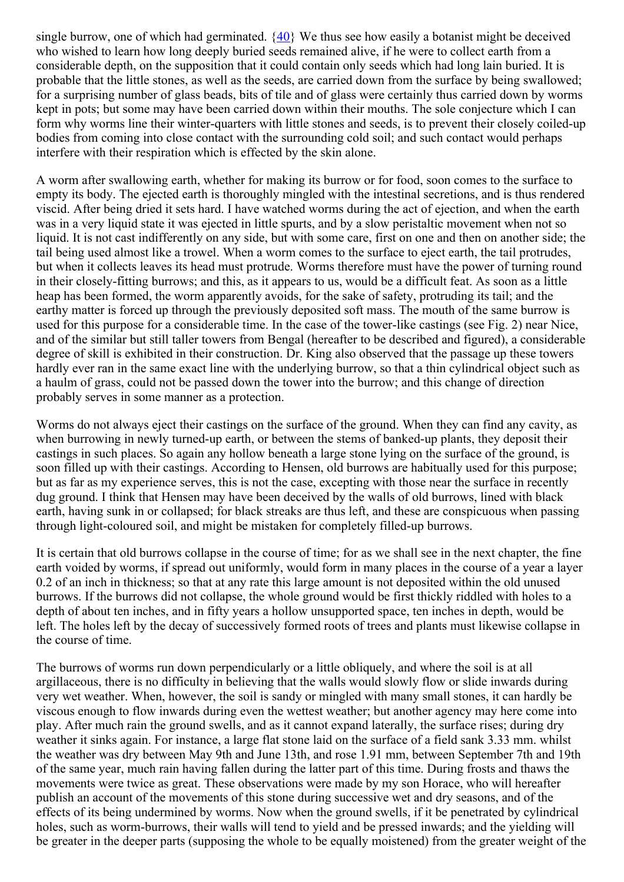single burrow, one of which had germinated.  $\{40\}$  $\{40\}$  $\{40\}$  We thus see how easily a botanist might be deceived who wished to learn how long deeply buried seeds remained alive, if he were to collect earth from a considerable depth, on the supposition that it could contain only seeds which had long lain buried. It is probable that the little stones, as well as the seeds, are carried down from the surface by being swallowed; for a surprising number of glass beads, bits of tile and of glass were certainly thus carried down by worms kept in pots; but some may have been carried down within their mouths. The sole conjecture which I can form why worms line their winter-quarters with little stones and seeds, is to prevent their closely coiled-up bodies from coming into close contact with the surrounding cold soil; and such contact would perhaps interfere with their respiration which is effected by the skin alone.

A worm after swallowing earth, whether for making its burrow or for food, soon comes to the surface to empty its body. The ejected earth is thoroughly mingled with the intestinal secretions, and is thus rendered viscid. After being dried it sets hard. I have watched worms during the act of ejection, and when the earth was in a very liquid state it was ejected in little spurts, and by a slow peristaltic movement when not so liquid. It is not cast indifferently on any side, but with some care, first on one and then on another side; the tail being used almost like a trowel. When a worm comes to the surface to eject earth, the tail protrudes, but when it collects leaves its head must protrude. Worms therefore must have the power of turning round in their closely-fitting burrows; and this, as it appears to us, would be a difficult feat. As soon as a little heap has been formed, the worm apparently avoids, for the sake of safety, protruding its tail; and the earthy matter is forced up through the previously deposited soft mass. The mouth of the same burrow is used for this purpose for a considerable time. In the case of the tower-like castings (see Fig. 2) near Nice, and of the similar but still taller towers from Bengal (hereafter to be described and figured), a considerable degree of skill is exhibited in their construction. Dr. King also observed that the passage up these towers hardly ever ran in the same exact line with the underlying burrow, so that a thin cylindrical object such as a haulm of grass, could not be passed down the tower into the burrow; and this change of direction probably serves in some manner as a protection.

Worms do not always eject their castings on the surface of the ground. When they can find any cavity, as when burrowing in newly turned-up earth, or between the stems of banked-up plants, they deposit their castings in such places. So again any hollow beneath a large stone lying on the surface of the ground, is soon filled up with their castings. According to Hensen, old burrows are habitually used for this purpose; but as far as my experience serves, this is not the case, excepting with those near the surface in recently dug ground. I think that Hensen may have been deceived by the walls of old burrows, lined with black earth, having sunk in or collapsed; for black streaks are thus left, and these are conspicuous when passing through light-coloured soil, and might be mistaken for completely filled-up burrows.

It is certain that old burrows collapse in the course of time; for as we shall see in the next chapter, the fine earth voided by worms, if spread out uniformly, would form in many places in the course of a year a layer 0.2 of an inch in thickness; so that at any rate this large amount is not deposited within the old unused burrows. If the burrows did not collapse, the whole ground would be first thickly riddled with holes to a depth of about ten inches, and in fifty years a hollow unsupported space, ten inches in depth, would be left. The holes left by the decay of successively formed roots of trees and plants must likewise collapse in the course of time.

The burrows of worms run down perpendicularly or a little obliquely, and where the soil is at all argillaceous, there is no difficulty in believing that the walls would slowly flow or slide inwards during very wet weather. When, however, the soil is sandy or mingled with many small stones, it can hardly be viscous enough to flow inwards during even the wettest weather; but another agency may here come into play. After much rain the ground swells, and as it cannot expand laterally, the surface rises; during dry weather it sinks again. For instance, a large flat stone laid on the surface of a field sank 3.33 mm. whilst the weather was dry between May 9th and June 13th, and rose 1.91 mm, between September 7th and 19th of the same year, much rain having fallen during the latter part of this time. During frosts and thaws the movements were twice as great. These observations were made by my son Horace, who will hereafter publish an account of the movements of this stone during successive wet and dry seasons, and of the effects of its being undermined by worms. Now when the ground swells, if it be penetrated by cylindrical holes, such as worm-burrows, their walls will tend to yield and be pressed inwards; and the yielding will be greater in the deeper parts (supposing the whole to be equally moistened) from the greater weight of the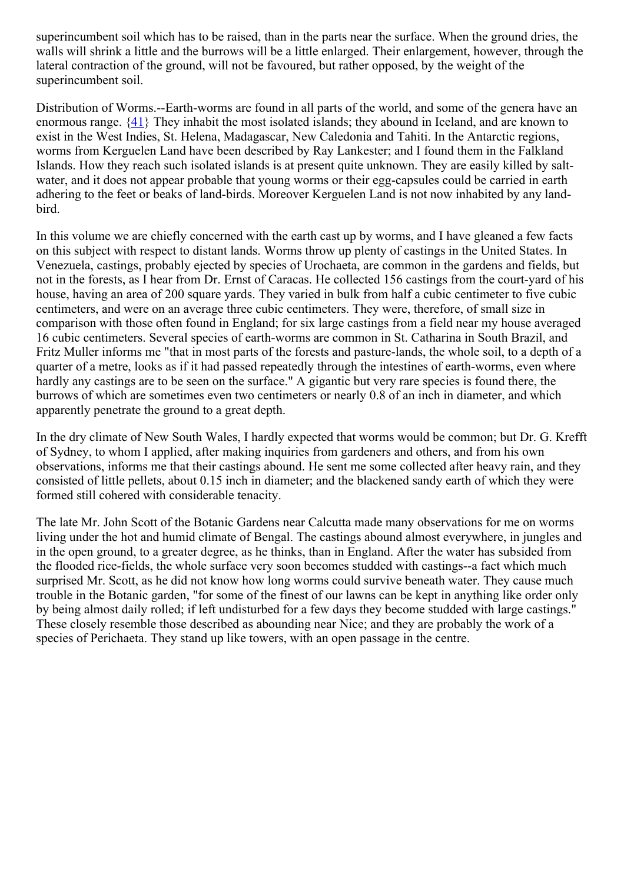superincumbent soil which has to be raised, than in the parts near the surface. When the ground dries, the walls will shrink a little and the burrows will be a little enlarged. Their enlargement, however, through the lateral contraction of the ground, will not be favoured, but rather opposed, by the weight of the superincumbent soil.

Distribution of Worms.--Earth-worms are found in all parts of the world, and some of the genera have an enormous range. [{41](#page-81-0)} They inhabit the most isolated islands; they abound in Iceland, and are known to exist in the West Indies, St. Helena, Madagascar, New Caledonia and Tahiti. In the Antarctic regions, worms from Kerguelen Land have been described by Ray Lankester; and I found them in the Falkland Islands. How they reach such isolated islands is at present quite unknown. They are easily killed by saltwater, and it does not appear probable that young worms or their egg-capsules could be carried in earth adhering to the feet or beaks of land-birds. Moreover Kerguelen Land is not now inhabited by any landbird.

In this volume we are chiefly concerned with the earth cast up by worms, and I have gleaned a few facts on this subject with respect to distant lands. Worms throw up plenty of castings in the United States. In Venezuela, castings, probably ejected by species of Urochaeta, are common in the gardens and fields, but not in the forests, as I hear from Dr. Ernst of Caracas. He collected 156 castings from the court-yard of his house, having an area of 200 square yards. They varied in bulk from half a cubic centimeter to five cubic centimeters, and were on an average three cubic centimeters. They were, therefore, of small size in comparison with those often found in England; for six large castings from a field near my house averaged 16 cubic centimeters. Several species of earth-worms are common in St. Catharina in South Brazil, and Fritz Muller informs me "that in most parts of the forests and pasture-lands, the whole soil, to a depth of a quarter of a metre, looks as if it had passed repeatedly through the intestines of earth-worms, even where hardly any castings are to be seen on the surface." A gigantic but very rare species is found there, the burrows of which are sometimes even two centimeters or nearly 0.8 of an inch in diameter, and which apparently penetrate the ground to a great depth.

In the dry climate of New South Wales, I hardly expected that worms would be common; but Dr. G. Krefft of Sydney, to whom I applied, after making inquiries from gardeners and others, and from his own observations, informs me that their castings abound. He sent me some collected after heavy rain, and they consisted of little pellets, about 0.15 inch in diameter; and the blackened sandy earth of which they were formed still cohered with considerable tenacity.

The late Mr. John Scott of the Botanic Gardens near Calcutta made many observations for me on worms living under the hot and humid climate of Bengal. The castings abound almost everywhere, in jungles and in the open ground, to a greater degree, as he thinks, than in England. After the water has subsided from the flooded rice-fields, the whole surface very soon becomes studded with castings--a fact which much surprised Mr. Scott, as he did not know how long worms could survive beneath water. They cause much trouble in the Botanic garden, "for some of the finest of our lawns can be kept in anything like order only by being almost daily rolled; if left undisturbed for a few days they become studded with large castings." These closely resemble those described as abounding near Nice; and they are probably the work of a species of Perichaeta. They stand up like towers, with an open passage in the centre.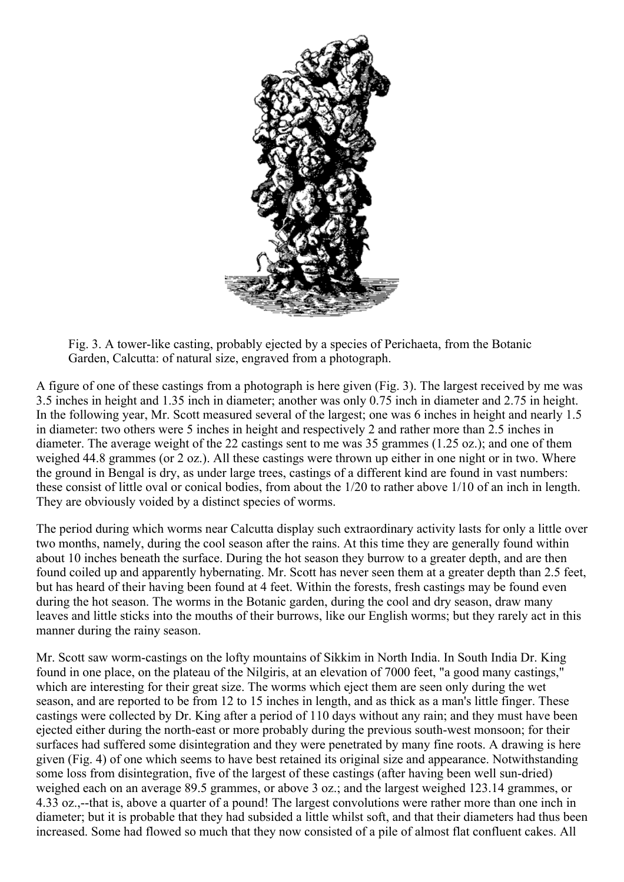

Fig. 3. A tower-like casting, probably ejected by a species of Perichaeta, from the Botanic Garden, Calcutta: of natural size, engraved from a photograph.

A figure of one of these castings from a photograph is here given (Fig. 3). The largest received by me was 3.5 inches in height and 1.35 inch in diameter; another was only 0.75 inch in diameter and 2.75 in height. In the following year, Mr. Scott measured several of the largest; one was 6 inches in height and nearly 1.5 in diameter: two others were 5 inches in height and respectively 2 and rather more than 2.5 inches in diameter. The average weight of the 22 castings sent to me was 35 grammes (1.25 oz.); and one of them weighed 44.8 grammes (or 2 oz.). All these castings were thrown up either in one night or in two. Where the ground in Bengal is dry, as under large trees, castings of a different kind are found in vast numbers: these consist of little oval or conical bodies, from about the 1/20 to rather above 1/10 of an inch in length. They are obviously voided by a distinct species of worms.

The period during which worms near Calcutta display such extraordinary activity lasts for only a little over two months, namely, during the cool season after the rains. At this time they are generally found within about 10 inches beneath the surface. During the hot season they burrow to a greater depth, and are then found coiled up and apparently hybernating. Mr. Scott has never seen them at a greater depth than 2.5 feet, but has heard of their having been found at 4 feet. Within the forests, fresh castings may be found even during the hot season. The worms in the Botanic garden, during the cool and dry season, draw many leaves and little sticks into the mouths of their burrows, like our English worms; but they rarely act in this manner during the rainy season.

Mr. Scott saw worm-castings on the lofty mountains of Sikkim in North India. In South India Dr. King found in one place, on the plateau of the Nilgiris, at an elevation of 7000 feet, "a good many castings," which are interesting for their great size. The worms which eject them are seen only during the wet season, and are reported to be from 12 to 15 inches in length, and as thick as a man's little finger. These castings were collected by Dr. King after a period of 110 days without any rain; and they must have been ejected either during the north-east or more probably during the previous south-west monsoon; for their surfaces had suffered some disintegration and they were penetrated by many fine roots. A drawing is here given (Fig. 4) of one which seems to have best retained its original size and appearance. Notwithstanding some loss from disintegration, five of the largest of these castings (after having been well sun-dried) weighed each on an average 89.5 grammes, or above 3 oz.; and the largest weighed 123.14 grammes, or 4.33 oz.,--that is, above a quarter of a pound! The largest convolutions were rather more than one inch in diameter; but it is probable that they had subsided a little whilst soft, and that their diameters had thus been increased. Some had flowed so much that they now consisted of a pile of almost flat confluent cakes. All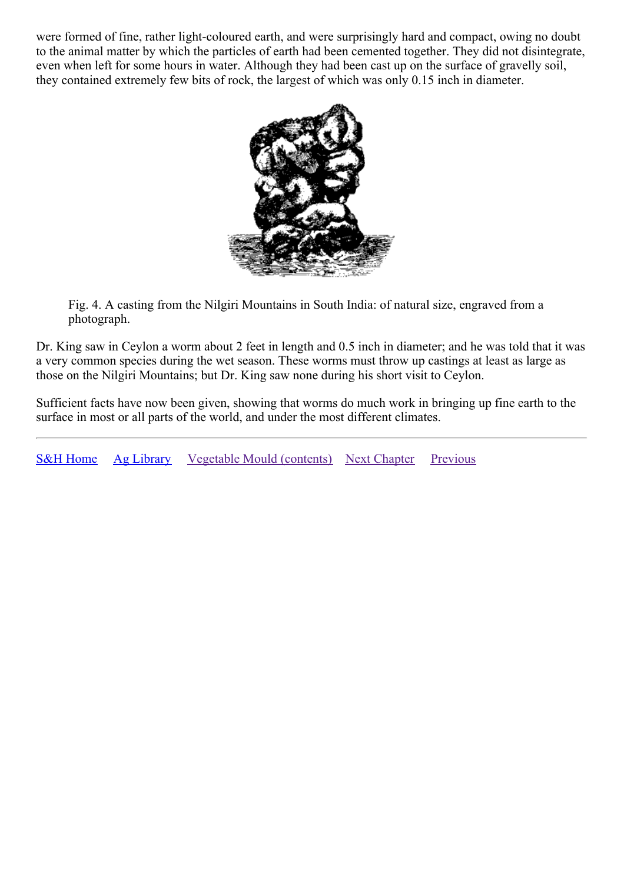were formed of fine, rather light-coloured earth, and were surprisingly hard and compact, owing no doubt to the animal matter by which the particles of earth had been cemented together. They did not disintegrate, even when left for some hours in water. Although they had been cast up on the surface of gravelly soil, they contained extremely few bits of rock, the largest of which was only 0.15 inch in diameter.



Fig. 4. A casting from the Nilgiri Mountains in South India: of natural size, engraved from a photograph.

Dr. King saw in Ceylon a worm about 2 feet in length and 0.5 inch in diameter; and he was told that it was a very common species during the wet season. These worms must throw up castings at least as large as those on the Nilgiri Mountains; but Dr. King saw none during his short visit to Ceylon.

Sufficient facts have now been given, showing that worms do much work in bringing up fine earth to the surface in most or all parts of the world, and under the most different climates.

S&H [Home](http://www.soilandhealth.org/) Ag [Library](http://www.soilandhealth.org/01aglibrary/01aglibwelcome.html) [Vegetable](#page-0-0) Mould (contents) Next [Chapter](#page-42-0) [Previous](#page-14-0)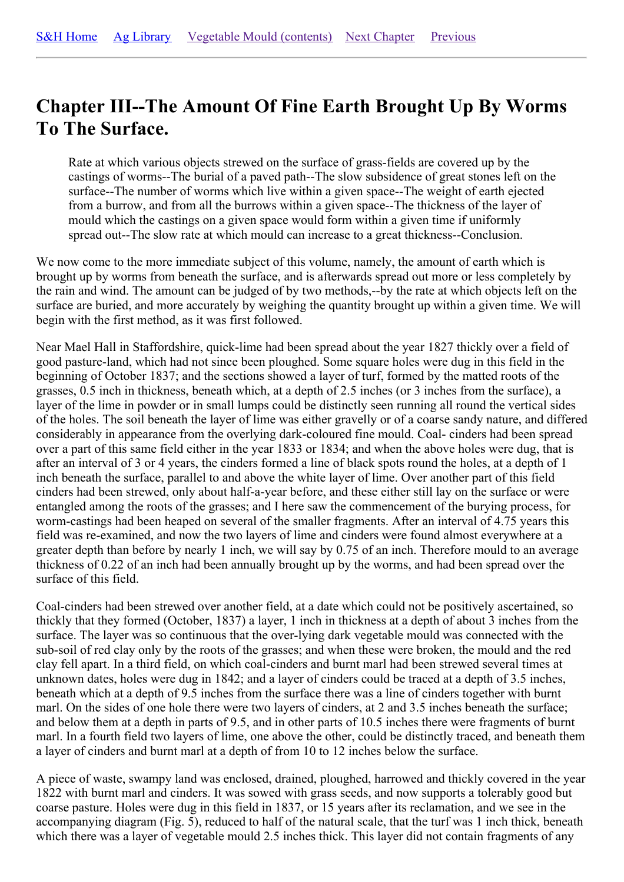## **Chapter III--The Amount Of Fine Earth Brought Up By Worms To The Surface.**

Rate at which various objects strewed on the surface of grass-fields are covered up by the castings of worms--The burial of a paved path--The slow subsidence of great stones left on the surface--The number of worms which live within a given space--The weight of earth ejected from a burrow, and from all the burrows within a given space--The thickness of the layer of mould which the castings on a given space would form within a given time if uniformly spread out--The slow rate at which mould can increase to a great thickness--Conclusion.

We now come to the more immediate subject of this volume, namely, the amount of earth which is brought up by worms from beneath the surface, and is afterwards spread out more or less completely by the rain and wind. The amount can be judged of by two methods,--by the rate at which objects left on the surface are buried, and more accurately by weighing the quantity brought up within a given time. We will begin with the first method, as it was first followed.

Near Mael Hall in Staffordshire, quick-lime had been spread about the year 1827 thickly over a field of good pasture-land, which had not since been ploughed. Some square holes were dug in this field in the beginning of October 1837; and the sections showed a layer of turf, formed by the matted roots of the grasses, 0.5 inch in thickness, beneath which, at a depth of 2.5 inches (or 3 inches from the surface), a layer of the lime in powder or in small lumps could be distinctly seen running all round the vertical sides of the holes. The soil beneath the layer of lime was either gravelly or of a coarse sandy nature, and differed considerably in appearance from the overlying dark-coloured fine mould. Coal- cinders had been spread over a part of this same field either in the year 1833 or 1834; and when the above holes were dug, that is after an interval of 3 or 4 years, the cinders formed a line of black spots round the holes, at a depth of 1 inch beneath the surface, parallel to and above the white layer of lime. Over another part of this field cinders had been strewed, only about half-a-year before, and these either still lay on the surface or were entangled among the roots of the grasses; and I here saw the commencement of the burying process, for worm-castings had been heaped on several of the smaller fragments. After an interval of 4.75 years this field was re-examined, and now the two layers of lime and cinders were found almost everywhere at a greater depth than before by nearly 1 inch, we will say by 0.75 of an inch. Therefore mould to an average thickness of 0.22 of an inch had been annually brought up by the worms, and had been spread over the surface of this field.

Coal-cinders had been strewed over another field, at a date which could not be positively ascertained, so thickly that they formed (October, 1837) a layer, 1 inch in thickness at a depth of about 3 inches from the surface. The layer was so continuous that the over-lying dark vegetable mould was connected with the sub-soil of red clay only by the roots of the grasses; and when these were broken, the mould and the red clay fell apart. In a third field, on which coal-cinders and burnt marl had been strewed several times at unknown dates, holes were dug in 1842; and a layer of cinders could be traced at a depth of 3.5 inches, beneath which at a depth of 9.5 inches from the surface there was a line of cinders together with burnt marl. On the sides of one hole there were two layers of cinders, at 2 and 3.5 inches beneath the surface; and below them at a depth in parts of 9.5, and in other parts of 10.5 inches there were fragments of burnt marl. In a fourth field two layers of lime, one above the other, could be distinctly traced, and beneath them a layer of cinders and burnt marl at a depth of from 10 to 12 inches below the surface.

A piece of waste, swampy land was enclosed, drained, ploughed, harrowed and thickly covered in the year 1822 with burnt marl and cinders. It was sowed with grass seeds, and now supports a tolerably good but coarse pasture. Holes were dug in this field in 1837, or 15 years after its reclamation, and we see in the accompanying diagram (Fig. 5), reduced to half of the natural scale, that the turf was 1 inch thick, beneath which there was a layer of vegetable mould 2.5 inches thick. This layer did not contain fragments of any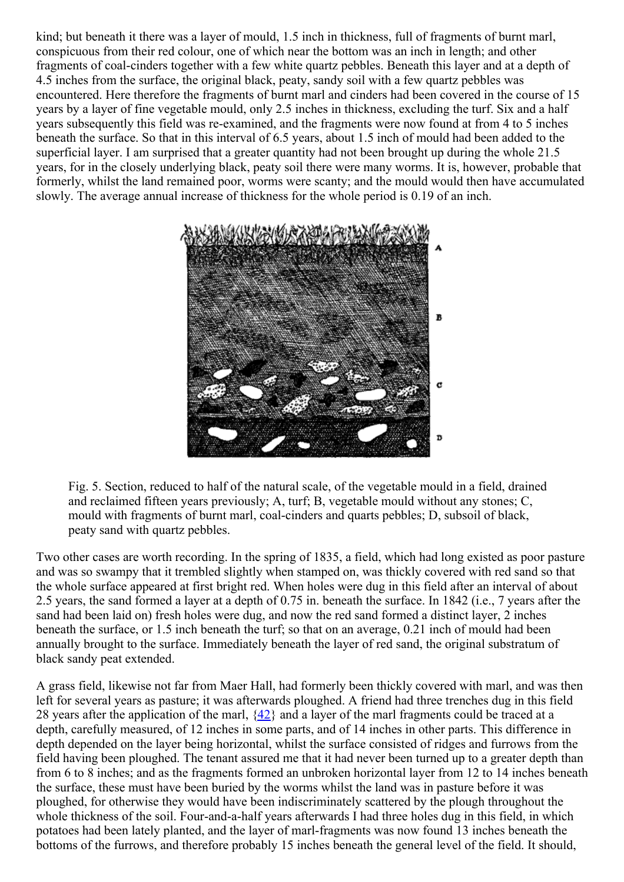kind; but beneath it there was a layer of mould, 1.5 inch in thickness, full of fragments of burnt marl, conspicuous from their red colour, one of which near the bottom was an inch in length; and other fragments of coal-cinders together with a few white quartz pebbles. Beneath this layer and at a depth of 4.5 inches from the surface, the original black, peaty, sandy soil with a few quartz pebbles was encountered. Here therefore the fragments of burnt marl and cinders had been covered in the course of 15 years by a layer of fine vegetable mould, only 2.5 inches in thickness, excluding the turf. Six and a half years subsequently this field was re-examined, and the fragments were now found at from 4 to 5 inches beneath the surface. So that in this interval of 6.5 years, about 1.5 inch of mould had been added to the superficial layer. I am surprised that a greater quantity had not been brought up during the whole 21.5 years, for in the closely underlying black, peaty soil there were many worms. It is, however, probable that formerly, whilst the land remained poor, worms were scanty; and the mould would then have accumulated slowly. The average annual increase of thickness for the whole period is 0.19 of an inch.



Fig. 5. Section, reduced to half of the natural scale, of the vegetable mould in a field, drained and reclaimed fifteen years previously; A, turf; B, vegetable mould without any stones; C, mould with fragments of burnt marl, coal-cinders and quarts pebbles; D, subsoil of black, peaty sand with quartz pebbles.

Two other cases are worth recording. In the spring of 1835, a field, which had long existed as poor pasture and was so swampy that it trembled slightly when stamped on, was thickly covered with red sand so that the whole surface appeared at first bright red. When holes were dug in this field after an interval of about 2.5 years, the sand formed a layer at a depth of 0.75 in. beneath the surface. In 1842 (i.e., 7 years after the sand had been laid on) fresh holes were dug, and now the red sand formed a distinct layer, 2 inches beneath the surface, or 1.5 inch beneath the turf; so that on an average, 0.21 inch of mould had been annually brought to the surface. Immediately beneath the layer of red sand, the original substratum of black sandy peat extended.

A grass field, likewise not far from Maer Hall, had formerly been thickly covered with marl, and was then left for several years as pasture; it was afterwards ploughed. A friend had three trenches dug in this field 28 years after the application of the marl,  $\{42\}$  $\{42\}$  $\{42\}$  and a layer of the marl fragments could be traced at a depth, carefully measured, of 12 inches in some parts, and of 14 inches in other parts. This difference in depth depended on the layer being horizontal, whilst the surface consisted of ridges and furrows from the field having been ploughed. The tenant assured me that it had never been turned up to a greater depth than from 6 to 8 inches; and as the fragments formed an unbroken horizontal layer from 12 to 14 inches beneath the surface, these must have been buried by the worms whilst the land was in pasture before it was ploughed, for otherwise they would have been indiscriminately scattered by the plough throughout the whole thickness of the soil. Four-and-a-half years afterwards I had three holes dug in this field, in which potatoes had been lately planted, and the layer of marl-fragments was now found 13 inches beneath the bottoms of the furrows, and therefore probably 15 inches beneath the general level of the field. It should,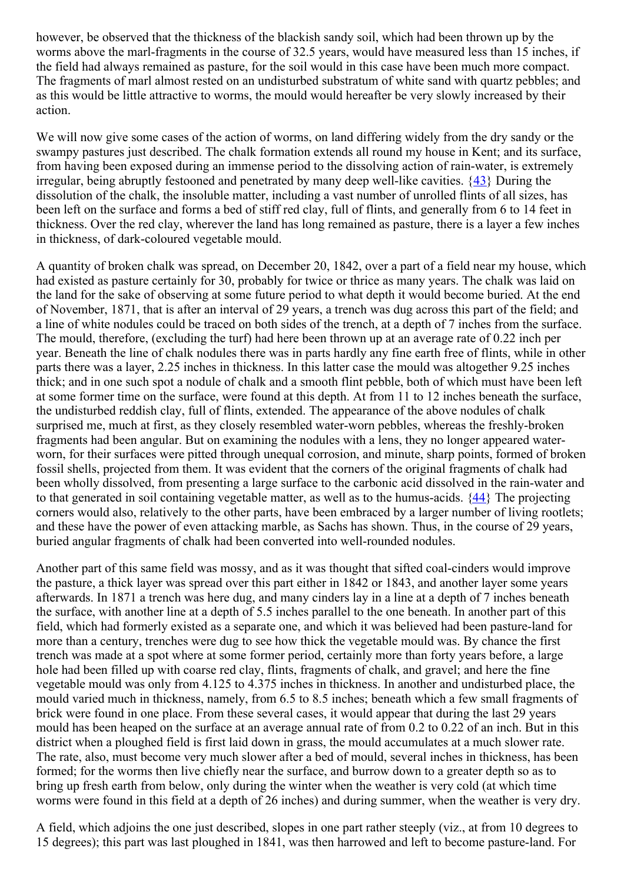however, be observed that the thickness of the blackish sandy soil, which had been thrown up by the worms above the marl-fragments in the course of 32.5 years, would have measured less than 15 inches, if the field had always remained as pasture, for the soil would in this case have been much more compact. The fragments of marl almost rested on an undisturbed substratum of white sand with quartz pebbles; and as this would be little attractive to worms, the mould would hereafter be very slowly increased by their action.

We will now give some cases of the action of worms, on land differing widely from the dry sandy or the swampy pastures just described. The chalk formation extends all round my house in Kent; and its surface, from having been exposed during an immense period to the dissolving action of rain-water, is extremely irregular, being abruptly festooned and penetrated by many deep well-like cavities. [{43](#page-81-0)} During the dissolution of the chalk, the insoluble matter, including a vast number of unrolled flints of all sizes, has been left on the surface and forms a bed of stiff red clay, full of flints, and generally from 6 to 14 feet in thickness. Over the red clay, wherever the land has long remained as pasture, there is a layer a few inches in thickness, of dark-coloured vegetable mould.

A quantity of broken chalk was spread, on December 20, 1842, over a part of a field near my house, which had existed as pasture certainly for 30, probably for twice or thrice as many years. The chalk was laid on the land for the sake of observing at some future period to what depth it would become buried. At the end of November, 1871, that is after an interval of 29 years, a trench was dug across this part of the field; and a line of white nodules could be traced on both sides of the trench, at a depth of 7 inches from the surface. The mould, therefore, (excluding the turf) had here been thrown up at an average rate of 0.22 inch per year. Beneath the line of chalk nodules there was in parts hardly any fine earth free of flints, while in other parts there was a layer, 2.25 inches in thickness. In this latter case the mould was altogether 9.25 inches thick; and in one such spot a nodule of chalk and a smooth flint pebble, both of which must have been left at some former time on the surface, were found at this depth. At from 11 to 12 inches beneath the surface, the undisturbed reddish clay, full of flints, extended. The appearance of the above nodules of chalk surprised me, much at first, as they closely resembled water-worn pebbles, whereas the freshly-broken fragments had been angular. But on examining the nodules with a lens, they no longer appeared waterworn, for their surfaces were pitted through unequal corrosion, and minute, sharp points, formed of broken fossil shells, projected from them. It was evident that the corners of the original fragments of chalk had been wholly dissolved, from presenting a large surface to the carbonic acid dissolved in the rain-water and to that generated in soil containing vegetable matter, as well as to the humus-acids.  $\{44\}$  $\{44\}$  $\{44\}$  The projecting corners would also, relatively to the other parts, have been embraced by a larger number of living rootlets; and these have the power of even attacking marble, as Sachs has shown. Thus, in the course of 29 years, buried angular fragments of chalk had been converted into well-rounded nodules.

Another part of this same field was mossy, and as it was thought that sifted coal-cinders would improve the pasture, a thick layer was spread over this part either in 1842 or 1843, and another layer some years afterwards. In 1871 a trench was here dug, and many cinders lay in a line at a depth of 7 inches beneath the surface, with another line at a depth of 5.5 inches parallel to the one beneath. In another part of this field, which had formerly existed as a separate one, and which it was believed had been pasture-land for more than a century, trenches were dug to see how thick the vegetable mould was. By chance the first trench was made at a spot where at some former period, certainly more than forty years before, a large hole had been filled up with coarse red clay, flints, fragments of chalk, and gravel; and here the fine vegetable mould was only from 4.125 to 4.375 inches in thickness. In another and undisturbed place, the mould varied much in thickness, namely, from 6.5 to 8.5 inches; beneath which a few small fragments of brick were found in one place. From these several cases, it would appear that during the last 29 years mould has been heaped on the surface at an average annual rate of from 0.2 to 0.22 of an inch. But in this district when a ploughed field is first laid down in grass, the mould accumulates at a much slower rate. The rate, also, must become very much slower after a bed of mould, several inches in thickness, has been formed; for the worms then live chiefly near the surface, and burrow down to a greater depth so as to bring up fresh earth from below, only during the winter when the weather is very cold (at which time worms were found in this field at a depth of 26 inches) and during summer, when the weather is very dry.

A field, which adjoins the one just described, slopes in one part rather steeply (viz., at from 10 degrees to 15 degrees); this part was last ploughed in 1841, was then harrowed and left to become pasture-land. For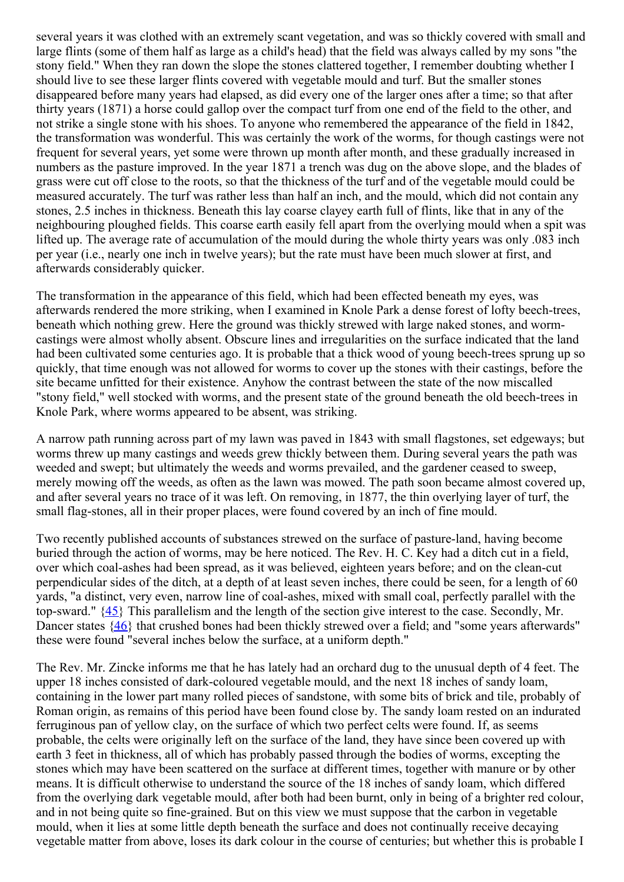several years it was clothed with an extremely scant vegetation, and was so thickly covered with small and large flints (some of them half as large as a child's head) that the field was always called by my sons "the stony field." When they ran down the slope the stones clattered together, I remember doubting whether I should live to see these larger flints covered with vegetable mould and turf. But the smaller stones disappeared before many years had elapsed, as did every one of the larger ones after a time; so that after thirty years (1871) a horse could gallop over the compact turf from one end of the field to the other, and not strike a single stone with his shoes. To anyone who remembered the appearance of the field in 1842, the transformation was wonderful. This was certainly the work of the worms, for though castings were not frequent for several years, yet some were thrown up month after month, and these gradually increased in numbers as the pasture improved. In the year 1871 a trench was dug on the above slope, and the blades of grass were cut off close to the roots, so that the thickness of the turf and of the vegetable mould could be measured accurately. The turf was rather less than half an inch, and the mould, which did not contain any stones, 2.5 inches in thickness. Beneath this lay coarse clayey earth full of flints, like that in any of the neighbouring ploughed fields. This coarse earth easily fell apart from the overlying mould when a spit was lifted up. The average rate of accumulation of the mould during the whole thirty years was only .083 inch per year (i.e., nearly one inch in twelve years); but the rate must have been much slower at first, and afterwards considerably quicker.

The transformation in the appearance of this field, which had been effected beneath my eyes, was afterwards rendered the more striking, when I examined in Knole Park a dense forest of lofty beech-trees, beneath which nothing grew. Here the ground was thickly strewed with large naked stones, and wormcastings were almost wholly absent. Obscure lines and irregularities on the surface indicated that the land had been cultivated some centuries ago. It is probable that a thick wood of young beech-trees sprung up so quickly, that time enough was not allowed for worms to cover up the stones with their castings, before the site became unfitted for their existence. Anyhow the contrast between the state of the now miscalled "stony field," well stocked with worms, and the present state of the ground beneath the old beech-trees in Knole Park, where worms appeared to be absent, was striking.

A narrow path running across part of my lawn was paved in 1843 with small flagstones, set edgeways; but worms threw up many castings and weeds grew thickly between them. During several years the path was weeded and swept; but ultimately the weeds and worms prevailed, and the gardener ceased to sweep, merely mowing off the weeds, as often as the lawn was mowed. The path soon became almost covered up, and after several years no trace of it was left. On removing, in 1877, the thin overlying layer of turf, the small flag-stones, all in their proper places, were found covered by an inch of fine mould.

Two recently published accounts of substances strewed on the surface of pasture-land, having become buried through the action of worms, may be here noticed. The Rev. H. C. Key had a ditch cut in a field, over which coal-ashes had been spread, as it was believed, eighteen years before; and on the clean-cut perpendicular sides of the ditch, at a depth of at least seven inches, there could be seen, for a length of 60 yards, "a distinct, very even, narrow line of coal-ashes, mixed with small coal, perfectly parallel with the top-sward." [{45](#page-81-0)} This parallelism and the length of the section give interest to the case. Secondly, Mr. Dancer states [{46](#page-81-0)} that crushed bones had been thickly strewed over a field; and "some years afterwards" these were found "several inches below the surface, at a uniform depth."

The Rev. Mr. Zincke informs me that he has lately had an orchard dug to the unusual depth of 4 feet. The upper 18 inches consisted of dark-coloured vegetable mould, and the next 18 inches of sandy loam, containing in the lower part many rolled pieces of sandstone, with some bits of brick and tile, probably of Roman origin, as remains of this period have been found close by. The sandy loam rested on an indurated ferruginous pan of yellow clay, on the surface of which two perfect celts were found. If, as seems probable, the celts were originally left on the surface of the land, they have since been covered up with earth 3 feet in thickness, all of which has probably passed through the bodies of worms, excepting the stones which may have been scattered on the surface at different times, together with manure or by other means. It is difficult otherwise to understand the source of the 18 inches of sandy loam, which differed from the overlying dark vegetable mould, after both had been burnt, only in being of a brighter red colour, and in not being quite so fine-grained. But on this view we must suppose that the carbon in vegetable mould, when it lies at some little depth beneath the surface and does not continually receive decaying vegetable matter from above, loses its dark colour in the course of centuries; but whether this is probable I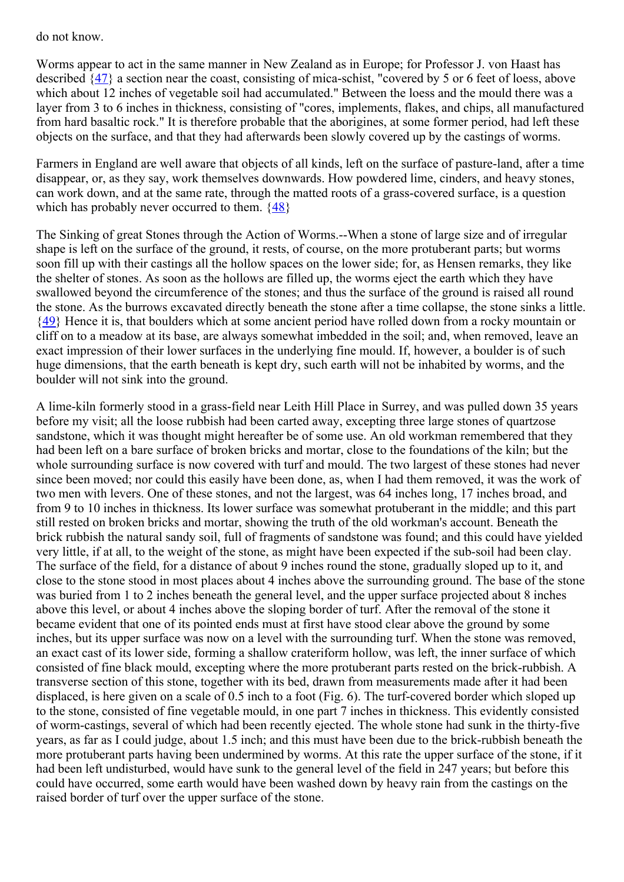do not know.

Worms appear to act in the same manner in New Zealand as in Europe; for Professor J. von Haast has described [{47](#page-81-0)} a section near the coast, consisting of mica-schist, "covered by 5 or 6 feet of loess, above which about 12 inches of vegetable soil had accumulated." Between the loess and the mould there was a layer from 3 to 6 inches in thickness, consisting of "cores, implements, flakes, and chips, all manufactured from hard basaltic rock." It is therefore probable that the aborigines, at some former period, had left these objects on the surface, and that they had afterwards been slowly covered up by the castings of worms.

Farmers in England are well aware that objects of all kinds, left on the surface of pasture-land, after a time disappear, or, as they say, work themselves downwards. How powdered lime, cinders, and heavy stones, can work down, and at the same rate, through the matted roots of a grass-covered surface, is a question which has probably never occurred to them.  $\{48\}$  $\{48\}$  $\{48\}$ 

The Sinking of great Stones through the Action of Worms.--When a stone of large size and of irregular shape is left on the surface of the ground, it rests, of course, on the more protuberant parts; but worms soon fill up with their castings all the hollow spaces on the lower side; for, as Hensen remarks, they like the shelter of stones. As soon as the hollows are filled up, the worms eject the earth which they have swallowed beyond the circumference of the stones; and thus the surface of the ground is raised all round the stone. As the burrows excavated directly beneath the stone after a time collapse, the stone sinks a little. [{49](#page-81-0)} Hence it is, that boulders which at some ancient period have rolled down from a rocky mountain or cliff on to a meadow at its base, are always somewhat imbedded in the soil; and, when removed, leave an exact impression of their lower surfaces in the underlying fine mould. If, however, a boulder is of such huge dimensions, that the earth beneath is kept dry, such earth will not be inhabited by worms, and the boulder will not sink into the ground.

A lime-kiln formerly stood in a grass-field near Leith Hill Place in Surrey, and was pulled down 35 years before my visit; all the loose rubbish had been carted away, excepting three large stones of quartzose sandstone, which it was thought might hereafter be of some use. An old workman remembered that they had been left on a bare surface of broken bricks and mortar, close to the foundations of the kiln; but the whole surrounding surface is now covered with turf and mould. The two largest of these stones had never since been moved; nor could this easily have been done, as, when I had them removed, it was the work of two men with levers. One of these stones, and not the largest, was 64 inches long, 17 inches broad, and from 9 to 10 inches in thickness. Its lower surface was somewhat protuberant in the middle; and this part still rested on broken bricks and mortar, showing the truth of the old workman's account. Beneath the brick rubbish the natural sandy soil, full of fragments of sandstone was found; and this could have yielded very little, if at all, to the weight of the stone, as might have been expected if the sub-soil had been clay. The surface of the field, for a distance of about 9 inches round the stone, gradually sloped up to it, and close to the stone stood in most places about 4 inches above the surrounding ground. The base of the stone was buried from 1 to 2 inches beneath the general level, and the upper surface projected about 8 inches above this level, or about 4 inches above the sloping border of turf. After the removal of the stone it became evident that one of its pointed ends must at first have stood clear above the ground by some inches, but its upper surface was now on a level with the surrounding turf. When the stone was removed, an exact cast of its lower side, forming a shallow crateriform hollow, was left, the inner surface of which consisted of fine black mould, excepting where the more protuberant parts rested on the brick-rubbish. A transverse section of this stone, together with its bed, drawn from measurements made after it had been displaced, is here given on a scale of 0.5 inch to a foot (Fig. 6). The turf-covered border which sloped up to the stone, consisted of fine vegetable mould, in one part 7 inches in thickness. This evidently consisted of worm-castings, several of which had been recently ejected. The whole stone had sunk in the thirty-five years, as far as I could judge, about 1.5 inch; and this must have been due to the brick-rubbish beneath the more protuberant parts having been undermined by worms. At this rate the upper surface of the stone, if it had been left undisturbed, would have sunk to the general level of the field in 247 years; but before this could have occurred, some earth would have been washed down by heavy rain from the castings on the raised border of turf over the upper surface of the stone.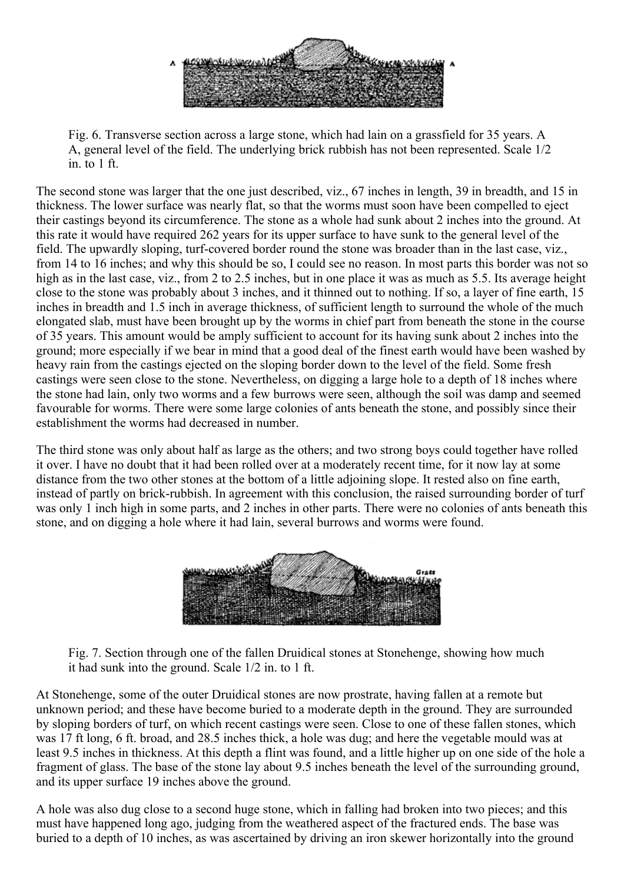<span id="page-42-0"></span>

Fig. 6. Transverse section across a large stone, which had lain on a grassfield for 35 years. A A, general level of the field. The underlying brick rubbish has not been represented. Scale 1/2 in. to 1 ft.

The second stone was larger that the one just described, viz., 67 inches in length, 39 in breadth, and 15 in thickness. The lower surface was nearly flat, so that the worms must soon have been compelled to eject their castings beyond its circumference. The stone as a whole had sunk about 2 inches into the ground. At this rate it would have required 262 years for its upper surface to have sunk to the general level of the field. The upwardly sloping, turf-covered border round the stone was broader than in the last case, viz., from 14 to 16 inches; and why this should be so, I could see no reason. In most parts this border was not so high as in the last case, viz., from 2 to 2.5 inches, but in one place it was as much as 5.5. Its average height close to the stone was probably about 3 inches, and it thinned out to nothing. If so, a layer of fine earth, 15 inches in breadth and 1.5 inch in average thickness, of sufficient length to surround the whole of the much elongated slab, must have been brought up by the worms in chief part from beneath the stone in the course of 35 years. This amount would be amply sufficient to account for its having sunk about 2 inches into the ground; more especially if we bear in mind that a good deal of the finest earth would have been washed by heavy rain from the castings ejected on the sloping border down to the level of the field. Some fresh castings were seen close to the stone. Nevertheless, on digging a large hole to a depth of 18 inches where the stone had lain, only two worms and a few burrows were seen, although the soil was damp and seemed favourable for worms. There were some large colonies of ants beneath the stone, and possibly since their establishment the worms had decreased in number.

The third stone was only about half as large as the others; and two strong boys could together have rolled it over. I have no doubt that it had been rolled over at a moderately recent time, for it now lay at some distance from the two other stones at the bottom of a little adjoining slope. It rested also on fine earth, instead of partly on brick-rubbish. In agreement with this conclusion, the raised surrounding border of turf was only 1 inch high in some parts, and 2 inches in other parts. There were no colonies of ants beneath this stone, and on digging a hole where it had lain, several burrows and worms were found.



Fig. 7. Section through one of the fallen Druidical stones at Stonehenge, showing how much it had sunk into the ground. Scale 1/2 in. to 1 ft.

At Stonehenge, some of the outer Druidical stones are now prostrate, having fallen at a remote but unknown period; and these have become buried to a moderate depth in the ground. They are surrounded by sloping borders of turf, on which recent castings were seen. Close to one of these fallen stones, which was 17 ft long, 6 ft. broad, and 28.5 inches thick, a hole was dug; and here the vegetable mould was at least 9.5 inches in thickness. At this depth a flint was found, and a little higher up on one side of the hole a fragment of glass. The base of the stone lay about 9.5 inches beneath the level of the surrounding ground, and its upper surface 19 inches above the ground.

A hole was also dug close to a second huge stone, which in falling had broken into two pieces; and this must have happened long ago, judging from the weathered aspect of the fractured ends. The base was buried to a depth of 10 inches, as was ascertained by driving an iron skewer horizontally into the ground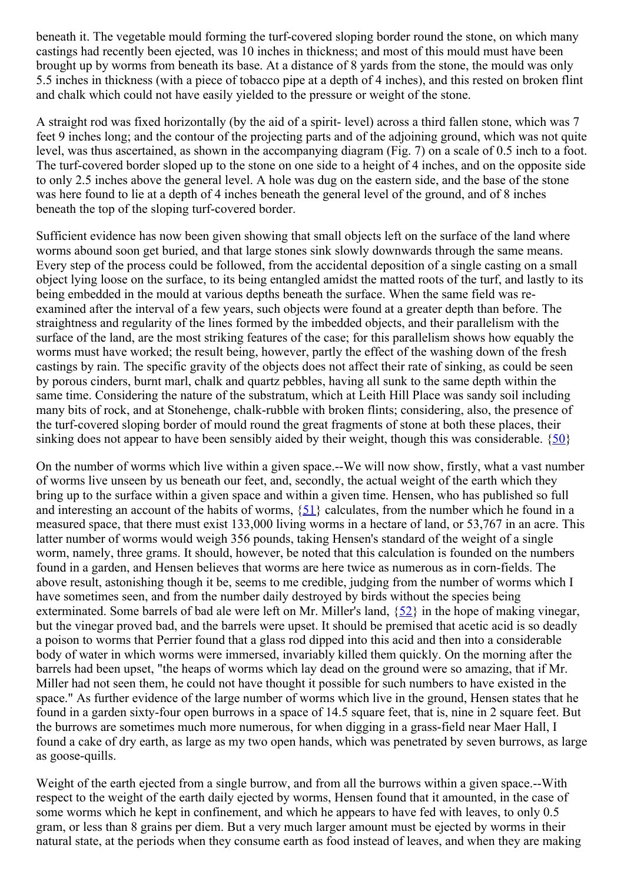beneath it. The vegetable mould forming the turf-covered sloping border round the stone, on which many castings had recently been ejected, was 10 inches in thickness; and most of this mould must have been brought up by worms from beneath its base. At a distance of 8 yards from the stone, the mould was only 5.5 inches in thickness (with a piece of tobacco pipe at a depth of 4 inches), and this rested on broken flint and chalk which could not have easily yielded to the pressure or weight of the stone.

A straight rod was fixed horizontally (by the aid of a spirit- level) across a third fallen stone, which was 7 feet 9 inches long; and the contour of the projecting parts and of the adjoining ground, which was not quite level, was thus ascertained, as shown in the accompanying diagram (Fig. 7) on a scale of 0.5 inch to a foot. The turf-covered border sloped up to the stone on one side to a height of 4 inches, and on the opposite side to only 2.5 inches above the general level. A hole was dug on the eastern side, and the base of the stone was here found to lie at a depth of 4 inches beneath the general level of the ground, and of 8 inches beneath the top of the sloping turf-covered border.

Sufficient evidence has now been given showing that small objects left on the surface of the land where worms abound soon get buried, and that large stones sink slowly downwards through the same means. Every step of the process could be followed, from the accidental deposition of a single casting on a small object lying loose on the surface, to its being entangled amidst the matted roots of the turf, and lastly to its being embedded in the mould at various depths beneath the surface. When the same field was reexamined after the interval of a few years, such objects were found at a greater depth than before. The straightness and regularity of the lines formed by the imbedded objects, and their parallelism with the surface of the land, are the most striking features of the case; for this parallelism shows how equably the worms must have worked; the result being, however, partly the effect of the washing down of the fresh castings by rain. The specific gravity of the objects does not affect their rate of sinking, as could be seen by porous cinders, burnt marl, chalk and quartz pebbles, having all sunk to the same depth within the same time. Considering the nature of the substratum, which at Leith Hill Place was sandy soil including many bits of rock, and at Stonehenge, chalk-rubble with broken flints; considering, also, the presence of the turf-covered sloping border of mould round the great fragments of stone at both these places, their sinking does not appear to have been sensibly aided by their weight, though this was considerable. {[50](#page-81-0)}

On the number of worms which live within a given space.--We will now show, firstly, what a vast number of worms live unseen by us beneath our feet, and, secondly, the actual weight of the earth which they bring up to the surface within a given space and within a given time. Hensen, who has published so full and interesting an account of the habits of worms, [{51](#page-81-0)} calculates, from the number which he found in a measured space, that there must exist 133,000 living worms in a hectare of land, or 53,767 in an acre. This latter number of worms would weigh 356 pounds, taking Hensen's standard of the weight of a single worm, namely, three grams. It should, however, be noted that this calculation is founded on the numbers found in a garden, and Hensen believes that worms are here twice as numerous as in corn-fields. The above result, astonishing though it be, seems to me credible, judging from the number of worms which I have sometimes seen, and from the number daily destroyed by birds without the species being exterminated. Some barrels of bad ale were left on Mr. Miller's land, {[52](#page-81-0)} in the hope of making vinegar, but the vinegar proved bad, and the barrels were upset. It should be premised that acetic acid is so deadly a poison to worms that Perrier found that a glass rod dipped into this acid and then into a considerable body of water in which worms were immersed, invariably killed them quickly. On the morning after the barrels had been upset, "the heaps of worms which lay dead on the ground were so amazing, that if Mr. Miller had not seen them, he could not have thought it possible for such numbers to have existed in the space." As further evidence of the large number of worms which live in the ground, Hensen states that he found in a garden sixty-four open burrows in a space of 14.5 square feet, that is, nine in 2 square feet. But the burrows are sometimes much more numerous, for when digging in a grass-field near Maer Hall, I found a cake of dry earth, as large as my two open hands, which was penetrated by seven burrows, as large as goose-quills.

Weight of the earth ejected from a single burrow, and from all the burrows within a given space.--With respect to the weight of the earth daily ejected by worms, Hensen found that it amounted, in the case of some worms which he kept in confinement, and which he appears to have fed with leaves, to only 0.5 gram, or less than 8 grains per diem. But a very much larger amount must be ejected by worms in their natural state, at the periods when they consume earth as food instead of leaves, and when they are making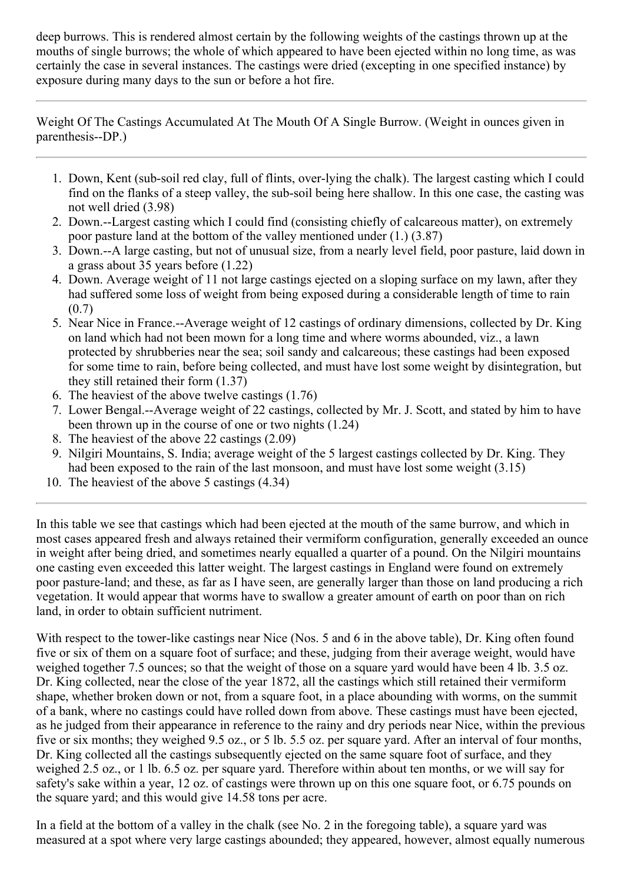deep burrows. This is rendered almost certain by the following weights of the castings thrown up at the mouths of single burrows; the whole of which appeared to have been ejected within no long time, as was certainly the case in several instances. The castings were dried (excepting in one specified instance) by exposure during many days to the sun or before a hot fire.

Weight Of The Castings Accumulated At The Mouth Of A Single Burrow. (Weight in ounces given in parenthesis--DP.)

- 1. Down, Kent (sub-soil red clay, full of flints, over-lying the chalk). The largest casting which I could find on the flanks of a steep valley, the sub-soil being here shallow. In this one case, the casting was not well dried (3.98)
- 2. Down.--Largest casting which I could find (consisting chiefly of calcareous matter), on extremely poor pasture land at the bottom of the valley mentioned under (1.) (3.87)
- 3. Down.--A large casting, but not of unusual size, from a nearly level field, poor pasture, laid down in a grass about 35 years before (1.22)
- 4. Down. Average weight of 11 not large castings ejected on a sloping surface on my lawn, after they had suffered some loss of weight from being exposed during a considerable length of time to rain  $(0.7)$
- 5. Near Nice in France.--Average weight of 12 castings of ordinary dimensions, collected by Dr. King on land which had not been mown for a long time and where worms abounded, viz., a lawn protected by shrubberies near the sea; soil sandy and calcareous; these castings had been exposed for some time to rain, before being collected, and must have lost some weight by disintegration, but they still retained their form (1.37)
- 6. The heaviest of the above twelve castings (1.76)
- 7. Lower Bengal.--Average weight of 22 castings, collected by Mr. J. Scott, and stated by him to have been thrown up in the course of one or two nights (1.24)
- 8. The heaviest of the above 22 castings (2.09)
- 9. Nilgiri Mountains, S. India; average weight of the 5 largest castings collected by Dr. King. They had been exposed to the rain of the last monsoon, and must have lost some weight (3.15)
- 10. The heaviest of the above 5 castings (4.34)

In this table we see that castings which had been ejected at the mouth of the same burrow, and which in most cases appeared fresh and always retained their vermiform configuration, generally exceeded an ounce in weight after being dried, and sometimes nearly equalled a quarter of a pound. On the Nilgiri mountains one casting even exceeded this latter weight. The largest castings in England were found on extremely poor pasture-land; and these, as far as I have seen, are generally larger than those on land producing a rich vegetation. It would appear that worms have to swallow a greater amount of earth on poor than on rich land, in order to obtain sufficient nutriment.

With respect to the tower-like castings near Nice (Nos. 5 and 6 in the above table), Dr. King often found five or six of them on a square foot of surface; and these, judging from their average weight, would have weighed together 7.5 ounces; so that the weight of those on a square yard would have been 4 lb. 3.5 oz. Dr. King collected, near the close of the year 1872, all the castings which still retained their vermiform shape, whether broken down or not, from a square foot, in a place abounding with worms, on the summit of a bank, where no castings could have rolled down from above. These castings must have been ejected, as he judged from their appearance in reference to the rainy and dry periods near Nice, within the previous five or six months; they weighed 9.5 oz., or 5 lb. 5.5 oz. per square yard. After an interval of four months, Dr. King collected all the castings subsequently ejected on the same square foot of surface, and they weighed 2.5 oz., or 1 lb. 6.5 oz. per square yard. Therefore within about ten months, or we will say for safety's sake within a year, 12 oz. of castings were thrown up on this one square foot, or 6.75 pounds on the square yard; and this would give 14.58 tons per acre.

In a field at the bottom of a valley in the chalk (see No. 2 in the foregoing table), a square yard was measured at a spot where very large castings abounded; they appeared, however, almost equally numerous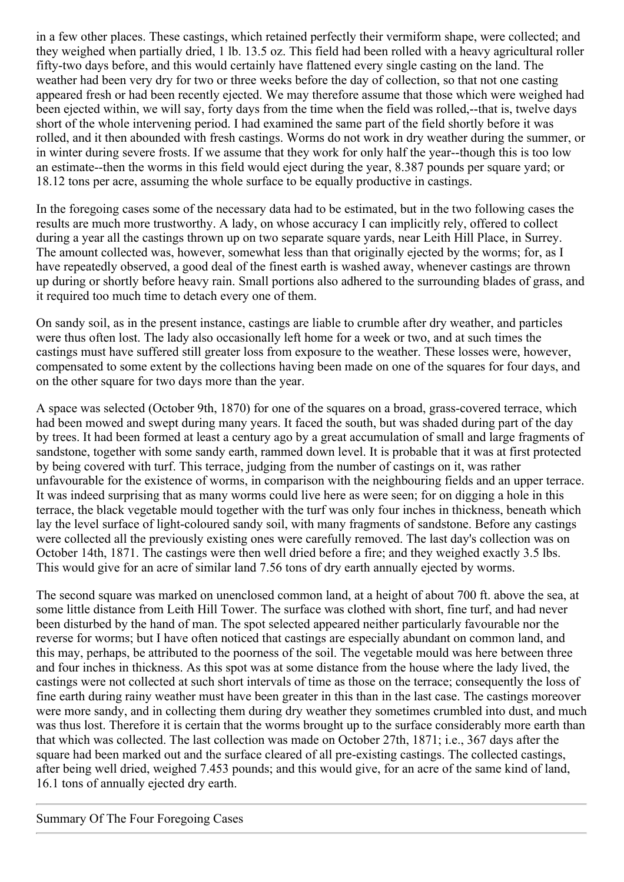in a few other places. These castings, which retained perfectly their vermiform shape, were collected; and they weighed when partially dried, 1 lb. 13.5 oz. This field had been rolled with a heavy agricultural roller fifty-two days before, and this would certainly have flattened every single casting on the land. The weather had been very dry for two or three weeks before the day of collection, so that not one casting appeared fresh or had been recently ejected. We may therefore assume that those which were weighed had been ejected within, we will say, forty days from the time when the field was rolled,--that is, twelve days short of the whole intervening period. I had examined the same part of the field shortly before it was rolled, and it then abounded with fresh castings. Worms do not work in dry weather during the summer, or in winter during severe frosts. If we assume that they work for only half the year--though this is too low an estimate--then the worms in this field would eject during the year, 8.387 pounds per square yard; or 18.12 tons per acre, assuming the whole surface to be equally productive in castings.

In the foregoing cases some of the necessary data had to be estimated, but in the two following cases the results are much more trustworthy. A lady, on whose accuracy I can implicitly rely, offered to collect during a year all the castings thrown up on two separate square yards, near Leith Hill Place, in Surrey. The amount collected was, however, somewhat less than that originally ejected by the worms; for, as I have repeatedly observed, a good deal of the finest earth is washed away, whenever castings are thrown up during or shortly before heavy rain. Small portions also adhered to the surrounding blades of grass, and it required too much time to detach every one of them.

On sandy soil, as in the present instance, castings are liable to crumble after dry weather, and particles were thus often lost. The lady also occasionally left home for a week or two, and at such times the castings must have suffered still greater loss from exposure to the weather. These losses were, however, compensated to some extent by the collections having been made on one of the squares for four days, and on the other square for two days more than the year.

A space was selected (October 9th, 1870) for one of the squares on a broad, grass-covered terrace, which had been mowed and swept during many years. It faced the south, but was shaded during part of the day by trees. It had been formed at least a century ago by a great accumulation of small and large fragments of sandstone, together with some sandy earth, rammed down level. It is probable that it was at first protected by being covered with turf. This terrace, judging from the number of castings on it, was rather unfavourable for the existence of worms, in comparison with the neighbouring fields and an upper terrace. It was indeed surprising that as many worms could live here as were seen; for on digging a hole in this terrace, the black vegetable mould together with the turf was only four inches in thickness, beneath which lay the level surface of light-coloured sandy soil, with many fragments of sandstone. Before any castings were collected all the previously existing ones were carefully removed. The last day's collection was on October 14th, 1871. The castings were then well dried before a fire; and they weighed exactly 3.5 lbs. This would give for an acre of similar land 7.56 tons of dry earth annually ejected by worms.

The second square was marked on unenclosed common land, at a height of about 700 ft. above the sea, at some little distance from Leith Hill Tower. The surface was clothed with short, fine turf, and had never been disturbed by the hand of man. The spot selected appeared neither particularly favourable nor the reverse for worms; but I have often noticed that castings are especially abundant on common land, and this may, perhaps, be attributed to the poorness of the soil. The vegetable mould was here between three and four inches in thickness. As this spot was at some distance from the house where the lady lived, the castings were not collected at such short intervals of time as those on the terrace; consequently the loss of fine earth during rainy weather must have been greater in this than in the last case. The castings moreover were more sandy, and in collecting them during dry weather they sometimes crumbled into dust, and much was thus lost. Therefore it is certain that the worms brought up to the surface considerably more earth than that which was collected. The last collection was made on October 27th, 1871; i.e., 367 days after the square had been marked out and the surface cleared of all pre-existing castings. The collected castings, after being well dried, weighed 7.453 pounds; and this would give, for an acre of the same kind of land, 16.1 tons of annually ejected dry earth.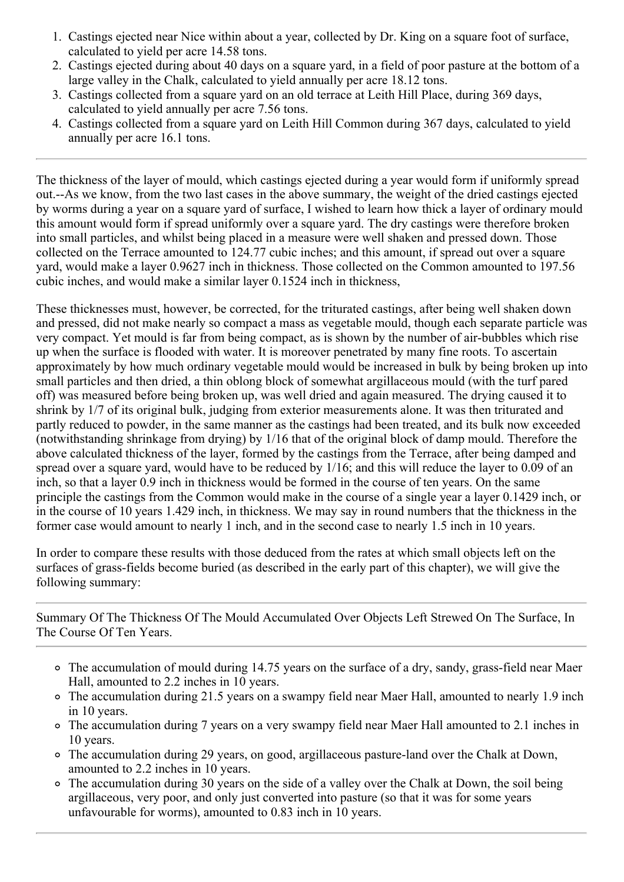- 1. Castings ejected near Nice within about a year, collected by Dr. King on a square foot of surface, calculated to yield per acre 14.58 tons.
- 2. Castings ejected during about 40 days on a square yard, in a field of poor pasture at the bottom of a large valley in the Chalk, calculated to yield annually per acre 18.12 tons.
- 3. Castings collected from a square yard on an old terrace at Leith Hill Place, during 369 days, calculated to yield annually per acre 7.56 tons.
- 4. Castings collected from a square yard on Leith Hill Common during 367 days, calculated to yield annually per acre 16.1 tons.

The thickness of the layer of mould, which castings ejected during a year would form if uniformly spread out.--As we know, from the two last cases in the above summary, the weight of the dried castings ejected by worms during a year on a square yard of surface, I wished to learn how thick a layer of ordinary mould this amount would form if spread uniformly over a square yard. The dry castings were therefore broken into small particles, and whilst being placed in a measure were well shaken and pressed down. Those collected on the Terrace amounted to 124.77 cubic inches; and this amount, if spread out over a square yard, would make a layer 0.9627 inch in thickness. Those collected on the Common amounted to 197.56 cubic inches, and would make a similar layer 0.1524 inch in thickness,

These thicknesses must, however, be corrected, for the triturated castings, after being well shaken down and pressed, did not make nearly so compact a mass as vegetable mould, though each separate particle was very compact. Yet mould is far from being compact, as is shown by the number of air-bubbles which rise up when the surface is flooded with water. It is moreover penetrated by many fine roots. To ascertain approximately by how much ordinary vegetable mould would be increased in bulk by being broken up into small particles and then dried, a thin oblong block of somewhat argillaceous mould (with the turf pared off) was measured before being broken up, was well dried and again measured. The drying caused it to shrink by 1/7 of its original bulk, judging from exterior measurements alone. It was then triturated and partly reduced to powder, in the same manner as the castings had been treated, and its bulk now exceeded (notwithstanding shrinkage from drying) by 1/16 that of the original block of damp mould. Therefore the above calculated thickness of the layer, formed by the castings from the Terrace, after being damped and spread over a square yard, would have to be reduced by 1/16; and this will reduce the layer to 0.09 of an inch, so that a layer 0.9 inch in thickness would be formed in the course of ten years. On the same principle the castings from the Common would make in the course of a single year a layer 0.1429 inch, or in the course of 10 years 1.429 inch, in thickness. We may say in round numbers that the thickness in the former case would amount to nearly 1 inch, and in the second case to nearly 1.5 inch in 10 years.

In order to compare these results with those deduced from the rates at which small objects left on the surfaces of grass-fields become buried (as described in the early part of this chapter), we will give the following summary:

Summary Of The Thickness Of The Mould Accumulated Over Objects Left Strewed On The Surface, In The Course Of Ten Years.

- The accumulation of mould during 14.75 years on the surface of a dry, sandy, grass-field near Maer Hall, amounted to 2.2 inches in 10 years.
- The accumulation during 21.5 years on a swampy field near Maer Hall, amounted to nearly 1.9 inch in 10 years.
- The accumulation during 7 years on a very swampy field near Maer Hall amounted to 2.1 inches in 10 years.
- The accumulation during 29 years, on good, argillaceous pasture-land over the Chalk at Down, amounted to 2.2 inches in 10 years.
- The accumulation during 30 years on the side of a valley over the Chalk at Down, the soil being argillaceous, very poor, and only just converted into pasture (so that it was for some years unfavourable for worms), amounted to 0.83 inch in 10 years.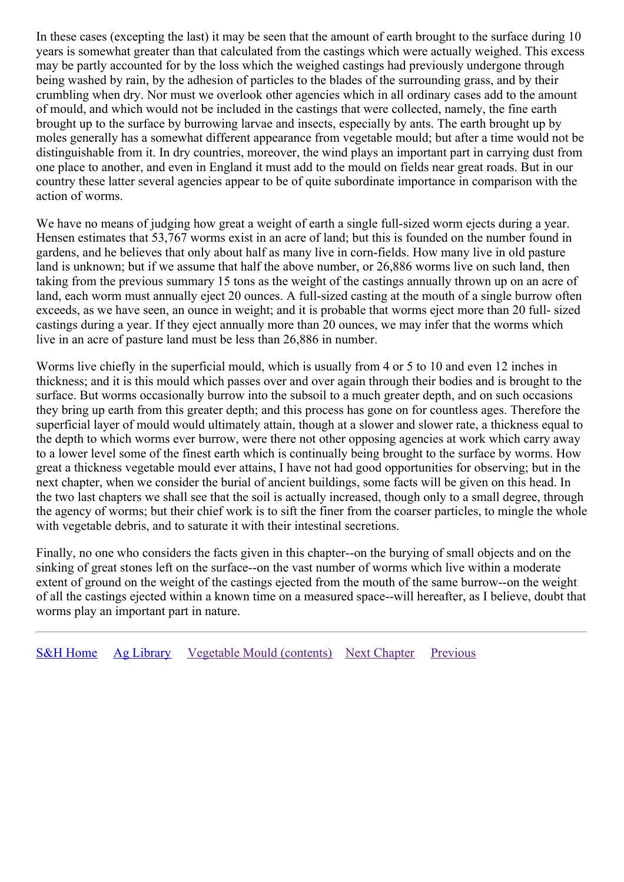In these cases (excepting the last) it may be seen that the amount of earth brought to the surface during 10 years is somewhat greater than that calculated from the castings which were actually weighed. This excess may be partly accounted for by the loss which the weighed castings had previously undergone through being washed by rain, by the adhesion of particles to the blades of the surrounding grass, and by their crumbling when dry. Nor must we overlook other agencies which in all ordinary cases add to the amount of mould, and which would not be included in the castings that were collected, namely, the fine earth brought up to the surface by burrowing larvae and insects, especially by ants. The earth brought up by moles generally has a somewhat different appearance from vegetable mould; but after a time would not be distinguishable from it. In dry countries, moreover, the wind plays an important part in carrying dust from one place to another, and even in England it must add to the mould on fields near great roads. But in our country these latter several agencies appear to be of quite subordinate importance in comparison with the action of worms.

We have no means of judging how great a weight of earth a single full-sized worm ejects during a year. Hensen estimates that 53,767 worms exist in an acre of land; but this is founded on the number found in gardens, and he believes that only about half as many live in corn-fields. How many live in old pasture land is unknown; but if we assume that half the above number, or 26,886 worms live on such land, then taking from the previous summary 15 tons as the weight of the castings annually thrown up on an acre of land, each worm must annually eject 20 ounces. A full-sized casting at the mouth of a single burrow often exceeds, as we have seen, an ounce in weight; and it is probable that worms eject more than 20 full- sized castings during a year. If they eject annually more than 20 ounces, we may infer that the worms which live in an acre of pasture land must be less than 26,886 in number.

Worms live chiefly in the superficial mould, which is usually from 4 or 5 to 10 and even 12 inches in thickness; and it is this mould which passes over and over again through their bodies and is brought to the surface. But worms occasionally burrow into the subsoil to a much greater depth, and on such occasions they bring up earth from this greater depth; and this process has gone on for countless ages. Therefore the superficial layer of mould would ultimately attain, though at a slower and slower rate, a thickness equal to the depth to which worms ever burrow, were there not other opposing agencies at work which carry away to a lower level some of the finest earth which is continually being brought to the surface by worms. How great a thickness vegetable mould ever attains, I have not had good opportunities for observing; but in the next chapter, when we consider the burial of ancient buildings, some facts will be given on this head. In the two last chapters we shall see that the soil is actually increased, though only to a small degree, through the agency of worms; but their chief work is to sift the finer from the coarser particles, to mingle the whole with vegetable debris, and to saturate it with their intestinal secretions.

Finally, no one who considers the facts given in this chapter--on the burying of small objects and on the sinking of great stones left on the surface--on the vast number of worms which live within a moderate extent of ground on the weight of the castings ejected from the mouth of the same burrow--on the weight of all the castings ejected within a known time on a measured space--will hereafter, as I believe, doubt that worms play an important part in nature.

**S&H [Home](http://www.soilandhealth.org/)** Ag [Library](http://www.soilandhealth.org/01aglibrary/01aglibwelcome.html) [Vegetable](#page-0-0) Mould (contents) Next [Chapter](#page-54-0) [Previous](#page-28-0)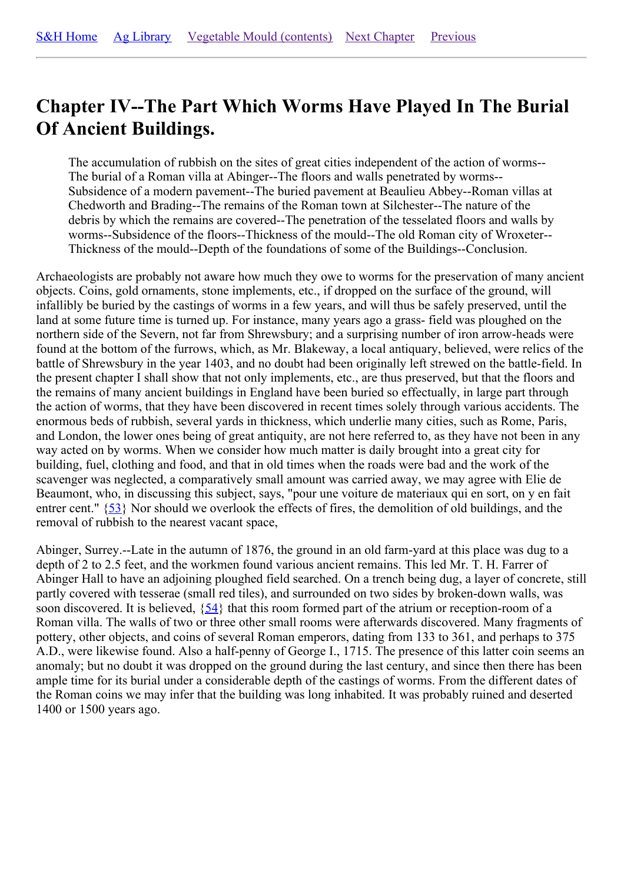## **Chapter IV--The Part Which Worms Have Played In The Burial Of Ancient Buildings.**

The accumulation of rubbish on the sites of great cities independent of the action of worms-- The burial of a Roman villa at Abinger--The floors and walls penetrated by worms-- Subsidence of a modern pavement--The buried pavement at Beaulieu Abbey--Roman villas at Chedworth and Brading--The remains of the Roman town at Silchester--The nature of the debris by which the remains are covered--The penetration of the tesselated floors and walls by worms--Subsidence of the floors--Thickness of the mould--The old Roman city of Wroxeter-- Thickness of the mould--Depth of the foundations of some of the Buildings--Conclusion.

Archaeologists are probably not aware how much they owe to worms for the preservation of many ancient objects. Coins, gold ornaments, stone implements, etc., if dropped on the surface of the ground, will infallibly be buried by the castings of worms in a few years, and will thus be safely preserved, until the land at some future time is turned up. For instance, many years ago a grass- field was ploughed on the northern side of the Severn, not far from Shrewsbury; and a surprising number of iron arrow-heads were found at the bottom of the furrows, which, as Mr. Blakeway, a local antiquary, believed, were relics of the battle of Shrewsbury in the year 1403, and no doubt had been originally left strewed on the battle-field. In the present chapter I shall show that not only implements, etc., are thus preserved, but that the floors and the remains of many ancient buildings in England have been buried so effectually, in large part through the action of worms, that they have been discovered in recent times solely through various accidents. The enormous beds of rubbish, several yards in thickness, which underlie many cities, such as Rome, Paris, and London, the lower ones being of great antiquity, are not here referred to, as they have not been in any way acted on by worms. When we consider how much matter is daily brought into a great city for building, fuel, clothing and food, and that in old times when the roads were bad and the work of the scavenger was neglected, a comparatively small amount was carried away, we may agree with Elie de Beaumont, who, in discussing this subject, says, "pour une voiture de materiaux qui en sort, on y en fait entrer cent."  $\{53\}$  $\{53\}$  $\{53\}$  Nor should we overlook the effects of fires, the demolition of old buildings, and the removal of rubbish to the nearest vacant space,

Abinger, Surrey.--Late in the autumn of 1876, the ground in an old farm-yard at this place was dug to a depth of 2 to 2.5 feet, and the workmen found various ancient remains. This led Mr. T. H. Farrer of Abinger Hall to have an adjoining ploughed field searched. On a trench being dug, a layer of concrete, still partly covered with tesserae (small red tiles), and surrounded on two sides by broken-down walls, was soon discovered. It is believed,  $\{54\}$  $\{54\}$  $\{54\}$  that this room formed part of the atrium or reception-room of a Roman villa. The walls of two or three other small rooms were afterwards discovered. Many fragments of pottery, other objects, and coins of several Roman emperors, dating from 133 to 361, and perhaps to 375 A.D., were likewise found. Also a half-penny of George I., 1715. The presence of this latter coin seems an anomaly; but no doubt it was dropped on the ground during the last century, and since then there has been ample time for its burial under a considerable depth of the castings of worms. From the different dates of the Roman coins we may infer that the building was long inhabited. It was probably ruined and deserted 1400 or 1500 years ago.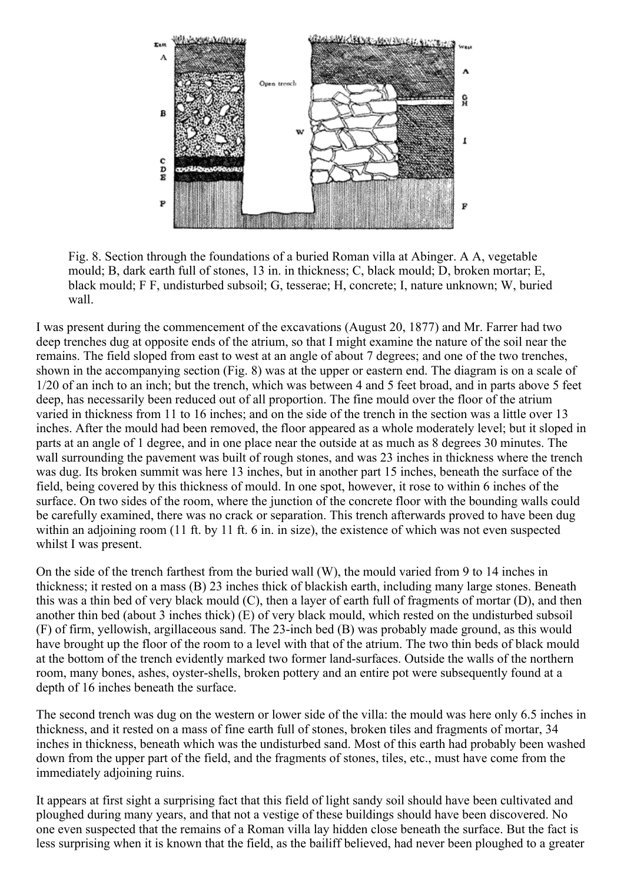

Fig. 8. Section through the foundations of a buried Roman villa at Abinger. A A, vegetable mould; B, dark earth full of stones, 13 in. in thickness; C, black mould; D, broken mortar; E, black mould; F F, undisturbed subsoil; G, tesserae; H, concrete; I, nature unknown; W, buried wall.

I was present during the commencement of the excavations (August 20, 1877) and Mr. Farrer had two deep trenches dug at opposite ends of the atrium, so that I might examine the nature of the soil near the remains. The field sloped from east to west at an angle of about 7 degrees; and one of the two trenches, shown in the accompanying section (Fig. 8) was at the upper or eastern end. The diagram is on a scale of 1/20 of an inch to an inch; but the trench, which was between 4 and 5 feet broad, and in parts above 5 feet deep, has necessarily been reduced out of all proportion. The fine mould over the floor of the atrium varied in thickness from 11 to 16 inches; and on the side of the trench in the section was a little over 13 inches. After the mould had been removed, the floor appeared as a whole moderately level; but it sloped in parts at an angle of 1 degree, and in one place near the outside at as much as 8 degrees 30 minutes. The wall surrounding the pavement was built of rough stones, and was 23 inches in thickness where the trench was dug. Its broken summit was here 13 inches, but in another part 15 inches, beneath the surface of the field, being covered by this thickness of mould. In one spot, however, it rose to within 6 inches of the surface. On two sides of the room, where the junction of the concrete floor with the bounding walls could be carefully examined, there was no crack or separation. This trench afterwards proved to have been dug within an adjoining room (11 ft. by 11 ft. 6 in. in size), the existence of which was not even suspected whilst I was present.

On the side of the trench farthest from the buried wall (W), the mould varied from 9 to 14 inches in thickness; it rested on a mass (B) 23 inches thick of blackish earth, including many large stones. Beneath this was a thin bed of very black mould (C), then a layer of earth full of fragments of mortar (D), and then another thin bed (about 3 inches thick) (E) of very black mould, which rested on the undisturbed subsoil (F) of firm, yellowish, argillaceous sand. The 23-inch bed (B) was probably made ground, as this would have brought up the floor of the room to a level with that of the atrium. The two thin beds of black mould at the bottom of the trench evidently marked two former land-surfaces. Outside the walls of the northern room, many bones, ashes, oyster-shells, broken pottery and an entire pot were subsequently found at a depth of 16 inches beneath the surface.

The second trench was dug on the western or lower side of the villa: the mould was here only 6.5 inches in thickness, and it rested on a mass of fine earth full of stones, broken tiles and fragments of mortar, 34 inches in thickness, beneath which was the undisturbed sand. Most of this earth had probably been washed down from the upper part of the field, and the fragments of stones, tiles, etc., must have come from the immediately adjoining ruins.

It appears at first sight a surprising fact that this field of light sandy soil should have been cultivated and ploughed during many years, and that not a vestige of these buildings should have been discovered. No one even suspected that the remains of a Roman villa lay hidden close beneath the surface. But the fact is less surprising when it is known that the field, as the bailiff believed, had never been ploughed to a greater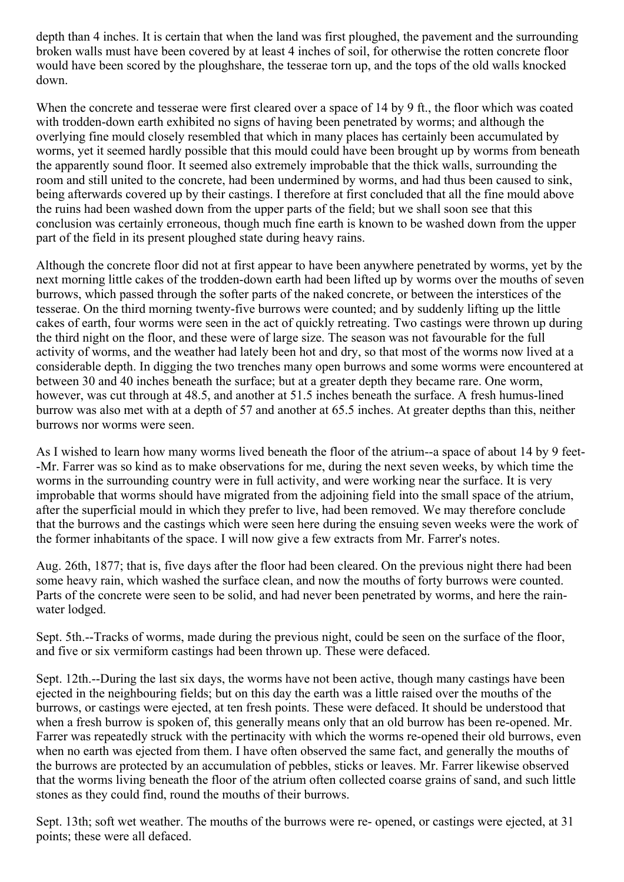depth than 4 inches. It is certain that when the land was first ploughed, the pavement and the surrounding broken walls must have been covered by at least 4 inches of soil, for otherwise the rotten concrete floor would have been scored by the ploughshare, the tesserae torn up, and the tops of the old walls knocked down.

When the concrete and tesserae were first cleared over a space of 14 by 9 ft., the floor which was coated with trodden-down earth exhibited no signs of having been penetrated by worms; and although the overlying fine mould closely resembled that which in many places has certainly been accumulated by worms, yet it seemed hardly possible that this mould could have been brought up by worms from beneath the apparently sound floor. It seemed also extremely improbable that the thick walls, surrounding the room and still united to the concrete, had been undermined by worms, and had thus been caused to sink, being afterwards covered up by their castings. I therefore at first concluded that all the fine mould above the ruins had been washed down from the upper parts of the field; but we shall soon see that this conclusion was certainly erroneous, though much fine earth is known to be washed down from the upper part of the field in its present ploughed state during heavy rains.

Although the concrete floor did not at first appear to have been anywhere penetrated by worms, yet by the next morning little cakes of the trodden-down earth had been lifted up by worms over the mouths of seven burrows, which passed through the softer parts of the naked concrete, or between the interstices of the tesserae. On the third morning twenty-five burrows were counted; and by suddenly lifting up the little cakes of earth, four worms were seen in the act of quickly retreating. Two castings were thrown up during the third night on the floor, and these were of large size. The season was not favourable for the full activity of worms, and the weather had lately been hot and dry, so that most of the worms now lived at a considerable depth. In digging the two trenches many open burrows and some worms were encountered at between 30 and 40 inches beneath the surface; but at a greater depth they became rare. One worm, however, was cut through at 48.5, and another at 51.5 inches beneath the surface. A fresh humus-lined burrow was also met with at a depth of 57 and another at 65.5 inches. At greater depths than this, neither burrows nor worms were seen.

As I wished to learn how many worms lived beneath the floor of the atrium--a space of about 14 by 9 feet- -Mr. Farrer was so kind as to make observations for me, during the next seven weeks, by which time the worms in the surrounding country were in full activity, and were working near the surface. It is very improbable that worms should have migrated from the adjoining field into the small space of the atrium, after the superficial mould in which they prefer to live, had been removed. We may therefore conclude that the burrows and the castings which were seen here during the ensuing seven weeks were the work of the former inhabitants of the space. I will now give a few extracts from Mr. Farrer's notes.

Aug. 26th, 1877; that is, five days after the floor had been cleared. On the previous night there had been some heavy rain, which washed the surface clean, and now the mouths of forty burrows were counted. Parts of the concrete were seen to be solid, and had never been penetrated by worms, and here the rainwater lodged.

Sept. 5th.--Tracks of worms, made during the previous night, could be seen on the surface of the floor, and five or six vermiform castings had been thrown up. These were defaced.

Sept. 12th.--During the last six days, the worms have not been active, though many castings have been ejected in the neighbouring fields; but on this day the earth was a little raised over the mouths of the burrows, or castings were ejected, at ten fresh points. These were defaced. It should be understood that when a fresh burrow is spoken of, this generally means only that an old burrow has been re-opened. Mr. Farrer was repeatedly struck with the pertinacity with which the worms re-opened their old burrows, even when no earth was ejected from them. I have often observed the same fact, and generally the mouths of the burrows are protected by an accumulation of pebbles, sticks or leaves. Mr. Farrer likewise observed that the worms living beneath the floor of the atrium often collected coarse grains of sand, and such little stones as they could find, round the mouths of their burrows.

Sept. 13th; soft wet weather. The mouths of the burrows were re- opened, or castings were ejected, at 31 points; these were all defaced.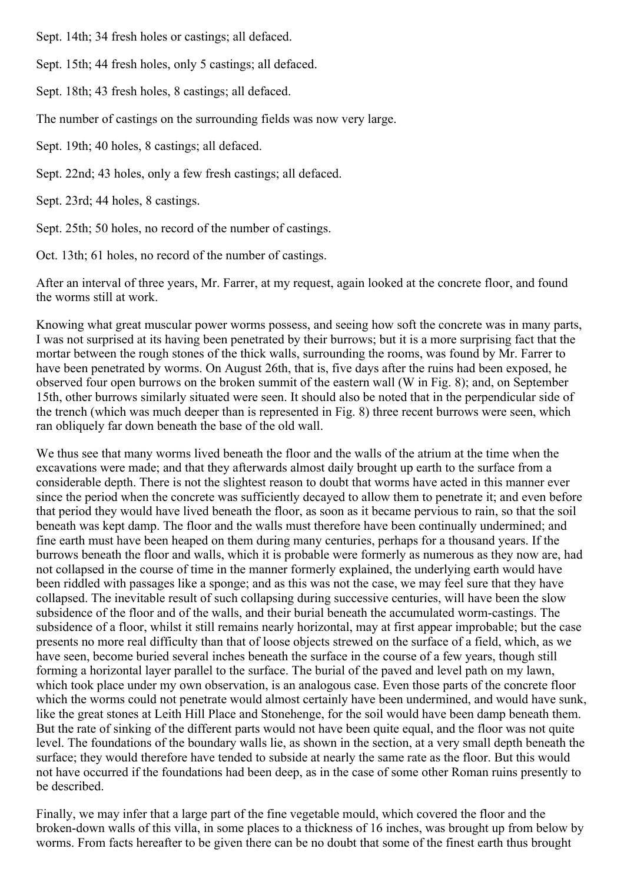Sept. 14th; 34 fresh holes or castings; all defaced.

Sept. 15th; 44 fresh holes, only 5 castings; all defaced.

Sept. 18th; 43 fresh holes, 8 castings; all defaced.

The number of castings on the surrounding fields was now very large.

Sept. 19th; 40 holes, 8 castings; all defaced.

Sept. 22nd; 43 holes, only a few fresh castings; all defaced.

Sept. 23rd; 44 holes, 8 castings.

Sept. 25th; 50 holes, no record of the number of castings.

Oct. 13th; 61 holes, no record of the number of castings.

After an interval of three years, Mr. Farrer, at my request, again looked at the concrete floor, and found the worms still at work.

Knowing what great muscular power worms possess, and seeing how soft the concrete was in many parts, I was not surprised at its having been penetrated by their burrows; but it is a more surprising fact that the mortar between the rough stones of the thick walls, surrounding the rooms, was found by Mr. Farrer to have been penetrated by worms. On August 26th, that is, five days after the ruins had been exposed, he observed four open burrows on the broken summit of the eastern wall (W in Fig. 8); and, on September 15th, other burrows similarly situated were seen. It should also be noted that in the perpendicular side of the trench (which was much deeper than is represented in Fig. 8) three recent burrows were seen, which ran obliquely far down beneath the base of the old wall.

We thus see that many worms lived beneath the floor and the walls of the atrium at the time when the excavations were made; and that they afterwards almost daily brought up earth to the surface from a considerable depth. There is not the slightest reason to doubt that worms have acted in this manner ever since the period when the concrete was sufficiently decayed to allow them to penetrate it; and even before that period they would have lived beneath the floor, as soon as it became pervious to rain, so that the soil beneath was kept damp. The floor and the walls must therefore have been continually undermined; and fine earth must have been heaped on them during many centuries, perhaps for a thousand years. If the burrows beneath the floor and walls, which it is probable were formerly as numerous as they now are, had not collapsed in the course of time in the manner formerly explained, the underlying earth would have been riddled with passages like a sponge; and as this was not the case, we may feel sure that they have collapsed. The inevitable result of such collapsing during successive centuries, will have been the slow subsidence of the floor and of the walls, and their burial beneath the accumulated worm-castings. The subsidence of a floor, whilst it still remains nearly horizontal, may at first appear improbable; but the case presents no more real difficulty than that of loose objects strewed on the surface of a field, which, as we have seen, become buried several inches beneath the surface in the course of a few years, though still forming a horizontal layer parallel to the surface. The burial of the paved and level path on my lawn, which took place under my own observation, is an analogous case. Even those parts of the concrete floor which the worms could not penetrate would almost certainly have been undermined, and would have sunk, like the great stones at Leith Hill Place and Stonehenge, for the soil would have been damp beneath them. But the rate of sinking of the different parts would not have been quite equal, and the floor was not quite level. The foundations of the boundary walls lie, as shown in the section, at a very small depth beneath the surface; they would therefore have tended to subside at nearly the same rate as the floor. But this would not have occurred if the foundations had been deep, as in the case of some other Roman ruins presently to be described.

Finally, we may infer that a large part of the fine vegetable mould, which covered the floor and the broken-down walls of this villa, in some places to a thickness of 16 inches, was brought up from below by worms. From facts hereafter to be given there can be no doubt that some of the finest earth thus brought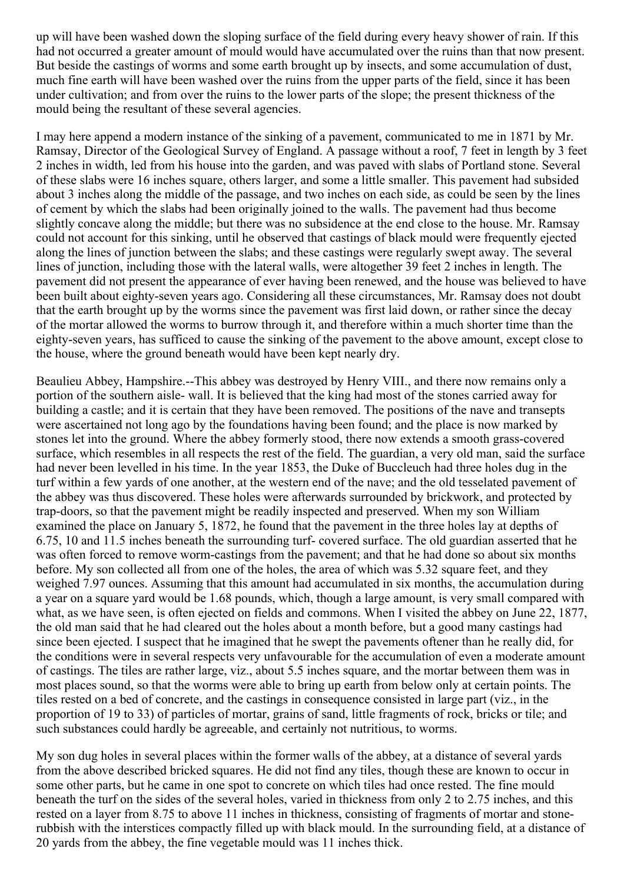up will have been washed down the sloping surface of the field during every heavy shower of rain. If this had not occurred a greater amount of mould would have accumulated over the ruins than that now present. But beside the castings of worms and some earth brought up by insects, and some accumulation of dust, much fine earth will have been washed over the ruins from the upper parts of the field, since it has been under cultivation; and from over the ruins to the lower parts of the slope; the present thickness of the mould being the resultant of these several agencies.

I may here append a modern instance of the sinking of a pavement, communicated to me in 1871 by Mr. Ramsay, Director of the Geological Survey of England. A passage without a roof, 7 feet in length by 3 feet 2 inches in width, led from his house into the garden, and was paved with slabs of Portland stone. Several of these slabs were 16 inches square, others larger, and some a little smaller. This pavement had subsided about 3 inches along the middle of the passage, and two inches on each side, as could be seen by the lines of cement by which the slabs had been originally joined to the walls. The pavement had thus become slightly concave along the middle; but there was no subsidence at the end close to the house. Mr. Ramsay could not account for this sinking, until he observed that castings of black mould were frequently ejected along the lines of junction between the slabs; and these castings were regularly swept away. The several lines of junction, including those with the lateral walls, were altogether 39 feet 2 inches in length. The pavement did not present the appearance of ever having been renewed, and the house was believed to have been built about eighty-seven years ago. Considering all these circumstances, Mr. Ramsay does not doubt that the earth brought up by the worms since the pavement was first laid down, or rather since the decay of the mortar allowed the worms to burrow through it, and therefore within a much shorter time than the eighty-seven years, has sufficed to cause the sinking of the pavement to the above amount, except close to the house, where the ground beneath would have been kept nearly dry.

Beaulieu Abbey, Hampshire.--This abbey was destroyed by Henry VIII., and there now remains only a portion of the southern aisle- wall. It is believed that the king had most of the stones carried away for building a castle; and it is certain that they have been removed. The positions of the nave and transepts were ascertained not long ago by the foundations having been found; and the place is now marked by stones let into the ground. Where the abbey formerly stood, there now extends a smooth grass-covered surface, which resembles in all respects the rest of the field. The guardian, a very old man, said the surface had never been levelled in his time. In the year 1853, the Duke of Buccleuch had three holes dug in the turf within a few yards of one another, at the western end of the nave; and the old tesselated pavement of the abbey was thus discovered. These holes were afterwards surrounded by brickwork, and protected by trap-doors, so that the pavement might be readily inspected and preserved. When my son William examined the place on January 5, 1872, he found that the pavement in the three holes lay at depths of 6.75, 10 and 11.5 inches beneath the surrounding turf- covered surface. The old guardian asserted that he was often forced to remove worm-castings from the pavement; and that he had done so about six months before. My son collected all from one of the holes, the area of which was 5.32 square feet, and they weighed 7.97 ounces. Assuming that this amount had accumulated in six months, the accumulation during a year on a square yard would be 1.68 pounds, which, though a large amount, is very small compared with what, as we have seen, is often ejected on fields and commons. When I visited the abbey on June 22, 1877, the old man said that he had cleared out the holes about a month before, but a good many castings had since been ejected. I suspect that he imagined that he swept the pavements oftener than he really did, for the conditions were in several respects very unfavourable for the accumulation of even a moderate amount of castings. The tiles are rather large, viz., about 5.5 inches square, and the mortar between them was in most places sound, so that the worms were able to bring up earth from below only at certain points. The tiles rested on a bed of concrete, and the castings in consequence consisted in large part (viz., in the proportion of 19 to 33) of particles of mortar, grains of sand, little fragments of rock, bricks or tile; and such substances could hardly be agreeable, and certainly not nutritious, to worms.

My son dug holes in several places within the former walls of the abbey, at a distance of several yards from the above described bricked squares. He did not find any tiles, though these are known to occur in some other parts, but he came in one spot to concrete on which tiles had once rested. The fine mould beneath the turf on the sides of the several holes, varied in thickness from only 2 to 2.75 inches, and this rested on a layer from 8.75 to above 11 inches in thickness, consisting of fragments of mortar and stonerubbish with the interstices compactly filled up with black mould. In the surrounding field, at a distance of 20 yards from the abbey, the fine vegetable mould was 11 inches thick.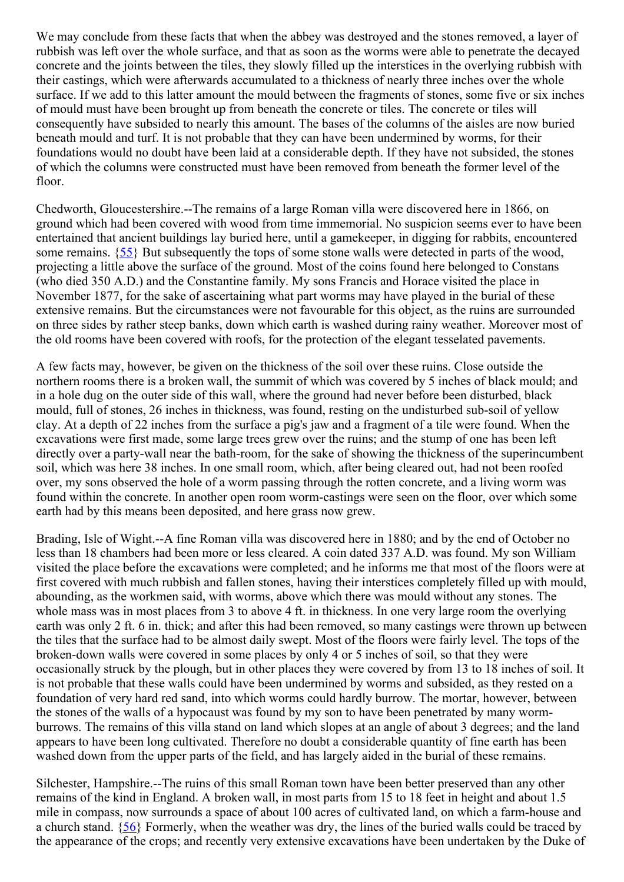We may conclude from these facts that when the abbey was destroyed and the stones removed, a layer of rubbish was left over the whole surface, and that as soon as the worms were able to penetrate the decayed concrete and the joints between the tiles, they slowly filled up the interstices in the overlying rubbish with their castings, which were afterwards accumulated to a thickness of nearly three inches over the whole surface. If we add to this latter amount the mould between the fragments of stones, some five or six inches of mould must have been brought up from beneath the concrete or tiles. The concrete or tiles will consequently have subsided to nearly this amount. The bases of the columns of the aisles are now buried beneath mould and turf. It is not probable that they can have been undermined by worms, for their foundations would no doubt have been laid at a considerable depth. If they have not subsided, the stones of which the columns were constructed must have been removed from beneath the former level of the floor.

Chedworth, Gloucestershire.--The remains of a large Roman villa were discovered here in 1866, on ground which had been covered with wood from time immemorial. No suspicion seems ever to have been entertained that ancient buildings lay buried here, until a gamekeeper, in digging for rabbits, encountered some remains.  $\{55\}$  $\{55\}$  $\{55\}$  But subsequently the tops of some stone walls were detected in parts of the wood, projecting a little above the surface of the ground. Most of the coins found here belonged to Constans (who died 350 A.D.) and the Constantine family. My sons Francis and Horace visited the place in November 1877, for the sake of ascertaining what part worms may have played in the burial of these extensive remains. But the circumstances were not favourable for this object, as the ruins are surrounded on three sides by rather steep banks, down which earth is washed during rainy weather. Moreover most of the old rooms have been covered with roofs, for the protection of the elegant tesselated pavements.

A few facts may, however, be given on the thickness of the soil over these ruins. Close outside the northern rooms there is a broken wall, the summit of which was covered by 5 inches of black mould; and in a hole dug on the outer side of this wall, where the ground had never before been disturbed, black mould, full of stones, 26 inches in thickness, was found, resting on the undisturbed sub-soil of yellow clay. At a depth of 22 inches from the surface a pig's jaw and a fragment of a tile were found. When the excavations were first made, some large trees grew over the ruins; and the stump of one has been left directly over a party-wall near the bath-room, for the sake of showing the thickness of the superincumbent soil, which was here 38 inches. In one small room, which, after being cleared out, had not been roofed over, my sons observed the hole of a worm passing through the rotten concrete, and a living worm was found within the concrete. In another open room worm-castings were seen on the floor, over which some earth had by this means been deposited, and here grass now grew.

Brading, Isle of Wight.--A fine Roman villa was discovered here in 1880; and by the end of October no less than 18 chambers had been more or less cleared. A coin dated 337 A.D. was found. My son William visited the place before the excavations were completed; and he informs me that most of the floors were at first covered with much rubbish and fallen stones, having their interstices completely filled up with mould, abounding, as the workmen said, with worms, above which there was mould without any stones. The whole mass was in most places from 3 to above 4 ft. in thickness. In one very large room the overlying earth was only 2 ft. 6 in. thick; and after this had been removed, so many castings were thrown up between the tiles that the surface had to be almost daily swept. Most of the floors were fairly level. The tops of the broken-down walls were covered in some places by only 4 or 5 inches of soil, so that they were occasionally struck by the plough, but in other places they were covered by from 13 to 18 inches of soil. It is not probable that these walls could have been undermined by worms and subsided, as they rested on a foundation of very hard red sand, into which worms could hardly burrow. The mortar, however, between the stones of the walls of a hypocaust was found by my son to have been penetrated by many wormburrows. The remains of this villa stand on land which slopes at an angle of about 3 degrees; and the land appears to have been long cultivated. Therefore no doubt a considerable quantity of fine earth has been washed down from the upper parts of the field, and has largely aided in the burial of these remains.

Silchester, Hampshire.--The ruins of this small Roman town have been better preserved than any other remains of the kind in England. A broken wall, in most parts from 15 to 18 feet in height and about 1.5 mile in compass, now surrounds a space of about 100 acres of cultivated land, on which a farm-house and a church stand.  $\{56\}$  $\{56\}$  $\{56\}$  Formerly, when the weather was dry, the lines of the buried walls could be traced by the appearance of the crops; and recently very extensive excavations have been undertaken by the Duke of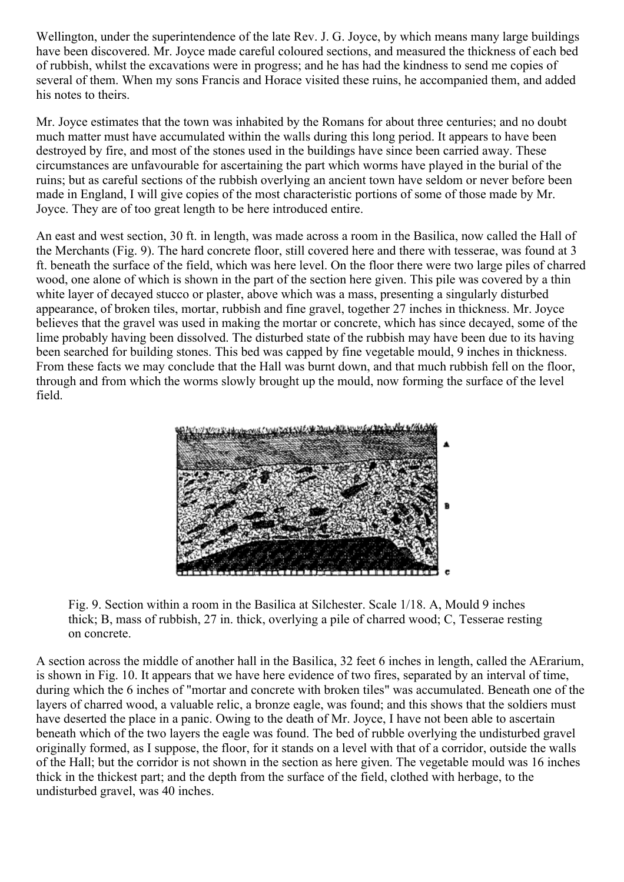<span id="page-54-0"></span>Wellington, under the superintendence of the late Rev. J. G. Joyce, by which means many large buildings have been discovered. Mr. Joyce made careful coloured sections, and measured the thickness of each bed of rubbish, whilst the excavations were in progress; and he has had the kindness to send me copies of several of them. When my sons Francis and Horace visited these ruins, he accompanied them, and added his notes to theirs.

Mr. Joyce estimates that the town was inhabited by the Romans for about three centuries; and no doubt much matter must have accumulated within the walls during this long period. It appears to have been destroyed by fire, and most of the stones used in the buildings have since been carried away. These circumstances are unfavourable for ascertaining the part which worms have played in the burial of the ruins; but as careful sections of the rubbish overlying an ancient town have seldom or never before been made in England, I will give copies of the most characteristic portions of some of those made by Mr. Joyce. They are of too great length to be here introduced entire.

An east and west section, 30 ft. in length, was made across a room in the Basilica, now called the Hall of the Merchants (Fig. 9). The hard concrete floor, still covered here and there with tesserae, was found at 3 ft. beneath the surface of the field, which was here level. On the floor there were two large piles of charred wood, one alone of which is shown in the part of the section here given. This pile was covered by a thin white layer of decayed stucco or plaster, above which was a mass, presenting a singularly disturbed appearance, of broken tiles, mortar, rubbish and fine gravel, together 27 inches in thickness. Mr. Joyce believes that the gravel was used in making the mortar or concrete, which has since decayed, some of the lime probably having been dissolved. The disturbed state of the rubbish may have been due to its having been searched for building stones. This bed was capped by fine vegetable mould, 9 inches in thickness. From these facts we may conclude that the Hall was burnt down, and that much rubbish fell on the floor, through and from which the worms slowly brought up the mould, now forming the surface of the level field.



Fig. 9. Section within a room in the Basilica at Silchester. Scale 1/18. A, Mould 9 inches thick; B, mass of rubbish, 27 in. thick, overlying a pile of charred wood; C, Tesserae resting on concrete.

A section across the middle of another hall in the Basilica, 32 feet 6 inches in length, called the AErarium, is shown in Fig. 10. It appears that we have here evidence of two fires, separated by an interval of time, during which the 6 inches of "mortar and concrete with broken tiles" was accumulated. Beneath one of the layers of charred wood, a valuable relic, a bronze eagle, was found; and this shows that the soldiers must have deserted the place in a panic. Owing to the death of Mr. Joyce, I have not been able to ascertain beneath which of the two layers the eagle was found. The bed of rubble overlying the undisturbed gravel originally formed, as I suppose, the floor, for it stands on a level with that of a corridor, outside the walls of the Hall; but the corridor is not shown in the section as here given. The vegetable mould was 16 inches thick in the thickest part; and the depth from the surface of the field, clothed with herbage, to the undisturbed gravel, was 40 inches.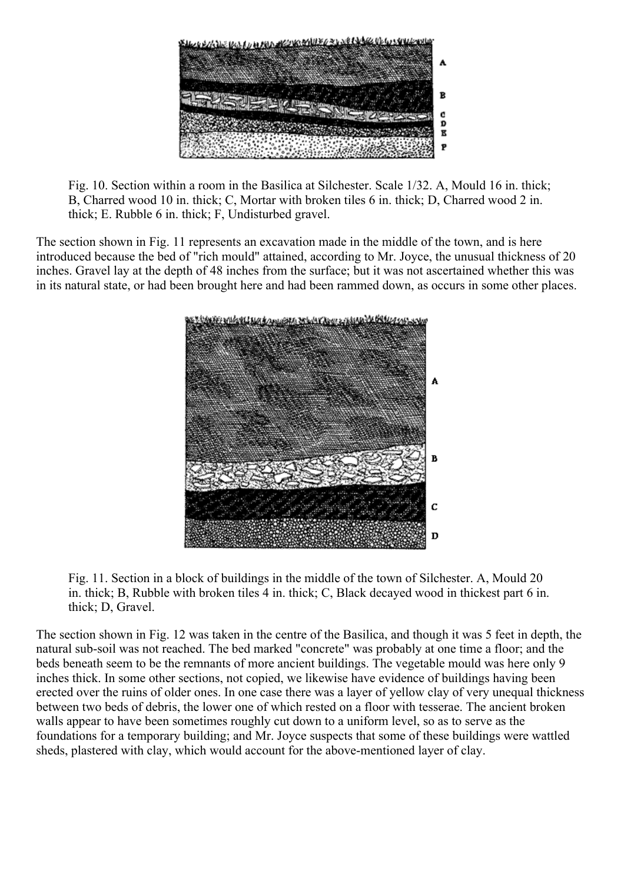

Fig. 10. Section within a room in the Basilica at Silchester. Scale 1/32. A, Mould 16 in. thick; B, Charred wood 10 in. thick; C, Mortar with broken tiles 6 in. thick; D, Charred wood 2 in. thick; E. Rubble 6 in. thick; F, Undisturbed gravel.

The section shown in Fig. 11 represents an excavation made in the middle of the town, and is here introduced because the bed of "rich mould" attained, according to Mr. Joyce, the unusual thickness of 20 inches. Gravel lay at the depth of 48 inches from the surface; but it was not ascertained whether this was in its natural state, or had been brought here and had been rammed down, as occurs in some other places.



Fig. 11. Section in a block of buildings in the middle of the town of Silchester. A, Mould 20 in. thick; B, Rubble with broken tiles 4 in. thick; C, Black decayed wood in thickest part 6 in. thick; D, Gravel.

The section shown in Fig. 12 was taken in the centre of the Basilica, and though it was 5 feet in depth, the natural sub-soil was not reached. The bed marked "concrete" was probably at one time a floor; and the beds beneath seem to be the remnants of more ancient buildings. The vegetable mould was here only 9 inches thick. In some other sections, not copied, we likewise have evidence of buildings having been erected over the ruins of older ones. In one case there was a layer of yellow clay of very unequal thickness between two beds of debris, the lower one of which rested on a floor with tesserae. The ancient broken walls appear to have been sometimes roughly cut down to a uniform level, so as to serve as the foundations for a temporary building; and Mr. Joyce suspects that some of these buildings were wattled sheds, plastered with clay, which would account for the above-mentioned layer of clay.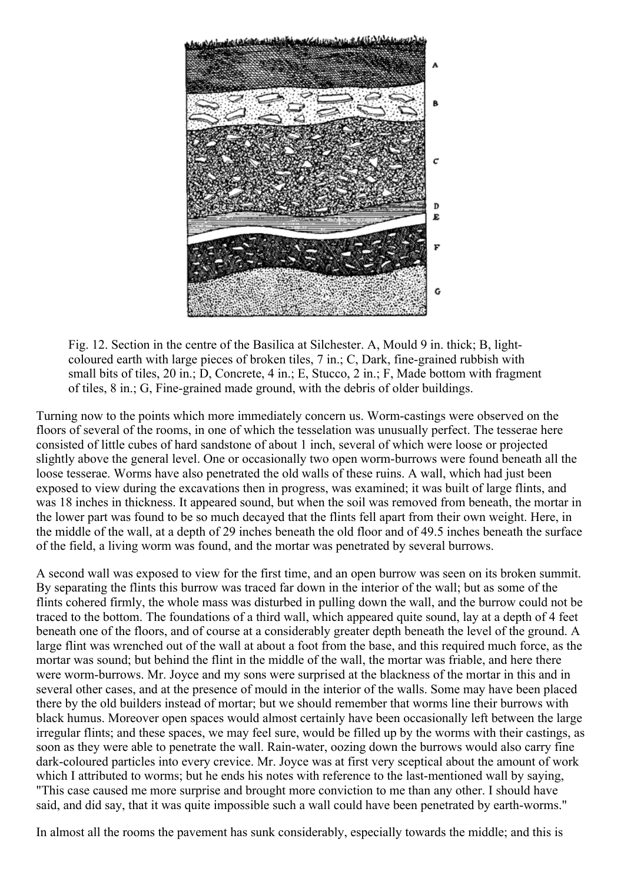

Fig. 12. Section in the centre of the Basilica at Silchester. A, Mould 9 in. thick; B, lightcoloured earth with large pieces of broken tiles, 7 in.; C, Dark, fine-grained rubbish with small bits of tiles, 20 in.; D, Concrete, 4 in.; E, Stucco, 2 in.; F, Made bottom with fragment of tiles, 8 in.; G, Fine-grained made ground, with the debris of older buildings.

Turning now to the points which more immediately concern us. Worm-castings were observed on the floors of several of the rooms, in one of which the tesselation was unusually perfect. The tesserae here consisted of little cubes of hard sandstone of about 1 inch, several of which were loose or projected slightly above the general level. One or occasionally two open worm-burrows were found beneath all the loose tesserae. Worms have also penetrated the old walls of these ruins. A wall, which had just been exposed to view during the excavations then in progress, was examined; it was built of large flints, and was 18 inches in thickness. It appeared sound, but when the soil was removed from beneath, the mortar in the lower part was found to be so much decayed that the flints fell apart from their own weight. Here, in the middle of the wall, at a depth of 29 inches beneath the old floor and of 49.5 inches beneath the surface of the field, a living worm was found, and the mortar was penetrated by several burrows.

A second wall was exposed to view for the first time, and an open burrow was seen on its broken summit. By separating the flints this burrow was traced far down in the interior of the wall; but as some of the flints cohered firmly, the whole mass was disturbed in pulling down the wall, and the burrow could not be traced to the bottom. The foundations of a third wall, which appeared quite sound, lay at a depth of 4 feet beneath one of the floors, and of course at a considerably greater depth beneath the level of the ground. A large flint was wrenched out of the wall at about a foot from the base, and this required much force, as the mortar was sound; but behind the flint in the middle of the wall, the mortar was friable, and here there were worm-burrows. Mr. Joyce and my sons were surprised at the blackness of the mortar in this and in several other cases, and at the presence of mould in the interior of the walls. Some may have been placed there by the old builders instead of mortar; but we should remember that worms line their burrows with black humus. Moreover open spaces would almost certainly have been occasionally left between the large irregular flints; and these spaces, we may feel sure, would be filled up by the worms with their castings, as soon as they were able to penetrate the wall. Rain-water, oozing down the burrows would also carry fine dark-coloured particles into every crevice. Mr. Joyce was at first very sceptical about the amount of work which I attributed to worms; but he ends his notes with reference to the last-mentioned wall by saying. "This case caused me more surprise and brought more conviction to me than any other. I should have said, and did say, that it was quite impossible such a wall could have been penetrated by earth-worms."

In almost all the rooms the pavement has sunk considerably, especially towards the middle; and this is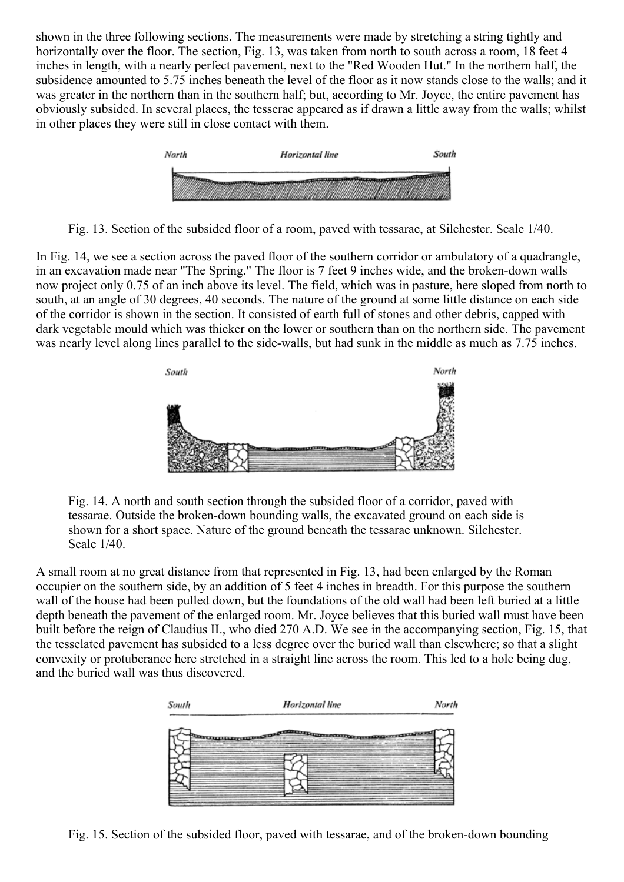shown in the three following sections. The measurements were made by stretching a string tightly and horizontally over the floor. The section, Fig. 13, was taken from north to south across a room, 18 feet 4 inches in length, with a nearly perfect pavement, next to the "Red Wooden Hut." In the northern half, the subsidence amounted to 5.75 inches beneath the level of the floor as it now stands close to the walls; and it was greater in the northern than in the southern half; but, according to Mr. Joyce, the entire pavement has obviously subsided. In several places, the tesserae appeared as if drawn a little away from the walls; whilst in other places they were still in close contact with them.



Fig. 13. Section of the subsided floor of a room, paved with tessarae, at Silchester. Scale 1/40.

In Fig. 14, we see a section across the paved floor of the southern corridor or ambulatory of a quadrangle, in an excavation made near "The Spring." The floor is 7 feet 9 inches wide, and the broken-down walls now project only 0.75 of an inch above its level. The field, which was in pasture, here sloped from north to south, at an angle of 30 degrees, 40 seconds. The nature of the ground at some little distance on each side of the corridor is shown in the section. It consisted of earth full of stones and other debris, capped with dark vegetable mould which was thicker on the lower or southern than on the northern side. The pavement was nearly level along lines parallel to the side-walls, but had sunk in the middle as much as 7.75 inches.



Fig. 14. A north and south section through the subsided floor of a corridor, paved with tessarae. Outside the broken-down bounding walls, the excavated ground on each side is shown for a short space. Nature of the ground beneath the tessarae unknown. Silchester. Scale 1/40.

A small room at no great distance from that represented in Fig. 13, had been enlarged by the Roman occupier on the southern side, by an addition of 5 feet 4 inches in breadth. For this purpose the southern wall of the house had been pulled down, but the foundations of the old wall had been left buried at a little depth beneath the pavement of the enlarged room. Mr. Joyce believes that this buried wall must have been built before the reign of Claudius II., who died 270 A.D. We see in the accompanying section, Fig. 15, that the tesselated pavement has subsided to a less degree over the buried wall than elsewhere; so that a slight convexity or protuberance here stretched in a straight line across the room. This led to a hole being dug, and the buried wall was thus discovered.



Fig. 15. Section of the subsided floor, paved with tessarae, and of the broken-down bounding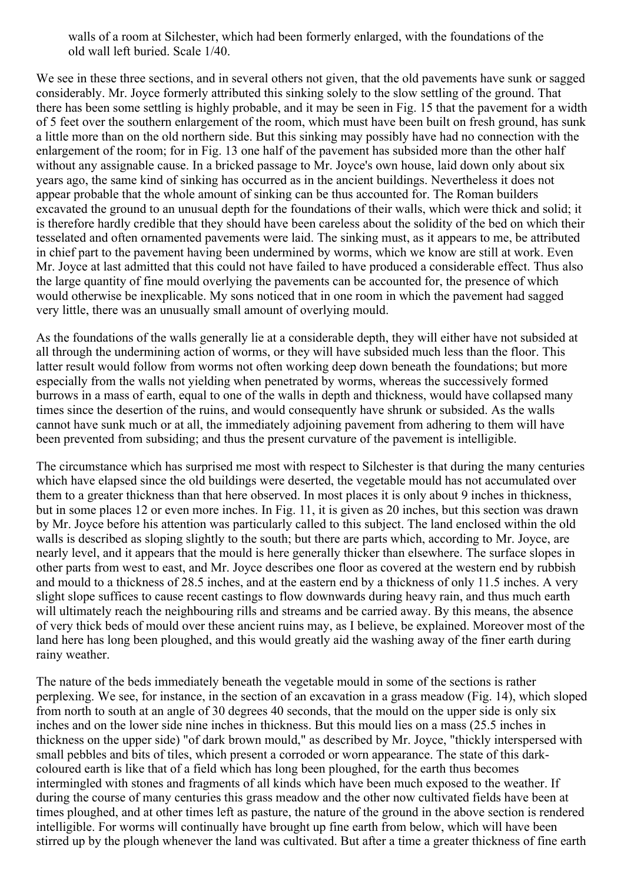walls of a room at Silchester, which had been formerly enlarged, with the foundations of the old wall left buried. Scale 1/40.

We see in these three sections, and in several others not given, that the old pavements have sunk or sagged considerably. Mr. Joyce formerly attributed this sinking solely to the slow settling of the ground. That there has been some settling is highly probable, and it may be seen in Fig. 15 that the pavement for a width of 5 feet over the southern enlargement of the room, which must have been built on fresh ground, has sunk a little more than on the old northern side. But this sinking may possibly have had no connection with the enlargement of the room; for in Fig. 13 one half of the pavement has subsided more than the other half without any assignable cause. In a bricked passage to Mr. Joyce's own house, laid down only about six years ago, the same kind of sinking has occurred as in the ancient buildings. Nevertheless it does not appear probable that the whole amount of sinking can be thus accounted for. The Roman builders excavated the ground to an unusual depth for the foundations of their walls, which were thick and solid; it is therefore hardly credible that they should have been careless about the solidity of the bed on which their tesselated and often ornamented pavements were laid. The sinking must, as it appears to me, be attributed in chief part to the pavement having been undermined by worms, which we know are still at work. Even Mr. Joyce at last admitted that this could not have failed to have produced a considerable effect. Thus also the large quantity of fine mould overlying the pavements can be accounted for, the presence of which would otherwise be inexplicable. My sons noticed that in one room in which the pavement had sagged very little, there was an unusually small amount of overlying mould.

As the foundations of the walls generally lie at a considerable depth, they will either have not subsided at all through the undermining action of worms, or they will have subsided much less than the floor. This latter result would follow from worms not often working deep down beneath the foundations; but more especially from the walls not yielding when penetrated by worms, whereas the successively formed burrows in a mass of earth, equal to one of the walls in depth and thickness, would have collapsed many times since the desertion of the ruins, and would consequently have shrunk or subsided. As the walls cannot have sunk much or at all, the immediately adjoining pavement from adhering to them will have been prevented from subsiding; and thus the present curvature of the pavement is intelligible.

The circumstance which has surprised me most with respect to Silchester is that during the many centuries which have elapsed since the old buildings were deserted, the vegetable mould has not accumulated over them to a greater thickness than that here observed. In most places it is only about 9 inches in thickness, but in some places 12 or even more inches. In Fig. 11, it is given as 20 inches, but this section was drawn by Mr. Joyce before his attention was particularly called to this subject. The land enclosed within the old walls is described as sloping slightly to the south; but there are parts which, according to Mr. Joyce, are nearly level, and it appears that the mould is here generally thicker than elsewhere. The surface slopes in other parts from west to east, and Mr. Joyce describes one floor as covered at the western end by rubbish and mould to a thickness of 28.5 inches, and at the eastern end by a thickness of only 11.5 inches. A very slight slope suffices to cause recent castings to flow downwards during heavy rain, and thus much earth will ultimately reach the neighbouring rills and streams and be carried away. By this means, the absence of very thick beds of mould over these ancient ruins may, as I believe, be explained. Moreover most of the land here has long been ploughed, and this would greatly aid the washing away of the finer earth during rainy weather.

The nature of the beds immediately beneath the vegetable mould in some of the sections is rather perplexing. We see, for instance, in the section of an excavation in a grass meadow (Fig. 14), which sloped from north to south at an angle of 30 degrees 40 seconds, that the mould on the upper side is only six inches and on the lower side nine inches in thickness. But this mould lies on a mass (25.5 inches in thickness on the upper side) "of dark brown mould," as described by Mr. Joyce, "thickly interspersed with small pebbles and bits of tiles, which present a corroded or worn appearance. The state of this darkcoloured earth is like that of a field which has long been ploughed, for the earth thus becomes intermingled with stones and fragments of all kinds which have been much exposed to the weather. If during the course of many centuries this grass meadow and the other now cultivated fields have been at times ploughed, and at other times left as pasture, the nature of the ground in the above section is rendered intelligible. For worms will continually have brought up fine earth from below, which will have been stirred up by the plough whenever the land was cultivated. But after a time a greater thickness of fine earth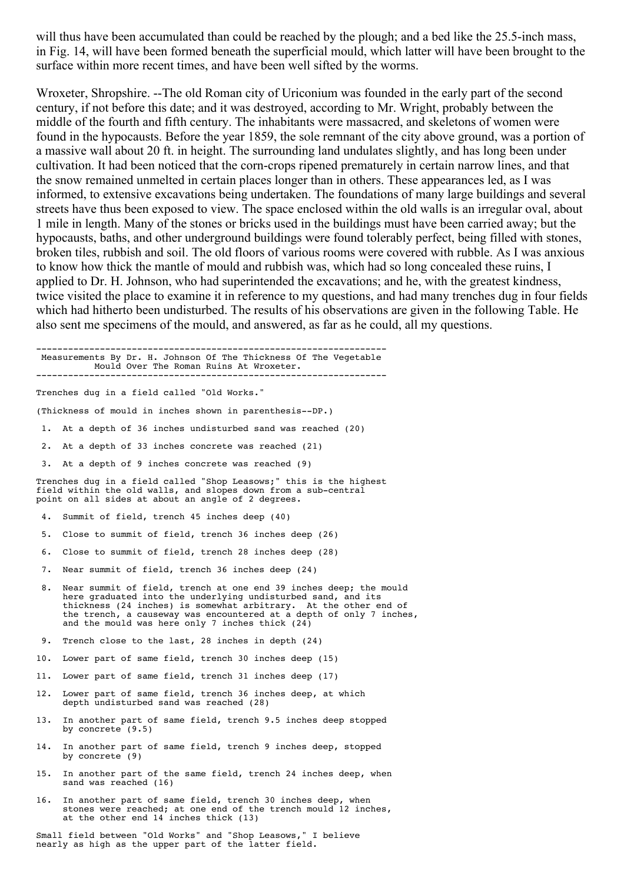will thus have been accumulated than could be reached by the plough; and a bed like the 25.5-inch mass, in Fig. 14, will have been formed beneath the superficial mould, which latter will have been brought to the surface within more recent times, and have been well sifted by the worms.

Wroxeter, Shropshire. --The old Roman city of Uriconium was founded in the early part of the second century, if not before this date; and it was destroyed, according to Mr. Wright, probably between the middle of the fourth and fifth century. The inhabitants were massacred, and skeletons of women were found in the hypocausts. Before the year 1859, the sole remnant of the city above ground, was a portion of a massive wall about 20 ft. in height. The surrounding land undulates slightly, and has long been under cultivation. It had been noticed that the corn-crops ripened prematurely in certain narrow lines, and that the snow remained unmelted in certain places longer than in others. These appearances led, as I was informed, to extensive excavations being undertaken. The foundations of many large buildings and several streets have thus been exposed to view. The space enclosed within the old walls is an irregular oval, about 1 mile in length. Many of the stones or bricks used in the buildings must have been carried away; but the hypocausts, baths, and other underground buildings were found tolerably perfect, being filled with stones, broken tiles, rubbish and soil. The old floors of various rooms were covered with rubble. As I was anxious to know how thick the mantle of mould and rubbish was, which had so long concealed these ruins, I applied to Dr. H. Johnson, who had superintended the excavations; and he, with the greatest kindness, twice visited the place to examine it in reference to my questions, and had many trenches dug in four fields which had hitherto been undisturbed. The results of his observations are given in the following Table. He also sent me specimens of the mould, and answered, as far as he could, all my questions.

------------------------------------------------------------------ Measurements By Dr. H. Johnson Of The Thickness Of The Vegetable Mould Over The Roman Ruins At Wroxeter. ------------------------------------------------------------------ Trenches dug in a field called "Old Works." (Thickness of mould in inches shown in parenthesis--DP.) 1. At a depth of 36 inches undisturbed sand was reached (20) 2. At a depth of 33 inches concrete was reached (21) 3. At a depth of 9 inches concrete was reached (9) Trenches dug in a field called "Shop Leasows;" this is the highest field within the old walls, and slopes down from a sub-central point on all sides at about an angle of 2 degrees. 4. Summit of field, trench 45 inches deep (40) 5. Close to summit of field, trench 36 inches deep (26) 6. Close to summit of field, trench 28 inches deep (28) 7. Near summit of field, trench 36 inches deep (24) 8. Near summit of field, trench at one end 39 inches deep; the mould here graduated into the underlying undisturbed sand, and its thickness (24 inches) is somewhat arbitrary. At the other end of the trench, a causeway was encountered at a depth of only 7 inches, and the mould was here only 7 inches thick  $(24)$ 9. Trench close to the last, 28 inches in depth (24) 10. Lower part of same field, trench 30 inches deep (15) 11. Lower part of same field, trench 31 inches deep (17) 12. Lower part of same field, trench 36 inches deep, at which depth undisturbed sand was reached (28) 13. In another part of same field, trench 9.5 inches deep stopped by concrete (9.5) 14. In another part of same field, trench 9 inches deep, stopped by concrete (9) 15. In another part of the same field, trench 24 inches deep, when sand was reached (16)

16. In another part of same field, trench 30 inches deep, when stones were reached; at one end of the trench mould 12 inches, at the other end 14 inches thick (13)

Small field between "Old Works" and "Shop Leasows," I believe nearly as high as the upper part of the latter field.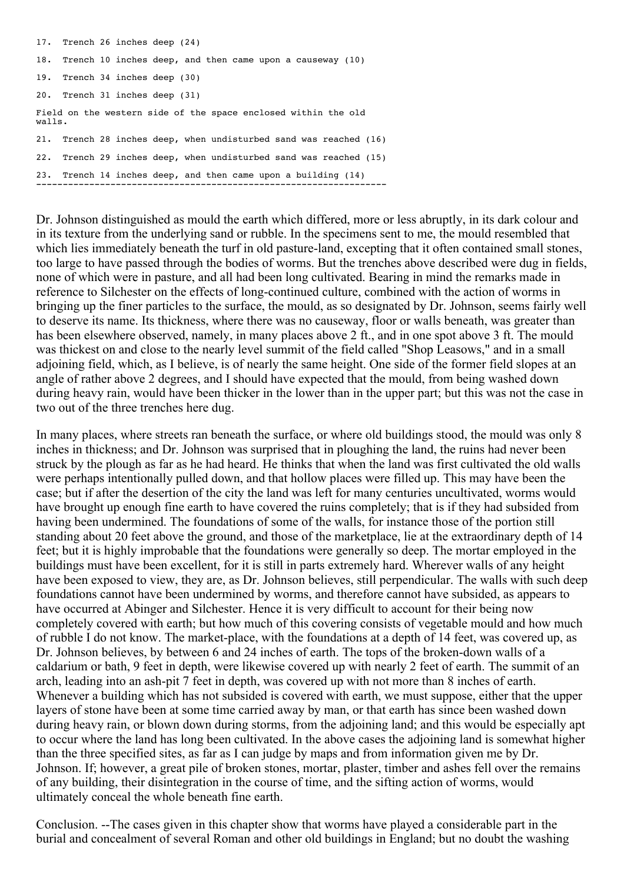17. Trench 26 inches deep (24) 18. Trench 10 inches deep, and then came upon a causeway (10) 19. Trench 34 inches deep (30) 20. Trench 31 inches deep (31) Field on the western side of the space enclosed within the old walls. 21. Trench 28 inches deep, when undisturbed sand was reached (16) 22. Trench 29 inches deep, when undisturbed sand was reached (15) 23. Trench 14 inches deep, and then came upon a building (14) ------------------------------------------------------------------

Dr. Johnson distinguished as mould the earth which differed, more or less abruptly, in its dark colour and in its texture from the underlying sand or rubble. In the specimens sent to me, the mould resembled that which lies immediately beneath the turf in old pasture-land, excepting that it often contained small stones, too large to have passed through the bodies of worms. But the trenches above described were dug in fields, none of which were in pasture, and all had been long cultivated. Bearing in mind the remarks made in reference to Silchester on the effects of long-continued culture, combined with the action of worms in bringing up the finer particles to the surface, the mould, as so designated by Dr. Johnson, seems fairly well to deserve its name. Its thickness, where there was no causeway, floor or walls beneath, was greater than has been elsewhere observed, namely, in many places above 2 ft., and in one spot above 3 ft. The mould was thickest on and close to the nearly level summit of the field called "Shop Leasows," and in a small adjoining field, which, as I believe, is of nearly the same height. One side of the former field slopes at an angle of rather above 2 degrees, and I should have expected that the mould, from being washed down during heavy rain, would have been thicker in the lower than in the upper part; but this was not the case in two out of the three trenches here dug.

In many places, where streets ran beneath the surface, or where old buildings stood, the mould was only 8 inches in thickness; and Dr. Johnson was surprised that in ploughing the land, the ruins had never been struck by the plough as far as he had heard. He thinks that when the land was first cultivated the old walls were perhaps intentionally pulled down, and that hollow places were filled up. This may have been the case; but if after the desertion of the city the land was left for many centuries uncultivated, worms would have brought up enough fine earth to have covered the ruins completely; that is if they had subsided from having been undermined. The foundations of some of the walls, for instance those of the portion still standing about 20 feet above the ground, and those of the marketplace, lie at the extraordinary depth of 14 feet; but it is highly improbable that the foundations were generally so deep. The mortar employed in the buildings must have been excellent, for it is still in parts extremely hard. Wherever walls of any height have been exposed to view, they are, as Dr. Johnson believes, still perpendicular. The walls with such deep foundations cannot have been undermined by worms, and therefore cannot have subsided, as appears to have occurred at Abinger and Silchester. Hence it is very difficult to account for their being now completely covered with earth; but how much of this covering consists of vegetable mould and how much of rubble I do not know. The market-place, with the foundations at a depth of 14 feet, was covered up, as Dr. Johnson believes, by between 6 and 24 inches of earth. The tops of the broken-down walls of a caldarium or bath, 9 feet in depth, were likewise covered up with nearly 2 feet of earth. The summit of an arch, leading into an ash-pit 7 feet in depth, was covered up with not more than 8 inches of earth. Whenever a building which has not subsided is covered with earth, we must suppose, either that the upper layers of stone have been at some time carried away by man, or that earth has since been washed down during heavy rain, or blown down during storms, from the adjoining land; and this would be especially apt to occur where the land has long been cultivated. In the above cases the adjoining land is somewhat higher than the three specified sites, as far as I can judge by maps and from information given me by Dr. Johnson. If; however, a great pile of broken stones, mortar, plaster, timber and ashes fell over the remains of any building, their disintegration in the course of time, and the sifting action of worms, would ultimately conceal the whole beneath fine earth.

Conclusion. --The cases given in this chapter show that worms have played a considerable part in the burial and concealment of several Roman and other old buildings in England; but no doubt the washing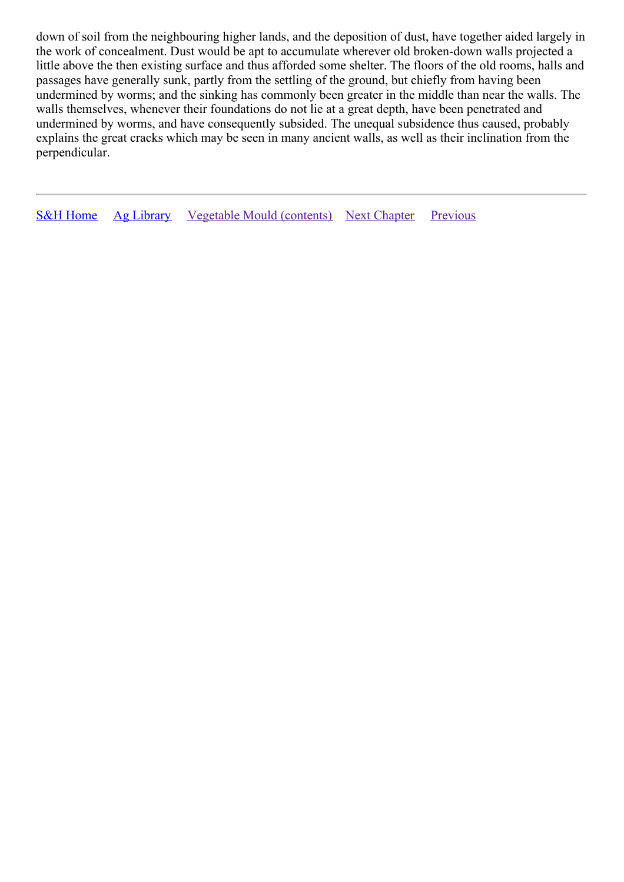down of soil from the neighbouring higher lands, and the deposition of dust, have together aided largely in the work of concealment. Dust would be apt to accumulate wherever old broken-down walls projected a little above the then existing surface and thus afforded some shelter. The floors of the old rooms, halls and passages have generally sunk, partly from the settling of the ground, but chiefly from having been undermined by worms; and the sinking has commonly been greater in the middle than near the walls. The walls themselves, whenever their foundations do not lie at a great depth, have been penetrated and undermined by worms, and have consequently subsided. The unequal subsidence thus caused, probably explains the great cracks which may be seen in many ancient walls, as well as their inclination from the perpendicular.

S&H [Home](http://www.soilandhealth.org/) Ag [Library](http://www.soilandhealth.org/01aglibrary/01aglibwelcome.html) [Vegetable](#page-0-0) Mould (contents) Next [Chapter](#page-64-0) [Previous](#page-42-0)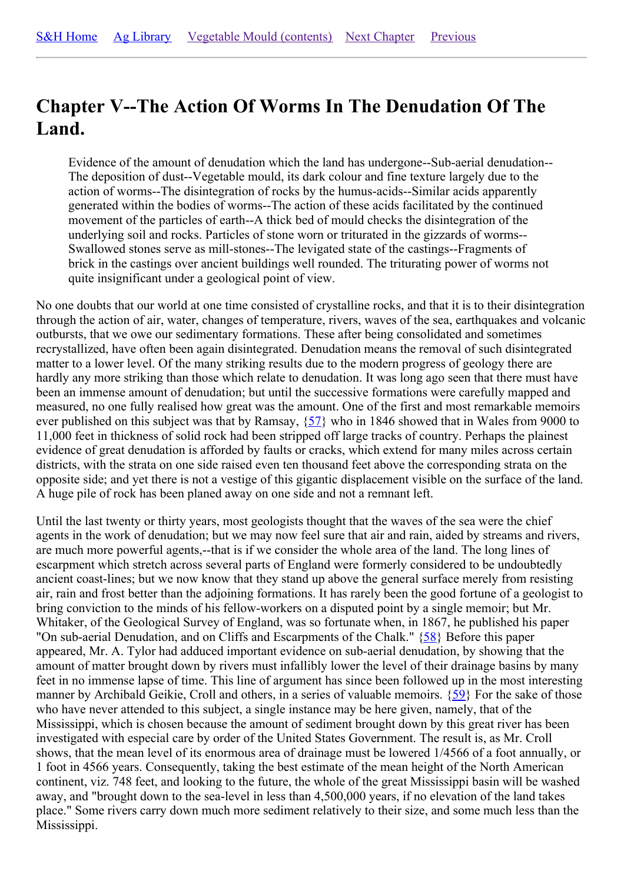## **Chapter V--The Action Of Worms In The Denudation Of The Land.**

Evidence of the amount of denudation which the land has undergone--Sub-aerial denudation-- The deposition of dust--Vegetable mould, its dark colour and fine texture largely due to the action of worms--The disintegration of rocks by the humus-acids--Similar acids apparently generated within the bodies of worms--The action of these acids facilitated by the continued movement of the particles of earth--A thick bed of mould checks the disintegration of the underlying soil and rocks. Particles of stone worn or triturated in the gizzards of worms-- Swallowed stones serve as mill-stones--The levigated state of the castings--Fragments of brick in the castings over ancient buildings well rounded. The triturating power of worms not quite insignificant under a geological point of view.

No one doubts that our world at one time consisted of crystalline rocks, and that it is to their disintegration through the action of air, water, changes of temperature, rivers, waves of the sea, earthquakes and volcanic outbursts, that we owe our sedimentary formations. These after being consolidated and sometimes recrystallized, have often been again disintegrated. Denudation means the removal of such disintegrated matter to a lower level. Of the many striking results due to the modern progress of geology there are hardly any more striking than those which relate to denudation. It was long ago seen that there must have been an immense amount of denudation; but until the successive formations were carefully mapped and measured, no one fully realised how great was the amount. One of the first and most remarkable memoirs ever published on this subject was that by Ramsay,  $\{57\}$  $\{57\}$  $\{57\}$  who in 1846 showed that in Wales from 9000 to 11,000 feet in thickness of solid rock had been stripped off large tracks of country. Perhaps the plainest evidence of great denudation is afforded by faults or cracks, which extend for many miles across certain districts, with the strata on one side raised even ten thousand feet above the corresponding strata on the opposite side; and yet there is not a vestige of this gigantic displacement visible on the surface of the land. A huge pile of rock has been planed away on one side and not a remnant left.

Until the last twenty or thirty years, most geologists thought that the waves of the sea were the chief agents in the work of denudation; but we may now feel sure that air and rain, aided by streams and rivers, are much more powerful agents,--that is if we consider the whole area of the land. The long lines of escarpment which stretch across several parts of England were formerly considered to be undoubtedly ancient coast-lines; but we now know that they stand up above the general surface merely from resisting air, rain and frost better than the adjoining formations. It has rarely been the good fortune of a geologist to bring conviction to the minds of his fellow-workers on a disputed point by a single memoir; but Mr. Whitaker, of the Geological Survey of England, was so fortunate when, in 1867, he published his paper "On sub-aerial Denudation, and on Cliffs and Escarpments of the Chalk." [{58](#page-81-0)} Before this paper appeared, Mr. A. Tylor had adduced important evidence on sub-aerial denudation, by showing that the amount of matter brought down by rivers must infallibly lower the level of their drainage basins by many feet in no immense lapse of time. This line of argument has since been followed up in the most interesting manner by Archibald Geikie, Croll and others, in a series of valuable memoirs. {[59](#page-81-0)} For the sake of those who have never attended to this subject, a single instance may be here given, namely, that of the Mississippi, which is chosen because the amount of sediment brought down by this great river has been investigated with especial care by order of the United States Government. The result is, as Mr. Croll shows, that the mean level of its enormous area of drainage must be lowered 1/4566 of a foot annually, or 1 foot in 4566 years. Consequently, taking the best estimate of the mean height of the North American continent, viz. 748 feet, and looking to the future, the whole of the great Mississippi basin will be washed away, and "brought down to the sea-level in less than 4,500,000 years, if no elevation of the land takes place." Some rivers carry down much more sediment relatively to their size, and some much less than the Mississippi.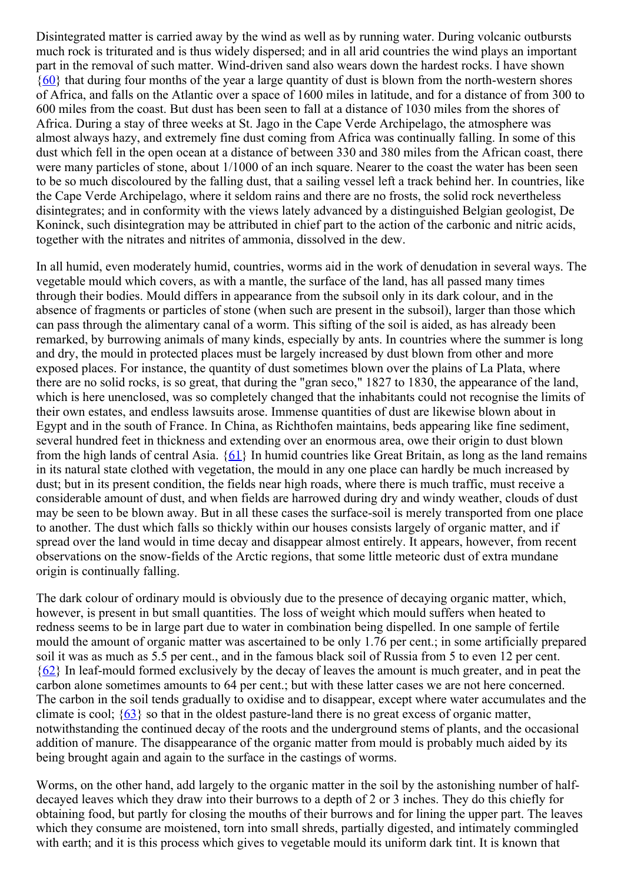Disintegrated matter is carried away by the wind as well as by running water. During volcanic outbursts much rock is triturated and is thus widely dispersed; and in all arid countries the wind plays an important part in the removal of such matter. Wind-driven sand also wears down the hardest rocks. I have shown  ${60}$  ${60}$  that during four months of the year a large quantity of dust is blown from the north-western shores of Africa, and falls on the Atlantic over a space of 1600 miles in latitude, and for a distance of from 300 to 600 miles from the coast. But dust has been seen to fall at a distance of 1030 miles from the shores of Africa. During a stay of three weeks at St. Jago in the Cape Verde Archipelago, the atmosphere was almost always hazy, and extremely fine dust coming from Africa was continually falling. In some of this dust which fell in the open ocean at a distance of between 330 and 380 miles from the African coast, there were many particles of stone, about 1/1000 of an inch square. Nearer to the coast the water has been seen to be so much discoloured by the falling dust, that a sailing vessel left a track behind her. In countries, like the Cape Verde Archipelago, where it seldom rains and there are no frosts, the solid rock nevertheless disintegrates; and in conformity with the views lately advanced by a distinguished Belgian geologist, De Koninck, such disintegration may be attributed in chief part to the action of the carbonic and nitric acids, together with the nitrates and nitrites of ammonia, dissolved in the dew.

In all humid, even moderately humid, countries, worms aid in the work of denudation in several ways. The vegetable mould which covers, as with a mantle, the surface of the land, has all passed many times through their bodies. Mould differs in appearance from the subsoil only in its dark colour, and in the absence of fragments or particles of stone (when such are present in the subsoil), larger than those which can pass through the alimentary canal of a worm. This sifting of the soil is aided, as has already been remarked, by burrowing animals of many kinds, especially by ants. In countries where the summer is long and dry, the mould in protected places must be largely increased by dust blown from other and more exposed places. For instance, the quantity of dust sometimes blown over the plains of La Plata, where there are no solid rocks, is so great, that during the "gran seco," 1827 to 1830, the appearance of the land, which is here unenclosed, was so completely changed that the inhabitants could not recognise the limits of their own estates, and endless lawsuits arose. Immense quantities of dust are likewise blown about in Egypt and in the south of France. In China, as Richthofen maintains, beds appearing like fine sediment, several hundred feet in thickness and extending over an enormous area, owe their origin to dust blown from the high lands of central Asia. [{61](#page-81-0)} In humid countries like Great Britain, as long as the land remains in its natural state clothed with vegetation, the mould in any one place can hardly be much increased by dust; but in its present condition, the fields near high roads, where there is much traffic, must receive a considerable amount of dust, and when fields are harrowed during dry and windy weather, clouds of dust may be seen to be blown away. But in all these cases the surface-soil is merely transported from one place to another. The dust which falls so thickly within our houses consists largely of organic matter, and if spread over the land would in time decay and disappear almost entirely. It appears, however, from recent observations on the snow-fields of the Arctic regions, that some little meteoric dust of extra mundane origin is continually falling.

The dark colour of ordinary mould is obviously due to the presence of decaying organic matter, which, however, is present in but small quantities. The loss of weight which mould suffers when heated to redness seems to be in large part due to water in combination being dispelled. In one sample of fertile mould the amount of organic matter was ascertained to be only 1.76 per cent.; in some artificially prepared soil it was as much as 5.5 per cent., and in the famous black soil of Russia from 5 to even 12 per cent. [{62](#page-81-0)} In leaf-mould formed exclusively by the decay of leaves the amount is much greater, and in peat the carbon alone sometimes amounts to 64 per cent.; but with these latter cases we are not here concerned. The carbon in the soil tends gradually to oxidise and to disappear, except where water accumulates and the climate is cool; [{63](#page-81-0)} so that in the oldest pasture-land there is no great excess of organic matter, notwithstanding the continued decay of the roots and the underground stems of plants, and the occasional addition of manure. The disappearance of the organic matter from mould is probably much aided by its being brought again and again to the surface in the castings of worms.

Worms, on the other hand, add largely to the organic matter in the soil by the astonishing number of halfdecayed leaves which they draw into their burrows to a depth of 2 or 3 inches. They do this chiefly for obtaining food, but partly for closing the mouths of their burrows and for lining the upper part. The leaves which they consume are moistened, torn into small shreds, partially digested, and intimately commingled with earth; and it is this process which gives to vegetable mould its uniform dark tint. It is known that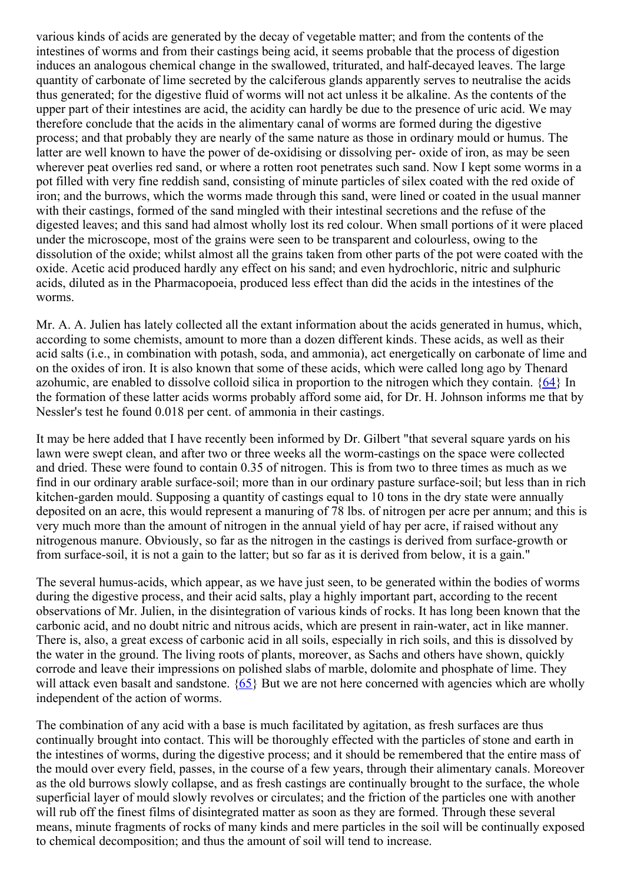<span id="page-64-0"></span>various kinds of acids are generated by the decay of vegetable matter; and from the contents of the intestines of worms and from their castings being acid, it seems probable that the process of digestion induces an analogous chemical change in the swallowed, triturated, and half-decayed leaves. The large quantity of carbonate of lime secreted by the calciferous glands apparently serves to neutralise the acids thus generated; for the digestive fluid of worms will not act unless it be alkaline. As the contents of the upper part of their intestines are acid, the acidity can hardly be due to the presence of uric acid. We may therefore conclude that the acids in the alimentary canal of worms are formed during the digestive process; and that probably they are nearly of the same nature as those in ordinary mould or humus. The latter are well known to have the power of de-oxidising or dissolving per- oxide of iron, as may be seen wherever peat overlies red sand, or where a rotten root penetrates such sand. Now I kept some worms in a pot filled with very fine reddish sand, consisting of minute particles of silex coated with the red oxide of iron; and the burrows, which the worms made through this sand, were lined or coated in the usual manner with their castings, formed of the sand mingled with their intestinal secretions and the refuse of the digested leaves; and this sand had almost wholly lost its red colour. When small portions of it were placed under the microscope, most of the grains were seen to be transparent and colourless, owing to the dissolution of the oxide; whilst almost all the grains taken from other parts of the pot were coated with the oxide. Acetic acid produced hardly any effect on his sand; and even hydrochloric, nitric and sulphuric acids, diluted as in the Pharmacopoeia, produced less effect than did the acids in the intestines of the worms.

Mr. A. A. Julien has lately collected all the extant information about the acids generated in humus, which, according to some chemists, amount to more than a dozen different kinds. These acids, as well as their acid salts (i.e., in combination with potash, soda, and ammonia), act energetically on carbonate of lime and on the oxides of iron. It is also known that some of these acids, which were called long ago by Thenard azohumic, are enabled to dissolve colloid silica in proportion to the nitrogen which they contain. [{64](#page-81-0)} In the formation of these latter acids worms probably afford some aid, for Dr. H. Johnson informs me that by Nessler's test he found 0.018 per cent. of ammonia in their castings.

It may be here added that I have recently been informed by Dr. Gilbert "that several square yards on his lawn were swept clean, and after two or three weeks all the worm-castings on the space were collected and dried. These were found to contain 0.35 of nitrogen. This is from two to three times as much as we find in our ordinary arable surface-soil; more than in our ordinary pasture surface-soil; but less than in rich kitchen-garden mould. Supposing a quantity of castings equal to 10 tons in the dry state were annually deposited on an acre, this would represent a manuring of 78 lbs. of nitrogen per acre per annum; and this is very much more than the amount of nitrogen in the annual yield of hay per acre, if raised without any nitrogenous manure. Obviously, so far as the nitrogen in the castings is derived from surface-growth or from surface-soil, it is not a gain to the latter; but so far as it is derived from below, it is a gain."

The several humus-acids, which appear, as we have just seen, to be generated within the bodies of worms during the digestive process, and their acid salts, play a highly important part, according to the recent observations of Mr. Julien, in the disintegration of various kinds of rocks. It has long been known that the carbonic acid, and no doubt nitric and nitrous acids, which are present in rain-water, act in like manner. There is, also, a great excess of carbonic acid in all soils, especially in rich soils, and this is dissolved by the water in the ground. The living roots of plants, moreover, as Sachs and others have shown, quickly corrode and leave their impressions on polished slabs of marble, dolomite and phosphate of lime. They will attack even basalt and sandstone.  $\{65\}$  $\{65\}$  $\{65\}$  But we are not here concerned with agencies which are wholly independent of the action of worms.

The combination of any acid with a base is much facilitated by agitation, as fresh surfaces are thus continually brought into contact. This will be thoroughly effected with the particles of stone and earth in the intestines of worms, during the digestive process; and it should be remembered that the entire mass of the mould over every field, passes, in the course of a few years, through their alimentary canals. Moreover as the old burrows slowly collapse, and as fresh castings are continually brought to the surface, the whole superficial layer of mould slowly revolves or circulates; and the friction of the particles one with another will rub off the finest films of disintegrated matter as soon as they are formed. Through these several means, minute fragments of rocks of many kinds and mere particles in the soil will be continually exposed to chemical decomposition; and thus the amount of soil will tend to increase.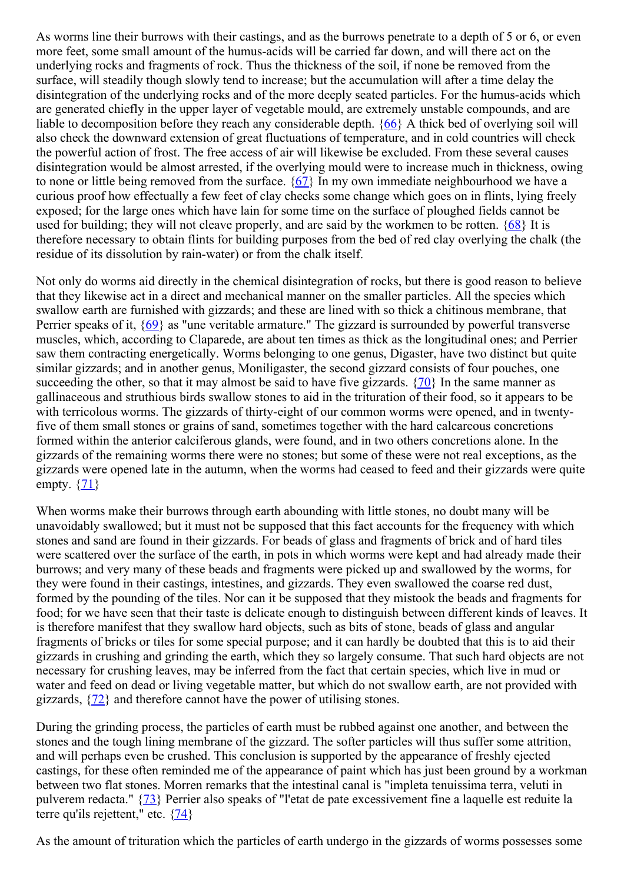As worms line their burrows with their castings, and as the burrows penetrate to a depth of 5 or 6, or even more feet, some small amount of the humus-acids will be carried far down, and will there act on the underlying rocks and fragments of rock. Thus the thickness of the soil, if none be removed from the surface, will steadily though slowly tend to increase; but the accumulation will after a time delay the disintegration of the underlying rocks and of the more deeply seated particles. For the humus-acids which are generated chiefly in the upper layer of vegetable mould, are extremely unstable compounds, and are liable to decomposition before they reach any considerable depth. [{66](#page-81-0)} A thick bed of overlying soil will also check the downward extension of great fluctuations of temperature, and in cold countries will check the powerful action of frost. The free access of air will likewise be excluded. From these several causes disintegration would be almost arrested, if the overlying mould were to increase much in thickness, owing to none or little being removed from the surface. {[67](#page-81-0)} In my own immediate neighbourhood we have a curious proof how effectually a few feet of clay checks some change which goes on in flints, lying freely exposed; for the large ones which have lain for some time on the surface of ploughed fields cannot be used for building; they will not cleave properly, and are said by the workmen to be rotten.  $\{68\}$  $\{68\}$  $\{68\}$  It is therefore necessary to obtain flints for building purposes from the bed of red clay overlying the chalk (the residue of its dissolution by rain-water) or from the chalk itself.

Not only do worms aid directly in the chemical disintegration of rocks, but there is good reason to believe that they likewise act in a direct and mechanical manner on the smaller particles. All the species which swallow earth are furnished with gizzards; and these are lined with so thick a chitinous membrane, that Perrier speaks of it, {[69](#page-81-0)} as "une veritable armature." The gizzard is surrounded by powerful transverse muscles, which, according to Claparede, are about ten times as thick as the longitudinal ones; and Perrier saw them contracting energetically. Worms belonging to one genus, Digaster, have two distinct but quite similar gizzards; and in another genus, Moniligaster, the second gizzard consists of four pouches, one succeeding the other, so that it may almost be said to have five gizzards.  $\{70\}$  $\{70\}$  $\{70\}$  In the same manner as gallinaceous and struthious birds swallow stones to aid in the trituration of their food, so it appears to be with terricolous worms. The gizzards of thirty-eight of our common worms were opened, and in twentyfive of them small stones or grains of sand, sometimes together with the hard calcareous concretions formed within the anterior calciferous glands, were found, and in two others concretions alone. In the gizzards of the remaining worms there were no stones; but some of these were not real exceptions, as the gizzards were opened late in the autumn, when the worms had ceased to feed and their gizzards were quite empty.  $\{21\}$ 

When worms make their burrows through earth abounding with little stones, no doubt many will be unavoidably swallowed; but it must not be supposed that this fact accounts for the frequency with which stones and sand are found in their gizzards. For beads of glass and fragments of brick and of hard tiles were scattered over the surface of the earth, in pots in which worms were kept and had already made their burrows; and very many of these beads and fragments were picked up and swallowed by the worms, for they were found in their castings, intestines, and gizzards. They even swallowed the coarse red dust, formed by the pounding of the tiles. Nor can it be supposed that they mistook the beads and fragments for food; for we have seen that their taste is delicate enough to distinguish between different kinds of leaves. It is therefore manifest that they swallow hard objects, such as bits of stone, beads of glass and angular fragments of bricks or tiles for some special purpose; and it can hardly be doubted that this is to aid their gizzards in crushing and grinding the earth, which they so largely consume. That such hard objects are not necessary for crushing leaves, may be inferred from the fact that certain species, which live in mud or water and feed on dead or living vegetable matter, but which do not swallow earth, are not provided with gizzards,  $\{72\}$  $\{72\}$  $\{72\}$  and therefore cannot have the power of utilising stones.

During the grinding process, the particles of earth must be rubbed against one another, and between the stones and the tough lining membrane of the gizzard. The softer particles will thus suffer some attrition, and will perhaps even be crushed. This conclusion is supported by the appearance of freshly ejected castings, for these often reminded me of the appearance of paint which has just been ground by a workman between two flat stones. Morren remarks that the intestinal canal is "impleta tenuissima terra, veluti in pulverem redacta." [{73](#page-81-0)} Perrier also speaks of "l'etat de pate excessivement fine a laquelle est reduite la terre qu'ils rejettent," etc.  $\{74\}$  $\{74\}$  $\{74\}$ 

As the amount of trituration which the particles of earth undergo in the gizzards of worms possesses some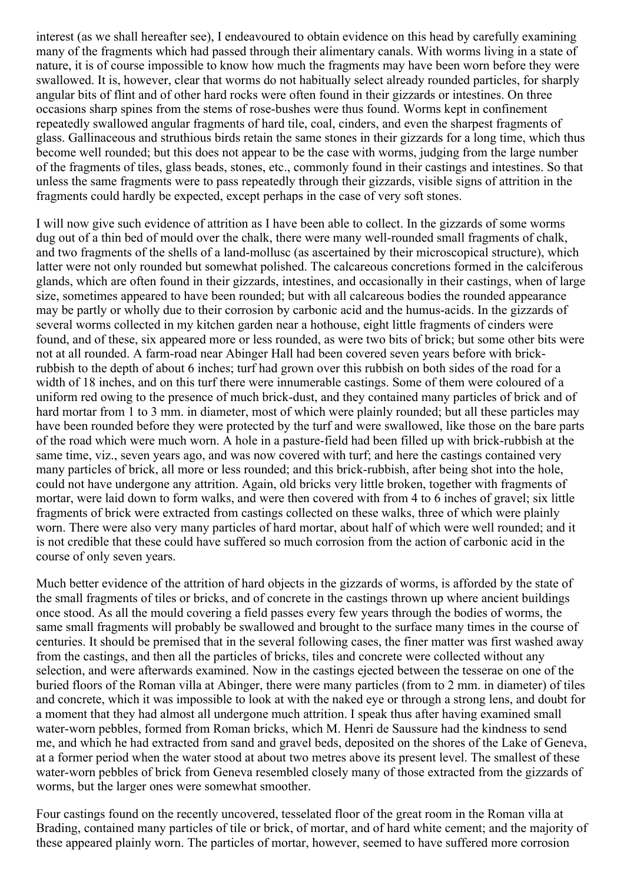interest (as we shall hereafter see), I endeavoured to obtain evidence on this head by carefully examining many of the fragments which had passed through their alimentary canals. With worms living in a state of nature, it is of course impossible to know how much the fragments may have been worn before they were swallowed. It is, however, clear that worms do not habitually select already rounded particles, for sharply angular bits of flint and of other hard rocks were often found in their gizzards or intestines. On three occasions sharp spines from the stems of rose-bushes were thus found. Worms kept in confinement repeatedly swallowed angular fragments of hard tile, coal, cinders, and even the sharpest fragments of glass. Gallinaceous and struthious birds retain the same stones in their gizzards for a long time, which thus become well rounded; but this does not appear to be the case with worms, judging from the large number of the fragments of tiles, glass beads, stones, etc., commonly found in their castings and intestines. So that unless the same fragments were to pass repeatedly through their gizzards, visible signs of attrition in the fragments could hardly be expected, except perhaps in the case of very soft stones.

I will now give such evidence of attrition as I have been able to collect. In the gizzards of some worms dug out of a thin bed of mould over the chalk, there were many well-rounded small fragments of chalk, and two fragments of the shells of a land-mollusc (as ascertained by their microscopical structure), which latter were not only rounded but somewhat polished. The calcareous concretions formed in the calciferous glands, which are often found in their gizzards, intestines, and occasionally in their castings, when of large size, sometimes appeared to have been rounded; but with all calcareous bodies the rounded appearance may be partly or wholly due to their corrosion by carbonic acid and the humus-acids. In the gizzards of several worms collected in my kitchen garden near a hothouse, eight little fragments of cinders were found, and of these, six appeared more or less rounded, as were two bits of brick; but some other bits were not at all rounded. A farm-road near Abinger Hall had been covered seven years before with brickrubbish to the depth of about 6 inches; turf had grown over this rubbish on both sides of the road for a width of 18 inches, and on this turf there were innumerable castings. Some of them were coloured of a uniform red owing to the presence of much brick-dust, and they contained many particles of brick and of hard mortar from 1 to 3 mm. in diameter, most of which were plainly rounded; but all these particles may have been rounded before they were protected by the turf and were swallowed, like those on the bare parts of the road which were much worn. A hole in a pasture-field had been filled up with brick-rubbish at the same time, viz., seven years ago, and was now covered with turf; and here the castings contained very many particles of brick, all more or less rounded; and this brick-rubbish, after being shot into the hole, could not have undergone any attrition. Again, old bricks very little broken, together with fragments of mortar, were laid down to form walks, and were then covered with from 4 to 6 inches of gravel; six little fragments of brick were extracted from castings collected on these walks, three of which were plainly worn. There were also very many particles of hard mortar, about half of which were well rounded; and it is not credible that these could have suffered so much corrosion from the action of carbonic acid in the course of only seven years.

Much better evidence of the attrition of hard objects in the gizzards of worms, is afforded by the state of the small fragments of tiles or bricks, and of concrete in the castings thrown up where ancient buildings once stood. As all the mould covering a field passes every few years through the bodies of worms, the same small fragments will probably be swallowed and brought to the surface many times in the course of centuries. It should be premised that in the several following cases, the finer matter was first washed away from the castings, and then all the particles of bricks, tiles and concrete were collected without any selection, and were afterwards examined. Now in the castings ejected between the tesserae on one of the buried floors of the Roman villa at Abinger, there were many particles (from to 2 mm. in diameter) of tiles and concrete, which it was impossible to look at with the naked eye or through a strong lens, and doubt for a moment that they had almost all undergone much attrition. I speak thus after having examined small water-worn pebbles, formed from Roman bricks, which M. Henri de Saussure had the kindness to send me, and which he had extracted from sand and gravel beds, deposited on the shores of the Lake of Geneva, at a former period when the water stood at about two metres above its present level. The smallest of these water-worn pebbles of brick from Geneva resembled closely many of those extracted from the gizzards of worms, but the larger ones were somewhat smoother.

Four castings found on the recently uncovered, tesselated floor of the great room in the Roman villa at Brading, contained many particles of tile or brick, of mortar, and of hard white cement; and the majority of these appeared plainly worn. The particles of mortar, however, seemed to have suffered more corrosion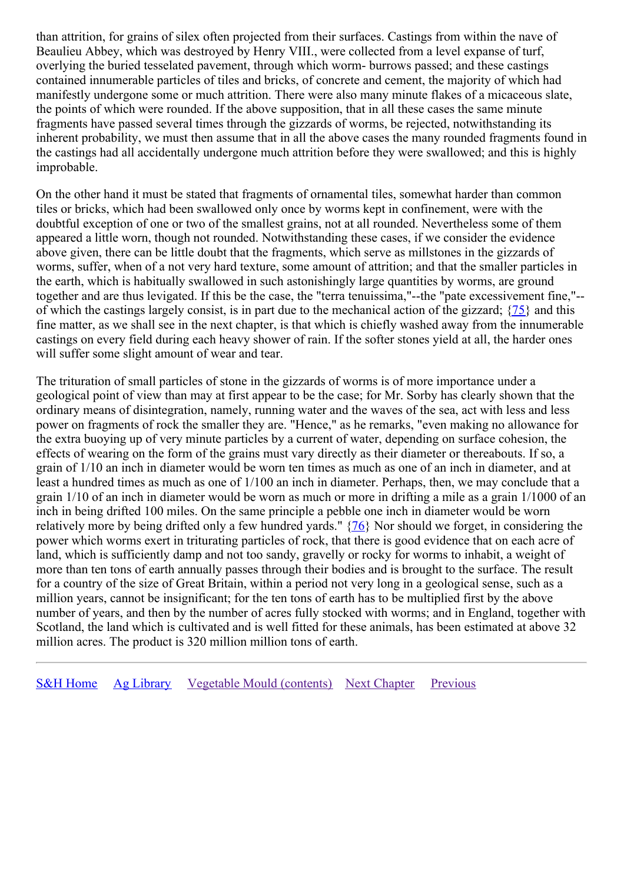than attrition, for grains of silex often projected from their surfaces. Castings from within the nave of Beaulieu Abbey, which was destroyed by Henry VIII., were collected from a level expanse of turf, overlying the buried tesselated pavement, through which worm- burrows passed; and these castings contained innumerable particles of tiles and bricks, of concrete and cement, the majority of which had manifestly undergone some or much attrition. There were also many minute flakes of a micaceous slate, the points of which were rounded. If the above supposition, that in all these cases the same minute fragments have passed several times through the gizzards of worms, be rejected, notwithstanding its inherent probability, we must then assume that in all the above cases the many rounded fragments found in the castings had all accidentally undergone much attrition before they were swallowed; and this is highly improbable.

On the other hand it must be stated that fragments of ornamental tiles, somewhat harder than common tiles or bricks, which had been swallowed only once by worms kept in confinement, were with the doubtful exception of one or two of the smallest grains, not at all rounded. Nevertheless some of them appeared a little worn, though not rounded. Notwithstanding these cases, if we consider the evidence above given, there can be little doubt that the fragments, which serve as millstones in the gizzards of worms, suffer, when of a not very hard texture, some amount of attrition; and that the smaller particles in the earth, which is habitually swallowed in such astonishingly large quantities by worms, are ground together and are thus levigated. If this be the case, the "terra tenuissima,"--the "pate excessivement fine,"- of which the castings largely consist, is in part due to the mechanical action of the gizzard; [{75](#page-81-0)} and this fine matter, as we shall see in the next chapter, is that which is chiefly washed away from the innumerable castings on every field during each heavy shower of rain. If the softer stones yield at all, the harder ones will suffer some slight amount of wear and tear.

The trituration of small particles of stone in the gizzards of worms is of more importance under a geological point of view than may at first appear to be the case; for Mr. Sorby has clearly shown that the ordinary means of disintegration, namely, running water and the waves of the sea, act with less and less power on fragments of rock the smaller they are. "Hence," as he remarks, "even making no allowance for the extra buoying up of very minute particles by a current of water, depending on surface cohesion, the effects of wearing on the form of the grains must vary directly as their diameter or thereabouts. If so, a grain of 1/10 an inch in diameter would be worn ten times as much as one of an inch in diameter, and at least a hundred times as much as one of 1/100 an inch in diameter. Perhaps, then, we may conclude that a grain 1/10 of an inch in diameter would be worn as much or more in drifting a mile as a grain 1/1000 of an inch in being drifted 100 miles. On the same principle a pebble one inch in diameter would be worn relatively more by being drifted only a few hundred yards." {[76](#page-81-0)} Nor should we forget, in considering the power which worms exert in triturating particles of rock, that there is good evidence that on each acre of land, which is sufficiently damp and not too sandy, gravelly or rocky for worms to inhabit, a weight of more than ten tons of earth annually passes through their bodies and is brought to the surface. The result for a country of the size of Great Britain, within a period not very long in a geological sense, such as a million years, cannot be insignificant; for the ten tons of earth has to be multiplied first by the above number of years, and then by the number of acres fully stocked with worms; and in England, together with Scotland, the land which is cultivated and is well fitted for these animals, has been estimated at above 32 million acres. The product is 320 million million tons of earth.

S&H [Home](http://www.soilandhealth.org/) Ag [Library](http://www.soilandhealth.org/01aglibrary/01aglibwelcome.html) [Vegetable](#page-0-0) Mould (contents) Next [Chapter](#page-72-0) [Previous](#page-54-0)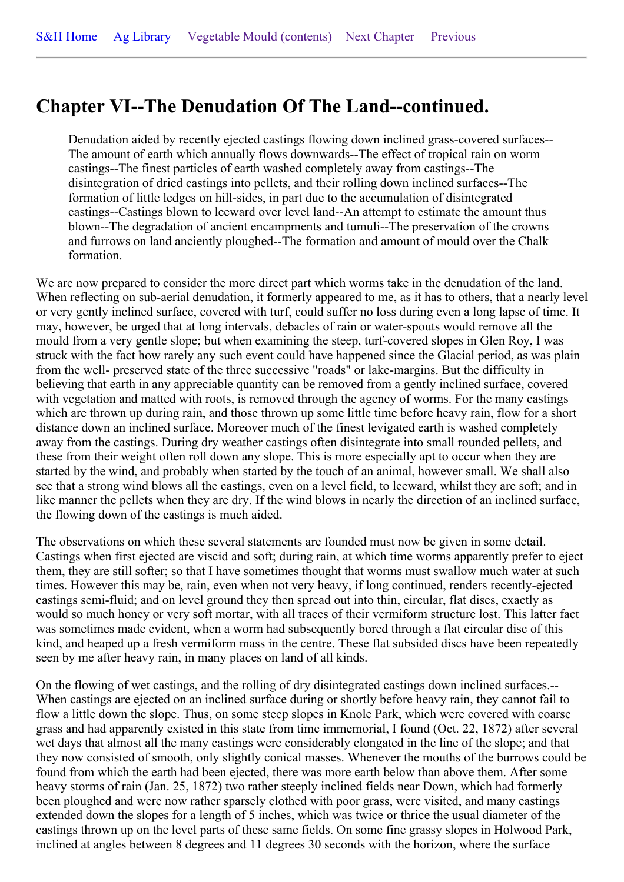## **Chapter VI--The Denudation Of The Land--continued.**

Denudation aided by recently ejected castings flowing down inclined grass-covered surfaces-- The amount of earth which annually flows downwards--The effect of tropical rain on worm castings--The finest particles of earth washed completely away from castings--The disintegration of dried castings into pellets, and their rolling down inclined surfaces--The formation of little ledges on hill-sides, in part due to the accumulation of disintegrated castings--Castings blown to leeward over level land--An attempt to estimate the amount thus blown--The degradation of ancient encampments and tumuli--The preservation of the crowns and furrows on land anciently ploughed--The formation and amount of mould over the Chalk formation.

We are now prepared to consider the more direct part which worms take in the denudation of the land. When reflecting on sub-aerial denudation, it formerly appeared to me, as it has to others, that a nearly level or very gently inclined surface, covered with turf, could suffer no loss during even a long lapse of time. It may, however, be urged that at long intervals, debacles of rain or water-spouts would remove all the mould from a very gentle slope; but when examining the steep, turf-covered slopes in Glen Roy, I was struck with the fact how rarely any such event could have happened since the Glacial period, as was plain from the well- preserved state of the three successive "roads" or lake-margins. But the difficulty in believing that earth in any appreciable quantity can be removed from a gently inclined surface, covered with vegetation and matted with roots, is removed through the agency of worms. For the many castings which are thrown up during rain, and those thrown up some little time before heavy rain, flow for a short distance down an inclined surface. Moreover much of the finest levigated earth is washed completely away from the castings. During dry weather castings often disintegrate into small rounded pellets, and these from their weight often roll down any slope. This is more especially apt to occur when they are started by the wind, and probably when started by the touch of an animal, however small. We shall also see that a strong wind blows all the castings, even on a level field, to leeward, whilst they are soft; and in like manner the pellets when they are dry. If the wind blows in nearly the direction of an inclined surface, the flowing down of the castings is much aided.

The observations on which these several statements are founded must now be given in some detail. Castings when first ejected are viscid and soft; during rain, at which time worms apparently prefer to eject them, they are still softer; so that I have sometimes thought that worms must swallow much water at such times. However this may be, rain, even when not very heavy, if long continued, renders recently-ejected castings semi-fluid; and on level ground they then spread out into thin, circular, flat discs, exactly as would so much honey or very soft mortar, with all traces of their vermiform structure lost. This latter fact was sometimes made evident, when a worm had subsequently bored through a flat circular disc of this kind, and heaped up a fresh vermiform mass in the centre. These flat subsided discs have been repeatedly seen by me after heavy rain, in many places on land of all kinds.

On the flowing of wet castings, and the rolling of dry disintegrated castings down inclined surfaces.-- When castings are ejected on an inclined surface during or shortly before heavy rain, they cannot fail to flow a little down the slope. Thus, on some steep slopes in Knole Park, which were covered with coarse grass and had apparently existed in this state from time immemorial, I found (Oct. 22, 1872) after several wet days that almost all the many castings were considerably elongated in the line of the slope; and that they now consisted of smooth, only slightly conical masses. Whenever the mouths of the burrows could be found from which the earth had been ejected, there was more earth below than above them. After some heavy storms of rain (Jan. 25, 1872) two rather steeply inclined fields near Down, which had formerly been ploughed and were now rather sparsely clothed with poor grass, were visited, and many castings extended down the slopes for a length of 5 inches, which was twice or thrice the usual diameter of the castings thrown up on the level parts of these same fields. On some fine grassy slopes in Holwood Park, inclined at angles between 8 degrees and 11 degrees 30 seconds with the horizon, where the surface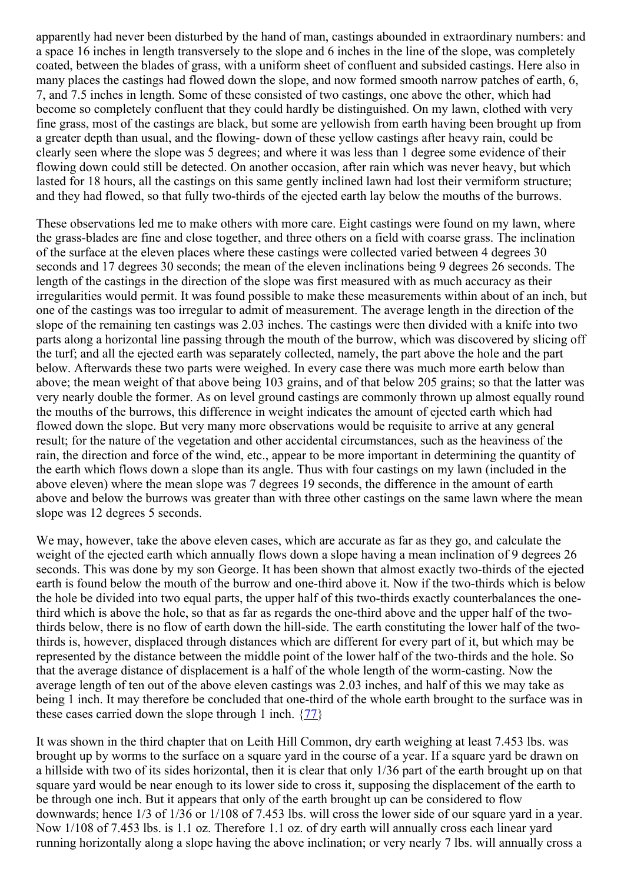apparently had never been disturbed by the hand of man, castings abounded in extraordinary numbers: and a space 16 inches in length transversely to the slope and 6 inches in the line of the slope, was completely coated, between the blades of grass, with a uniform sheet of confluent and subsided castings. Here also in many places the castings had flowed down the slope, and now formed smooth narrow patches of earth, 6, 7, and 7.5 inches in length. Some of these consisted of two castings, one above the other, which had become so completely confluent that they could hardly be distinguished. On my lawn, clothed with very fine grass, most of the castings are black, but some are yellowish from earth having been brought up from a greater depth than usual, and the flowing- down of these yellow castings after heavy rain, could be clearly seen where the slope was 5 degrees; and where it was less than 1 degree some evidence of their flowing down could still be detected. On another occasion, after rain which was never heavy, but which lasted for 18 hours, all the castings on this same gently inclined lawn had lost their vermiform structure; and they had flowed, so that fully two-thirds of the ejected earth lay below the mouths of the burrows.

These observations led me to make others with more care. Eight castings were found on my lawn, where the grass-blades are fine and close together, and three others on a field with coarse grass. The inclination of the surface at the eleven places where these castings were collected varied between 4 degrees 30 seconds and 17 degrees 30 seconds; the mean of the eleven inclinations being 9 degrees 26 seconds. The length of the castings in the direction of the slope was first measured with as much accuracy as their irregularities would permit. It was found possible to make these measurements within about of an inch, but one of the castings was too irregular to admit of measurement. The average length in the direction of the slope of the remaining ten castings was 2.03 inches. The castings were then divided with a knife into two parts along a horizontal line passing through the mouth of the burrow, which was discovered by slicing off the turf; and all the ejected earth was separately collected, namely, the part above the hole and the part below. Afterwards these two parts were weighed. In every case there was much more earth below than above; the mean weight of that above being 103 grains, and of that below 205 grains; so that the latter was very nearly double the former. As on level ground castings are commonly thrown up almost equally round the mouths of the burrows, this difference in weight indicates the amount of ejected earth which had flowed down the slope. But very many more observations would be requisite to arrive at any general result; for the nature of the vegetation and other accidental circumstances, such as the heaviness of the rain, the direction and force of the wind, etc., appear to be more important in determining the quantity of the earth which flows down a slope than its angle. Thus with four castings on my lawn (included in the above eleven) where the mean slope was 7 degrees 19 seconds, the difference in the amount of earth above and below the burrows was greater than with three other castings on the same lawn where the mean slope was 12 degrees 5 seconds.

We may, however, take the above eleven cases, which are accurate as far as they go, and calculate the weight of the ejected earth which annually flows down a slope having a mean inclination of 9 degrees 26 seconds. This was done by my son George. It has been shown that almost exactly two-thirds of the ejected earth is found below the mouth of the burrow and one-third above it. Now if the two-thirds which is below the hole be divided into two equal parts, the upper half of this two-thirds exactly counterbalances the onethird which is above the hole, so that as far as regards the one-third above and the upper half of the twothirds below, there is no flow of earth down the hill-side. The earth constituting the lower half of the twothirds is, however, displaced through distances which are different for every part of it, but which may be represented by the distance between the middle point of the lower half of the two-thirds and the hole. So that the average distance of displacement is a half of the whole length of the worm-casting. Now the average length of ten out of the above eleven castings was 2.03 inches, and half of this we may take as being 1 inch. It may therefore be concluded that one-third of the whole earth brought to the surface was in these cases carried down the slope through 1 inch.  $\{77\}$  $\{77\}$  $\{77\}$ 

It was shown in the third chapter that on Leith Hill Common, dry earth weighing at least 7.453 lbs. was brought up by worms to the surface on a square yard in the course of a year. If a square yard be drawn on a hillside with two of its sides horizontal, then it is clear that only 1/36 part of the earth brought up on that square yard would be near enough to its lower side to cross it, supposing the displacement of the earth to be through one inch. But it appears that only of the earth brought up can be considered to flow downwards; hence 1/3 of 1/36 or 1/108 of 7.453 lbs. will cross the lower side of our square yard in a year. Now 1/108 of 7.453 lbs. is 1.1 oz. Therefore 1.1 oz. of dry earth will annually cross each linear yard running horizontally along a slope having the above inclination; or very nearly 7 lbs. will annually cross a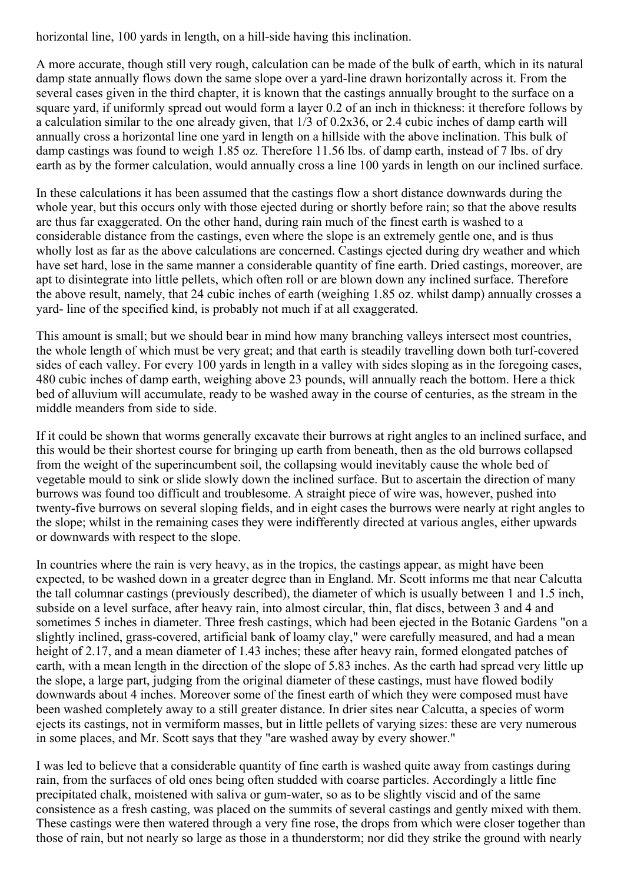horizontal line, 100 yards in length, on a hill-side having this inclination.

A more accurate, though still very rough, calculation can be made of the bulk of earth, which in its natural damp state annually flows down the same slope over a yard-line drawn horizontally across it. From the several cases given in the third chapter, it is known that the castings annually brought to the surface on a square yard, if uniformly spread out would form a layer 0.2 of an inch in thickness: it therefore follows by a calculation similar to the one already given, that 1/3 of 0.2x36, or 2.4 cubic inches of damp earth will annually cross a horizontal line one yard in length on a hillside with the above inclination. This bulk of damp castings was found to weigh 1.85 oz. Therefore 11.56 lbs. of damp earth, instead of 7 lbs. of dry earth as by the former calculation, would annually cross a line 100 yards in length on our inclined surface.

In these calculations it has been assumed that the castings flow a short distance downwards during the whole year, but this occurs only with those ejected during or shortly before rain; so that the above results are thus far exaggerated. On the other hand, during rain much of the finest earth is washed to a considerable distance from the castings, even where the slope is an extremely gentle one, and is thus wholly lost as far as the above calculations are concerned. Castings ejected during dry weather and which have set hard, lose in the same manner a considerable quantity of fine earth. Dried castings, moreover, are apt to disintegrate into little pellets, which often roll or are blown down any inclined surface. Therefore the above result, namely, that 24 cubic inches of earth (weighing 1.85 oz. whilst damp) annually crosses a yard- line of the specified kind, is probably not much if at all exaggerated.

This amount is small; but we should bear in mind how many branching valleys intersect most countries, the whole length of which must be very great; and that earth is steadily travelling down both turf-covered sides of each valley. For every 100 yards in length in a valley with sides sloping as in the foregoing cases, 480 cubic inches of damp earth, weighing above 23 pounds, will annually reach the bottom. Here a thick bed of alluvium will accumulate, ready to be washed away in the course of centuries, as the stream in the middle meanders from side to side.

If it could be shown that worms generally excavate their burrows at right angles to an inclined surface, and this would be their shortest course for bringing up earth from beneath, then as the old burrows collapsed from the weight of the superincumbent soil, the collapsing would inevitably cause the whole bed of vegetable mould to sink or slide slowly down the inclined surface. But to ascertain the direction of many burrows was found too difficult and troublesome. A straight piece of wire was, however, pushed into twenty-five burrows on several sloping fields, and in eight cases the burrows were nearly at right angles to the slope; whilst in the remaining cases they were indifferently directed at various angles, either upwards or downwards with respect to the slope.

In countries where the rain is very heavy, as in the tropics, the castings appear, as might have been expected, to be washed down in a greater degree than in England. Mr. Scott informs me that near Calcutta the tall columnar castings (previously described), the diameter of which is usually between 1 and 1.5 inch, subside on a level surface, after heavy rain, into almost circular, thin, flat discs, between 3 and 4 and sometimes 5 inches in diameter. Three fresh castings, which had been ejected in the Botanic Gardens "on a slightly inclined, grass-covered, artificial bank of loamy clay," were carefully measured, and had a mean height of 2.17, and a mean diameter of 1.43 inches; these after heavy rain, formed elongated patches of earth, with a mean length in the direction of the slope of 5.83 inches. As the earth had spread very little up the slope, a large part, judging from the original diameter of these castings, must have flowed bodily downwards about 4 inches. Moreover some of the finest earth of which they were composed must have been washed completely away to a still greater distance. In drier sites near Calcutta, a species of worm ejects its castings, not in vermiform masses, but in little pellets of varying sizes: these are very numerous in some places, and Mr. Scott says that they "are washed away by every shower."

I was led to believe that a considerable quantity of fine earth is washed quite away from castings during rain, from the surfaces of old ones being often studded with coarse particles. Accordingly a little fine precipitated chalk, moistened with saliva or gum-water, so as to be slightly viscid and of the same consistence as a fresh casting, was placed on the summits of several castings and gently mixed with them. These castings were then watered through a very fine rose, the drops from which were closer together than those of rain, but not nearly so large as those in a thunderstorm; nor did they strike the ground with nearly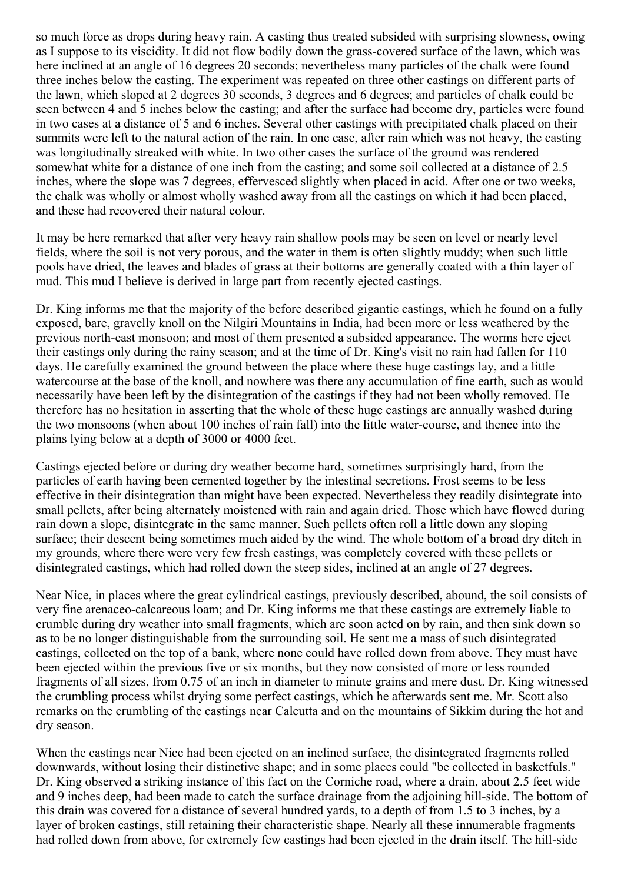so much force as drops during heavy rain. A casting thus treated subsided with surprising slowness, owing as I suppose to its viscidity. It did not flow bodily down the grass-covered surface of the lawn, which was here inclined at an angle of 16 degrees 20 seconds; nevertheless many particles of the chalk were found three inches below the casting. The experiment was repeated on three other castings on different parts of the lawn, which sloped at 2 degrees 30 seconds, 3 degrees and 6 degrees; and particles of chalk could be seen between 4 and 5 inches below the casting; and after the surface had become dry, particles were found in two cases at a distance of 5 and 6 inches. Several other castings with precipitated chalk placed on their summits were left to the natural action of the rain. In one case, after rain which was not heavy, the casting was longitudinally streaked with white. In two other cases the surface of the ground was rendered somewhat white for a distance of one inch from the casting; and some soil collected at a distance of 2.5 inches, where the slope was 7 degrees, effervesced slightly when placed in acid. After one or two weeks, the chalk was wholly or almost wholly washed away from all the castings on which it had been placed, and these had recovered their natural colour.

It may be here remarked that after very heavy rain shallow pools may be seen on level or nearly level fields, where the soil is not very porous, and the water in them is often slightly muddy; when such little pools have dried, the leaves and blades of grass at their bottoms are generally coated with a thin layer of mud. This mud I believe is derived in large part from recently ejected castings.

Dr. King informs me that the majority of the before described gigantic castings, which he found on a fully exposed, bare, gravelly knoll on the Nilgiri Mountains in India, had been more or less weathered by the previous north-east monsoon; and most of them presented a subsided appearance. The worms here eject their castings only during the rainy season; and at the time of Dr. King's visit no rain had fallen for 110 days. He carefully examined the ground between the place where these huge castings lay, and a little watercourse at the base of the knoll, and nowhere was there any accumulation of fine earth, such as would necessarily have been left by the disintegration of the castings if they had not been wholly removed. He therefore has no hesitation in asserting that the whole of these huge castings are annually washed during the two monsoons (when about 100 inches of rain fall) into the little water-course, and thence into the plains lying below at a depth of 3000 or 4000 feet.

Castings ejected before or during dry weather become hard, sometimes surprisingly hard, from the particles of earth having been cemented together by the intestinal secretions. Frost seems to be less effective in their disintegration than might have been expected. Nevertheless they readily disintegrate into small pellets, after being alternately moistened with rain and again dried. Those which have flowed during rain down a slope, disintegrate in the same manner. Such pellets often roll a little down any sloping surface; their descent being sometimes much aided by the wind. The whole bottom of a broad dry ditch in my grounds, where there were very few fresh castings, was completely covered with these pellets or disintegrated castings, which had rolled down the steep sides, inclined at an angle of 27 degrees.

Near Nice, in places where the great cylindrical castings, previously described, abound, the soil consists of very fine arenaceo-calcareous loam; and Dr. King informs me that these castings are extremely liable to crumble during dry weather into small fragments, which are soon acted on by rain, and then sink down so as to be no longer distinguishable from the surrounding soil. He sent me a mass of such disintegrated castings, collected on the top of a bank, where none could have rolled down from above. They must have been ejected within the previous five or six months, but they now consisted of more or less rounded fragments of all sizes, from 0.75 of an inch in diameter to minute grains and mere dust. Dr. King witnessed the crumbling process whilst drying some perfect castings, which he afterwards sent me. Mr. Scott also remarks on the crumbling of the castings near Calcutta and on the mountains of Sikkim during the hot and dry season.

When the castings near Nice had been ejected on an inclined surface, the disintegrated fragments rolled downwards, without losing their distinctive shape; and in some places could "be collected in basketfuls." Dr. King observed a striking instance of this fact on the Corniche road, where a drain, about 2.5 feet wide and 9 inches deep, had been made to catch the surface drainage from the adjoining hill-side. The bottom of this drain was covered for a distance of several hundred yards, to a depth of from 1.5 to 3 inches, by a layer of broken castings, still retaining their characteristic shape. Nearly all these innumerable fragments had rolled down from above, for extremely few castings had been ejected in the drain itself. The hill-side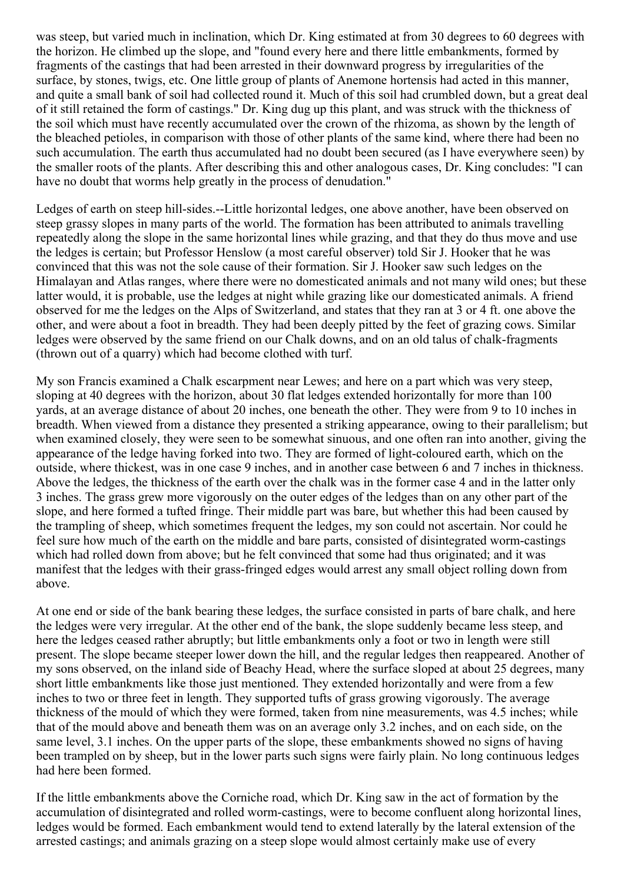<span id="page-72-0"></span>was steep, but varied much in inclination, which Dr. King estimated at from 30 degrees to 60 degrees with the horizon. He climbed up the slope, and "found every here and there little embankments, formed by fragments of the castings that had been arrested in their downward progress by irregularities of the surface, by stones, twigs, etc. One little group of plants of Anemone hortensis had acted in this manner, and quite a small bank of soil had collected round it. Much of this soil had crumbled down, but a great deal of it still retained the form of castings." Dr. King dug up this plant, and was struck with the thickness of the soil which must have recently accumulated over the crown of the rhizoma, as shown by the length of the bleached petioles, in comparison with those of other plants of the same kind, where there had been no such accumulation. The earth thus accumulated had no doubt been secured (as I have everywhere seen) by the smaller roots of the plants. After describing this and other analogous cases, Dr. King concludes: "I can have no doubt that worms help greatly in the process of denudation."

Ledges of earth on steep hill-sides.--Little horizontal ledges, one above another, have been observed on steep grassy slopes in many parts of the world. The formation has been attributed to animals travelling repeatedly along the slope in the same horizontal lines while grazing, and that they do thus move and use the ledges is certain; but Professor Henslow (a most careful observer) told Sir J. Hooker that he was convinced that this was not the sole cause of their formation. Sir J. Hooker saw such ledges on the Himalayan and Atlas ranges, where there were no domesticated animals and not many wild ones; but these latter would, it is probable, use the ledges at night while grazing like our domesticated animals. A friend observed for me the ledges on the Alps of Switzerland, and states that they ran at 3 or 4 ft. one above the other, and were about a foot in breadth. They had been deeply pitted by the feet of grazing cows. Similar ledges were observed by the same friend on our Chalk downs, and on an old talus of chalk-fragments (thrown out of a quarry) which had become clothed with turf.

My son Francis examined a Chalk escarpment near Lewes; and here on a part which was very steep, sloping at 40 degrees with the horizon, about 30 flat ledges extended horizontally for more than 100 yards, at an average distance of about 20 inches, one beneath the other. They were from 9 to 10 inches in breadth. When viewed from a distance they presented a striking appearance, owing to their parallelism; but when examined closely, they were seen to be somewhat sinuous, and one often ran into another, giving the appearance of the ledge having forked into two. They are formed of light-coloured earth, which on the outside, where thickest, was in one case 9 inches, and in another case between 6 and 7 inches in thickness. Above the ledges, the thickness of the earth over the chalk was in the former case 4 and in the latter only 3 inches. The grass grew more vigorously on the outer edges of the ledges than on any other part of the slope, and here formed a tufted fringe. Their middle part was bare, but whether this had been caused by the trampling of sheep, which sometimes frequent the ledges, my son could not ascertain. Nor could he feel sure how much of the earth on the middle and bare parts, consisted of disintegrated worm-castings which had rolled down from above; but he felt convinced that some had thus originated; and it was manifest that the ledges with their grass-fringed edges would arrest any small object rolling down from above.

At one end or side of the bank bearing these ledges, the surface consisted in parts of bare chalk, and here the ledges were very irregular. At the other end of the bank, the slope suddenly became less steep, and here the ledges ceased rather abruptly; but little embankments only a foot or two in length were still present. The slope became steeper lower down the hill, and the regular ledges then reappeared. Another of my sons observed, on the inland side of Beachy Head, where the surface sloped at about 25 degrees, many short little embankments like those just mentioned. They extended horizontally and were from a few inches to two or three feet in length. They supported tufts of grass growing vigorously. The average thickness of the mould of which they were formed, taken from nine measurements, was 4.5 inches; while that of the mould above and beneath them was on an average only 3.2 inches, and on each side, on the same level, 3.1 inches. On the upper parts of the slope, these embankments showed no signs of having been trampled on by sheep, but in the lower parts such signs were fairly plain. No long continuous ledges had here been formed.

If the little embankments above the Corniche road, which Dr. King saw in the act of formation by the accumulation of disintegrated and rolled worm-castings, were to become confluent along horizontal lines, ledges would be formed. Each embankment would tend to extend laterally by the lateral extension of the arrested castings; and animals grazing on a steep slope would almost certainly make use of every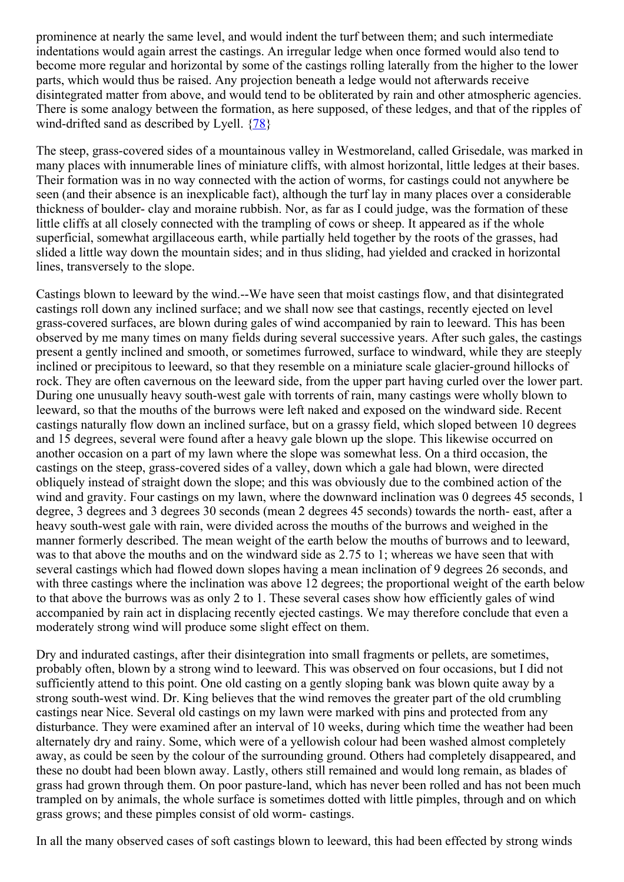prominence at nearly the same level, and would indent the turf between them; and such intermediate indentations would again arrest the castings. An irregular ledge when once formed would also tend to become more regular and horizontal by some of the castings rolling laterally from the higher to the lower parts, which would thus be raised. Any projection beneath a ledge would not afterwards receive disintegrated matter from above, and would tend to be obliterated by rain and other atmospheric agencies. There is some analogy between the formation, as here supposed, of these ledges, and that of the ripples of wind-drifted sand as described by Lyell. [{78](#page-81-0)}

The steep, grass-covered sides of a mountainous valley in Westmoreland, called Grisedale, was marked in many places with innumerable lines of miniature cliffs, with almost horizontal, little ledges at their bases. Their formation was in no way connected with the action of worms, for castings could not anywhere be seen (and their absence is an inexplicable fact), although the turf lay in many places over a considerable thickness of boulder- clay and moraine rubbish. Nor, as far as I could judge, was the formation of these little cliffs at all closely connected with the trampling of cows or sheep. It appeared as if the whole superficial, somewhat argillaceous earth, while partially held together by the roots of the grasses, had slided a little way down the mountain sides; and in thus sliding, had yielded and cracked in horizontal lines, transversely to the slope.

Castings blown to leeward by the wind.--We have seen that moist castings flow, and that disintegrated castings roll down any inclined surface; and we shall now see that castings, recently ejected on level grass-covered surfaces, are blown during gales of wind accompanied by rain to leeward. This has been observed by me many times on many fields during several successive years. After such gales, the castings present a gently inclined and smooth, or sometimes furrowed, surface to windward, while they are steeply inclined or precipitous to leeward, so that they resemble on a miniature scale glacier-ground hillocks of rock. They are often cavernous on the leeward side, from the upper part having curled over the lower part. During one unusually heavy south-west gale with torrents of rain, many castings were wholly blown to leeward, so that the mouths of the burrows were left naked and exposed on the windward side. Recent castings naturally flow down an inclined surface, but on a grassy field, which sloped between 10 degrees and 15 degrees, several were found after a heavy gale blown up the slope. This likewise occurred on another occasion on a part of my lawn where the slope was somewhat less. On a third occasion, the castings on the steep, grass-covered sides of a valley, down which a gale had blown, were directed obliquely instead of straight down the slope; and this was obviously due to the combined action of the wind and gravity. Four castings on my lawn, where the downward inclination was 0 degrees 45 seconds, 1 degree, 3 degrees and 3 degrees 30 seconds (mean 2 degrees 45 seconds) towards the north- east, after a heavy south-west gale with rain, were divided across the mouths of the burrows and weighed in the manner formerly described. The mean weight of the earth below the mouths of burrows and to leeward, was to that above the mouths and on the windward side as 2.75 to 1; whereas we have seen that with several castings which had flowed down slopes having a mean inclination of 9 degrees 26 seconds, and with three castings where the inclination was above 12 degrees; the proportional weight of the earth below to that above the burrows was as only 2 to 1. These several cases show how efficiently gales of wind accompanied by rain act in displacing recently ejected castings. We may therefore conclude that even a moderately strong wind will produce some slight effect on them.

Dry and indurated castings, after their disintegration into small fragments or pellets, are sometimes, probably often, blown by a strong wind to leeward. This was observed on four occasions, but I did not sufficiently attend to this point. One old casting on a gently sloping bank was blown quite away by a strong south-west wind. Dr. King believes that the wind removes the greater part of the old crumbling castings near Nice. Several old castings on my lawn were marked with pins and protected from any disturbance. They were examined after an interval of 10 weeks, during which time the weather had been alternately dry and rainy. Some, which were of a yellowish colour had been washed almost completely away, as could be seen by the colour of the surrounding ground. Others had completely disappeared, and these no doubt had been blown away. Lastly, others still remained and would long remain, as blades of grass had grown through them. On poor pasture-land, which has never been rolled and has not been much trampled on by animals, the whole surface is sometimes dotted with little pimples, through and on which grass grows; and these pimples consist of old worm- castings.

In all the many observed cases of soft castings blown to leeward, this had been effected by strong winds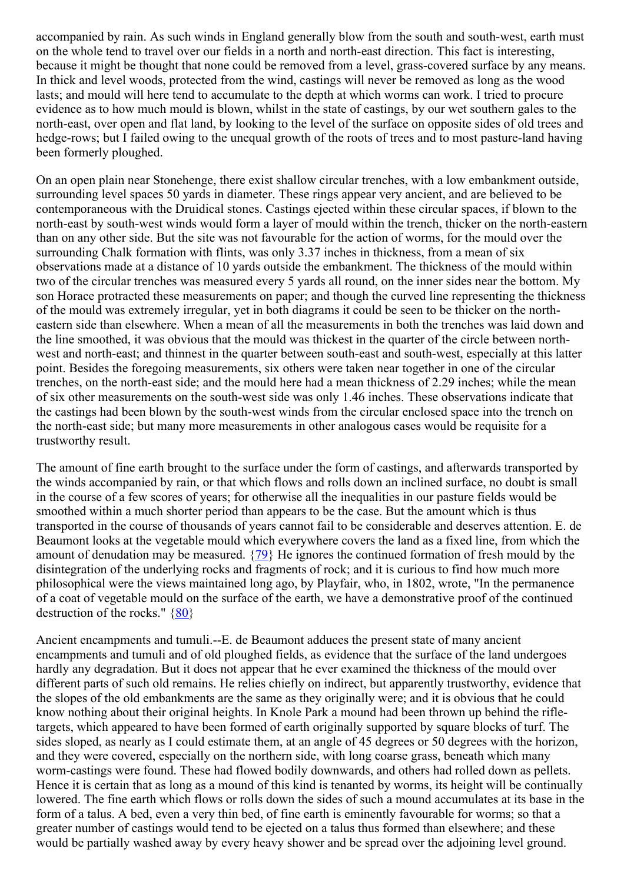accompanied by rain. As such winds in England generally blow from the south and south-west, earth must on the whole tend to travel over our fields in a north and north-east direction. This fact is interesting, because it might be thought that none could be removed from a level, grass-covered surface by any means. In thick and level woods, protected from the wind, castings will never be removed as long as the wood lasts; and mould will here tend to accumulate to the depth at which worms can work. I tried to procure evidence as to how much mould is blown, whilst in the state of castings, by our wet southern gales to the north-east, over open and flat land, by looking to the level of the surface on opposite sides of old trees and hedge-rows; but I failed owing to the unequal growth of the roots of trees and to most pasture-land having been formerly ploughed.

On an open plain near Stonehenge, there exist shallow circular trenches, with a low embankment outside, surrounding level spaces 50 yards in diameter. These rings appear very ancient, and are believed to be contemporaneous with the Druidical stones. Castings ejected within these circular spaces, if blown to the north-east by south-west winds would form a layer of mould within the trench, thicker on the north-eastern than on any other side. But the site was not favourable for the action of worms, for the mould over the surrounding Chalk formation with flints, was only 3.37 inches in thickness, from a mean of six observations made at a distance of 10 yards outside the embankment. The thickness of the mould within two of the circular trenches was measured every 5 yards all round, on the inner sides near the bottom. My son Horace protracted these measurements on paper; and though the curved line representing the thickness of the mould was extremely irregular, yet in both diagrams it could be seen to be thicker on the northeastern side than elsewhere. When a mean of all the measurements in both the trenches was laid down and the line smoothed, it was obvious that the mould was thickest in the quarter of the circle between northwest and north-east; and thinnest in the quarter between south-east and south-west, especially at this latter point. Besides the foregoing measurements, six others were taken near together in one of the circular trenches, on the north-east side; and the mould here had a mean thickness of 2.29 inches; while the mean of six other measurements on the south-west side was only 1.46 inches. These observations indicate that the castings had been blown by the south-west winds from the circular enclosed space into the trench on the north-east side; but many more measurements in other analogous cases would be requisite for a trustworthy result.

The amount of fine earth brought to the surface under the form of castings, and afterwards transported by the winds accompanied by rain, or that which flows and rolls down an inclined surface, no doubt is small in the course of a few scores of years; for otherwise all the inequalities in our pasture fields would be smoothed within a much shorter period than appears to be the case. But the amount which is thus transported in the course of thousands of years cannot fail to be considerable and deserves attention. E. de Beaumont looks at the vegetable mould which everywhere covers the land as a fixed line, from which the amount of denudation may be measured.  $\{79\}$  $\{79\}$  $\{79\}$  He ignores the continued formation of fresh mould by the disintegration of the underlying rocks and fragments of rock; and it is curious to find how much more philosophical were the views maintained long ago, by Playfair, who, in 1802, wrote, "In the permanence of a coat of vegetable mould on the surface of the earth, we have a demonstrative proof of the continued destruction of the rocks." [{80](#page-81-0)}

Ancient encampments and tumuli.--E. de Beaumont adduces the present state of many ancient encampments and tumuli and of old ploughed fields, as evidence that the surface of the land undergoes hardly any degradation. But it does not appear that he ever examined the thickness of the mould over different parts of such old remains. He relies chiefly on indirect, but apparently trustworthy, evidence that the slopes of the old embankments are the same as they originally were; and it is obvious that he could know nothing about their original heights. In Knole Park a mound had been thrown up behind the rifletargets, which appeared to have been formed of earth originally supported by square blocks of turf. The sides sloped, as nearly as I could estimate them, at an angle of 45 degrees or 50 degrees with the horizon, and they were covered, especially on the northern side, with long coarse grass, beneath which many worm-castings were found. These had flowed bodily downwards, and others had rolled down as pellets. Hence it is certain that as long as a mound of this kind is tenanted by worms, its height will be continually lowered. The fine earth which flows or rolls down the sides of such a mound accumulates at its base in the form of a talus. A bed, even a very thin bed, of fine earth is eminently favourable for worms; so that a greater number of castings would tend to be ejected on a talus thus formed than elsewhere; and these would be partially washed away by every heavy shower and be spread over the adjoining level ground.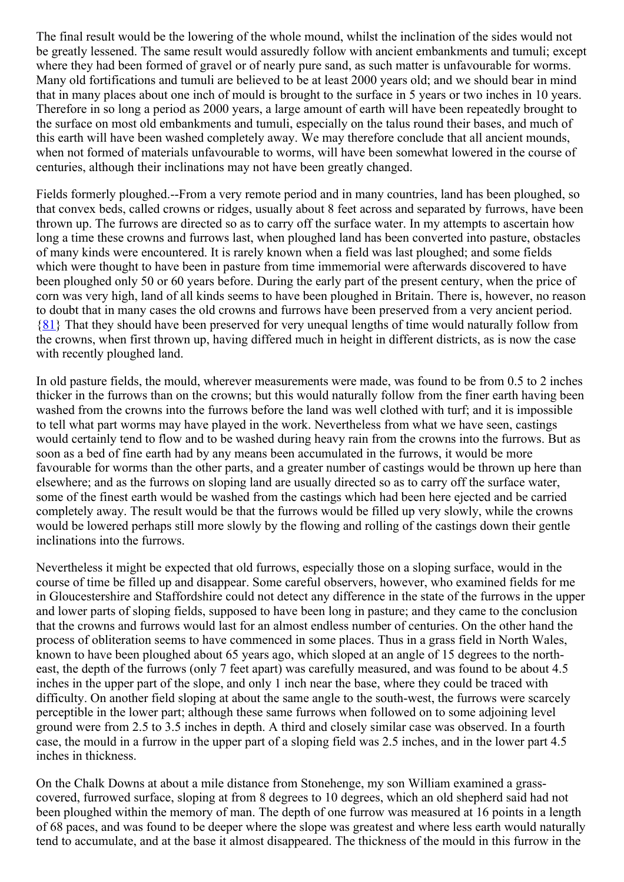The final result would be the lowering of the whole mound, whilst the inclination of the sides would not be greatly lessened. The same result would assuredly follow with ancient embankments and tumuli; except where they had been formed of gravel or of nearly pure sand, as such matter is unfavourable for worms. Many old fortifications and tumuli are believed to be at least 2000 years old; and we should bear in mind that in many places about one inch of mould is brought to the surface in 5 years or two inches in 10 years. Therefore in so long a period as 2000 years, a large amount of earth will have been repeatedly brought to the surface on most old embankments and tumuli, especially on the talus round their bases, and much of this earth will have been washed completely away. We may therefore conclude that all ancient mounds, when not formed of materials unfavourable to worms, will have been somewhat lowered in the course of centuries, although their inclinations may not have been greatly changed.

Fields formerly ploughed.--From a very remote period and in many countries, land has been ploughed, so that convex beds, called crowns or ridges, usually about 8 feet across and separated by furrows, have been thrown up. The furrows are directed so as to carry off the surface water. In my attempts to ascertain how long a time these crowns and furrows last, when ploughed land has been converted into pasture, obstacles of many kinds were encountered. It is rarely known when a field was last ploughed; and some fields which were thought to have been in pasture from time immemorial were afterwards discovered to have been ploughed only 50 or 60 years before. During the early part of the present century, when the price of corn was very high, land of all kinds seems to have been ploughed in Britain. There is, however, no reason to doubt that in many cases the old crowns and furrows have been preserved from a very ancient period. [{81](#page-81-0)} That they should have been preserved for very unequal lengths of time would naturally follow from the crowns, when first thrown up, having differed much in height in different districts, as is now the case with recently ploughed land.

In old pasture fields, the mould, wherever measurements were made, was found to be from 0.5 to 2 inches thicker in the furrows than on the crowns; but this would naturally follow from the finer earth having been washed from the crowns into the furrows before the land was well clothed with turf; and it is impossible to tell what part worms may have played in the work. Nevertheless from what we have seen, castings would certainly tend to flow and to be washed during heavy rain from the crowns into the furrows. But as soon as a bed of fine earth had by any means been accumulated in the furrows, it would be more favourable for worms than the other parts, and a greater number of castings would be thrown up here than elsewhere; and as the furrows on sloping land are usually directed so as to carry off the surface water, some of the finest earth would be washed from the castings which had been here ejected and be carried completely away. The result would be that the furrows would be filled up very slowly, while the crowns would be lowered perhaps still more slowly by the flowing and rolling of the castings down their gentle inclinations into the furrows.

Nevertheless it might be expected that old furrows, especially those on a sloping surface, would in the course of time be filled up and disappear. Some careful observers, however, who examined fields for me in Gloucestershire and Staffordshire could not detect any difference in the state of the furrows in the upper and lower parts of sloping fields, supposed to have been long in pasture; and they came to the conclusion that the crowns and furrows would last for an almost endless number of centuries. On the other hand the process of obliteration seems to have commenced in some places. Thus in a grass field in North Wales, known to have been ploughed about 65 years ago, which sloped at an angle of 15 degrees to the northeast, the depth of the furrows (only 7 feet apart) was carefully measured, and was found to be about 4.5 inches in the upper part of the slope, and only 1 inch near the base, where they could be traced with difficulty. On another field sloping at about the same angle to the south-west, the furrows were scarcely perceptible in the lower part; although these same furrows when followed on to some adjoining level ground were from 2.5 to 3.5 inches in depth. A third and closely similar case was observed. In a fourth case, the mould in a furrow in the upper part of a sloping field was 2.5 inches, and in the lower part 4.5 inches in thickness.

On the Chalk Downs at about a mile distance from Stonehenge, my son William examined a grasscovered, furrowed surface, sloping at from 8 degrees to 10 degrees, which an old shepherd said had not been ploughed within the memory of man. The depth of one furrow was measured at 16 points in a length of 68 paces, and was found to be deeper where the slope was greatest and where less earth would naturally tend to accumulate, and at the base it almost disappeared. The thickness of the mould in this furrow in the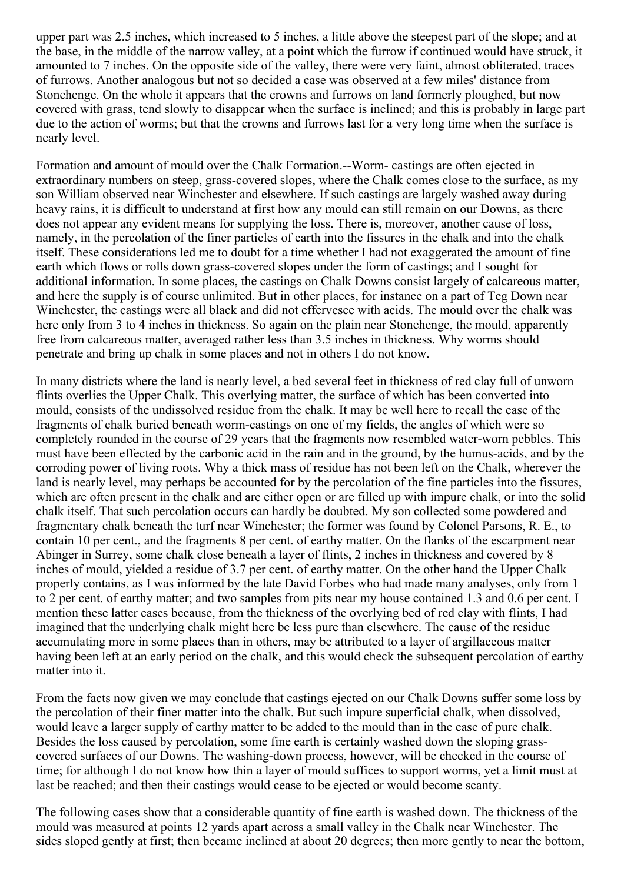upper part was 2.5 inches, which increased to 5 inches, a little above the steepest part of the slope; and at the base, in the middle of the narrow valley, at a point which the furrow if continued would have struck, it amounted to 7 inches. On the opposite side of the valley, there were very faint, almost obliterated, traces of furrows. Another analogous but not so decided a case was observed at a few miles' distance from Stonehenge. On the whole it appears that the crowns and furrows on land formerly ploughed, but now covered with grass, tend slowly to disappear when the surface is inclined; and this is probably in large part due to the action of worms; but that the crowns and furrows last for a very long time when the surface is nearly level.

Formation and amount of mould over the Chalk Formation.--Worm- castings are often ejected in extraordinary numbers on steep, grass-covered slopes, where the Chalk comes close to the surface, as my son William observed near Winchester and elsewhere. If such castings are largely washed away during heavy rains, it is difficult to understand at first how any mould can still remain on our Downs, as there does not appear any evident means for supplying the loss. There is, moreover, another cause of loss, namely, in the percolation of the finer particles of earth into the fissures in the chalk and into the chalk itself. These considerations led me to doubt for a time whether I had not exaggerated the amount of fine earth which flows or rolls down grass-covered slopes under the form of castings; and I sought for additional information. In some places, the castings on Chalk Downs consist largely of calcareous matter, and here the supply is of course unlimited. But in other places, for instance on a part of Teg Down near Winchester, the castings were all black and did not effervesce with acids. The mould over the chalk was here only from 3 to 4 inches in thickness. So again on the plain near Stonehenge, the mould, apparently free from calcareous matter, averaged rather less than 3.5 inches in thickness. Why worms should penetrate and bring up chalk in some places and not in others I do not know.

In many districts where the land is nearly level, a bed several feet in thickness of red clay full of unworn flints overlies the Upper Chalk. This overlying matter, the surface of which has been converted into mould, consists of the undissolved residue from the chalk. It may be well here to recall the case of the fragments of chalk buried beneath worm-castings on one of my fields, the angles of which were so completely rounded in the course of 29 years that the fragments now resembled water-worn pebbles. This must have been effected by the carbonic acid in the rain and in the ground, by the humus-acids, and by the corroding power of living roots. Why a thick mass of residue has not been left on the Chalk, wherever the land is nearly level, may perhaps be accounted for by the percolation of the fine particles into the fissures, which are often present in the chalk and are either open or are filled up with impure chalk, or into the solid chalk itself. That such percolation occurs can hardly be doubted. My son collected some powdered and fragmentary chalk beneath the turf near Winchester; the former was found by Colonel Parsons, R. E., to contain 10 per cent., and the fragments 8 per cent. of earthy matter. On the flanks of the escarpment near Abinger in Surrey, some chalk close beneath a layer of flints, 2 inches in thickness and covered by 8 inches of mould, yielded a residue of 3.7 per cent. of earthy matter. On the other hand the Upper Chalk properly contains, as I was informed by the late David Forbes who had made many analyses, only from 1 to 2 per cent. of earthy matter; and two samples from pits near my house contained 1.3 and 0.6 per cent. I mention these latter cases because, from the thickness of the overlying bed of red clay with flints, I had imagined that the underlying chalk might here be less pure than elsewhere. The cause of the residue accumulating more in some places than in others, may be attributed to a layer of argillaceous matter having been left at an early period on the chalk, and this would check the subsequent percolation of earthy matter into it.

From the facts now given we may conclude that castings ejected on our Chalk Downs suffer some loss by the percolation of their finer matter into the chalk. But such impure superficial chalk, when dissolved, would leave a larger supply of earthy matter to be added to the mould than in the case of pure chalk. Besides the loss caused by percolation, some fine earth is certainly washed down the sloping grasscovered surfaces of our Downs. The washing-down process, however, will be checked in the course of time; for although I do not know how thin a layer of mould suffices to support worms, yet a limit must at last be reached; and then their castings would cease to be ejected or would become scanty.

The following cases show that a considerable quantity of fine earth is washed down. The thickness of the mould was measured at points 12 yards apart across a small valley in the Chalk near Winchester. The sides sloped gently at first; then became inclined at about 20 degrees; then more gently to near the bottom,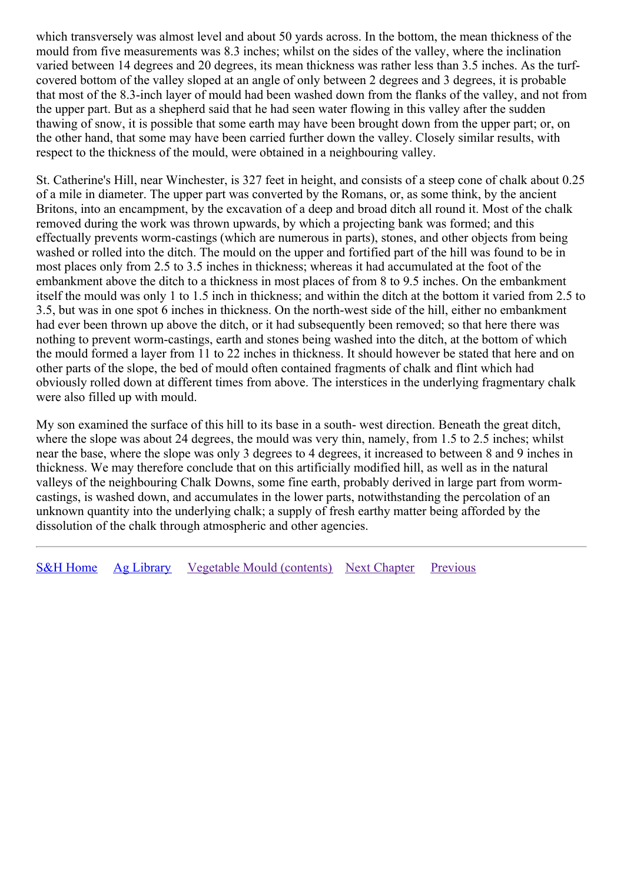which transversely was almost level and about 50 yards across. In the bottom, the mean thickness of the mould from five measurements was 8.3 inches; whilst on the sides of the valley, where the inclination varied between 14 degrees and 20 degrees, its mean thickness was rather less than 3.5 inches. As the turfcovered bottom of the valley sloped at an angle of only between 2 degrees and 3 degrees, it is probable that most of the 8.3-inch layer of mould had been washed down from the flanks of the valley, and not from the upper part. But as a shepherd said that he had seen water flowing in this valley after the sudden thawing of snow, it is possible that some earth may have been brought down from the upper part; or, on the other hand, that some may have been carried further down the valley. Closely similar results, with respect to the thickness of the mould, were obtained in a neighbouring valley.

St. Catherine's Hill, near Winchester, is 327 feet in height, and consists of a steep cone of chalk about 0.25 of a mile in diameter. The upper part was converted by the Romans, or, as some think, by the ancient Britons, into an encampment, by the excavation of a deep and broad ditch all round it. Most of the chalk removed during the work was thrown upwards, by which a projecting bank was formed; and this effectually prevents worm-castings (which are numerous in parts), stones, and other objects from being washed or rolled into the ditch. The mould on the upper and fortified part of the hill was found to be in most places only from 2.5 to 3.5 inches in thickness; whereas it had accumulated at the foot of the embankment above the ditch to a thickness in most places of from 8 to 9.5 inches. On the embankment itself the mould was only 1 to 1.5 inch in thickness; and within the ditch at the bottom it varied from 2.5 to 3.5, but was in one spot 6 inches in thickness. On the north-west side of the hill, either no embankment had ever been thrown up above the ditch, or it had subsequently been removed; so that here there was nothing to prevent worm-castings, earth and stones being washed into the ditch, at the bottom of which the mould formed a layer from 11 to 22 inches in thickness. It should however be stated that here and on other parts of the slope, the bed of mould often contained fragments of chalk and flint which had obviously rolled down at different times from above. The interstices in the underlying fragmentary chalk were also filled up with mould.

My son examined the surface of this hill to its base in a south- west direction. Beneath the great ditch, where the slope was about 24 degrees, the mould was very thin, namely, from 1.5 to 2.5 inches; whilst near the base, where the slope was only 3 degrees to 4 degrees, it increased to between 8 and 9 inches in thickness. We may therefore conclude that on this artificially modified hill, as well as in the natural valleys of the neighbouring Chalk Downs, some fine earth, probably derived in large part from wormcastings, is washed down, and accumulates in the lower parts, notwithstanding the percolation of an unknown quantity into the underlying chalk; a supply of fresh earthy matter being afforded by the dissolution of the chalk through atmospheric and other agencies.

S&H [Home](http://www.soilandhealth.org/) Ag [Library](http://www.soilandhealth.org/01aglibrary/01aglibwelcome.html) [Vegetable](#page-0-0) Mould (contents) Next [Chapter](#page-78-0) [Previous](#page-64-0)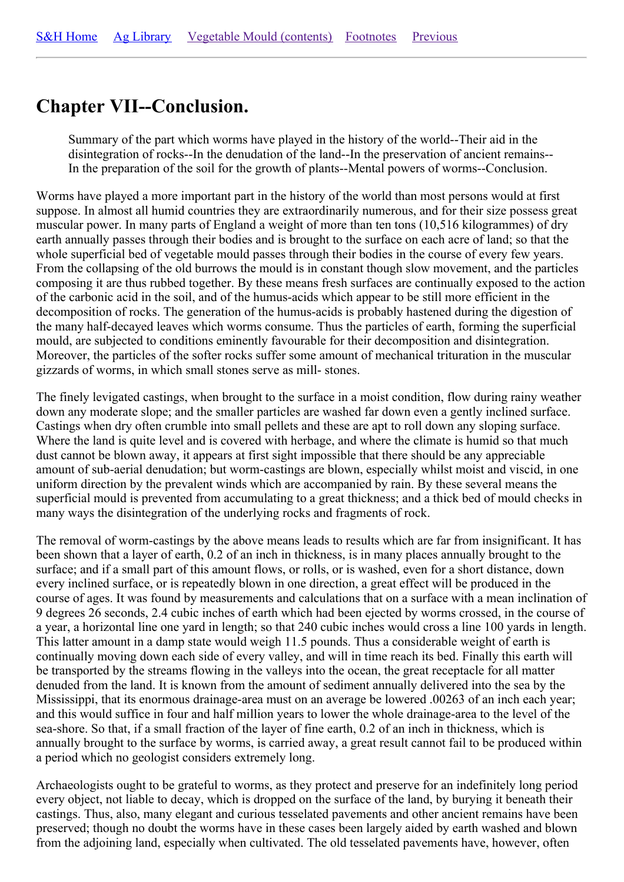## <span id="page-78-0"></span>**Chapter VII--Conclusion.**

Summary of the part which worms have played in the history of the world--Their aid in the disintegration of rocks--In the denudation of the land--In the preservation of ancient remains-- In the preparation of the soil for the growth of plants--Mental powers of worms--Conclusion.

Worms have played a more important part in the history of the world than most persons would at first suppose. In almost all humid countries they are extraordinarily numerous, and for their size possess great muscular power. In many parts of England a weight of more than ten tons (10,516 kilogrammes) of dry earth annually passes through their bodies and is brought to the surface on each acre of land; so that the whole superficial bed of vegetable mould passes through their bodies in the course of every few years. From the collapsing of the old burrows the mould is in constant though slow movement, and the particles composing it are thus rubbed together. By these means fresh surfaces are continually exposed to the action of the carbonic acid in the soil, and of the humus-acids which appear to be still more efficient in the decomposition of rocks. The generation of the humus-acids is probably hastened during the digestion of the many half-decayed leaves which worms consume. Thus the particles of earth, forming the superficial mould, are subjected to conditions eminently favourable for their decomposition and disintegration. Moreover, the particles of the softer rocks suffer some amount of mechanical trituration in the muscular gizzards of worms, in which small stones serve as mill- stones.

The finely levigated castings, when brought to the surface in a moist condition, flow during rainy weather down any moderate slope; and the smaller particles are washed far down even a gently inclined surface. Castings when dry often crumble into small pellets and these are apt to roll down any sloping surface. Where the land is quite level and is covered with herbage, and where the climate is humid so that much dust cannot be blown away, it appears at first sight impossible that there should be any appreciable amount of sub-aerial denudation; but worm-castings are blown, especially whilst moist and viscid, in one uniform direction by the prevalent winds which are accompanied by rain. By these several means the superficial mould is prevented from accumulating to a great thickness; and a thick bed of mould checks in many ways the disintegration of the underlying rocks and fragments of rock.

The removal of worm-castings by the above means leads to results which are far from insignificant. It has been shown that a layer of earth, 0.2 of an inch in thickness, is in many places annually brought to the surface; and if a small part of this amount flows, or rolls, or is washed, even for a short distance, down every inclined surface, or is repeatedly blown in one direction, a great effect will be produced in the course of ages. It was found by measurements and calculations that on a surface with a mean inclination of 9 degrees 26 seconds, 2.4 cubic inches of earth which had been ejected by worms crossed, in the course of a year, a horizontal line one yard in length; so that 240 cubic inches would cross a line 100 yards in length. This latter amount in a damp state would weigh 11.5 pounds. Thus a considerable weight of earth is continually moving down each side of every valley, and will in time reach its bed. Finally this earth will be transported by the streams flowing in the valleys into the ocean, the great receptacle for all matter denuded from the land. It is known from the amount of sediment annually delivered into the sea by the Mississippi, that its enormous drainage-area must on an average be lowered .00263 of an inch each year; and this would suffice in four and half million years to lower the whole drainage-area to the level of the sea-shore. So that, if a small fraction of the layer of fine earth, 0.2 of an inch in thickness, which is annually brought to the surface by worms, is carried away, a great result cannot fail to be produced within a period which no geologist considers extremely long.

Archaeologists ought to be grateful to worms, as they protect and preserve for an indefinitely long period every object, not liable to decay, which is dropped on the surface of the land, by burying it beneath their castings. Thus, also, many elegant and curious tesselated pavements and other ancient remains have been preserved; though no doubt the worms have in these cases been largely aided by earth washed and blown from the adjoining land, especially when cultivated. The old tesselated pavements have, however, often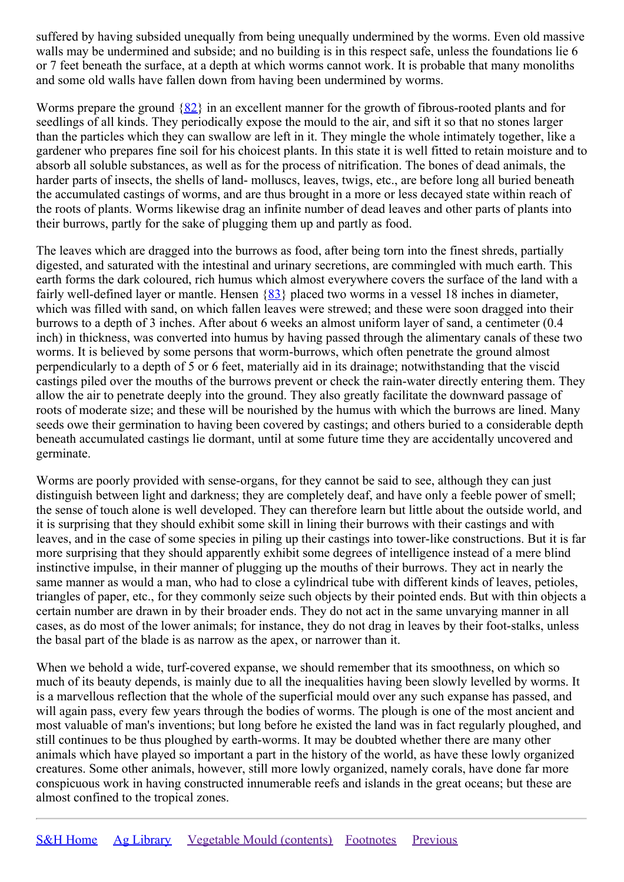suffered by having subsided unequally from being unequally undermined by the worms. Even old massive walls may be undermined and subside; and no building is in this respect safe, unless the foundations lie 6 or 7 feet beneath the surface, at a depth at which worms cannot work. It is probable that many monoliths and some old walls have fallen down from having been undermined by worms.

Worms prepare the ground  $\{82\}$  $\{82\}$  $\{82\}$  in an excellent manner for the growth of fibrous-rooted plants and for seedlings of all kinds. They periodically expose the mould to the air, and sift it so that no stones larger than the particles which they can swallow are left in it. They mingle the whole intimately together, like a gardener who prepares fine soil for his choicest plants. In this state it is well fitted to retain moisture and to absorb all soluble substances, as well as for the process of nitrification. The bones of dead animals, the harder parts of insects, the shells of land- molluscs, leaves, twigs, etc., are before long all buried beneath the accumulated castings of worms, and are thus brought in a more or less decayed state within reach of the roots of plants. Worms likewise drag an infinite number of dead leaves and other parts of plants into their burrows, partly for the sake of plugging them up and partly as food.

The leaves which are dragged into the burrows as food, after being torn into the finest shreds, partially digested, and saturated with the intestinal and urinary secretions, are commingled with much earth. This earth forms the dark coloured, rich humus which almost everywhere covers the surface of the land with a fairly well-defined layer or mantle. Hensen [{83](#page-81-0)} placed two worms in a vessel 18 inches in diameter, which was filled with sand, on which fallen leaves were strewed; and these were soon dragged into their burrows to a depth of 3 inches. After about 6 weeks an almost uniform layer of sand, a centimeter (0.4 inch) in thickness, was converted into humus by having passed through the alimentary canals of these two worms. It is believed by some persons that worm-burrows, which often penetrate the ground almost perpendicularly to a depth of 5 or 6 feet, materially aid in its drainage; notwithstanding that the viscid castings piled over the mouths of the burrows prevent or check the rain-water directly entering them. They allow the air to penetrate deeply into the ground. They also greatly facilitate the downward passage of roots of moderate size; and these will be nourished by the humus with which the burrows are lined. Many seeds owe their germination to having been covered by castings; and others buried to a considerable depth beneath accumulated castings lie dormant, until at some future time they are accidentally uncovered and germinate.

Worms are poorly provided with sense-organs, for they cannot be said to see, although they can just distinguish between light and darkness; they are completely deaf, and have only a feeble power of smell; the sense of touch alone is well developed. They can therefore learn but little about the outside world, and it is surprising that they should exhibit some skill in lining their burrows with their castings and with leaves, and in the case of some species in piling up their castings into tower-like constructions. But it is far more surprising that they should apparently exhibit some degrees of intelligence instead of a mere blind instinctive impulse, in their manner of plugging up the mouths of their burrows. They act in nearly the same manner as would a man, who had to close a cylindrical tube with different kinds of leaves, petioles, triangles of paper, etc., for they commonly seize such objects by their pointed ends. But with thin objects a certain number are drawn in by their broader ends. They do not act in the same unvarying manner in all cases, as do most of the lower animals; for instance, they do not drag in leaves by their foot-stalks, unless the basal part of the blade is as narrow as the apex, or narrower than it.

When we behold a wide, turf-covered expanse, we should remember that its smoothness, on which so much of its beauty depends, is mainly due to all the inequalities having been slowly levelled by worms. It is a marvellous reflection that the whole of the superficial mould over any such expanse has passed, and will again pass, every few years through the bodies of worms. The plough is one of the most ancient and most valuable of man's inventions; but long before he existed the land was in fact regularly ploughed, and still continues to be thus ploughed by earth-worms. It may be doubted whether there are many other animals which have played so important a part in the history of the world, as have these lowly organized creatures. Some other animals, however, still more lowly organized, namely corals, have done far more conspicuous work in having constructed innumerable reefs and islands in the great oceans; but these are almost confined to the tropical zones.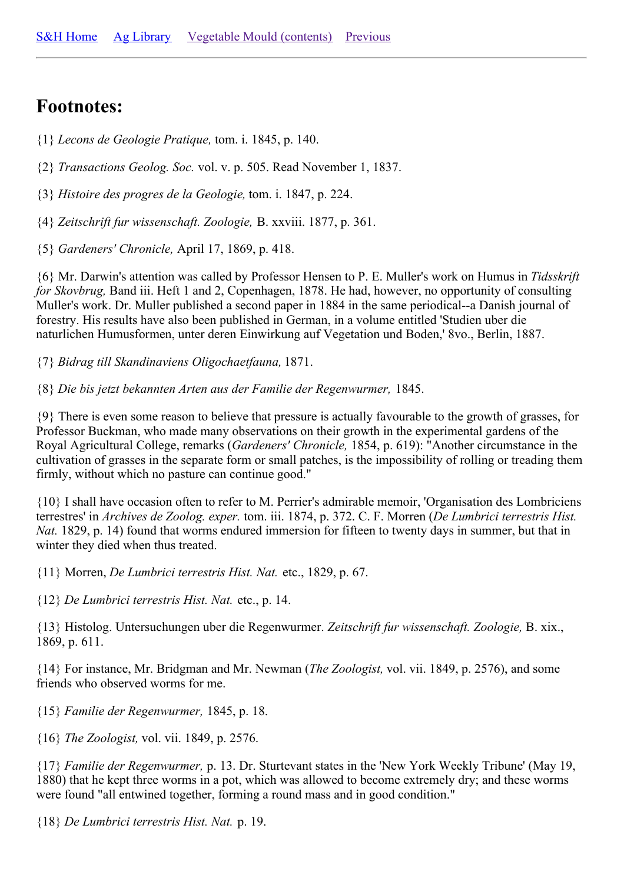## <span id="page-81-0"></span>**Footnotes:**

{1} *Lecons de Geologie Pratique,* tom. i. 1845, p. 140.

{2} *Transactions Geolog. Soc.* vol. v. p. 505. Read November 1, 1837.

{3} *Histoire des progres de la Geologie,* tom. i. 1847, p. 224.

{4} *Zeitschrift fur wissenschaft. Zoologie,* B. xxviii. 1877, p. 361.

{5} *Gardeners' Chronicle,* April 17, 1869, p. 418.

{6} Mr. Darwin's attention was called by Professor Hensen to P. E. Muller's work on Humus in *Tidsskrift for Skovbrug,* Band iii. Heft 1 and 2, Copenhagen, 1878. He had, however, no opportunity of consulting Muller's work. Dr. Muller published a second paper in 1884 in the same periodical--a Danish journal of forestry. His results have also been published in German, in a volume entitled 'Studien uber die naturlichen Humusformen, unter deren Einwirkung auf Vegetation und Boden,' 8vo., Berlin, 1887.

{7} *Bidrag till Skandinaviens Oligochaetfauna,* 1871.

{8} *Die bis jetzt bekannten Arten aus der Familie der Regenwurmer,* 1845.

{9} There is even some reason to believe that pressure is actually favourable to the growth of grasses, for Professor Buckman, who made many observations on their growth in the experimental gardens of the Royal Agricultural College, remarks (*Gardeners' Chronicle,* 1854, p. 619): "Another circumstance in the cultivation of grasses in the separate form or small patches, is the impossibility of rolling or treading them firmly, without which no pasture can continue good."

{10} I shall have occasion often to refer to M. Perrier's admirable memoir, 'Organisation des Lombriciens terrestres' in *Archives de Zoolog. exper.* tom. iii. 1874, p. 372. C. F. Morren (*De Lumbrici terrestris Hist. Nat.* 1829, p. 14) found that worms endured immersion for fifteen to twenty days in summer, but that in winter they died when thus treated.

{11} Morren, *De Lumbrici terrestris Hist. Nat.* etc., 1829, p. 67.

{12} *De Lumbrici terrestris Hist. Nat.* etc., p. 14.

{13} Histolog. Untersuchungen uber die Regenwurmer. *Zeitschrift fur wissenschaft. Zoologie,* B. xix., 1869, p. 611.

{14} For instance, Mr. Bridgman and Mr. Newman (*The Zoologist,* vol. vii. 1849, p. 2576), and some friends who observed worms for me.

{15} *Familie der Regenwurmer,* 1845, p. 18.

{16} *The Zoologist,* vol. vii. 1849, p. 2576.

{17} *Familie der Regenwurmer,* p. 13. Dr. Sturtevant states in the 'New York Weekly Tribune' (May 19, 1880) that he kept three worms in a pot, which was allowed to become extremely dry; and these worms were found "all entwined together, forming a round mass and in good condition."

{18} *De Lumbrici terrestris Hist. Nat.* p. 19.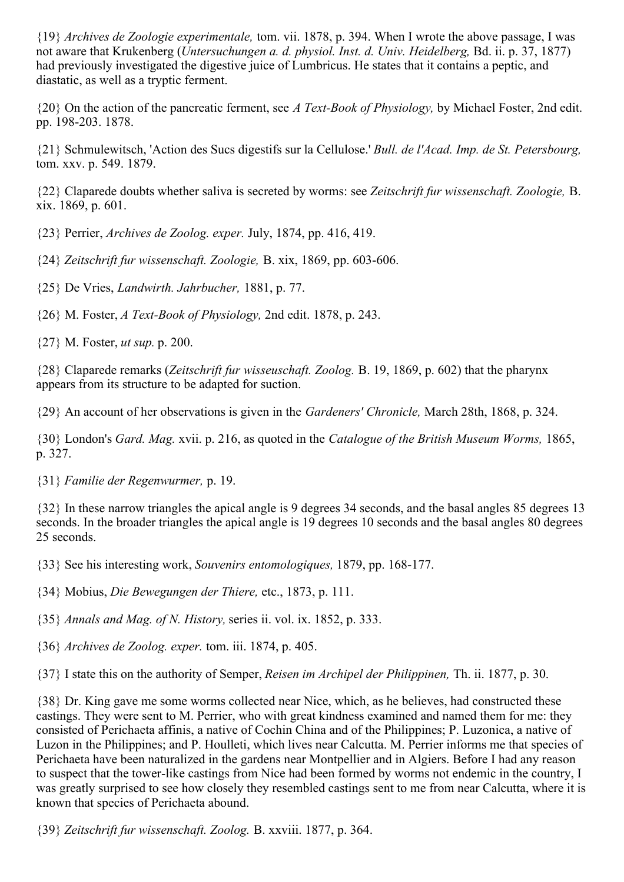{19} *Archives de Zoologie experimentale,* tom. vii. 1878, p. 394. When I wrote the above passage, I was not aware that Krukenberg (*Untersuchungen a. d. physiol. Inst. d. Univ. Heidelberg,* Bd. ii. p. 37, 1877) had previously investigated the digestive juice of Lumbricus. He states that it contains a peptic, and diastatic, as well as a tryptic ferment.

{20} On the action of the pancreatic ferment, see *A Text-Book of Physiology,* by Michael Foster, 2nd edit. pp. 198-203. 1878.

{21} Schmulewitsch, 'Action des Sucs digestifs sur la Cellulose.' *Bull. de l'Acad. Imp. de St. Petersbourg,* tom. xxv. p. 549. 1879.

{22} Claparede doubts whether saliva is secreted by worms: see *Zeitschrift fur wissenschaft. Zoologie,* B. xix. 1869, p. 601.

{23} Perrier, *Archives de Zoolog. exper.* July, 1874, pp. 416, 419.

{24} *Zeitschrift fur wissenschaft. Zoologie,* B. xix, 1869, pp. 603-606.

{25} De Vries, *Landwirth. Jahrbucher,* 1881, p. 77.

{26} M. Foster, *A Text-Book of Physiology,* 2nd edit. 1878, p. 243.

{27} M. Foster, *ut sup.* p. 200.

{28} Claparede remarks (*Zeitschrift fur wisseuschaft. Zoolog.* B. 19, 1869, p. 602) that the pharynx appears from its structure to be adapted for suction.

{29} An account of her observations is given in the *Gardeners' Chronicle,* March 28th, 1868, p. 324.

{30} London's *Gard. Mag.* xvii. p. 216, as quoted in the *Catalogue of the British Museum Worms,* 1865, p. 327.

{31} *Familie der Regenwurmer,* p. 19.

{32} In these narrow triangles the apical angle is 9 degrees 34 seconds, and the basal angles 85 degrees 13 seconds. In the broader triangles the apical angle is 19 degrees 10 seconds and the basal angles 80 degrees 25 seconds.

{33} See his interesting work, *Souvenirs entomologiques,* 1879, pp. 168-177.

{34} Mobius, *Die Bewegungen der Thiere,* etc., 1873, p. 111.

{35} *Annals and Mag. of N. History,* series ii. vol. ix. 1852, p. 333.

{36} *Archives de Zoolog. exper.* tom. iii. 1874, p. 405.

{37} I state this on the authority of Semper, *Reisen im Archipel der Philippinen,* Th. ii. 1877, p. 30.

{38} Dr. King gave me some worms collected near Nice, which, as he believes, had constructed these castings. They were sent to M. Perrier, who with great kindness examined and named them for me: they consisted of Perichaeta affinis, a native of Cochin China and of the Philippines; P. Luzonica, a native of Luzon in the Philippines; and P. Houlleti, which lives near Calcutta. M. Perrier informs me that species of Perichaeta have been naturalized in the gardens near Montpellier and in Algiers. Before I had any reason to suspect that the tower-like castings from Nice had been formed by worms not endemic in the country, I was greatly surprised to see how closely they resembled castings sent to me from near Calcutta, where it is known that species of Perichaeta abound.

{39} *Zeitschrift fur wissenschaft. Zoolog.* B. xxviii. 1877, p. 364.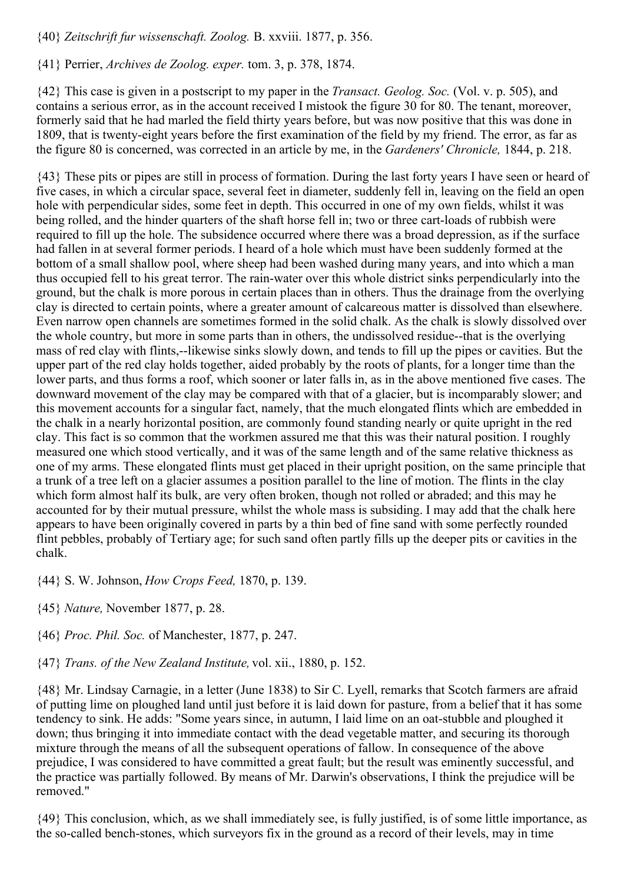<span id="page-83-0"></span>{40} *Zeitschrift fur wissenschaft. Zoolog.* B. xxviii. 1877, p. 356.

{41} Perrier, *Archives de Zoolog. exper.* tom. 3, p. 378, 1874.

{42} This case is given in a postscript to my paper in the *Transact. Geolog. Soc.* (Vol. v. p. 505), and contains a serious error, as in the account received I mistook the figure 30 for 80. The tenant, moreover, formerly said that he had marled the field thirty years before, but was now positive that this was done in 1809, that is twenty-eight years before the first examination of the field by my friend. The error, as far as the figure 80 is concerned, was corrected in an article by me, in the *Gardeners' Chronicle,* 1844, p. 218.

{43} These pits or pipes are still in process of formation. During the last forty years I have seen or heard of five cases, in which a circular space, several feet in diameter, suddenly fell in, leaving on the field an open hole with perpendicular sides, some feet in depth. This occurred in one of my own fields, whilst it was being rolled, and the hinder quarters of the shaft horse fell in; two or three cart-loads of rubbish were required to fill up the hole. The subsidence occurred where there was a broad depression, as if the surface had fallen in at several former periods. I heard of a hole which must have been suddenly formed at the bottom of a small shallow pool, where sheep had been washed during many years, and into which a man thus occupied fell to his great terror. The rain-water over this whole district sinks perpendicularly into the ground, but the chalk is more porous in certain places than in others. Thus the drainage from the overlying clay is directed to certain points, where a greater amount of calcareous matter is dissolved than elsewhere. Even narrow open channels are sometimes formed in the solid chalk. As the chalk is slowly dissolved over the whole country, but more in some parts than in others, the undissolved residue--that is the overlying mass of red clay with flints,--likewise sinks slowly down, and tends to fill up the pipes or cavities. But the upper part of the red clay holds together, aided probably by the roots of plants, for a longer time than the lower parts, and thus forms a roof, which sooner or later falls in, as in the above mentioned five cases. The downward movement of the clay may be compared with that of a glacier, but is incomparably slower; and this movement accounts for a singular fact, namely, that the much elongated flints which are embedded in the chalk in a nearly horizontal position, are commonly found standing nearly or quite upright in the red clay. This fact is so common that the workmen assured me that this was their natural position. I roughly measured one which stood vertically, and it was of the same length and of the same relative thickness as one of my arms. These elongated flints must get placed in their upright position, on the same principle that a trunk of a tree left on a glacier assumes a position parallel to the line of motion. The flints in the clay which form almost half its bulk, are very often broken, though not rolled or abraded; and this may he accounted for by their mutual pressure, whilst the whole mass is subsiding. I may add that the chalk here appears to have been originally covered in parts by a thin bed of fine sand with some perfectly rounded flint pebbles, probably of Tertiary age; for such sand often partly fills up the deeper pits or cavities in the chalk.

{44} S. W. Johnson, *How Crops Feed,* 1870, p. 139.

{45} *Nature,* November 1877, p. 28.

{46} *Proc. Phil. Soc.* of Manchester, 1877, p. 247.

{47} *Trans. of the New Zealand Institute,* vol. xii., 1880, p. 152.

{48} Mr. Lindsay Carnagie, in a letter (June 1838) to Sir C. Lyell, remarks that Scotch farmers are afraid of putting lime on ploughed land until just before it is laid down for pasture, from a belief that it has some tendency to sink. He adds: "Some years since, in autumn, I laid lime on an oat-stubble and ploughed it down; thus bringing it into immediate contact with the dead vegetable matter, and securing its thorough mixture through the means of all the subsequent operations of fallow. In consequence of the above prejudice, I was considered to have committed a great fault; but the result was eminently successful, and the practice was partially followed. By means of Mr. Darwin's observations, I think the prejudice will be removed."

{49} This conclusion, which, as we shall immediately see, is fully justified, is of some little importance, as the so-called bench-stones, which surveyors fix in the ground as a record of their levels, may in time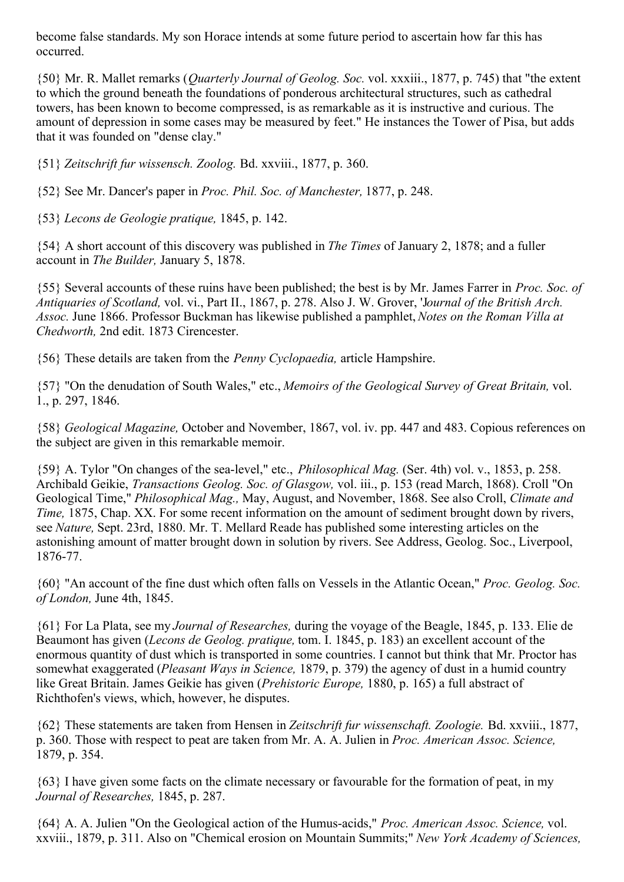become false standards. My son Horace intends at some future period to ascertain how far this has occurred.

{50} Mr. R. Mallet remarks (*Quarterly Journal of Geolog. Soc.* vol. xxxiii., 1877, p. 745) that "the extent to which the ground beneath the foundations of ponderous architectural structures, such as cathedral towers, has been known to become compressed, is as remarkable as it is instructive and curious. The amount of depression in some cases may be measured by feet." He instances the Tower of Pisa, but adds that it was founded on "dense clay."

{51} *Zeitschrift fur wissensch. Zoolog.* Bd. xxviii., 1877, p. 360.

{52} See Mr. Dancer's paper in *Proc. Phil. Soc. of Manchester,* 1877, p. 248.

{53} *Lecons de Geologie pratique,* 1845, p. 142.

{54} A short account of this discovery was published in *The Times* of January 2, 1878; and a fuller account in *The Builder,* January 5, 1878.

{55} Several accounts of these ruins have been published; the best is by Mr. James Farrer in *Proc. Soc. of Antiquaries of Scotland,* vol. vi., Part II., 1867, p. 278. Also J. W. Grover, 'J*ournal of the British Arch. Assoc.* June 1866. Professor Buckman has likewise published a pamphlet, *Notes on the Roman Villa at Chedworth,* 2nd edit. 1873 Cirencester.

{56} These details are taken from the *Penny Cyclopaedia,* article Hampshire.

{57} "On the denudation of South Wales," etc., *Memoirs of the Geological Survey of Great Britain,* vol. 1., p. 297, 1846.

{58} *Geological Magazine,* October and November, 1867, vol. iv. pp. 447 and 483. Copious references on the subject are given in this remarkable memoir.

{59} A. Tylor "On changes of the sea-level," etc., *Philosophical Mag.* (Ser. 4th) vol. v., 1853, p. 258. Archibald Geikie, *Transactions Geolog. Soc. of Glasgow,* vol. iii., p. 153 (read March, 1868). Croll "On Geological Time," *Philosophical Mag.,* May, August, and November, 1868. See also Croll, *Climate and Time,* 1875, Chap. XX. For some recent information on the amount of sediment brought down by rivers, see *Nature,* Sept. 23rd, 1880. Mr. T. Mellard Reade has published some interesting articles on the astonishing amount of matter brought down in solution by rivers. See Address, Geolog. Soc., Liverpool, 1876-77.

{60} "An account of the fine dust which often falls on Vessels in the Atlantic Ocean," *Proc. Geolog. Soc. of London,* June 4th, 1845.

{61} For La Plata, see my *Journal of Researches,* during the voyage of the Beagle, 1845, p. 133. Elie de Beaumont has given (*Lecons de Geolog. pratique,* tom. I. 1845, p. 183) an excellent account of the enormous quantity of dust which is transported in some countries. I cannot but think that Mr. Proctor has somewhat exaggerated (*Pleasant Ways in Science,* 1879, p. 379) the agency of dust in a humid country like Great Britain. James Geikie has given (*Prehistoric Europe,* 1880, p. 165) a full abstract of Richthofen's views, which, however, he disputes.

{62} These statements are taken from Hensen in *Zeitschrift fur wissenschaft. Zoologie.* Bd. xxviii., 1877, p. 360. Those with respect to peat are taken from Mr. A. A. Julien in *Proc. American Assoc. Science,* 1879, p. 354.

{63} I have given some facts on the climate necessary or favourable for the formation of peat, in my *Journal of Researches,* 1845, p. 287.

{64} A. A. Julien "On the Geological action of the Humus-acids," *Proc. American Assoc. Science,* vol. xxviii., 1879, p. 311. Also on "Chemical erosion on Mountain Summits;" *New York Academy of Sciences,*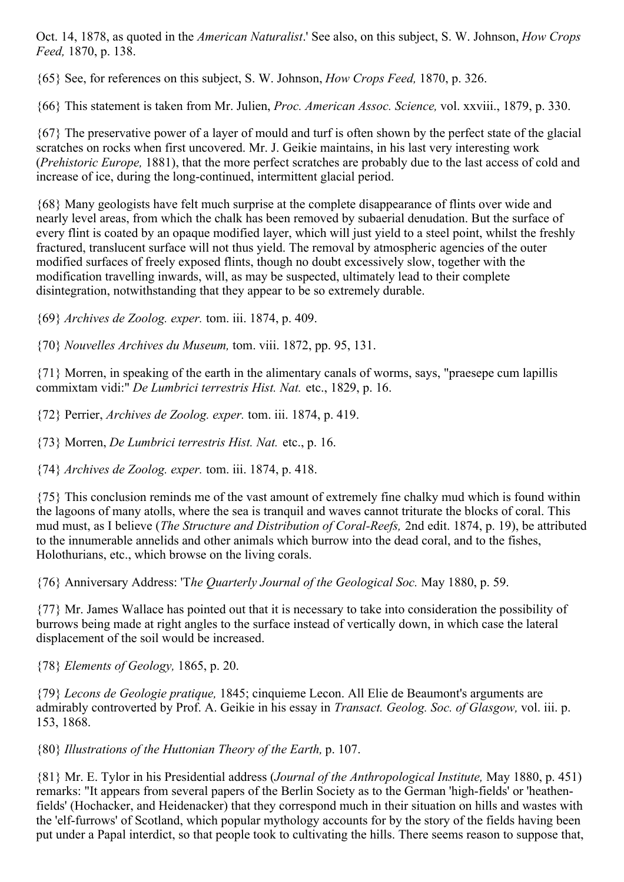Oct. 14, 1878, as quoted in the *American Naturalist*.' See also, on this subject, S. W. Johnson, *How Crops Feed,* 1870, p. 138.

{65} See, for references on this subject, S. W. Johnson, *How Crops Feed,* 1870, p. 326.

{66} This statement is taken from Mr. Julien, *Proc. American Assoc. Science,* vol. xxviii., 1879, p. 330.

{67} The preservative power of a layer of mould and turf is often shown by the perfect state of the glacial scratches on rocks when first uncovered. Mr. J. Geikie maintains, in his last very interesting work (*Prehistoric Europe,* 1881), that the more perfect scratches are probably due to the last access of cold and increase of ice, during the long-continued, intermittent glacial period.

{68} Many geologists have felt much surprise at the complete disappearance of flints over wide and nearly level areas, from which the chalk has been removed by subaerial denudation. But the surface of every flint is coated by an opaque modified layer, which will just yield to a steel point, whilst the freshly fractured, translucent surface will not thus yield. The removal by atmospheric agencies of the outer modified surfaces of freely exposed flints, though no doubt excessively slow, together with the modification travelling inwards, will, as may be suspected, ultimately lead to their complete disintegration, notwithstanding that they appear to be so extremely durable.

{69} *Archives de Zoolog. exper.* tom. iii. 1874, p. 409.

{70} *Nouvelles Archives du Museum,* tom. viii. 1872, pp. 95, 131.

{71} Morren, in speaking of the earth in the alimentary canals of worms, says, "praesepe cum lapillis commixtam vidi:" *De Lumbrici terrestris Hist. Nat.* etc., 1829, p. 16.

{72} Perrier, *Archives de Zoolog. exper.* tom. iii. 1874, p. 419.

{73} Morren, *De Lumbrici terrestris Hist. Nat.* etc., p. 16.

{74} *Archives de Zoolog. exper.* tom. iii. 1874, p. 418.

{75} This conclusion reminds me of the vast amount of extremely fine chalky mud which is found within the lagoons of many atolls, where the sea is tranquil and waves cannot triturate the blocks of coral. This mud must, as I believe (*The Structure and Distribution of Coral-Reefs,* 2nd edit. 1874, p. 19), be attributed to the innumerable annelids and other animals which burrow into the dead coral, and to the fishes, Holothurians, etc., which browse on the living corals.

{76} Anniversary Address: 'T*he Quarterly Journal of the Geological Soc.* May 1880, p. 59.

{77} Mr. James Wallace has pointed out that it is necessary to take into consideration the possibility of burrows being made at right angles to the surface instead of vertically down, in which case the lateral displacement of the soil would be increased.

{78} *Elements of Geology,* 1865, p. 20.

{79} *Lecons de Geologie pratique,* 1845; cinquieme Lecon. All Elie de Beaumont's arguments are admirably controverted by Prof. A. Geikie in his essay in *Transact. Geolog. Soc. of Glasgow,* vol. iii. p. 153, 1868.

{80} *Illustrations of the Huttonian Theory of the Earth,* p. 107.

{81} Mr. E. Tylor in his Presidential address (*Journal of the Anthropological Institute,* May 1880, p. 451) remarks: "It appears from several papers of the Berlin Society as to the German 'high-fields' or 'heathenfields' (Hochacker, and Heidenacker) that they correspond much in their situation on hills and wastes with the 'elf-furrows' of Scotland, which popular mythology accounts for by the story of the fields having been put under a Papal interdict, so that people took to cultivating the hills. There seems reason to suppose that,